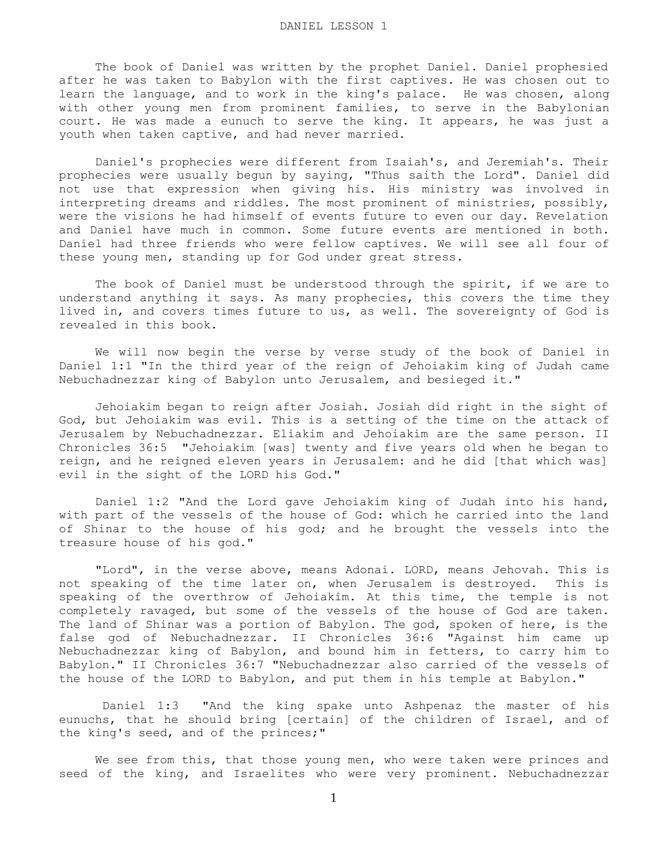The book of Daniel was written by the prophet Daniel. Daniel prophesied after he was taken to Babylon with the first captives. He was chosen out to learn the language, and to work in the king's palace. He was chosen, along with other young men from prominent families, to serve in the Babylonian court. He was made a eunuch to serve the king. It appears, he was just a youth when taken captive, and had never married.

 Daniel's prophecies were different from Isaiah's, and Jeremiah's. Their prophecies were usually begun by saying, "Thus saith the Lord". Daniel did not use that expression when giving his. His ministry was involved in interpreting dreams and riddles. The most prominent of ministries, possibly, were the visions he had himself of events future to even our day. Revelation and Daniel have much in common. Some future events are mentioned in both. Daniel had three friends who were fellow captives. We will see all four of these young men, standing up for God under great stress.

 The book of Daniel must be understood through the spirit, if we are to understand anything it says. As many prophecies, this covers the time they lived in, and covers times future to us, as well. The sovereignty of God is revealed in this book.

 We will now begin the verse by verse study of the book of Daniel in Daniel 1:1 "In the third year of the reign of Jehoiakim king of Judah came Nebuchadnezzar king of Babylon unto Jerusalem, and besieged it."

 Jehoiakim began to reign after Josiah. Josiah did right in the sight of God, but Jehoiakim was evil. This is a setting of the time on the attack of Jerusalem by Nebuchadnezzar. Eliakim and Jehoiakim are the same person. II Chronicles 36:5 "Jehoiakim [was] twenty and five years old when he began to reign, and he reigned eleven years in Jerusalem: and he did [that which was] evil in the sight of the LORD his God."

 Daniel 1:2 "And the Lord gave Jehoiakim king of Judah into his hand, with part of the vessels of the house of God: which he carried into the land of Shinar to the house of his god; and he brought the vessels into the treasure house of his god."

 "Lord", in the verse above, means Adonai. LORD, means Jehovah. This is not speaking of the time later on, when Jerusalem is destroyed. This is speaking of the overthrow of Jehoiakim. At this time, the temple is not completely ravaged, but some of the vessels of the house of God are taken. The land of Shinar was a portion of Babylon. The god, spoken of here, is the false god of Nebuchadnezzar. II Chronicles 36:6 "Against him came up Nebuchadnezzar king of Babylon, and bound him in fetters, to carry him to Babylon." II Chronicles 36:7 "Nebuchadnezzar also carried of the vessels of the house of the LORD to Babylon, and put them in his temple at Babylon."

 Daniel 1:3 "And the king spake unto Ashpenaz the master of his eunuchs, that he should bring [certain] of the children of Israel, and of the king's seed, and of the princes;"

 We see from this, that those young men, who were taken were princes and seed of the king, and Israelites who were very prominent. Nebuchadnezzar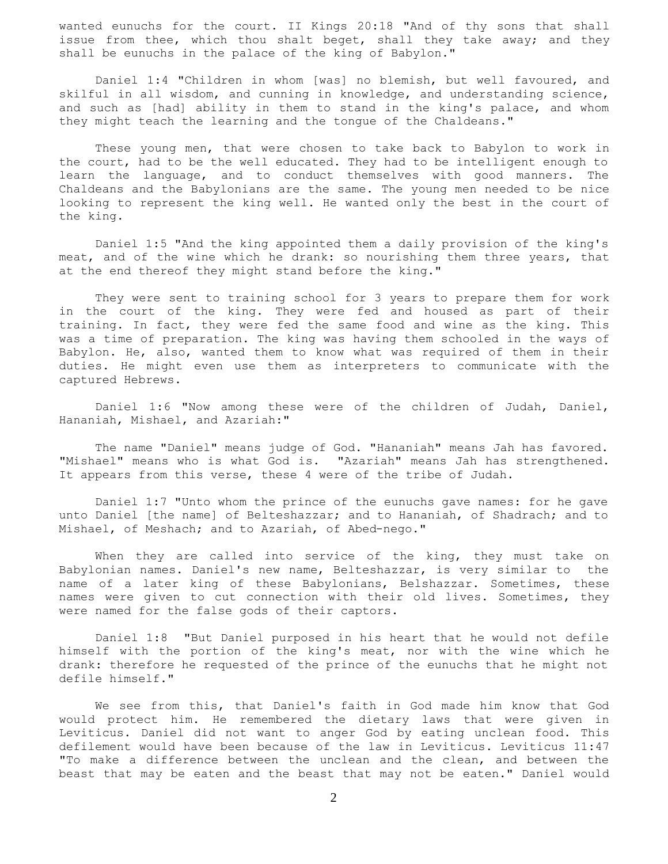wanted eunuchs for the court. II Kings 20:18 "And of thy sons that shall issue from thee, which thou shalt beget, shall they take away; and they shall be eunuchs in the palace of the king of Babylon."

 Daniel 1:4 "Children in whom [was] no blemish, but well favoured, and skilful in all wisdom, and cunning in knowledge, and understanding science, and such as [had] ability in them to stand in the king's palace, and whom they might teach the learning and the tongue of the Chaldeans."

 These young men, that were chosen to take back to Babylon to work in the court, had to be the well educated. They had to be intelligent enough to learn the language, and to conduct themselves with good manners. The Chaldeans and the Babylonians are the same. The young men needed to be nice looking to represent the king well. He wanted only the best in the court of the king.

 Daniel 1:5 "And the king appointed them a daily provision of the king's meat, and of the wine which he drank: so nourishing them three years, that at the end thereof they might stand before the king."

 They were sent to training school for 3 years to prepare them for work in the court of the king. They were fed and housed as part of their training. In fact, they were fed the same food and wine as the king. This was a time of preparation. The king was having them schooled in the ways of Babylon. He, also, wanted them to know what was required of them in their duties. He might even use them as interpreters to communicate with the captured Hebrews.

 Daniel 1:6 "Now among these were of the children of Judah, Daniel, Hananiah, Mishael, and Azariah:"

 The name "Daniel" means judge of God. "Hananiah" means Jah has favored. "Mishael" means who is what God is. "Azariah" means Jah has strengthened. It appears from this verse, these 4 were of the tribe of Judah.

 Daniel 1:7 "Unto whom the prince of the eunuchs gave names: for he gave unto Daniel [the name] of Belteshazzar; and to Hananiah, of Shadrach; and to Mishael, of Meshach; and to Azariah, of Abed-nego."

 When they are called into service of the king, they must take on Babylonian names. Daniel's new name, Belteshazzar, is very similar to the name of a later king of these Babylonians, Belshazzar. Sometimes, these names were given to cut connection with their old lives. Sometimes, they were named for the false gods of their captors.

 Daniel 1:8 "But Daniel purposed in his heart that he would not defile himself with the portion of the king's meat, nor with the wine which he drank: therefore he requested of the prince of the eunuchs that he might not defile himself."

 We see from this, that Daniel's faith in God made him know that God would protect him. He remembered the dietary laws that were given in Leviticus. Daniel did not want to anger God by eating unclean food. This defilement would have been because of the law in Leviticus. Leviticus 11:47 "To make a difference between the unclean and the clean, and between the beast that may be eaten and the beast that may not be eaten." Daniel would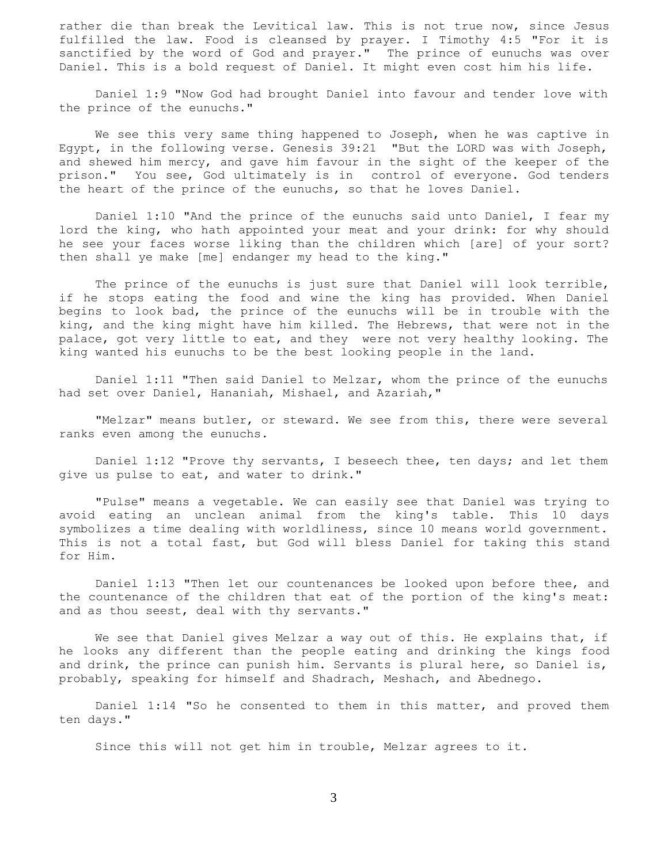rather die than break the Levitical law. This is not true now, since Jesus fulfilled the law. Food is cleansed by prayer. I Timothy 4:5 "For it is sanctified by the word of God and prayer." The prince of eunuchs was over Daniel. This is a bold request of Daniel. It might even cost him his life.

 Daniel 1:9 "Now God had brought Daniel into favour and tender love with the prince of the eunuchs."

 We see this very same thing happened to Joseph, when he was captive in Egypt, in the following verse. Genesis 39:21 "But the LORD was with Joseph, and shewed him mercy, and gave him favour in the sight of the keeper of the prison." You see, God ultimately is in control of everyone. God tenders the heart of the prince of the eunuchs, so that he loves Daniel.

 Daniel 1:10 "And the prince of the eunuchs said unto Daniel, I fear my lord the king, who hath appointed your meat and your drink: for why should he see your faces worse liking than the children which [are] of your sort? then shall ye make [me] endanger my head to the king."

 The prince of the eunuchs is just sure that Daniel will look terrible, if he stops eating the food and wine the king has provided. When Daniel begins to look bad, the prince of the eunuchs will be in trouble with the king, and the king might have him killed. The Hebrews, that were not in the palace, got very little to eat, and they were not very healthy looking. The king wanted his eunuchs to be the best looking people in the land.

 Daniel 1:11 "Then said Daniel to Melzar, whom the prince of the eunuchs had set over Daniel, Hananiah, Mishael, and Azariah,"

"Melzar" means butler, or steward. We see from this, there were several ranks even among the eunuchs.

 Daniel 1:12 "Prove thy servants, I beseech thee, ten days; and let them give us pulse to eat, and water to drink."

 "Pulse" means a vegetable. We can easily see that Daniel was trying to avoid eating an unclean animal from the king's table. This 10 days symbolizes a time dealing with worldliness, since 10 means world government. This is not a total fast, but God will bless Daniel for taking this stand for Him.

 Daniel 1:13 "Then let our countenances be looked upon before thee, and the countenance of the children that eat of the portion of the king's meat: and as thou seest, deal with thy servants."

We see that Daniel gives Melzar a way out of this. He explains that, if he looks any different than the people eating and drinking the kings food and drink, the prince can punish him. Servants is plural here, so Daniel is, probably, speaking for himself and Shadrach, Meshach, and Abednego.

 Daniel 1:14 "So he consented to them in this matter, and proved them ten days."

Since this will not get him in trouble, Melzar agrees to it.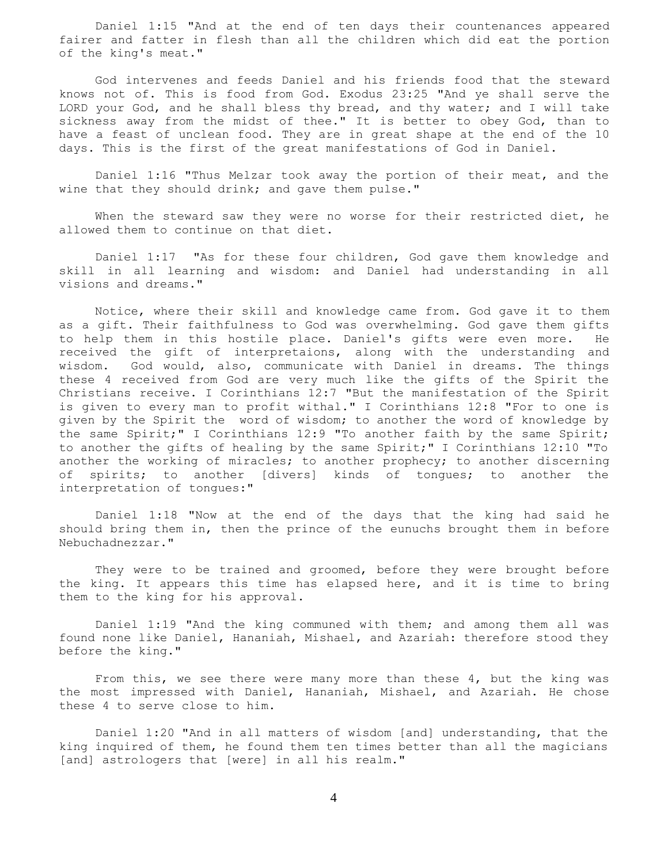Daniel 1:15 "And at the end of ten days their countenances appeared fairer and fatter in flesh than all the children which did eat the portion of the king's meat."

 God intervenes and feeds Daniel and his friends food that the steward knows not of. This is food from God. Exodus 23:25 "And ye shall serve the LORD your God, and he shall bless thy bread, and thy water; and I will take sickness away from the midst of thee." It is better to obey God, than to have a feast of unclean food. They are in great shape at the end of the 10 days. This is the first of the great manifestations of God in Daniel.

 Daniel 1:16 "Thus Melzar took away the portion of their meat, and the wine that they should drink; and gave them pulse."

When the steward saw they were no worse for their restricted diet, he allowed them to continue on that diet.

 Daniel 1:17 "As for these four children, God gave them knowledge and skill in all learning and wisdom: and Daniel had understanding in all visions and dreams."

 Notice, where their skill and knowledge came from. God gave it to them as a gift. Their faithfulness to God was overwhelming. God gave them gifts to help them in this hostile place. Daniel's gifts were even more. He received the gift of interpretaions, along with the understanding and wisdom. God would, also, communicate with Daniel in dreams. The things these 4 received from God are very much like the gifts of the Spirit the Christians receive. I Corinthians 12:7 "But the manifestation of the Spirit is given to every man to profit withal." I Corinthians 12:8 "For to one is given by the Spirit the word of wisdom; to another the word of knowledge by the same Spirit;" I Corinthians 12:9 "To another faith by the same Spirit; to another the gifts of healing by the same Spirit;" I Corinthians 12:10 "To another the working of miracles; to another prophecy; to another discerning of spirits; to another [divers] kinds of tongues; to another the interpretation of tongues:"

 Daniel 1:18 "Now at the end of the days that the king had said he should bring them in, then the prince of the eunuchs brought them in before Nebuchadnezzar."

They were to be trained and groomed, before they were brought before the king. It appears this time has elapsed here, and it is time to bring them to the king for his approval.

 Daniel 1:19 "And the king communed with them; and among them all was found none like Daniel, Hananiah, Mishael, and Azariah: therefore stood they before the king."

From this, we see there were many more than these 4, but the king was the most impressed with Daniel, Hananiah, Mishael, and Azariah. He chose these 4 to serve close to him.

 Daniel 1:20 "And in all matters of wisdom [and] understanding, that the king inquired of them, he found them ten times better than all the magicians [and] astrologers that [were] in all his realm."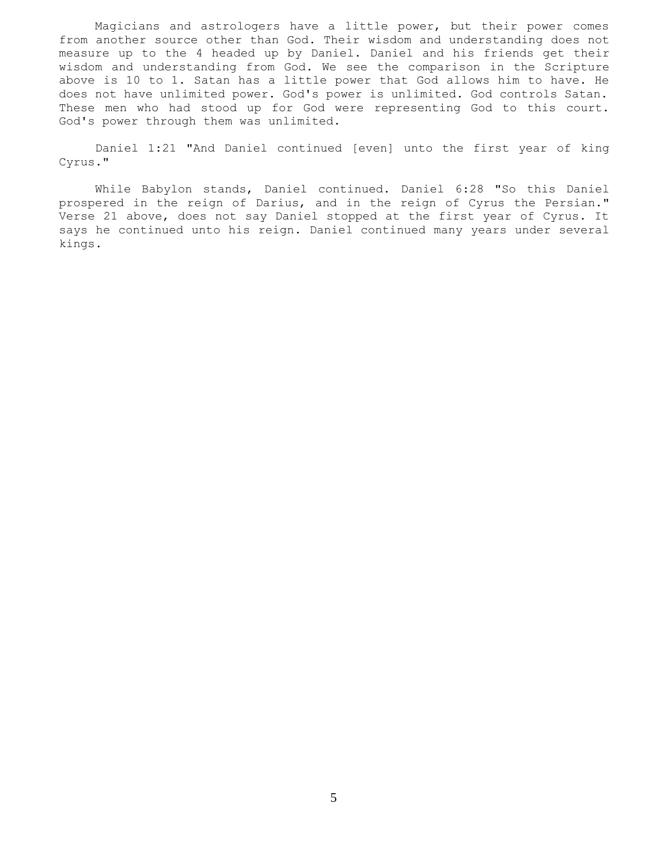Magicians and astrologers have a little power, but their power comes from another source other than God. Their wisdom and understanding does not measure up to the 4 headed up by Daniel. Daniel and his friends get their wisdom and understanding from God. We see the comparison in the Scripture above is 10 to 1. Satan has a little power that God allows him to have. He does not have unlimited power. God's power is unlimited. God controls Satan. These men who had stood up for God were representing God to this court. God's power through them was unlimited.

 Daniel 1:21 "And Daniel continued [even] unto the first year of king Cyrus."

 While Babylon stands, Daniel continued. Daniel 6:28 "So this Daniel prospered in the reign of Darius, and in the reign of Cyrus the Persian." Verse 21 above, does not say Daniel stopped at the first year of Cyrus. It says he continued unto his reign. Daniel continued many years under several kings.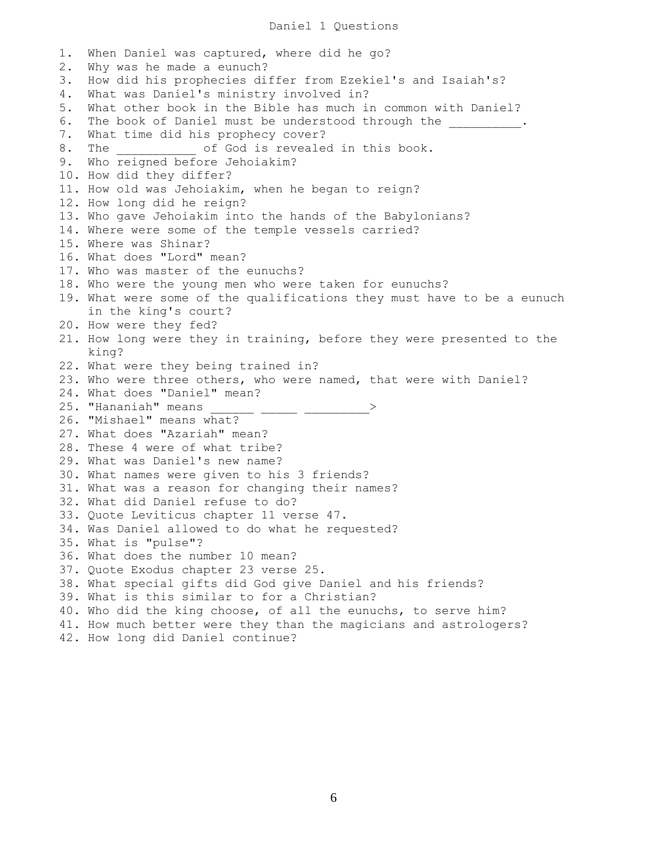## Daniel 1 Questions

1. When Daniel was captured, where did he go? 2. Why was he made a eunuch? 3. How did his prophecies differ from Ezekiel's and Isaiah's? 4. What was Daniel's ministry involved in? 5. What other book in the Bible has much in common with Daniel? 6. The book of Daniel must be understood through the  $\cdots$ 7. What time did his prophecy cover? 8. The  $\qquad \qquad$  of God is revealed in this book. 9. Who reigned before Jehoiakim? 10. How did they differ? 11. How old was Jehoiakim, when he began to reign? 12. How long did he reign? 13. Who gave Jehoiakim into the hands of the Babylonians? 14. Where were some of the temple vessels carried? 15. Where was Shinar? 16. What does "Lord" mean? 17. Who was master of the eunuchs? 18. Who were the young men who were taken for eunuchs? 19. What were some of the qualifications they must have to be a eunuch in the king's court? 20. How were they fed? 21. How long were they in training, before they were presented to the king? 22. What were they being trained in? 23. Who were three others, who were named, that were with Daniel? 24. What does "Daniel" mean? 25. "Hananiah" means \_\_\_\_\_\_ \_\_\_\_\_ \_\_\_\_\_\_\_\_\_> 26. "Mishael" means what? 27. What does "Azariah" mean? 28. These 4 were of what tribe? 29. What was Daniel's new name? 30. What names were given to his 3 friends? 31. What was a reason for changing their names? 32. What did Daniel refuse to do? 33. Quote Leviticus chapter 11 verse 47. 34. Was Daniel allowed to do what he requested? 35. What is "pulse"? 36. What does the number 10 mean? 37. Quote Exodus chapter 23 verse 25. 38. What special gifts did God give Daniel and his friends? 39. What is this similar to for a Christian? 40. Who did the king choose, of all the eunuchs, to serve him? 41. How much better were they than the magicians and astrologers? 42. How long did Daniel continue?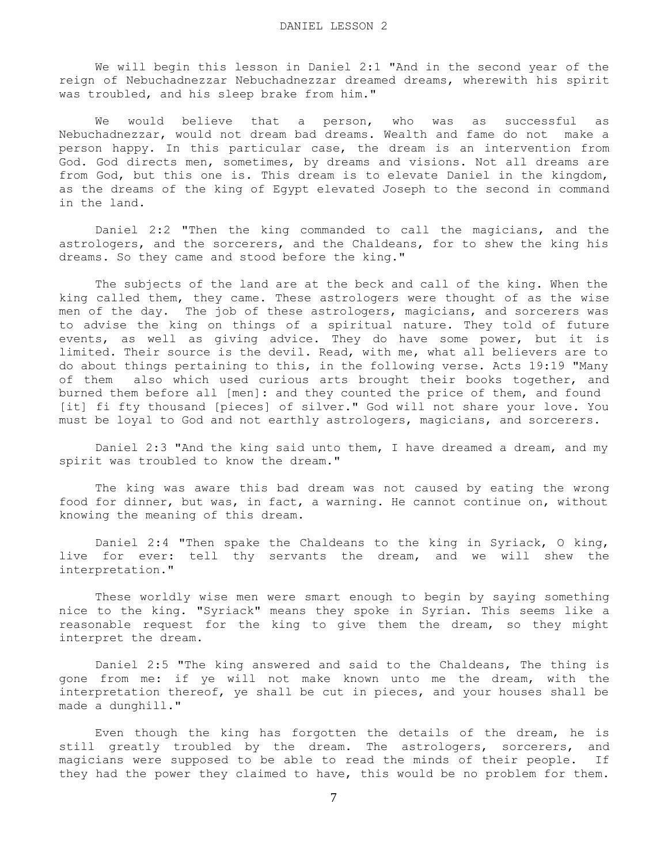We will begin this lesson in Daniel 2:1 "And in the second year of the reign of Nebuchadnezzar Nebuchadnezzar dreamed dreams, wherewith his spirit was troubled, and his sleep brake from him."

We would believe that a person, who was as successful as Nebuchadnezzar, would not dream bad dreams. Wealth and fame do not make a person happy. In this particular case, the dream is an intervention from God. God directs men, sometimes, by dreams and visions. Not all dreams are from God, but this one is. This dream is to elevate Daniel in the kingdom, as the dreams of the king of Egypt elevated Joseph to the second in command in the land.

 Daniel 2:2 "Then the king commanded to call the magicians, and the astrologers, and the sorcerers, and the Chaldeans, for to shew the king his dreams. So they came and stood before the king."

 The subjects of the land are at the beck and call of the king. When the king called them, they came. These astrologers were thought of as the wise men of the day. The job of these astrologers, magicians, and sorcerers was to advise the king on things of a spiritual nature. They told of future events, as well as giving advice. They do have some power, but it is limited. Their source is the devil. Read, with me, what all believers are to do about things pertaining to this, in the following verse. Acts 19:19 "Many of them also which used curious arts brought their books together, and burned them before all [men]: and they counted the price of them, and found [it] fi fty thousand [pieces] of silver." God will not share your love. You must be loyal to God and not earthly astrologers, magicians, and sorcerers.

 Daniel 2:3 "And the king said unto them, I have dreamed a dream, and my spirit was troubled to know the dream."

 The king was aware this bad dream was not caused by eating the wrong food for dinner, but was, in fact, a warning. He cannot continue on, without knowing the meaning of this dream.

 Daniel 2:4 "Then spake the Chaldeans to the king in Syriack, O king, live for ever: tell thy servants the dream, and we will shew the interpretation."

 These worldly wise men were smart enough to begin by saying something nice to the king. "Syriack" means they spoke in Syrian. This seems like a reasonable request for the king to give them the dream, so they might interpret the dream.

 Daniel 2:5 "The king answered and said to the Chaldeans, The thing is gone from me: if ye will not make known unto me the dream, with the interpretation thereof, ye shall be cut in pieces, and your houses shall be made a dunghill."

 Even though the king has forgotten the details of the dream, he is still greatly troubled by the dream. The astrologers, sorcerers, and magicians were supposed to be able to read the minds of their people. If they had the power they claimed to have, this would be no problem for them.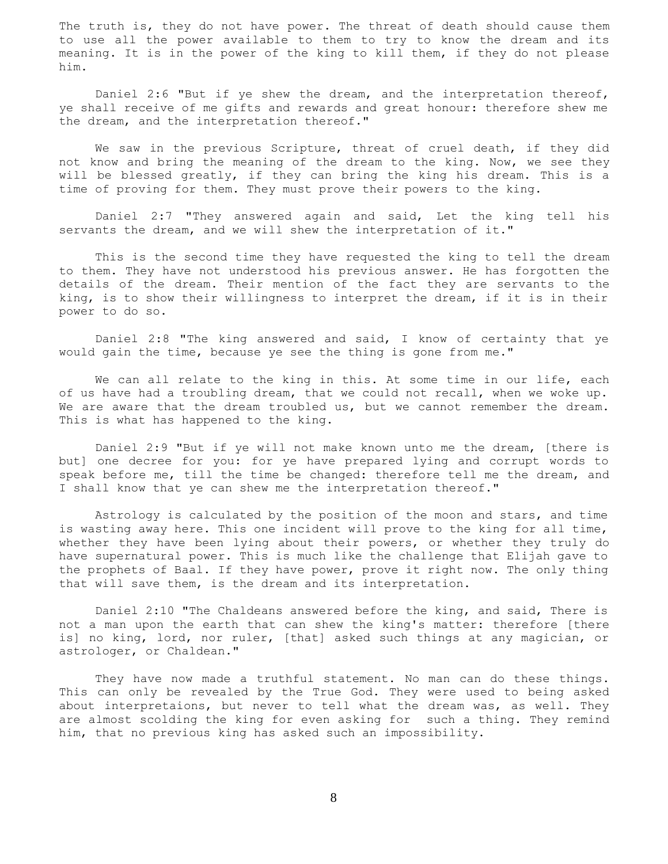The truth is, they do not have power. The threat of death should cause them to use all the power available to them to try to know the dream and its meaning. It is in the power of the king to kill them, if they do not please him.

 Daniel 2:6 "But if ye shew the dream, and the interpretation thereof, ye shall receive of me gifts and rewards and great honour: therefore shew me the dream, and the interpretation thereof."

 We saw in the previous Scripture, threat of cruel death, if they did not know and bring the meaning of the dream to the king. Now, we see they will be blessed greatly, if they can bring the king his dream. This is a time of proving for them. They must prove their powers to the king.

 Daniel 2:7 "They answered again and said, Let the king tell his servants the dream, and we will shew the interpretation of it."

 This is the second time they have requested the king to tell the dream to them. They have not understood his previous answer. He has forgotten the details of the dream. Their mention of the fact they are servants to the king, is to show their willingness to interpret the dream, if it is in their power to do so.

 Daniel 2:8 "The king answered and said, I know of certainty that ye would gain the time, because ye see the thing is gone from me."

We can all relate to the king in this. At some time in our life, each of us have had a troubling dream, that we could not recall, when we woke up. We are aware that the dream troubled us, but we cannot remember the dream. This is what has happened to the king.

 Daniel 2:9 "But if ye will not make known unto me the dream, [there is but] one decree for you: for ye have prepared lying and corrupt words to speak before me, till the time be changed: therefore tell me the dream, and I shall know that ye can shew me the interpretation thereof."

 Astrology is calculated by the position of the moon and stars, and time is wasting away here. This one incident will prove to the king for all time, whether they have been lying about their powers, or whether they truly do have supernatural power. This is much like the challenge that Elijah gave to the prophets of Baal. If they have power, prove it right now. The only thing that will save them, is the dream and its interpretation.

 Daniel 2:10 "The Chaldeans answered before the king, and said, There is not a man upon the earth that can shew the king's matter: therefore [there is] no king, lord, nor ruler, [that] asked such things at any magician, or astrologer, or Chaldean."

 They have now made a truthful statement. No man can do these things. This can only be revealed by the True God. They were used to being asked about interpretaions, but never to tell what the dream was, as well. They are almost scolding the king for even asking for such a thing. They remind him, that no previous king has asked such an impossibility.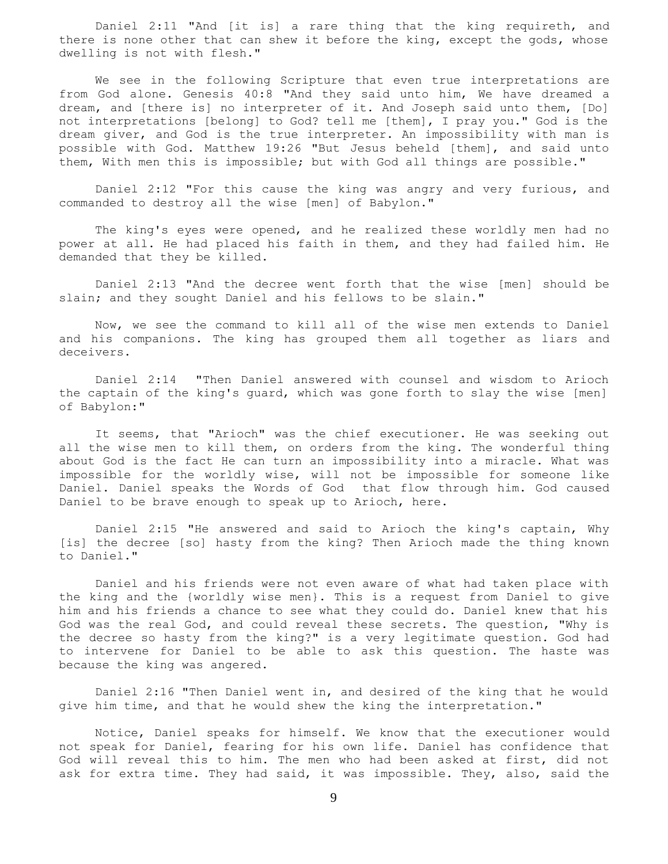Daniel 2:11 "And [it is] a rare thing that the king requireth, and there is none other that can shew it before the king, except the gods, whose dwelling is not with flesh."

 We see in the following Scripture that even true interpretations are from God alone. Genesis 40:8 "And they said unto him, We have dreamed a dream, and [there is] no interpreter of it. And Joseph said unto them, [Do] not interpretations [belong] to God? tell me [them], I pray you." God is the dream giver, and God is the true interpreter. An impossibility with man is possible with God. Matthew 19:26 "But Jesus beheld [them], and said unto them, With men this is impossible; but with God all things are possible."

 Daniel 2:12 "For this cause the king was angry and very furious, and commanded to destroy all the wise [men] of Babylon."

 The king's eyes were opened, and he realized these worldly men had no power at all. He had placed his faith in them, and they had failed him. He demanded that they be killed.

 Daniel 2:13 "And the decree went forth that the wise [men] should be slain; and they sought Daniel and his fellows to be slain."

 Now, we see the command to kill all of the wise men extends to Daniel and his companions. The king has grouped them all together as liars and deceivers.

 Daniel 2:14 "Then Daniel answered with counsel and wisdom to Arioch the captain of the king's guard, which was gone forth to slay the wise [men] of Babylon:"

 It seems, that "Arioch" was the chief executioner. He was seeking out all the wise men to kill them, on orders from the king. The wonderful thing about God is the fact He can turn an impossibility into a miracle. What was impossible for the worldly wise, will not be impossible for someone like Daniel. Daniel speaks the Words of God that flow through him. God caused Daniel to be brave enough to speak up to Arioch, here.

 Daniel 2:15 "He answered and said to Arioch the king's captain, Why [is] the decree [so] hasty from the king? Then Arioch made the thing known to Daniel."

 Daniel and his friends were not even aware of what had taken place with the king and the {worldly wise men}. This is a request from Daniel to give him and his friends a chance to see what they could do. Daniel knew that his God was the real God, and could reveal these secrets. The question, "Why is the decree so hasty from the king?" is a very legitimate question. God had to intervene for Daniel to be able to ask this question. The haste was because the king was angered.

 Daniel 2:16 "Then Daniel went in, and desired of the king that he would give him time, and that he would shew the king the interpretation."

 Notice, Daniel speaks for himself. We know that the executioner would not speak for Daniel, fearing for his own life. Daniel has confidence that God will reveal this to him. The men who had been asked at first, did not ask for extra time. They had said, it was impossible. They, also, said the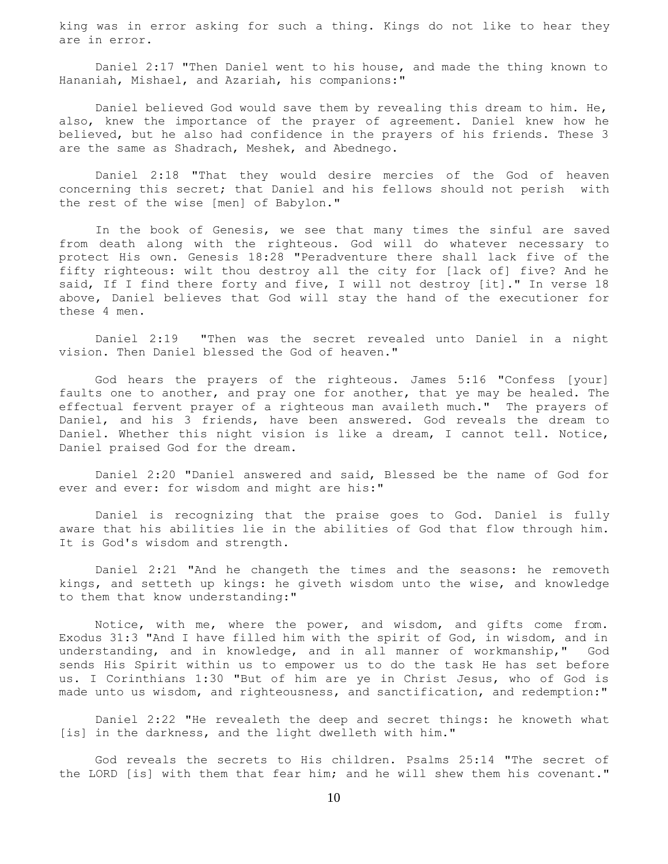king was in error asking for such a thing. Kings do not like to hear they are in error.

 Daniel 2:17 "Then Daniel went to his house, and made the thing known to Hananiah, Mishael, and Azariah, his companions:"

 Daniel believed God would save them by revealing this dream to him. He, also, knew the importance of the prayer of agreement. Daniel knew how he believed, but he also had confidence in the prayers of his friends. These 3 are the same as Shadrach, Meshek, and Abednego.

 Daniel 2:18 "That they would desire mercies of the God of heaven concerning this secret; that Daniel and his fellows should not perish with the rest of the wise [men] of Babylon."

 In the book of Genesis, we see that many times the sinful are saved from death along with the righteous. God will do whatever necessary to protect His own. Genesis 18:28 "Peradventure there shall lack five of the fifty righteous: wilt thou destroy all the city for [lack of] five? And he said, If I find there forty and five, I will not destroy [it]." In verse 18 above, Daniel believes that God will stay the hand of the executioner for these 4 men.

 Daniel 2:19 "Then was the secret revealed unto Daniel in a night vision. Then Daniel blessed the God of heaven."

 God hears the prayers of the righteous. James 5:16 "Confess [your] faults one to another, and pray one for another, that ye may be healed. The effectual fervent prayer of a righteous man availeth much." The prayers of Daniel, and his 3 friends, have been answered. God reveals the dream to Daniel. Whether this night vision is like a dream, I cannot tell. Notice, Daniel praised God for the dream.

 Daniel 2:20 "Daniel answered and said, Blessed be the name of God for ever and ever: for wisdom and might are his:"

 Daniel is recognizing that the praise goes to God. Daniel is fully aware that his abilities lie in the abilities of God that flow through him. It is God's wisdom and strength.

 Daniel 2:21 "And he changeth the times and the seasons: he removeth kings, and setteth up kings: he giveth wisdom unto the wise, and knowledge to them that know understanding:"

Notice, with me, where the power, and wisdom, and gifts come from. Exodus 31:3 "And I have filled him with the spirit of God, in wisdom, and in understanding, and in knowledge, and in all manner of workmanship," God sends His Spirit within us to empower us to do the task He has set before us. I Corinthians 1:30 "But of him are ye in Christ Jesus, who of God is made unto us wisdom, and righteousness, and sanctification, and redemption:"

 Daniel 2:22 "He revealeth the deep and secret things: he knoweth what [is] in the darkness, and the light dwelleth with him."

 God reveals the secrets to His children. Psalms 25:14 "The secret of the LORD [is] with them that fear him; and he will shew them his covenant."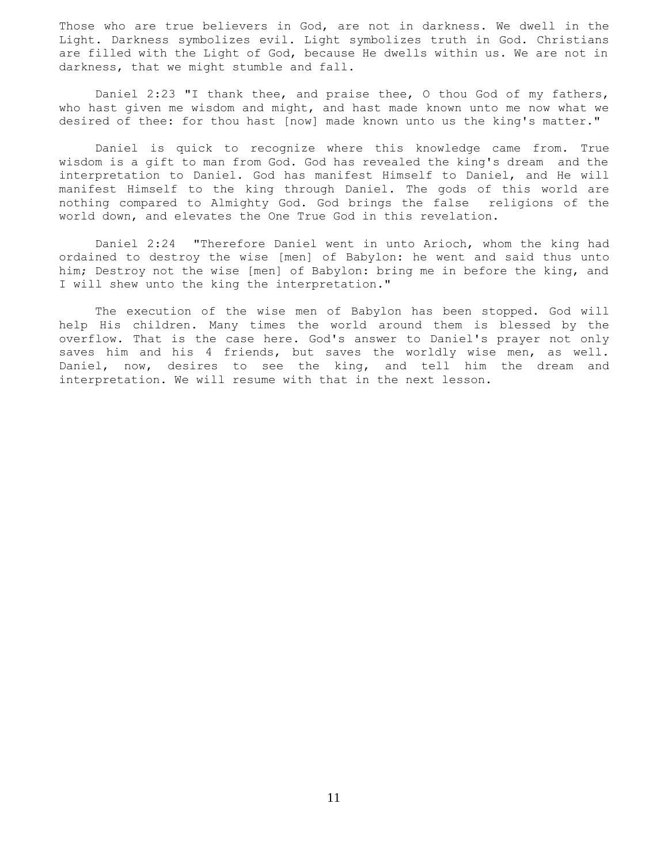Those who are true believers in God, are not in darkness. We dwell in the Light. Darkness symbolizes evil. Light symbolizes truth in God. Christians are filled with the Light of God, because He dwells within us. We are not in darkness, that we might stumble and fall.

 Daniel 2:23 "I thank thee, and praise thee, O thou God of my fathers, who hast given me wisdom and might, and hast made known unto me now what we desired of thee: for thou hast [now] made known unto us the king's matter."

 Daniel is quick to recognize where this knowledge came from. True wisdom is a gift to man from God. God has revealed the king's dream and the interpretation to Daniel. God has manifest Himself to Daniel, and He will manifest Himself to the king through Daniel. The gods of this world are nothing compared to Almighty God. God brings the false religions of the world down, and elevates the One True God in this revelation.

 Daniel 2:24 "Therefore Daniel went in unto Arioch, whom the king had ordained to destroy the wise [men] of Babylon: he went and said thus unto him; Destroy not the wise [men] of Babylon: bring me in before the king, and I will shew unto the king the interpretation."

 The execution of the wise men of Babylon has been stopped. God will help His children. Many times the world around them is blessed by the overflow. That is the case here. God's answer to Daniel's prayer not only saves him and his 4 friends, but saves the worldly wise men, as well. Daniel, now, desires to see the king, and tell him the dream and interpretation. We will resume with that in the next lesson.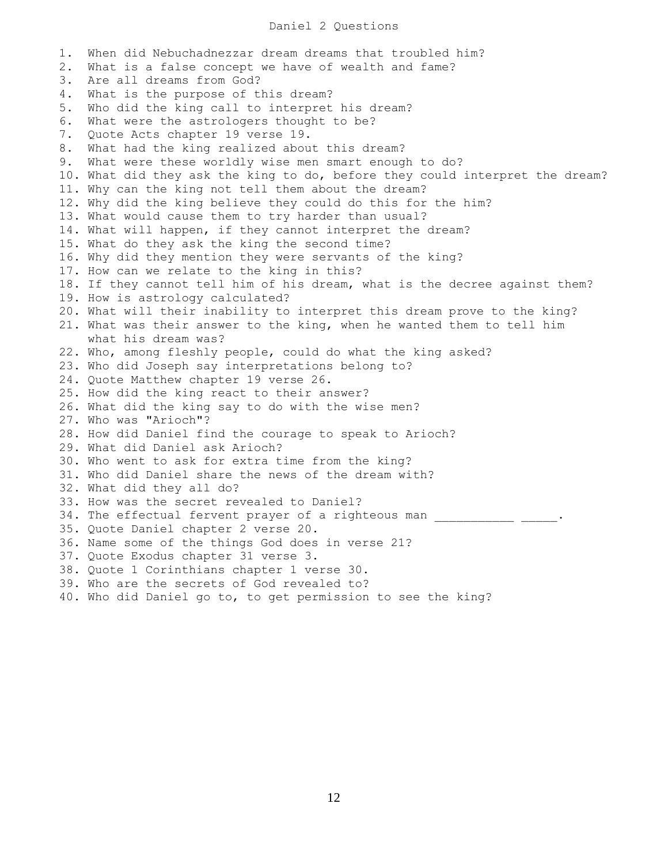## Daniel 2 Questions

1. When did Nebuchadnezzar dream dreams that troubled him? 2. What is a false concept we have of wealth and fame? 3. Are all dreams from God? 4. What is the purpose of this dream? 5. Who did the king call to interpret his dream? 6. What were the astrologers thought to be? 7. Quote Acts chapter 19 verse 19. 8. What had the king realized about this dream? 9. What were these worldly wise men smart enough to do? 10. What did they ask the king to do, before they could interpret the dream? 11. Why can the king not tell them about the dream? 12. Why did the king believe they could do this for the him? 13. What would cause them to try harder than usual? 14. What will happen, if they cannot interpret the dream? 15. What do they ask the king the second time? 16. Why did they mention they were servants of the king? 17. How can we relate to the king in this? 18. If they cannot tell him of his dream, what is the decree against them? 19. How is astrology calculated? 20. What will their inability to interpret this dream prove to the king? 21. What was their answer to the king, when he wanted them to tell him what his dream was? 22. Who, among fleshly people, could do what the king asked? 23. Who did Joseph say interpretations belong to? 24. Quote Matthew chapter 19 verse 26. 25. How did the king react to their answer? 26. What did the king say to do with the wise men? 27. Who was "Arioch"? 28. How did Daniel find the courage to speak to Arioch? 29. What did Daniel ask Arioch? 30. Who went to ask for extra time from the king? 31. Who did Daniel share the news of the dream with? 32. What did they all do? 33. How was the secret revealed to Daniel? 34. The effectual fervent prayer of a righteous man \_\_\_\_\_\_\_\_\_\_\_\_\_\_ \_\_\_ 35. Quote Daniel chapter 2 verse 20. 36. Name some of the things God does in verse 21? 37. Quote Exodus chapter 31 verse 3. 38. Quote 1 Corinthians chapter 1 verse 30. 39. Who are the secrets of God revealed to? 40. Who did Daniel go to, to get permission to see the king?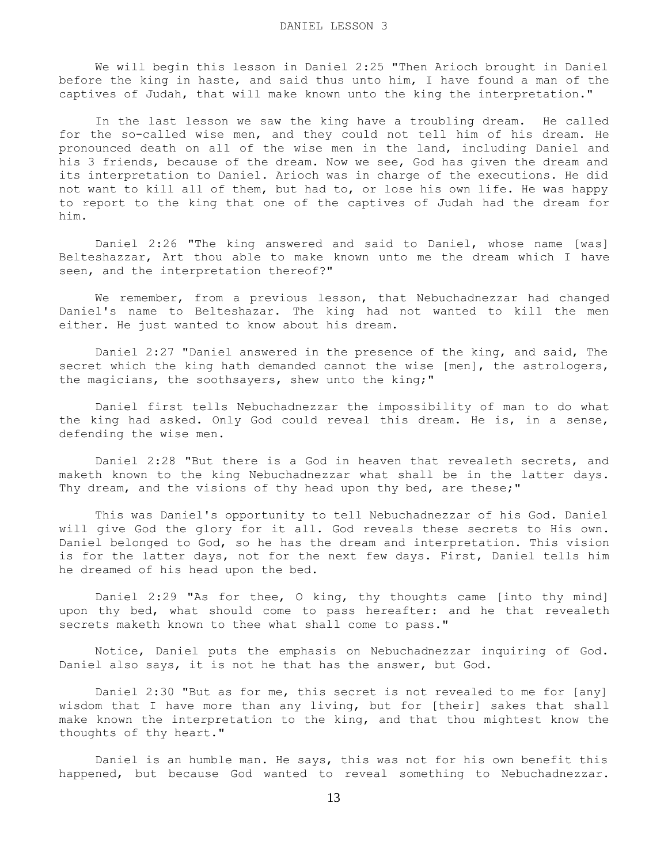We will begin this lesson in Daniel 2:25 "Then Arioch brought in Daniel before the king in haste, and said thus unto him, I have found a man of the captives of Judah, that will make known unto the king the interpretation."

 In the last lesson we saw the king have a troubling dream. He called for the so-called wise men, and they could not tell him of his dream. He pronounced death on all of the wise men in the land, including Daniel and his 3 friends, because of the dream. Now we see, God has given the dream and its interpretation to Daniel. Arioch was in charge of the executions. He did not want to kill all of them, but had to, or lose his own life. He was happy to report to the king that one of the captives of Judah had the dream for him.

 Daniel 2:26 "The king answered and said to Daniel, whose name [was] Belteshazzar, Art thou able to make known unto me the dream which I have seen, and the interpretation thereof?"

We remember, from a previous lesson, that Nebuchadnezzar had changed Daniel's name to Belteshazar. The king had not wanted to kill the men either. He just wanted to know about his dream.

 Daniel 2:27 "Daniel answered in the presence of the king, and said, The secret which the king hath demanded cannot the wise [men], the astrologers, the magicians, the soothsayers, shew unto the king;"

 Daniel first tells Nebuchadnezzar the impossibility of man to do what the king had asked. Only God could reveal this dream. He is, in a sense, defending the wise men.

 Daniel 2:28 "But there is a God in heaven that revealeth secrets, and maketh known to the king Nebuchadnezzar what shall be in the latter days. Thy dream, and the visions of thy head upon thy bed, are these;"

 This was Daniel's opportunity to tell Nebuchadnezzar of his God. Daniel will give God the glory for it all. God reveals these secrets to His own. Daniel belonged to God, so he has the dream and interpretation. This vision is for the latter days, not for the next few days. First, Daniel tells him he dreamed of his head upon the bed.

 Daniel 2:29 "As for thee, O king, thy thoughts came [into thy mind] upon thy bed, what should come to pass hereafter: and he that revealeth secrets maketh known to thee what shall come to pass."

 Notice, Daniel puts the emphasis on Nebuchadnezzar inquiring of God. Daniel also says, it is not he that has the answer, but God.

 Daniel 2:30 "But as for me, this secret is not revealed to me for [any] wisdom that I have more than any living, but for [their] sakes that shall make known the interpretation to the king, and that thou mightest know the thoughts of thy heart."

 Daniel is an humble man. He says, this was not for his own benefit this happened, but because God wanted to reveal something to Nebuchadnezzar.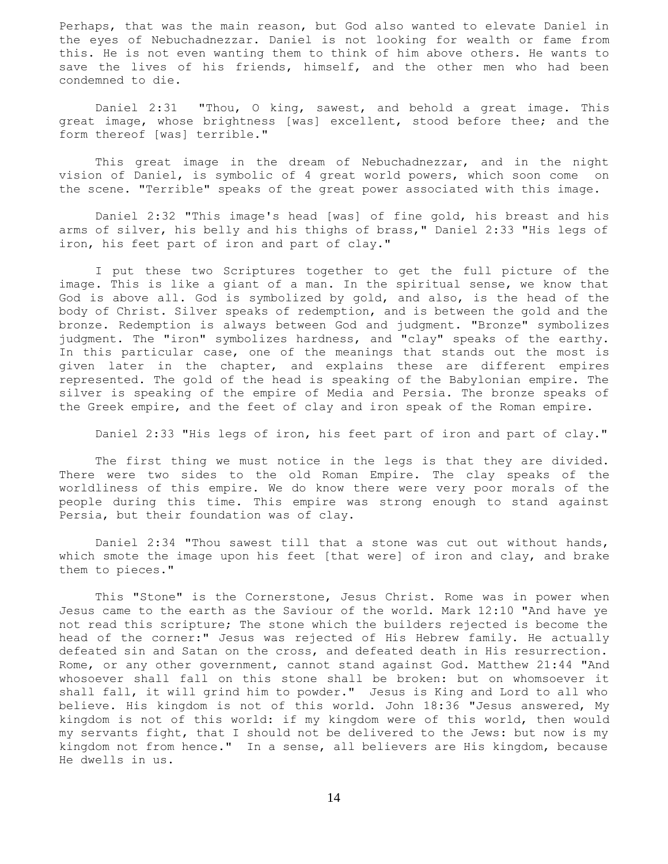Perhaps, that was the main reason, but God also wanted to elevate Daniel in the eyes of Nebuchadnezzar. Daniel is not looking for wealth or fame from this. He is not even wanting them to think of him above others. He wants to save the lives of his friends, himself, and the other men who had been condemned to die.

 Daniel 2:31 "Thou, O king, sawest, and behold a great image. This great image, whose brightness [was] excellent, stood before thee; and the form thereof [was] terrible."

 This great image in the dream of Nebuchadnezzar, and in the night vision of Daniel, is symbolic of 4 great world powers, which soon come on the scene. "Terrible" speaks of the great power associated with this image.

 Daniel 2:32 "This image's head [was] of fine gold, his breast and his arms of silver, his belly and his thighs of brass," Daniel 2:33 "His legs of iron, his feet part of iron and part of clay."

 I put these two Scriptures together to get the full picture of the image. This is like a giant of a man. In the spiritual sense, we know that God is above all. God is symbolized by gold, and also, is the head of the body of Christ. Silver speaks of redemption, and is between the gold and the bronze. Redemption is always between God and judgment. "Bronze" symbolizes judgment. The "iron" symbolizes hardness, and "clay" speaks of the earthy. In this particular case, one of the meanings that stands out the most is given later in the chapter, and explains these are different empires represented. The gold of the head is speaking of the Babylonian empire. The silver is speaking of the empire of Media and Persia. The bronze speaks of the Greek empire, and the feet of clay and iron speak of the Roman empire.

Daniel 2:33 "His legs of iron, his feet part of iron and part of clay."

The first thing we must notice in the legs is that they are divided. There were two sides to the old Roman Empire. The clay speaks of the worldliness of this empire. We do know there were very poor morals of the people during this time. This empire was strong enough to stand against Persia, but their foundation was of clay.

 Daniel 2:34 "Thou sawest till that a stone was cut out without hands, which smote the image upon his feet [that were] of iron and clay, and brake them to pieces."

 This "Stone" is the Cornerstone, Jesus Christ. Rome was in power when Jesus came to the earth as the Saviour of the world. Mark 12:10 "And have ye not read this scripture; The stone which the builders rejected is become the head of the corner:" Jesus was rejected of His Hebrew family. He actually defeated sin and Satan on the cross, and defeated death in His resurrection. Rome, or any other government, cannot stand against God. Matthew 21:44 "And whosoever shall fall on this stone shall be broken: but on whomsoever it shall fall, it will grind him to powder." Jesus is King and Lord to all who believe. His kingdom is not of this world. John 18:36 "Jesus answered, My kingdom is not of this world: if my kingdom were of this world, then would my servants fight, that I should not be delivered to the Jews: but now is my kingdom not from hence." In a sense, all believers are His kingdom, because He dwells in us.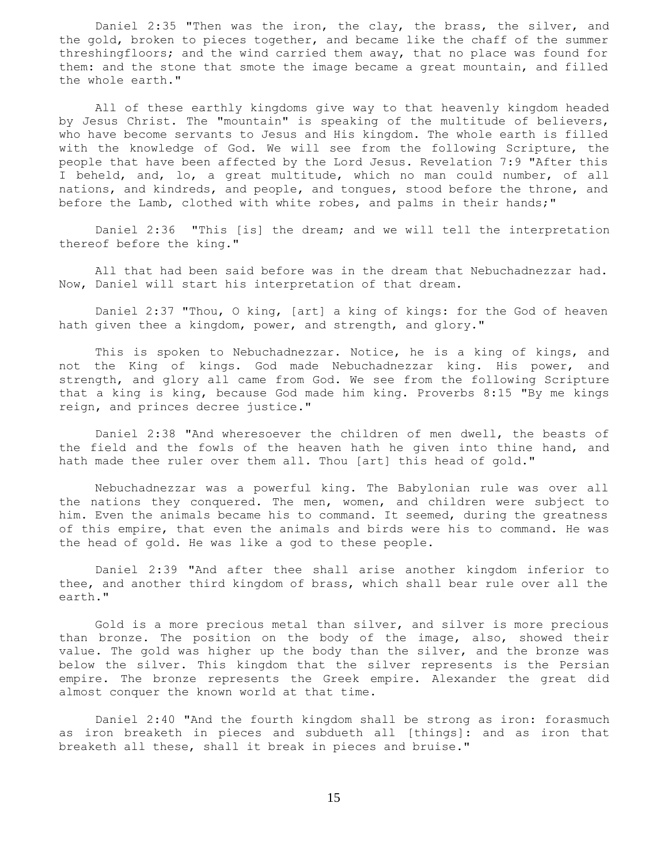Daniel 2:35 "Then was the iron, the clay, the brass, the silver, and the gold, broken to pieces together, and became like the chaff of the summer threshingfloors; and the wind carried them away, that no place was found for them: and the stone that smote the image became a great mountain, and filled the whole earth."

 All of these earthly kingdoms give way to that heavenly kingdom headed by Jesus Christ. The "mountain" is speaking of the multitude of believers, who have become servants to Jesus and His kingdom. The whole earth is filled with the knowledge of God. We will see from the following Scripture, the people that have been affected by the Lord Jesus. Revelation 7:9 "After this I beheld, and, lo, a great multitude, which no man could number, of all nations, and kindreds, and people, and tongues, stood before the throne, and before the Lamb, clothed with white robes, and palms in their hands;"

 Daniel 2:36 "This [is] the dream; and we will tell the interpretation thereof before the king."

 All that had been said before was in the dream that Nebuchadnezzar had. Now, Daniel will start his interpretation of that dream.

 Daniel 2:37 "Thou, O king, [art] a king of kings: for the God of heaven hath given thee a kingdom, power, and strength, and glory."

 This is spoken to Nebuchadnezzar. Notice, he is a king of kings, and not the King of kings. God made Nebuchadnezzar king. His power, and strength, and glory all came from God. We see from the following Scripture that a king is king, because God made him king. Proverbs 8:15 "By me kings reign, and princes decree justice."

 Daniel 2:38 "And wheresoever the children of men dwell, the beasts of the field and the fowls of the heaven hath he given into thine hand, and hath made thee ruler over them all. Thou [art] this head of gold."

 Nebuchadnezzar was a powerful king. The Babylonian rule was over all the nations they conquered. The men, women, and children were subject to him. Even the animals became his to command. It seemed, during the greatness of this empire, that even the animals and birds were his to command. He was the head of gold. He was like a god to these people.

 Daniel 2:39 "And after thee shall arise another kingdom inferior to thee, and another third kingdom of brass, which shall bear rule over all the earth."

 Gold is a more precious metal than silver, and silver is more precious than bronze. The position on the body of the image, also, showed their value. The gold was higher up the body than the silver, and the bronze was below the silver. This kingdom that the silver represents is the Persian empire. The bronze represents the Greek empire. Alexander the great did almost conquer the known world at that time.

 Daniel 2:40 "And the fourth kingdom shall be strong as iron: forasmuch as iron breaketh in pieces and subdueth all [things]: and as iron that breaketh all these, shall it break in pieces and bruise."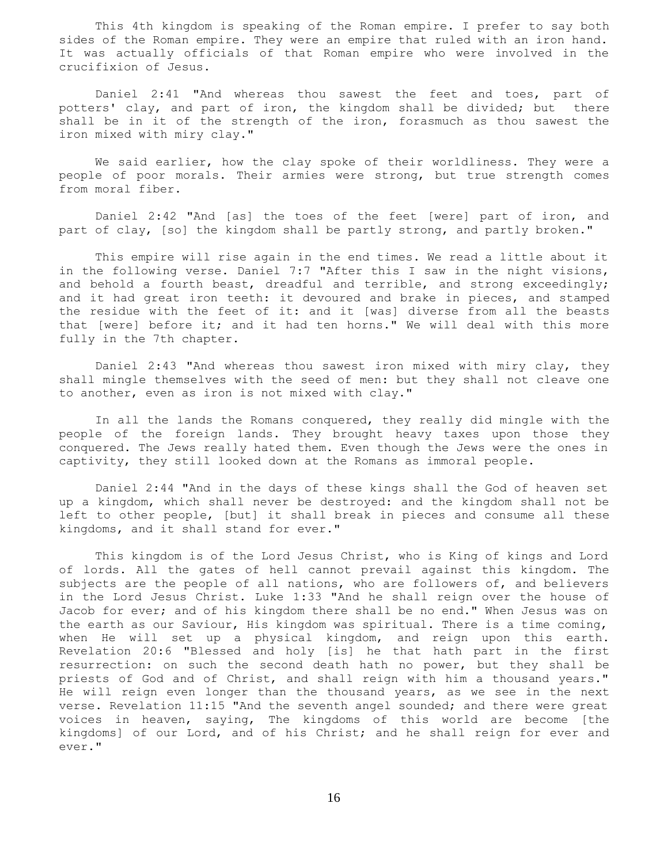This 4th kingdom is speaking of the Roman empire. I prefer to say both sides of the Roman empire. They were an empire that ruled with an iron hand. It was actually officials of that Roman empire who were involved in the crucifixion of Jesus.

 Daniel 2:41 "And whereas thou sawest the feet and toes, part of potters' clay, and part of iron, the kingdom shall be divided; but there shall be in it of the strength of the iron, forasmuch as thou sawest the iron mixed with miry clay."

 We said earlier, how the clay spoke of their worldliness. They were a people of poor morals. Their armies were strong, but true strength comes from moral fiber.

 Daniel 2:42 "And [as] the toes of the feet [were] part of iron, and part of clay, [so] the kingdom shall be partly strong, and partly broken."

 This empire will rise again in the end times. We read a little about it in the following verse. Daniel 7:7 "After this I saw in the night visions, and behold a fourth beast, dreadful and terrible, and strong exceedingly; and it had great iron teeth: it devoured and brake in pieces, and stamped the residue with the feet of it: and it [was] diverse from all the beasts that [were] before it; and it had ten horns." We will deal with this more fully in the 7th chapter.

 Daniel 2:43 "And whereas thou sawest iron mixed with miry clay, they shall mingle themselves with the seed of men: but they shall not cleave one to another, even as iron is not mixed with clay."

 In all the lands the Romans conquered, they really did mingle with the people of the foreign lands. They brought heavy taxes upon those they conquered. The Jews really hated them. Even though the Jews were the ones in captivity, they still looked down at the Romans as immoral people.

 Daniel 2:44 "And in the days of these kings shall the God of heaven set up a kingdom, which shall never be destroyed: and the kingdom shall not be left to other people, [but] it shall break in pieces and consume all these kingdoms, and it shall stand for ever."

 This kingdom is of the Lord Jesus Christ, who is King of kings and Lord of lords. All the gates of hell cannot prevail against this kingdom. The subjects are the people of all nations, who are followers of, and believers in the Lord Jesus Christ. Luke 1:33 "And he shall reign over the house of Jacob for ever; and of his kingdom there shall be no end." When Jesus was on the earth as our Saviour, His kingdom was spiritual. There is a time coming, when He will set up a physical kingdom, and reign upon this earth. Revelation 20:6 "Blessed and holy [is] he that hath part in the first resurrection: on such the second death hath no power, but they shall be priests of God and of Christ, and shall reign with him a thousand years." He will reign even longer than the thousand years, as we see in the next verse. Revelation 11:15 "And the seventh angel sounded; and there were great voices in heaven, saying, The kingdoms of this world are become [the kingdoms] of our Lord, and of his Christ; and he shall reign for ever and ever."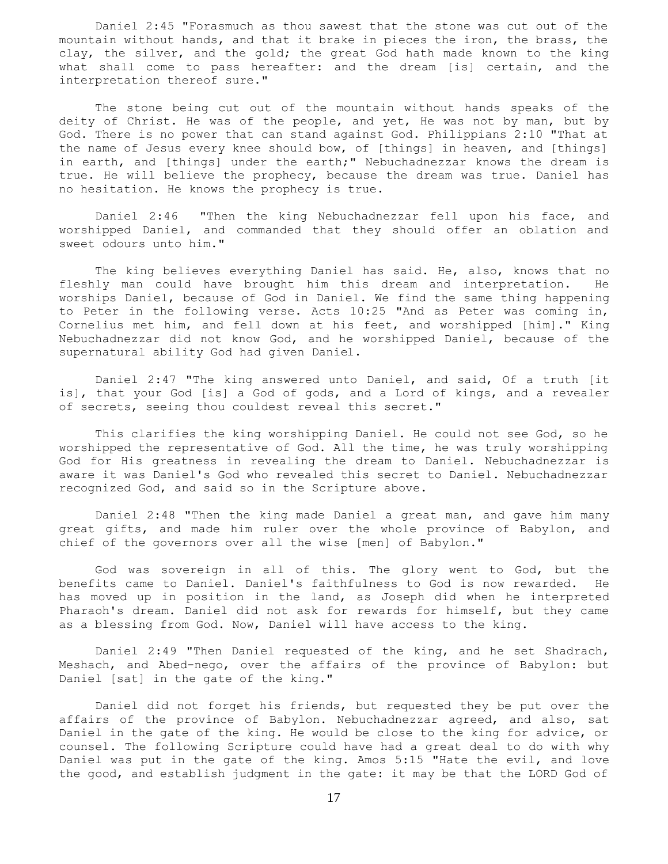Daniel 2:45 "Forasmuch as thou sawest that the stone was cut out of the mountain without hands, and that it brake in pieces the iron, the brass, the clay, the silver, and the gold; the great God hath made known to the king what shall come to pass hereafter: and the dream [is] certain, and the interpretation thereof sure."

 The stone being cut out of the mountain without hands speaks of the deity of Christ. He was of the people, and yet, He was not by man, but by God. There is no power that can stand against God. Philippians 2:10 "That at the name of Jesus every knee should bow, of [things] in heaven, and [things] in earth, and [things] under the earth;" Nebuchadnezzar knows the dream is true. He will believe the prophecy, because the dream was true. Daniel has no hesitation. He knows the prophecy is true.

 Daniel 2:46 "Then the king Nebuchadnezzar fell upon his face, and worshipped Daniel, and commanded that they should offer an oblation and sweet odours unto him."

 The king believes everything Daniel has said. He, also, knows that no fleshly man could have brought him this dream and interpretation. He worships Daniel, because of God in Daniel. We find the same thing happening to Peter in the following verse. Acts 10:25 "And as Peter was coming in, Cornelius met him, and fell down at his feet, and worshipped [him]." King Nebuchadnezzar did not know God, and he worshipped Daniel, because of the supernatural ability God had given Daniel.

 Daniel 2:47 "The king answered unto Daniel, and said, Of a truth [it is], that your God [is] a God of gods, and a Lord of kings, and a revealer of secrets, seeing thou couldest reveal this secret."

 This clarifies the king worshipping Daniel. He could not see God, so he worshipped the representative of God. All the time, he was truly worshipping God for His greatness in revealing the dream to Daniel. Nebuchadnezzar is aware it was Daniel's God who revealed this secret to Daniel. Nebuchadnezzar recognized God, and said so in the Scripture above.

 Daniel 2:48 "Then the king made Daniel a great man, and gave him many great gifts, and made him ruler over the whole province of Babylon, and chief of the governors over all the wise [men] of Babylon."

 God was sovereign in all of this. The glory went to God, but the benefits came to Daniel. Daniel's faithfulness to God is now rewarded. He has moved up in position in the land, as Joseph did when he interpreted Pharaoh's dream. Daniel did not ask for rewards for himself, but they came as a blessing from God. Now, Daniel will have access to the king.

 Daniel 2:49 "Then Daniel requested of the king, and he set Shadrach, Meshach, and Abed-nego, over the affairs of the province of Babylon: but Daniel [sat] in the gate of the king."

 Daniel did not forget his friends, but requested they be put over the affairs of the province of Babylon. Nebuchadnezzar agreed, and also, sat Daniel in the gate of the king. He would be close to the king for advice, or counsel. The following Scripture could have had a great deal to do with why Daniel was put in the gate of the king. Amos 5:15 "Hate the evil, and love the good, and establish judgment in the gate: it may be that the LORD God of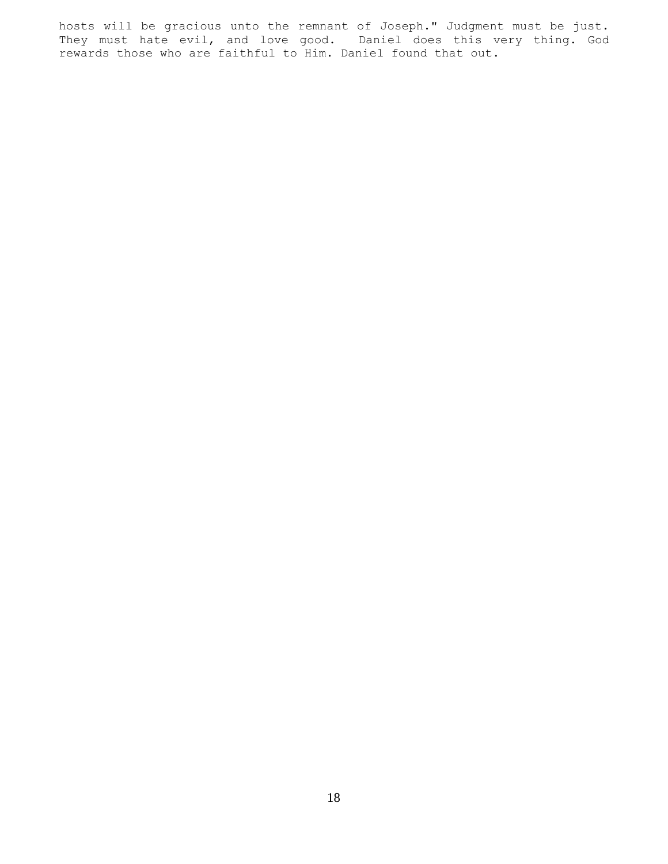hosts will be gracious unto the remnant of Joseph." Judgment must be just. They must hate evil, and love good. Daniel does this very thing. God rewards those who are faithful to Him. Daniel found that out.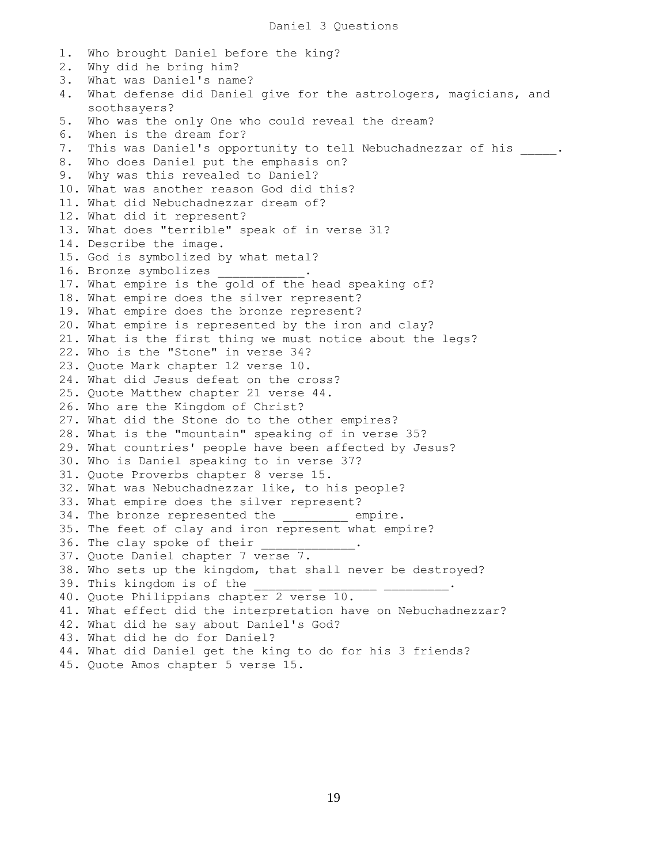1. Who brought Daniel before the king? 2. Why did he bring him? 3. What was Daniel's name? 4. What defense did Daniel give for the astrologers, magicians, and soothsayers? 5. Who was the only One who could reveal the dream? 6. When is the dream for? 7. This was Daniel's opportunity to tell Nebuchadnezzar of his \_\_\_\_\_. 8. Who does Daniel put the emphasis on? 9. Why was this revealed to Daniel? 10. What was another reason God did this? 11. What did Nebuchadnezzar dream of? 12. What did it represent? 13. What does "terrible" speak of in verse 31? 14. Describe the image. 15. God is symbolized by what metal? 16. Bronze symbolizes \_\_\_\_\_\_\_\_\_\_\_\_. 17. What empire is the gold of the head speaking of? 18. What empire does the silver represent? 19. What empire does the bronze represent? 20. What empire is represented by the iron and clay? 21. What is the first thing we must notice about the legs? 22. Who is the "Stone" in verse 34? 23. Quote Mark chapter 12 verse 10. 24. What did Jesus defeat on the cross? 25. Quote Matthew chapter 21 verse 44. 26. Who are the Kingdom of Christ? 27. What did the Stone do to the other empires? 28. What is the "mountain" speaking of in verse 35? 29. What countries' people have been affected by Jesus? 30. Who is Daniel speaking to in verse 37? 31. Quote Proverbs chapter 8 verse 15. 32. What was Nebuchadnezzar like, to his people? 33. What empire does the silver represent? 34. The bronze represented the empire. 35. The feet of clay and iron represent what empire? 36. The clay spoke of their 37. Quote Daniel chapter 7 verse 7. 38. Who sets up the kingdom, that shall never be destroyed? 39. This kingdom is of the 40. Quote Philippians chapter 2 verse 10. 41. What effect did the interpretation have on Nebuchadnezzar? 42. What did he say about Daniel's God? 43. What did he do for Daniel? 44. What did Daniel get the king to do for his 3 friends? 45. Quote Amos chapter 5 verse 15.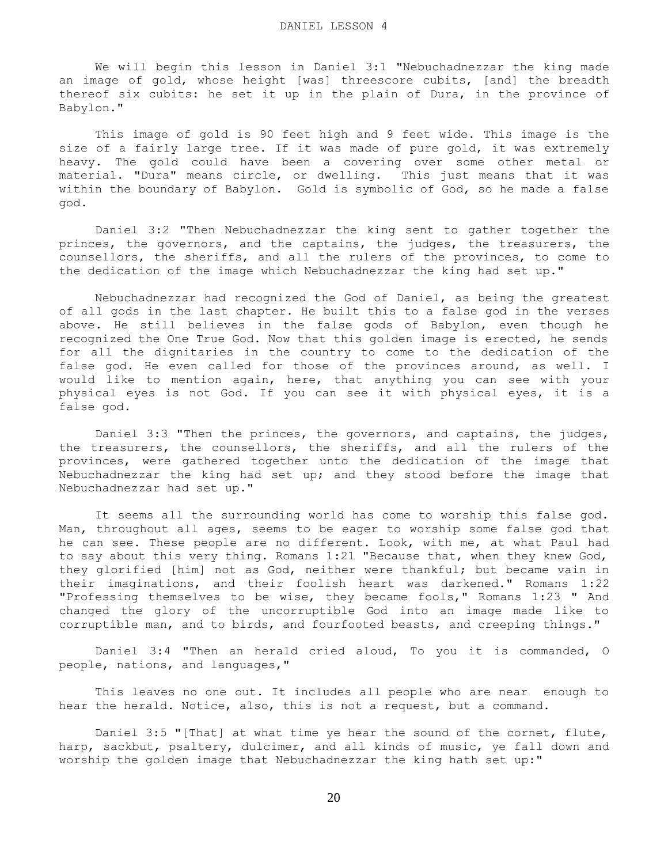We will begin this lesson in Daniel 3:1 "Nebuchadnezzar the king made an image of gold, whose height [was] threescore cubits, [and] the breadth thereof six cubits: he set it up in the plain of Dura, in the province of Babylon."

 This image of gold is 90 feet high and 9 feet wide. This image is the size of a fairly large tree. If it was made of pure gold, it was extremely heavy. The gold could have been a covering over some other metal or material. "Dura" means circle, or dwelling. This just means that it was within the boundary of Babylon. Gold is symbolic of God, so he made a false god.

 Daniel 3:2 "Then Nebuchadnezzar the king sent to gather together the princes, the governors, and the captains, the judges, the treasurers, the counsellors, the sheriffs, and all the rulers of the provinces, to come to the dedication of the image which Nebuchadnezzar the king had set up."

 Nebuchadnezzar had recognized the God of Daniel, as being the greatest of all gods in the last chapter. He built this to a false god in the verses above. He still believes in the false gods of Babylon, even though he recognized the One True God. Now that this golden image is erected, he sends for all the dignitaries in the country to come to the dedication of the false god. He even called for those of the provinces around, as well. I would like to mention again, here, that anything you can see with your physical eyes is not God. If you can see it with physical eyes, it is a false god.

 Daniel 3:3 "Then the princes, the governors, and captains, the judges, the treasurers, the counsellors, the sheriffs, and all the rulers of the provinces, were gathered together unto the dedication of the image that Nebuchadnezzar the king had set up; and they stood before the image that Nebuchadnezzar had set up."

 It seems all the surrounding world has come to worship this false god. Man, throughout all ages, seems to be eager to worship some false god that he can see. These people are no different. Look, with me, at what Paul had to say about this very thing. Romans 1:21 "Because that, when they knew God, they glorified [him] not as God, neither were thankful; but became vain in their imaginations, and their foolish heart was darkened." Romans 1:22 "Professing themselves to be wise, they became fools," Romans 1:23 " And changed the glory of the uncorruptible God into an image made like to corruptible man, and to birds, and fourfooted beasts, and creeping things."

 Daniel 3:4 "Then an herald cried aloud, To you it is commanded, O people, nations, and languages,"

 This leaves no one out. It includes all people who are near enough to hear the herald. Notice, also, this is not a request, but a command.

 Daniel 3:5 "[That] at what time ye hear the sound of the cornet, flute, harp, sackbut, psaltery, dulcimer, and all kinds of music, ye fall down and worship the golden image that Nebuchadnezzar the king hath set up:"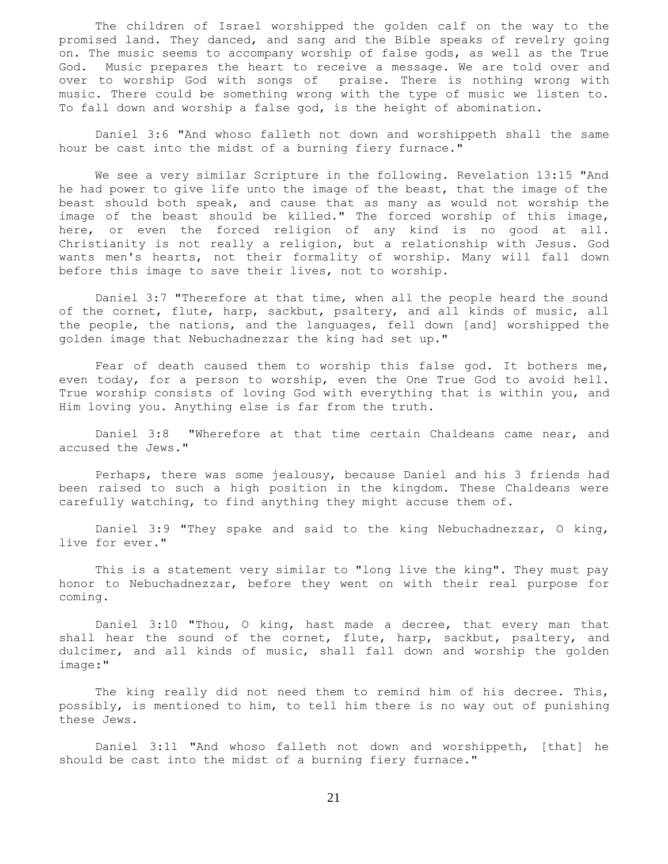The children of Israel worshipped the golden calf on the way to the promised land. They danced, and sang and the Bible speaks of revelry going on. The music seems to accompany worship of false gods, as well as the True God. Music prepares the heart to receive a message. We are told over and over to worship God with songs of praise. There is nothing wrong with music. There could be something wrong with the type of music we listen to. To fall down and worship a false god, is the height of abomination.

 Daniel 3:6 "And whoso falleth not down and worshippeth shall the same hour be cast into the midst of a burning fiery furnace."

 We see a very similar Scripture in the following. Revelation 13:15 "And he had power to give life unto the image of the beast, that the image of the beast should both speak, and cause that as many as would not worship the image of the beast should be killed." The forced worship of this image, here, or even the forced religion of any kind is no good at all. Christianity is not really a religion, but a relationship with Jesus. God wants men's hearts, not their formality of worship. Many will fall down before this image to save their lives, not to worship.

 Daniel 3:7 "Therefore at that time, when all the people heard the sound of the cornet, flute, harp, sackbut, psaltery, and all kinds of music, all the people, the nations, and the languages, fell down [and] worshipped the golden image that Nebuchadnezzar the king had set up."

 Fear of death caused them to worship this false god. It bothers me, even today, for a person to worship, even the One True God to avoid hell. True worship consists of loving God with everything that is within you, and Him loving you. Anything else is far from the truth.

 Daniel 3:8 "Wherefore at that time certain Chaldeans came near, and accused the Jews."

 Perhaps, there was some jealousy, because Daniel and his 3 friends had been raised to such a high position in the kingdom. These Chaldeans were carefully watching, to find anything they might accuse them of.

Daniel 3:9 "They spake and said to the king Nebuchadnezzar, O king, live for ever."

 This is a statement very similar to "long live the king". They must pay honor to Nebuchadnezzar, before they went on with their real purpose for coming.

 Daniel 3:10 "Thou, O king, hast made a decree, that every man that shall hear the sound of the cornet, flute, harp, sackbut, psaltery, and dulcimer, and all kinds of music, shall fall down and worship the golden image:"

 The king really did not need them to remind him of his decree. This, possibly, is mentioned to him, to tell him there is no way out of punishing these Jews.

 Daniel 3:11 "And whoso falleth not down and worshippeth, [that] he should be cast into the midst of a burning fiery furnace."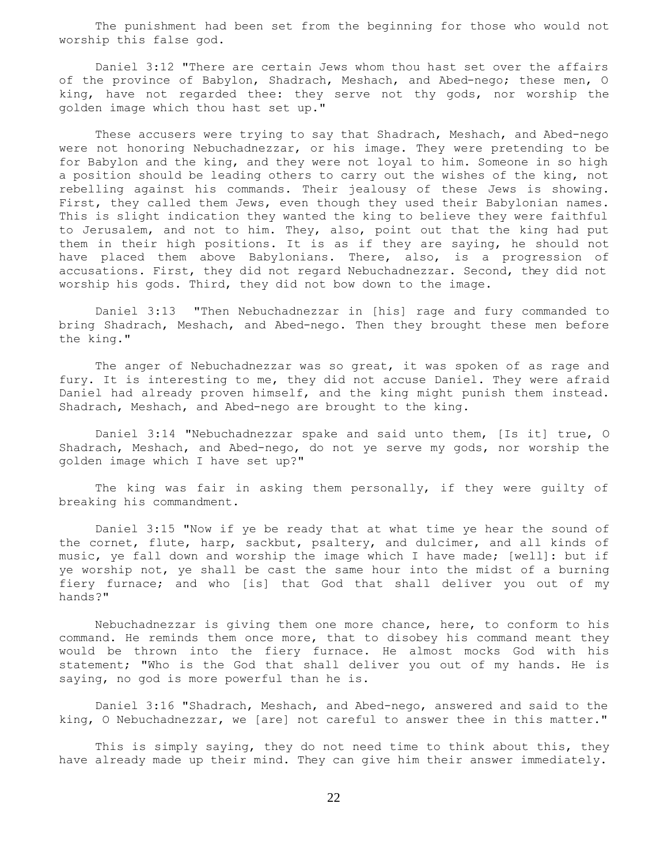The punishment had been set from the beginning for those who would not worship this false god.

 Daniel 3:12 "There are certain Jews whom thou hast set over the affairs of the province of Babylon, Shadrach, Meshach, and Abed-nego; these men, O king, have not regarded thee: they serve not thy gods, nor worship the golden image which thou hast set up."

 These accusers were trying to say that Shadrach, Meshach, and Abed-nego were not honoring Nebuchadnezzar, or his image. They were pretending to be for Babylon and the king, and they were not loyal to him. Someone in so high a position should be leading others to carry out the wishes of the king, not rebelling against his commands. Their jealousy of these Jews is showing. First, they called them Jews, even though they used their Babylonian names. This is slight indication they wanted the king to believe they were faithful to Jerusalem, and not to him. They, also, point out that the king had put them in their high positions. It is as if they are saying, he should not have placed them above Babylonians. There, also, is a progression of accusations. First, they did not regard Nebuchadnezzar. Second, they did not worship his gods. Third, they did not bow down to the image.

 Daniel 3:13 "Then Nebuchadnezzar in [his] rage and fury commanded to bring Shadrach, Meshach, and Abed-nego. Then they brought these men before the king."

 The anger of Nebuchadnezzar was so great, it was spoken of as rage and fury. It is interesting to me, they did not accuse Daniel. They were afraid Daniel had already proven himself, and the king might punish them instead. Shadrach, Meshach, and Abed-nego are brought to the king.

 Daniel 3:14 "Nebuchadnezzar spake and said unto them, [Is it] true, O Shadrach, Meshach, and Abed-nego, do not ye serve my gods, nor worship the golden image which I have set up?"

 The king was fair in asking them personally, if they were guilty of breaking his commandment.

 Daniel 3:15 "Now if ye be ready that at what time ye hear the sound of the cornet, flute, harp, sackbut, psaltery, and dulcimer, and all kinds of music, ye fall down and worship the image which I have made; [well]: but if ye worship not, ye shall be cast the same hour into the midst of a burning fiery furnace; and who [is] that God that shall deliver you out of my hands?"

 Nebuchadnezzar is giving them one more chance, here, to conform to his command. He reminds them once more, that to disobey his command meant they would be thrown into the fiery furnace. He almost mocks God with his statement; "Who is the God that shall deliver you out of my hands. He is saying, no god is more powerful than he is.

 Daniel 3:16 "Shadrach, Meshach, and Abed-nego, answered and said to the king, O Nebuchadnezzar, we [are] not careful to answer thee in this matter."

 This is simply saying, they do not need time to think about this, they have already made up their mind. They can give him their answer immediately.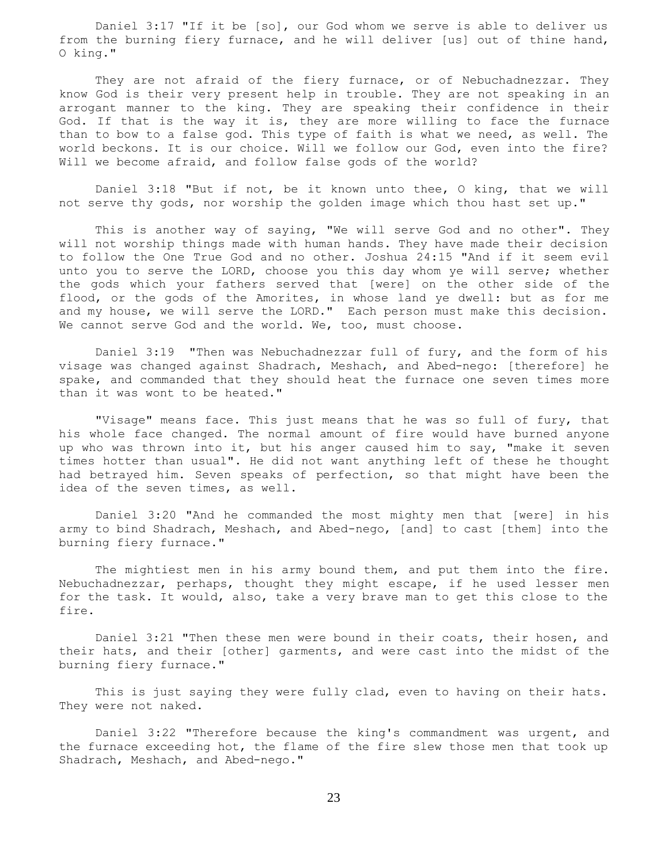Daniel 3:17 "If it be [so], our God whom we serve is able to deliver us from the burning fiery furnace, and he will deliver [us] out of thine hand, O king."

They are not afraid of the fiery furnace, or of Nebuchadnezzar. They know God is their very present help in trouble. They are not speaking in an arrogant manner to the king. They are speaking their confidence in their God. If that is the way it is, they are more willing to face the furnace than to bow to a false god. This type of faith is what we need, as well. The world beckons. It is our choice. Will we follow our God, even into the fire? Will we become afraid, and follow false gods of the world?

 Daniel 3:18 "But if not, be it known unto thee, O king, that we will not serve thy gods, nor worship the golden image which thou hast set up."

 This is another way of saying, "We will serve God and no other". They will not worship things made with human hands. They have made their decision to follow the One True God and no other. Joshua 24:15 "And if it seem evil unto you to serve the LORD, choose you this day whom ye will serve; whether the gods which your fathers served that [were] on the other side of the flood, or the gods of the Amorites, in whose land ye dwell: but as for me and my house, we will serve the LORD." Each person must make this decision. We cannot serve God and the world. We, too, must choose.

 Daniel 3:19 "Then was Nebuchadnezzar full of fury, and the form of his visage was changed against Shadrach, Meshach, and Abed-nego: [therefore] he spake, and commanded that they should heat the furnace one seven times more than it was wont to be heated."

 "Visage" means face. This just means that he was so full of fury, that his whole face changed. The normal amount of fire would have burned anyone up who was thrown into it, but his anger caused him to say, "make it seven times hotter than usual". He did not want anything left of these he thought had betrayed him. Seven speaks of perfection, so that might have been the idea of the seven times, as well.

 Daniel 3:20 "And he commanded the most mighty men that [were] in his army to bind Shadrach, Meshach, and Abed-nego, [and] to cast [them] into the burning fiery furnace."

The mightiest men in his army bound them, and put them into the fire. Nebuchadnezzar, perhaps, thought they might escape, if he used lesser men for the task. It would, also, take a very brave man to get this close to the fire.

 Daniel 3:21 "Then these men were bound in their coats, their hosen, and their hats, and their [other] garments, and were cast into the midst of the burning fiery furnace."

 This is just saying they were fully clad, even to having on their hats. They were not naked.

 Daniel 3:22 "Therefore because the king's commandment was urgent, and the furnace exceeding hot, the flame of the fire slew those men that took up Shadrach, Meshach, and Abed-nego."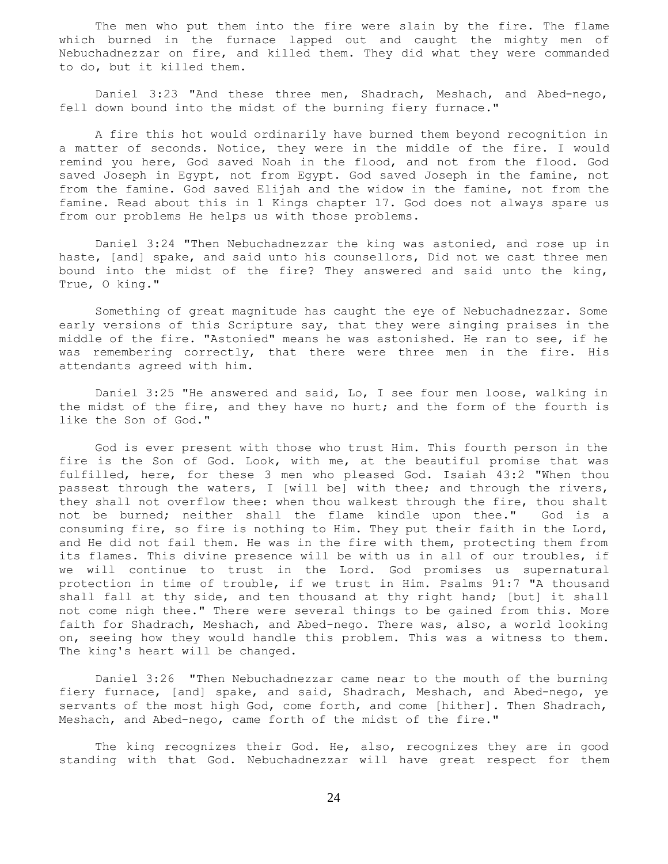The men who put them into the fire were slain by the fire. The flame which burned in the furnace lapped out and caught the mighty men of Nebuchadnezzar on fire, and killed them. They did what they were commanded to do, but it killed them.

 Daniel 3:23 "And these three men, Shadrach, Meshach, and Abed-nego, fell down bound into the midst of the burning fiery furnace."

 A fire this hot would ordinarily have burned them beyond recognition in a matter of seconds. Notice, they were in the middle of the fire. I would remind you here, God saved Noah in the flood, and not from the flood. God saved Joseph in Egypt, not from Egypt. God saved Joseph in the famine, not from the famine. God saved Elijah and the widow in the famine, not from the famine. Read about this in 1 Kings chapter 17. God does not always spare us from our problems He helps us with those problems.

 Daniel 3:24 "Then Nebuchadnezzar the king was astonied, and rose up in haste, [and] spake, and said unto his counsellors, Did not we cast three men bound into the midst of the fire? They answered and said unto the king, True, O king."

 Something of great magnitude has caught the eye of Nebuchadnezzar. Some early versions of this Scripture say, that they were singing praises in the middle of the fire. "Astonied" means he was astonished. He ran to see, if he was remembering correctly, that there were three men in the fire. His attendants agreed with him.

 Daniel 3:25 "He answered and said, Lo, I see four men loose, walking in the midst of the fire, and they have no hurt; and the form of the fourth is like the Son of God."

 God is ever present with those who trust Him. This fourth person in the fire is the Son of God. Look, with me, at the beautiful promise that was fulfilled, here, for these 3 men who pleased God. Isaiah 43:2 "When thou passest through the waters, I [will be] with thee; and through the rivers, they shall not overflow thee: when thou walkest through the fire, thou shalt not be burned; neither shall the flame kindle upon thee." God is a consuming fire, so fire is nothing to Him. They put their faith in the Lord, and He did not fail them. He was in the fire with them, protecting them from its flames. This divine presence will be with us in all of our troubles, if we will continue to trust in the Lord. God promises us supernatural protection in time of trouble, if we trust in Him. Psalms 91:7 "A thousand shall fall at thy side, and ten thousand at thy right hand; [but] it shall not come nigh thee." There were several things to be gained from this. More faith for Shadrach, Meshach, and Abed-nego. There was, also, a world looking on, seeing how they would handle this problem. This was a witness to them. The king's heart will be changed.

 Daniel 3:26 "Then Nebuchadnezzar came near to the mouth of the burning fiery furnace, [and] spake, and said, Shadrach, Meshach, and Abed-nego, ye servants of the most high God, come forth, and come [hither]. Then Shadrach, Meshach, and Abed-nego, came forth of the midst of the fire."

The king recognizes their God. He, also, recognizes they are in good standing with that God. Nebuchadnezzar will have great respect for them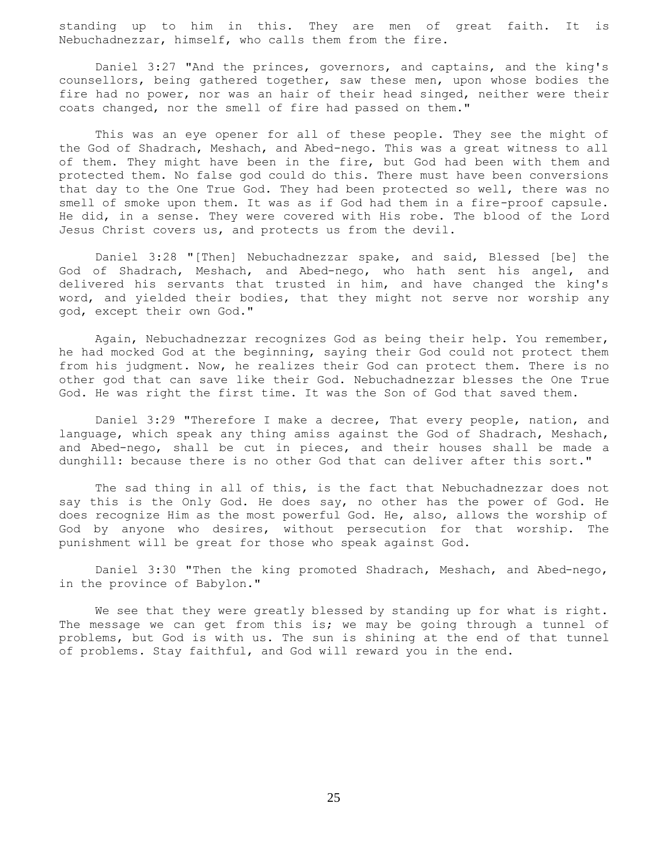standing up to him in this. They are men of great faith. It is Nebuchadnezzar, himself, who calls them from the fire.

 Daniel 3:27 "And the princes, governors, and captains, and the king's counsellors, being gathered together, saw these men, upon whose bodies the fire had no power, nor was an hair of their head singed, neither were their coats changed, nor the smell of fire had passed on them."

 This was an eye opener for all of these people. They see the might of the God of Shadrach, Meshach, and Abed-nego. This was a great witness to all of them. They might have been in the fire, but God had been with them and protected them. No false god could do this. There must have been conversions that day to the One True God. They had been protected so well, there was no smell of smoke upon them. It was as if God had them in a fire-proof capsule. He did, in a sense. They were covered with His robe. The blood of the Lord Jesus Christ covers us, and protects us from the devil.

 Daniel 3:28 "[Then] Nebuchadnezzar spake, and said, Blessed [be] the God of Shadrach, Meshach, and Abed-nego, who hath sent his angel, and delivered his servants that trusted in him, and have changed the king's word, and yielded their bodies, that they might not serve nor worship any god, except their own God."

 Again, Nebuchadnezzar recognizes God as being their help. You remember, he had mocked God at the beginning, saying their God could not protect them from his judgment. Now, he realizes their God can protect them. There is no other god that can save like their God. Nebuchadnezzar blesses the One True God. He was right the first time. It was the Son of God that saved them.

 Daniel 3:29 "Therefore I make a decree, That every people, nation, and language, which speak any thing amiss against the God of Shadrach, Meshach, and Abed-nego, shall be cut in pieces, and their houses shall be made a dunghill: because there is no other God that can deliver after this sort."

 The sad thing in all of this, is the fact that Nebuchadnezzar does not say this is the Only God. He does say, no other has the power of God. He does recognize Him as the most powerful God. He, also, allows the worship of God by anyone who desires, without persecution for that worship. The punishment will be great for those who speak against God.

 Daniel 3:30 "Then the king promoted Shadrach, Meshach, and Abed-nego, in the province of Babylon."

 We see that they were greatly blessed by standing up for what is right. The message we can get from this is; we may be going through a tunnel of problems, but God is with us. The sun is shining at the end of that tunnel of problems. Stay faithful, and God will reward you in the end.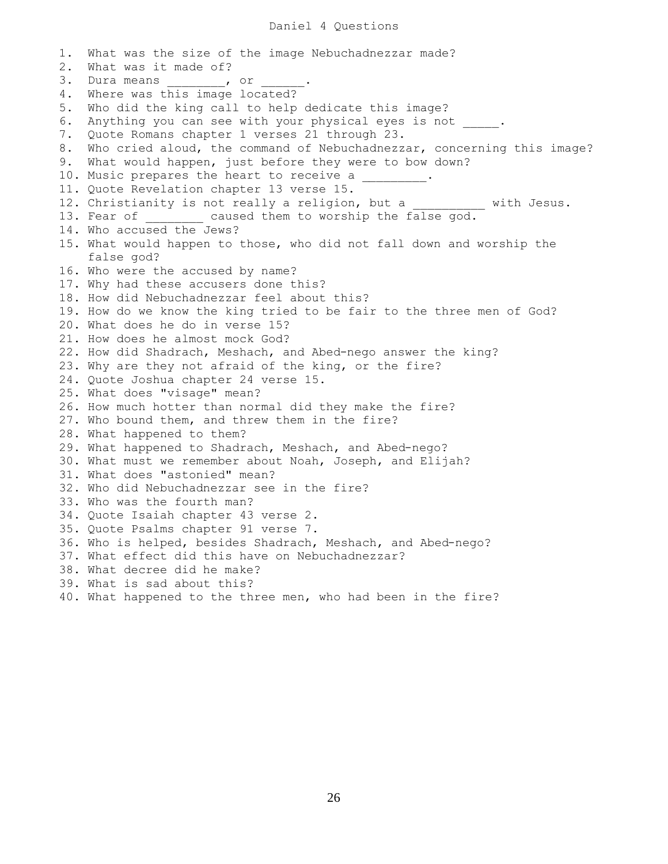## Daniel 4 Questions

1. What was the size of the image Nebuchadnezzar made? 2. What was it made of? 3. Dura means \_\_\_\_\_\_\_\_, or \_ 4. Where was this image located? 5. Who did the king call to help dedicate this image? 6. Anything you can see with your physical eyes is not . 7. Quote Romans chapter 1 verses 21 through 23. 8. Who cried aloud, the command of Nebuchadnezzar, concerning this image? 9. What would happen, just before they were to bow down? 10. Music prepares the heart to receive a 11. Quote Revelation chapter 13 verse 15. 12. Christianity is not really a religion, but a \_\_\_\_\_\_\_\_\_\_ with Jesus. 13. Fear of caused them to worship the false god. 14. Who accused the Jews? 15. What would happen to those, who did not fall down and worship the false god? 16. Who were the accused by name? 17. Why had these accusers done this? 18. How did Nebuchadnezzar feel about this? 19. How do we know the king tried to be fair to the three men of God? 20. What does he do in verse 15? 21. How does he almost mock God? 22. How did Shadrach, Meshach, and Abed-nego answer the king? 23. Why are they not afraid of the king, or the fire? 24. Quote Joshua chapter 24 verse 15. 25. What does "visage" mean? 26. How much hotter than normal did they make the fire? 27. Who bound them, and threw them in the fire? 28. What happened to them? 29. What happened to Shadrach, Meshach, and Abed-nego? 30. What must we remember about Noah, Joseph, and Elijah? 31. What does "astonied" mean? 32. Who did Nebuchadnezzar see in the fire? 33. Who was the fourth man? 34. Quote Isaiah chapter 43 verse 2. 35. Quote Psalms chapter 91 verse 7. 36. Who is helped, besides Shadrach, Meshach, and Abed-nego? 37. What effect did this have on Nebuchadnezzar? 38. What decree did he make? 39. What is sad about this? 40. What happened to the three men, who had been in the fire?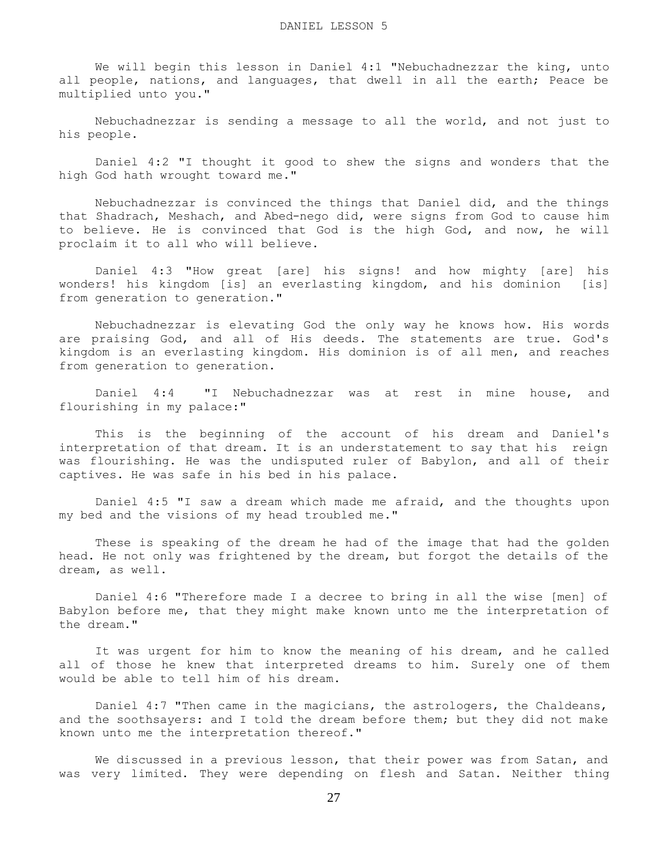We will begin this lesson in Daniel 4:1 "Nebuchadnezzar the king, unto all people, nations, and languages, that dwell in all the earth; Peace be multiplied unto you."

 Nebuchadnezzar is sending a message to all the world, and not just to his people.

 Daniel 4:2 "I thought it good to shew the signs and wonders that the high God hath wrought toward me."

 Nebuchadnezzar is convinced the things that Daniel did, and the things that Shadrach, Meshach, and Abed-nego did, were signs from God to cause him to believe. He is convinced that God is the high God, and now, he will proclaim it to all who will believe.

 Daniel 4:3 "How great [are] his signs! and how mighty [are] his wonders! his kingdom [is] an everlasting kingdom, and his dominion [is] from generation to generation."

 Nebuchadnezzar is elevating God the only way he knows how. His words are praising God, and all of His deeds. The statements are true. God's kingdom is an everlasting kingdom. His dominion is of all men, and reaches from generation to generation.

 Daniel 4:4 "I Nebuchadnezzar was at rest in mine house, and flourishing in my palace:"

 This is the beginning of the account of his dream and Daniel's interpretation of that dream. It is an understatement to say that his reign was flourishing. He was the undisputed ruler of Babylon, and all of their captives. He was safe in his bed in his palace.

 Daniel 4:5 "I saw a dream which made me afraid, and the thoughts upon my bed and the visions of my head troubled me."

 These is speaking of the dream he had of the image that had the golden head. He not only was frightened by the dream, but forgot the details of the dream, as well.

 Daniel 4:6 "Therefore made I a decree to bring in all the wise [men] of Babylon before me, that they might make known unto me the interpretation of the dream."

 It was urgent for him to know the meaning of his dream, and he called all of those he knew that interpreted dreams to him. Surely one of them would be able to tell him of his dream.

 Daniel 4:7 "Then came in the magicians, the astrologers, the Chaldeans, and the soothsayers: and I told the dream before them; but they did not make known unto me the interpretation thereof."

 We discussed in a previous lesson, that their power was from Satan, and was very limited. They were depending on flesh and Satan. Neither thing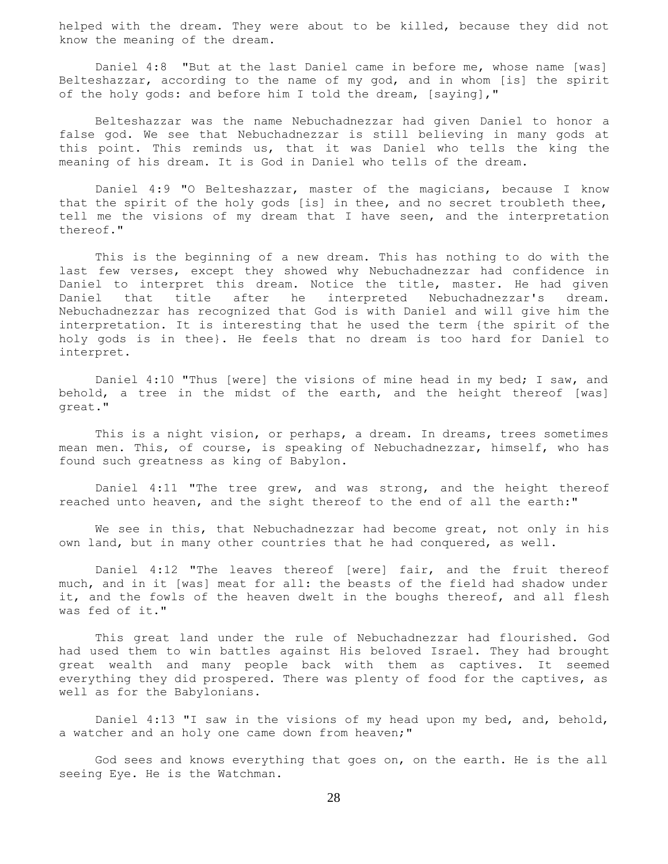helped with the dream. They were about to be killed, because they did not know the meaning of the dream.

 Daniel 4:8 "But at the last Daniel came in before me, whose name [was] Belteshazzar, according to the name of my god, and in whom [is] the spirit of the holy gods: and before him I told the dream, [saying],"

 Belteshazzar was the name Nebuchadnezzar had given Daniel to honor a false god. We see that Nebuchadnezzar is still believing in many gods at this point. This reminds us, that it was Daniel who tells the king the meaning of his dream. It is God in Daniel who tells of the dream.

 Daniel 4:9 "O Belteshazzar, master of the magicians, because I know that the spirit of the holy gods [is] in thee, and no secret troubleth thee, tell me the visions of my dream that I have seen, and the interpretation thereof."

 This is the beginning of a new dream. This has nothing to do with the last few verses, except they showed why Nebuchadnezzar had confidence in Daniel to interpret this dream. Notice the title, master. He had given Daniel that title after he interpreted Nebuchadnezzar's dream. Nebuchadnezzar has recognized that God is with Daniel and will give him the interpretation. It is interesting that he used the term {the spirit of the holy gods is in thee}. He feels that no dream is too hard for Daniel to interpret.

 Daniel 4:10 "Thus [were] the visions of mine head in my bed; I saw, and behold, a tree in the midst of the earth, and the height thereof [was] great."

 This is a night vision, or perhaps, a dream. In dreams, trees sometimes mean men. This, of course, is speaking of Nebuchadnezzar, himself, who has found such greatness as king of Babylon.

 Daniel 4:11 "The tree grew, and was strong, and the height thereof reached unto heaven, and the sight thereof to the end of all the earth:"

We see in this, that Nebuchadnezzar had become great, not only in his own land, but in many other countries that he had conquered, as well.

 Daniel 4:12 "The leaves thereof [were] fair, and the fruit thereof much, and in it [was] meat for all: the beasts of the field had shadow under it, and the fowls of the heaven dwelt in the boughs thereof, and all flesh was fed of it."

 This great land under the rule of Nebuchadnezzar had flourished. God had used them to win battles against His beloved Israel. They had brought great wealth and many people back with them as captives. It seemed everything they did prospered. There was plenty of food for the captives, as well as for the Babylonians.

 Daniel 4:13 "I saw in the visions of my head upon my bed, and, behold, a watcher and an holy one came down from heaven;"

 God sees and knows everything that goes on, on the earth. He is the all seeing Eye. He is the Watchman.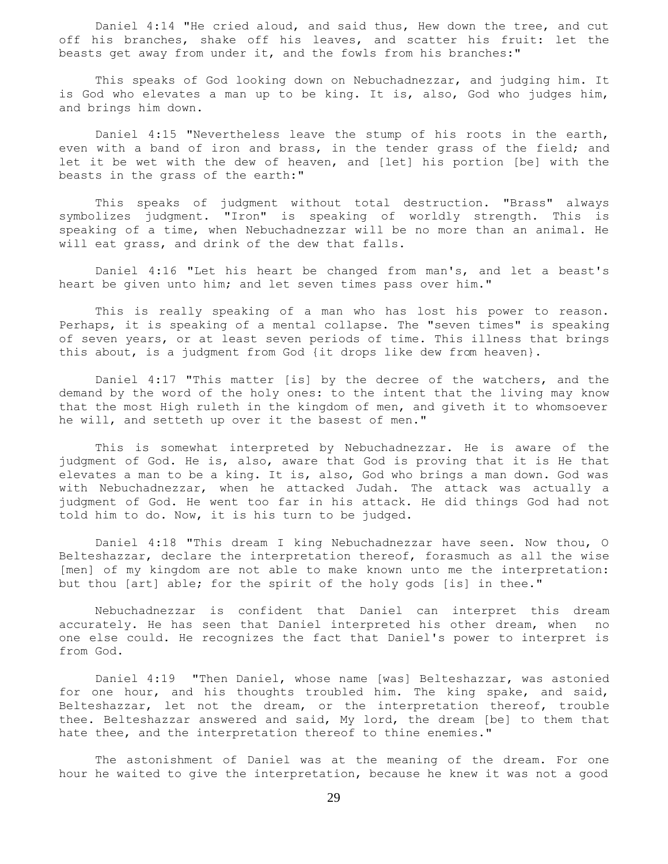Daniel 4:14 "He cried aloud, and said thus, Hew down the tree, and cut off his branches, shake off his leaves, and scatter his fruit: let the beasts get away from under it, and the fowls from his branches:"

 This speaks of God looking down on Nebuchadnezzar, and judging him. It is God who elevates a man up to be king. It is, also, God who judges him, and brings him down.

 Daniel 4:15 "Nevertheless leave the stump of his roots in the earth, even with a band of iron and brass, in the tender grass of the field; and let it be wet with the dew of heaven, and [let] his portion [be] with the beasts in the grass of the earth:"

 This speaks of judgment without total destruction. "Brass" always symbolizes judgment. "Iron" is speaking of worldly strength. This is speaking of a time, when Nebuchadnezzar will be no more than an animal. He will eat grass, and drink of the dew that falls.

 Daniel 4:16 "Let his heart be changed from man's, and let a beast's heart be given unto him; and let seven times pass over him."

 This is really speaking of a man who has lost his power to reason. Perhaps, it is speaking of a mental collapse. The "seven times" is speaking of seven years, or at least seven periods of time. This illness that brings this about, is a judgment from God {it drops like dew from heaven}.

 Daniel 4:17 "This matter [is] by the decree of the watchers, and the demand by the word of the holy ones: to the intent that the living may know that the most High ruleth in the kingdom of men, and giveth it to whomsoever he will, and setteth up over it the basest of men."

 This is somewhat interpreted by Nebuchadnezzar. He is aware of the judgment of God. He is, also, aware that God is proving that it is He that elevates a man to be a king. It is, also, God who brings a man down. God was with Nebuchadnezzar, when he attacked Judah. The attack was actually a judgment of God. He went too far in his attack. He did things God had not told him to do. Now, it is his turn to be judged.

 Daniel 4:18 "This dream I king Nebuchadnezzar have seen. Now thou, O Belteshazzar, declare the interpretation thereof, forasmuch as all the wise [men] of my kingdom are not able to make known unto me the interpretation: but thou [art] able; for the spirit of the holy gods [is] in thee."

 Nebuchadnezzar is confident that Daniel can interpret this dream accurately. He has seen that Daniel interpreted his other dream, when no one else could. He recognizes the fact that Daniel's power to interpret is from God.

 Daniel 4:19 "Then Daniel, whose name [was] Belteshazzar, was astonied for one hour, and his thoughts troubled him. The king spake, and said, Belteshazzar, let not the dream, or the interpretation thereof, trouble thee. Belteshazzar answered and said, My lord, the dream [be] to them that hate thee, and the interpretation thereof to thine enemies."

 The astonishment of Daniel was at the meaning of the dream. For one hour he waited to give the interpretation, because he knew it was not a good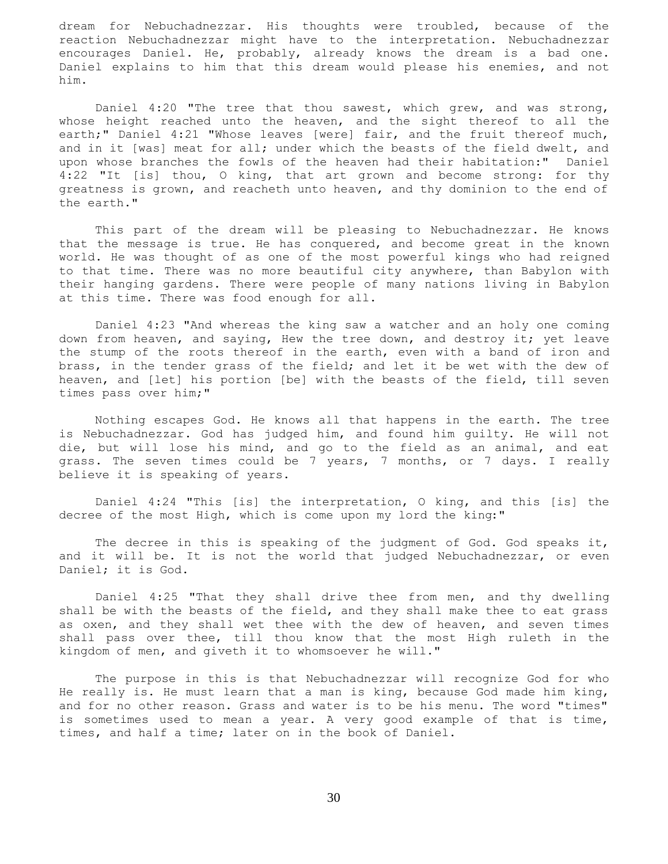dream for Nebuchadnezzar. His thoughts were troubled, because of the reaction Nebuchadnezzar might have to the interpretation. Nebuchadnezzar encourages Daniel. He, probably, already knows the dream is a bad one. Daniel explains to him that this dream would please his enemies, and not him.

 Daniel 4:20 "The tree that thou sawest, which grew, and was strong, whose height reached unto the heaven, and the sight thereof to all the earth;" Daniel 4:21 "Whose leaves [were] fair, and the fruit thereof much, and in it [was] meat for all; under which the beasts of the field dwelt, and upon whose branches the fowls of the heaven had their habitation:" Daniel 4:22 "It [is] thou, O king, that art grown and become strong: for thy greatness is grown, and reacheth unto heaven, and thy dominion to the end of the earth."

 This part of the dream will be pleasing to Nebuchadnezzar. He knows that the message is true. He has conquered, and become great in the known world. He was thought of as one of the most powerful kings who had reigned to that time. There was no more beautiful city anywhere, than Babylon with their hanging gardens. There were people of many nations living in Babylon at this time. There was food enough for all.

 Daniel 4:23 "And whereas the king saw a watcher and an holy one coming down from heaven, and saying, Hew the tree down, and destroy it; yet leave the stump of the roots thereof in the earth, even with a band of iron and brass, in the tender grass of the field; and let it be wet with the dew of heaven, and [let] his portion [be] with the beasts of the field, till seven times pass over him;"

 Nothing escapes God. He knows all that happens in the earth. The tree is Nebuchadnezzar. God has judged him, and found him guilty. He will not die, but will lose his mind, and go to the field as an animal, and eat grass. The seven times could be 7 years, 7 months, or 7 days. I really believe it is speaking of years.

 Daniel 4:24 "This [is] the interpretation, O king, and this [is] the decree of the most High, which is come upon my lord the king:"

 The decree in this is speaking of the judgment of God. God speaks it, and it will be. It is not the world that judged Nebuchadnezzar, or even Daniel; it is God.

 Daniel 4:25 "That they shall drive thee from men, and thy dwelling shall be with the beasts of the field, and they shall make thee to eat grass as oxen, and they shall wet thee with the dew of heaven, and seven times shall pass over thee, till thou know that the most High ruleth in the kingdom of men, and giveth it to whomsoever he will."

 The purpose in this is that Nebuchadnezzar will recognize God for who He really is. He must learn that a man is king, because God made him king, and for no other reason. Grass and water is to be his menu. The word "times" is sometimes used to mean a year. A very good example of that is time, times, and half a time; later on in the book of Daniel.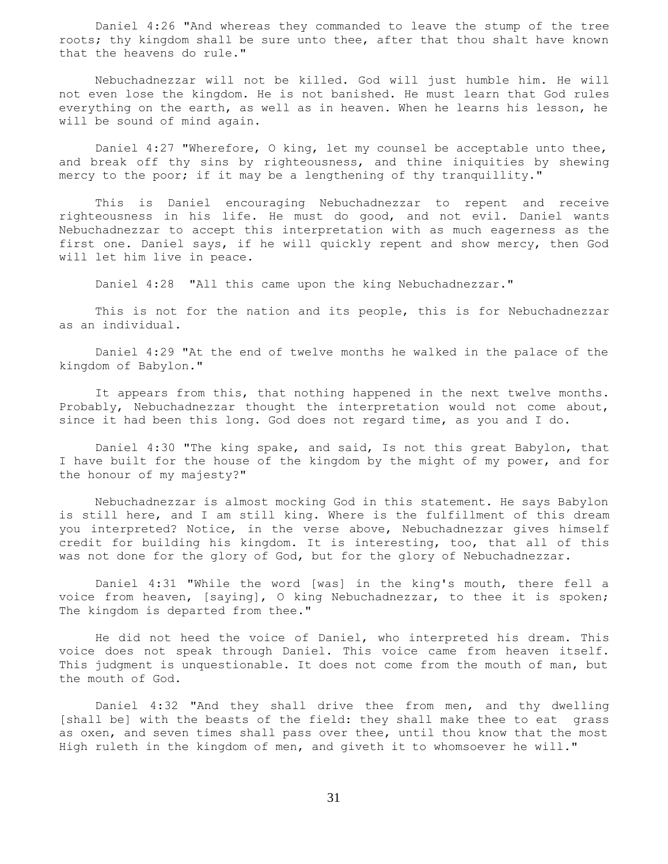Daniel 4:26 "And whereas they commanded to leave the stump of the tree roots; thy kingdom shall be sure unto thee, after that thou shalt have known that the heavens do rule."

 Nebuchadnezzar will not be killed. God will just humble him. He will not even lose the kingdom. He is not banished. He must learn that God rules everything on the earth, as well as in heaven. When he learns his lesson, he will be sound of mind again.

 Daniel 4:27 "Wherefore, O king, let my counsel be acceptable unto thee, and break off thy sins by righteousness, and thine iniquities by shewing mercy to the poor; if it may be a lengthening of thy tranquillity."

 This is Daniel encouraging Nebuchadnezzar to repent and receive righteousness in his life. He must do good, and not evil. Daniel wants Nebuchadnezzar to accept this interpretation with as much eagerness as the first one. Daniel says, if he will quickly repent and show mercy, then God will let him live in peace.

Daniel 4:28 "All this came upon the king Nebuchadnezzar."

 This is not for the nation and its people, this is for Nebuchadnezzar as an individual.

 Daniel 4:29 "At the end of twelve months he walked in the palace of the kingdom of Babylon."

 It appears from this, that nothing happened in the next twelve months. Probably, Nebuchadnezzar thought the interpretation would not come about, since it had been this long. God does not regard time, as you and I do.

 Daniel 4:30 "The king spake, and said, Is not this great Babylon, that I have built for the house of the kingdom by the might of my power, and for the honour of my majesty?"

 Nebuchadnezzar is almost mocking God in this statement. He says Babylon is still here, and I am still king. Where is the fulfillment of this dream you interpreted? Notice, in the verse above, Nebuchadnezzar gives himself credit for building his kingdom. It is interesting, too, that all of this was not done for the glory of God, but for the glory of Nebuchadnezzar.

 Daniel 4:31 "While the word [was] in the king's mouth, there fell a voice from heaven, [saying], O king Nebuchadnezzar, to thee it is spoken; The kingdom is departed from thee."

 He did not heed the voice of Daniel, who interpreted his dream. This voice does not speak through Daniel. This voice came from heaven itself. This judgment is unquestionable. It does not come from the mouth of man, but the mouth of God.

 Daniel 4:32 "And they shall drive thee from men, and thy dwelling [shall be] with the beasts of the field: they shall make thee to eat grass as oxen, and seven times shall pass over thee, until thou know that the most High ruleth in the kingdom of men, and giveth it to whomsoever he will."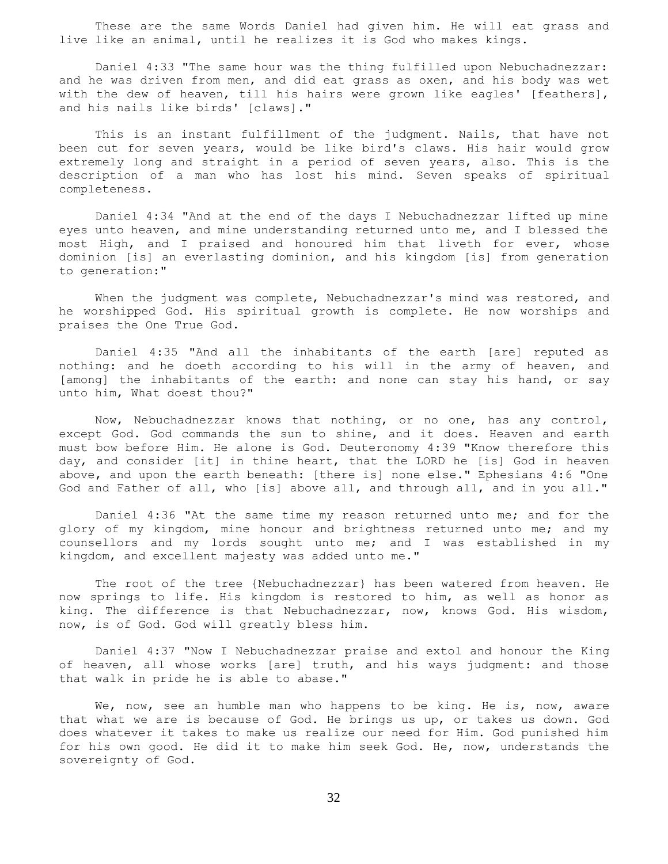These are the same Words Daniel had given him. He will eat grass and live like an animal, until he realizes it is God who makes kings.

 Daniel 4:33 "The same hour was the thing fulfilled upon Nebuchadnezzar: and he was driven from men, and did eat grass as oxen, and his body was wet with the dew of heaven, till his hairs were grown like eagles' [feathers], and his nails like birds' [claws]."

 This is an instant fulfillment of the judgment. Nails, that have not been cut for seven years, would be like bird's claws. His hair would grow extremely long and straight in a period of seven years, also. This is the description of a man who has lost his mind. Seven speaks of spiritual completeness.

 Daniel 4:34 "And at the end of the days I Nebuchadnezzar lifted up mine eyes unto heaven, and mine understanding returned unto me, and I blessed the most High, and I praised and honoured him that liveth for ever, whose dominion [is] an everlasting dominion, and his kingdom [is] from generation to generation:"

 When the judgment was complete, Nebuchadnezzar's mind was restored, and he worshipped God. His spiritual growth is complete. He now worships and praises the One True God.

 Daniel 4:35 "And all the inhabitants of the earth [are] reputed as nothing: and he doeth according to his will in the army of heaven, and [among] the inhabitants of the earth: and none can stay his hand, or say unto him, What doest thou?"

 Now, Nebuchadnezzar knows that nothing, or no one, has any control, except God. God commands the sun to shine, and it does. Heaven and earth must bow before Him. He alone is God. Deuteronomy 4:39 "Know therefore this day, and consider [it] in thine heart, that the LORD he [is] God in heaven above, and upon the earth beneath: [there is] none else." Ephesians 4:6 "One God and Father of all, who [is] above all, and through all, and in you all."

 Daniel 4:36 "At the same time my reason returned unto me; and for the glory of my kingdom, mine honour and brightness returned unto me; and my counsellors and my lords sought unto me; and I was established in my kingdom, and excellent majesty was added unto me."

 The root of the tree {Nebuchadnezzar} has been watered from heaven. He now springs to life. His kingdom is restored to him, as well as honor as king. The difference is that Nebuchadnezzar, now, knows God. His wisdom, now, is of God. God will greatly bless him.

 Daniel 4:37 "Now I Nebuchadnezzar praise and extol and honour the King of heaven, all whose works [are] truth, and his ways judgment: and those that walk in pride he is able to abase."

We, now, see an humble man who happens to be king. He is, now, aware that what we are is because of God. He brings us up, or takes us down. God does whatever it takes to make us realize our need for Him. God punished him for his own good. He did it to make him seek God. He, now, understands the sovereignty of God.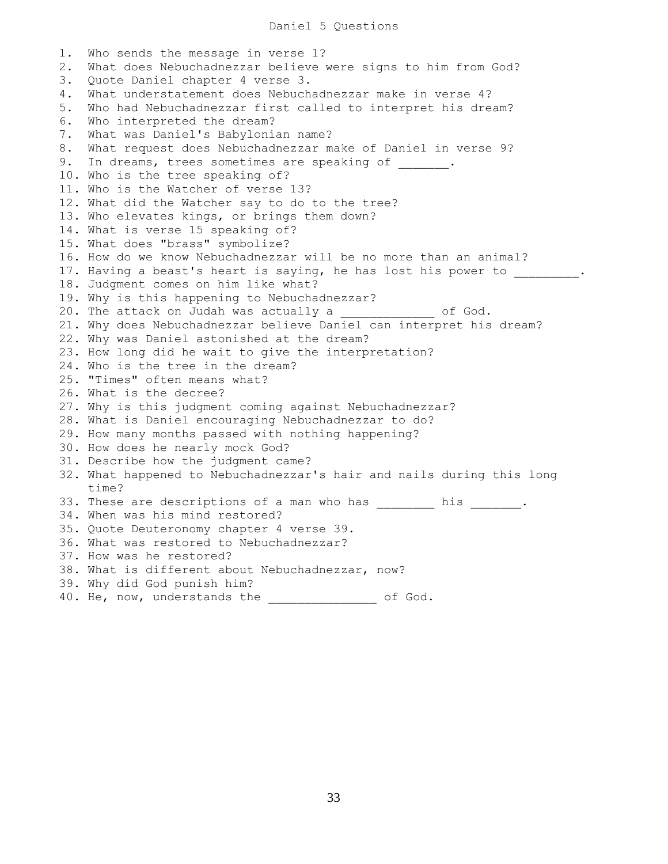## Daniel 5 Questions

1. Who sends the message in verse 1? 2. What does Nebuchadnezzar believe were signs to him from God? 3. Quote Daniel chapter 4 verse 3. 4. What understatement does Nebuchadnezzar make in verse 4? 5. Who had Nebuchadnezzar first called to interpret his dream? 6. Who interpreted the dream? 7. What was Daniel's Babylonian name? 8. What request does Nebuchadnezzar make of Daniel in verse 9? 9. In dreams, trees sometimes are speaking of  $\hspace{1cm}$ . 10. Who is the tree speaking of? 11. Who is the Watcher of verse 13? 12. What did the Watcher say to do to the tree? 13. Who elevates kings, or brings them down? 14. What is verse 15 speaking of? 15. What does "brass" symbolize? 16. How do we know Nebuchadnezzar will be no more than an animal? 17. Having a beast's heart is saying, he has lost his power to  $\qquad \qquad$ 18. Judgment comes on him like what? 19. Why is this happening to Nebuchadnezzar? 20. The attack on Judah was actually a control of God. 21. Why does Nebuchadnezzar believe Daniel can interpret his dream? 22. Why was Daniel astonished at the dream? 23. How long did he wait to give the interpretation? 24. Who is the tree in the dream? 25. "Times" often means what? 26. What is the decree? 27. Why is this judgment coming against Nebuchadnezzar? 28. What is Daniel encouraging Nebuchadnezzar to do? 29. How many months passed with nothing happening? 30. How does he nearly mock God? 31. Describe how the judgment came? 32. What happened to Nebuchadnezzar's hair and nails during this long time? 33. These are descriptions of a man who has his his his the set of a man who has 34. When was his mind restored? 35. Quote Deuteronomy chapter 4 verse 39. 36. What was restored to Nebuchadnezzar? 37. How was he restored? 38. What is different about Nebuchadnezzar, now? 39. Why did God punish him? 40. He, now, understands the \_\_\_\_\_\_\_\_\_\_\_\_ of God.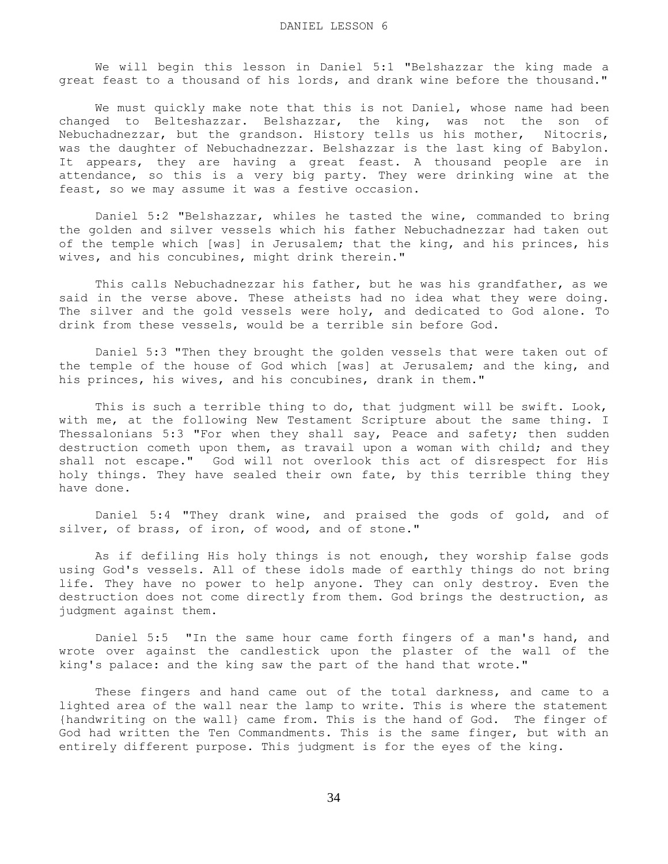We will begin this lesson in Daniel 5:1 "Belshazzar the king made a great feast to a thousand of his lords, and drank wine before the thousand."

We must quickly make note that this is not Daniel, whose name had been changed to Belteshazzar. Belshazzar, the king, was not the son of Nebuchadnezzar, but the grandson. History tells us his mother, Nitocris, was the daughter of Nebuchadnezzar. Belshazzar is the last king of Babylon. It appears, they are having a great feast. A thousand people are in attendance, so this is a very big party. They were drinking wine at the feast, so we may assume it was a festive occasion.

 Daniel 5:2 "Belshazzar, whiles he tasted the wine, commanded to bring the golden and silver vessels which his father Nebuchadnezzar had taken out of the temple which [was] in Jerusalem; that the king, and his princes, his wives, and his concubines, might drink therein."

 This calls Nebuchadnezzar his father, but he was his grandfather, as we said in the verse above. These atheists had no idea what they were doing. The silver and the gold vessels were holy, and dedicated to God alone. To drink from these vessels, would be a terrible sin before God.

 Daniel 5:3 "Then they brought the golden vessels that were taken out of the temple of the house of God which [was] at Jerusalem; and the king, and his princes, his wives, and his concubines, drank in them."

 This is such a terrible thing to do, that judgment will be swift. Look, with me, at the following New Testament Scripture about the same thing. I Thessalonians 5:3 "For when they shall say, Peace and safety; then sudden destruction cometh upon them, as travail upon a woman with child; and they shall not escape." God will not overlook this act of disrespect for His holy things. They have sealed their own fate, by this terrible thing they have done.

 Daniel 5:4 "They drank wine, and praised the gods of gold, and of silver, of brass, of iron, of wood, and of stone."

 As if defiling His holy things is not enough, they worship false gods using God's vessels. All of these idols made of earthly things do not bring life. They have no power to help anyone. They can only destroy. Even the destruction does not come directly from them. God brings the destruction, as judgment against them.

 Daniel 5:5 "In the same hour came forth fingers of a man's hand, and wrote over against the candlestick upon the plaster of the wall of the king's palace: and the king saw the part of the hand that wrote."

 These fingers and hand came out of the total darkness, and came to a lighted area of the wall near the lamp to write. This is where the statement {handwriting on the wall} came from. This is the hand of God. The finger of God had written the Ten Commandments. This is the same finger, but with an entirely different purpose. This judgment is for the eyes of the king.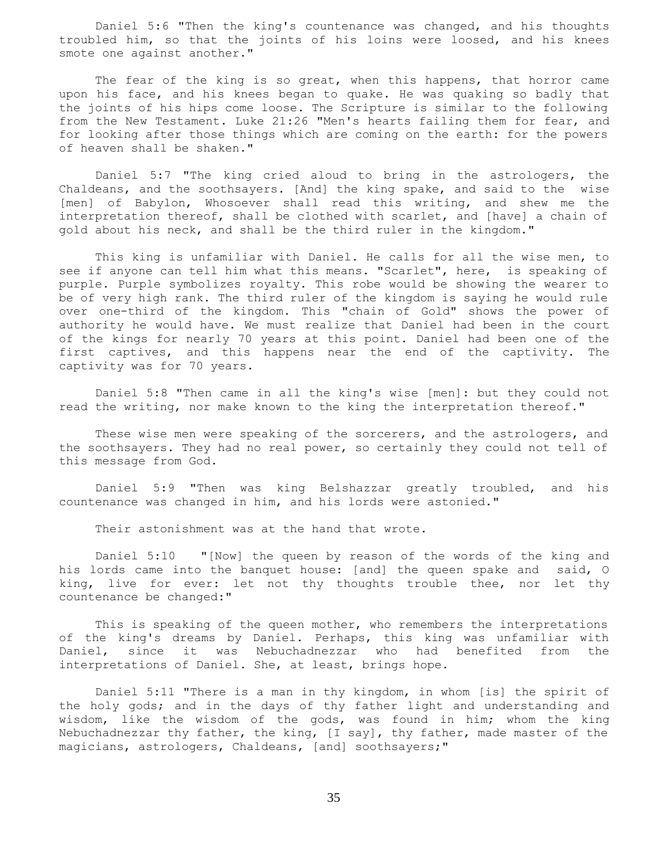Daniel 5:6 "Then the king's countenance was changed, and his thoughts troubled him, so that the joints of his loins were loosed, and his knees smote one against another."

The fear of the king is so great, when this happens, that horror came upon his face, and his knees began to quake. He was quaking so badly that the joints of his hips come loose. The Scripture is similar to the following from the New Testament. Luke 21:26 "Men's hearts failing them for fear, and for looking after those things which are coming on the earth: for the powers of heaven shall be shaken."

 Daniel 5:7 "The king cried aloud to bring in the astrologers, the Chaldeans, and the soothsayers. [And] the king spake, and said to the wise [men] of Babylon, Whosoever shall read this writing, and shew me the interpretation thereof, shall be clothed with scarlet, and [have] a chain of gold about his neck, and shall be the third ruler in the kingdom."

 This king is unfamiliar with Daniel. He calls for all the wise men, to see if anyone can tell him what this means. "Scarlet", here, is speaking of purple. Purple symbolizes royalty. This robe would be showing the wearer to be of very high rank. The third ruler of the kingdom is saying he would rule over one-third of the kingdom. This "chain of Gold" shows the power of authority he would have. We must realize that Daniel had been in the court of the kings for nearly 70 years at this point. Daniel had been one of the first captives, and this happens near the end of the captivity. The captivity was for 70 years.

 Daniel 5:8 "Then came in all the king's wise [men]: but they could not read the writing, nor make known to the king the interpretation thereof."

 These wise men were speaking of the sorcerers, and the astrologers, and the soothsayers. They had no real power, so certainly they could not tell of this message from God.

 Daniel 5:9 "Then was king Belshazzar greatly troubled, and his countenance was changed in him, and his lords were astonied."

Their astonishment was at the hand that wrote.

 Daniel 5:10 "[Now] the queen by reason of the words of the king and his lords came into the banquet house: [and] the queen spake and said, O king, live for ever: let not thy thoughts trouble thee, nor let thy countenance be changed:"

 This is speaking of the queen mother, who remembers the interpretations of the king's dreams by Daniel. Perhaps, this king was unfamiliar with Daniel, since it was Nebuchadnezzar who had benefited from the interpretations of Daniel. She, at least, brings hope.

 Daniel 5:11 "There is a man in thy kingdom, in whom [is] the spirit of the holy gods; and in the days of thy father light and understanding and wisdom, like the wisdom of the gods, was found in him; whom the king Nebuchadnezzar thy father, the king, [I say], thy father, made master of the magicians, astrologers, Chaldeans, [and] soothsayers;"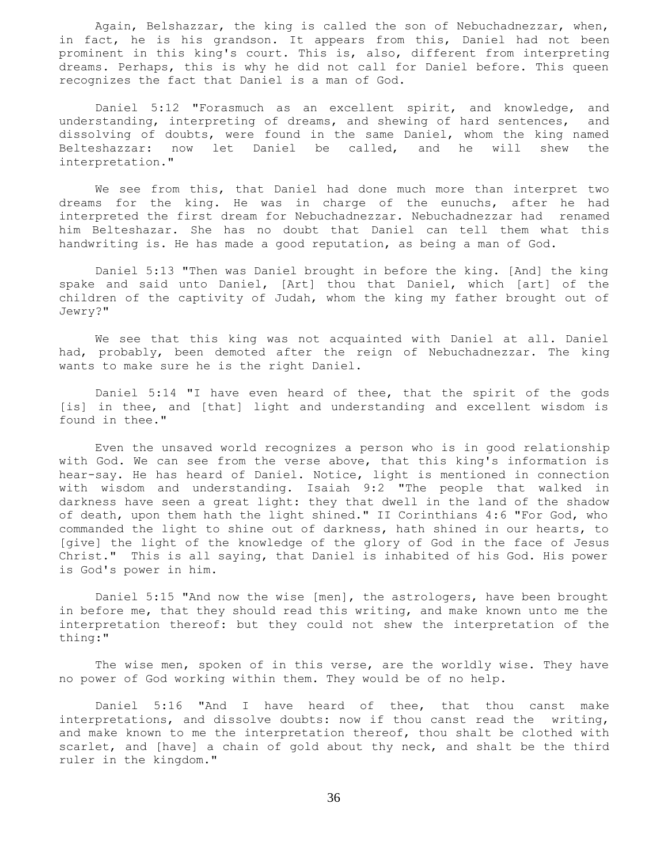Again, Belshazzar, the king is called the son of Nebuchadnezzar, when, in fact, he is his grandson. It appears from this, Daniel had not been prominent in this king's court. This is, also, different from interpreting dreams. Perhaps, this is why he did not call for Daniel before. This queen recognizes the fact that Daniel is a man of God.

 Daniel 5:12 "Forasmuch as an excellent spirit, and knowledge, and understanding, interpreting of dreams, and shewing of hard sentences, and dissolving of doubts, were found in the same Daniel, whom the king named Belteshazzar: now let Daniel be called, and he will shew the interpretation."

 We see from this, that Daniel had done much more than interpret two dreams for the king. He was in charge of the eunuchs, after he had interpreted the first dream for Nebuchadnezzar. Nebuchadnezzar had renamed him Belteshazar. She has no doubt that Daniel can tell them what this handwriting is. He has made a good reputation, as being a man of God.

 Daniel 5:13 "Then was Daniel brought in before the king. [And] the king spake and said unto Daniel, [Art] thou that Daniel, which [art] of the children of the captivity of Judah, whom the king my father brought out of Jewry?"

 We see that this king was not acquainted with Daniel at all. Daniel had, probably, been demoted after the reign of Nebuchadnezzar. The king wants to make sure he is the right Daniel.

 Daniel 5:14 "I have even heard of thee, that the spirit of the gods [is] in thee, and [that] light and understanding and excellent wisdom is found in thee."

 Even the unsaved world recognizes a person who is in good relationship with God. We can see from the verse above, that this king's information is hear-say. He has heard of Daniel. Notice, light is mentioned in connection with wisdom and understanding. Isaiah 9:2 "The people that walked in darkness have seen a great light: they that dwell in the land of the shadow of death, upon them hath the light shined." II Corinthians 4:6 "For God, who commanded the light to shine out of darkness, hath shined in our hearts, to [give] the light of the knowledge of the glory of God in the face of Jesus Christ." This is all saying, that Daniel is inhabited of his God. His power is God's power in him.

 Daniel 5:15 "And now the wise [men], the astrologers, have been brought in before me, that they should read this writing, and make known unto me the interpretation thereof: but they could not shew the interpretation of the thing:"

The wise men, spoken of in this verse, are the worldly wise. They have no power of God working within them. They would be of no help.

 Daniel 5:16 "And I have heard of thee, that thou canst make interpretations, and dissolve doubts: now if thou canst read the writing, and make known to me the interpretation thereof, thou shalt be clothed with scarlet, and [have] a chain of gold about thy neck, and shalt be the third ruler in the kingdom."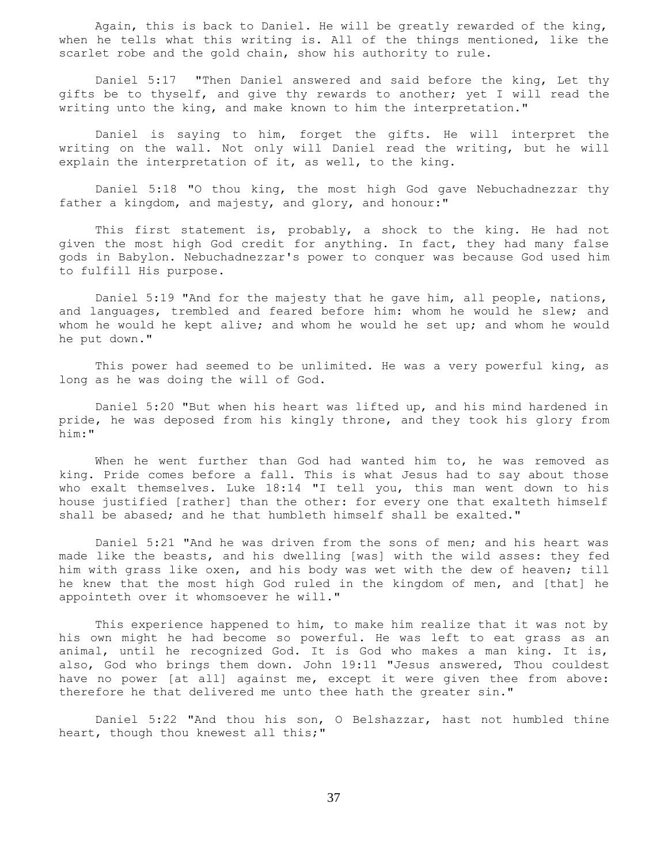Again, this is back to Daniel. He will be greatly rewarded of the king, when he tells what this writing is. All of the things mentioned, like the scarlet robe and the gold chain, show his authority to rule.

 Daniel 5:17 "Then Daniel answered and said before the king, Let thy gifts be to thyself, and give thy rewards to another; yet I will read the writing unto the king, and make known to him the interpretation."

 Daniel is saying to him, forget the gifts. He will interpret the writing on the wall. Not only will Daniel read the writing, but he will explain the interpretation of it, as well, to the king.

 Daniel 5:18 "O thou king, the most high God gave Nebuchadnezzar thy father a kingdom, and majesty, and glory, and honour:"

This first statement is, probably, a shock to the king. He had not given the most high God credit for anything. In fact, they had many false gods in Babylon. Nebuchadnezzar's power to conquer was because God used him to fulfill His purpose.

 Daniel 5:19 "And for the majesty that he gave him, all people, nations, and languages, trembled and feared before him: whom he would he slew; and whom he would he kept alive; and whom he would he set up; and whom he would he put down."

 This power had seemed to be unlimited. He was a very powerful king, as long as he was doing the will of God.

 Daniel 5:20 "But when his heart was lifted up, and his mind hardened in pride, he was deposed from his kingly throne, and they took his glory from him:"

 When he went further than God had wanted him to, he was removed as king. Pride comes before a fall. This is what Jesus had to say about those who exalt themselves. Luke 18:14 "I tell you, this man went down to his house justified [rather] than the other: for every one that exalteth himself shall be abased; and he that humbleth himself shall be exalted."

 Daniel 5:21 "And he was driven from the sons of men; and his heart was made like the beasts, and his dwelling [was] with the wild asses: they fed him with grass like oxen, and his body was wet with the dew of heaven; till he knew that the most high God ruled in the kingdom of men, and [that] he appointeth over it whomsoever he will."

 This experience happened to him, to make him realize that it was not by his own might he had become so powerful. He was left to eat grass as an animal, until he recognized God. It is God who makes a man king. It is, also, God who brings them down. John 19:11 "Jesus answered, Thou couldest have no power [at all] against me, except it were given thee from above: therefore he that delivered me unto thee hath the greater sin."

 Daniel 5:22 "And thou his son, O Belshazzar, hast not humbled thine heart, though thou knewest all this;"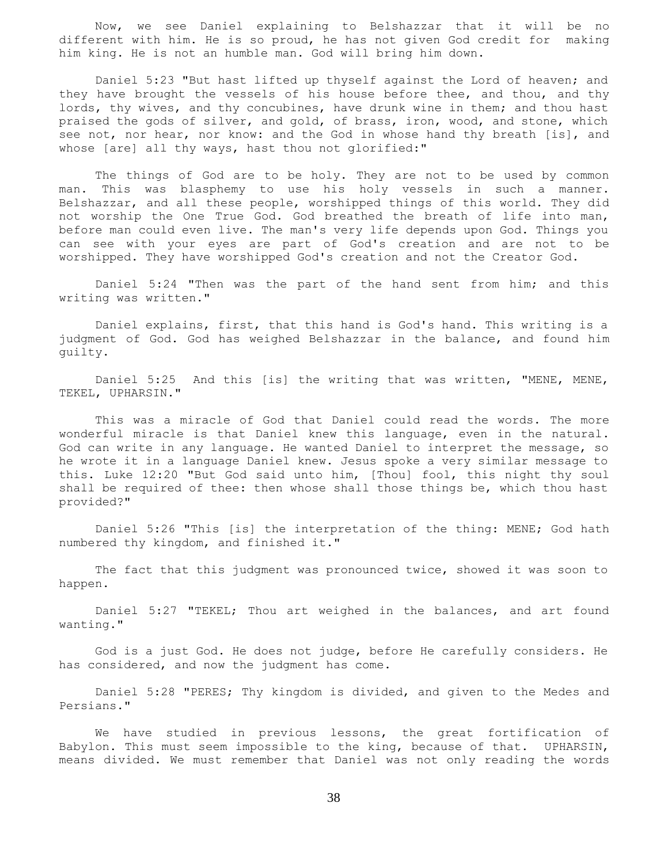Now, we see Daniel explaining to Belshazzar that it will be no different with him. He is so proud, he has not given God credit for making him king. He is not an humble man. God will bring him down.

 Daniel 5:23 "But hast lifted up thyself against the Lord of heaven; and they have brought the vessels of his house before thee, and thou, and thy lords, thy wives, and thy concubines, have drunk wine in them; and thou hast praised the gods of silver, and gold, of brass, iron, wood, and stone, which see not, nor hear, nor know: and the God in whose hand thy breath [is], and whose [are] all thy ways, hast thou not glorified:"

 The things of God are to be holy. They are not to be used by common man. This was blasphemy to use his holy vessels in such a manner. Belshazzar, and all these people, worshipped things of this world. They did not worship the One True God. God breathed the breath of life into man, before man could even live. The man's very life depends upon God. Things you can see with your eyes are part of God's creation and are not to be worshipped. They have worshipped God's creation and not the Creator God.

 Daniel 5:24 "Then was the part of the hand sent from him; and this writing was written."

 Daniel explains, first, that this hand is God's hand. This writing is a judgment of God. God has weighed Belshazzar in the balance, and found him guilty.

Daniel 5:25 And this [is] the writing that was written, "MENE, MENE, TEKEL, UPHARSIN."

 This was a miracle of God that Daniel could read the words. The more wonderful miracle is that Daniel knew this language, even in the natural. God can write in any language. He wanted Daniel to interpret the message, so he wrote it in a language Daniel knew. Jesus spoke a very similar message to this. Luke 12:20 "But God said unto him, [Thou] fool, this night thy soul shall be required of thee: then whose shall those things be, which thou hast provided?"

 Daniel 5:26 "This [is] the interpretation of the thing: MENE; God hath numbered thy kingdom, and finished it."

 The fact that this judgment was pronounced twice, showed it was soon to happen.

 Daniel 5:27 "TEKEL; Thou art weighed in the balances, and art found wanting."

 God is a just God. He does not judge, before He carefully considers. He has considered, and now the judgment has come.

 Daniel 5:28 "PERES; Thy kingdom is divided, and given to the Medes and Persians."

 We have studied in previous lessons, the great fortification of Babylon. This must seem impossible to the king, because of that. UPHARSIN, means divided. We must remember that Daniel was not only reading the words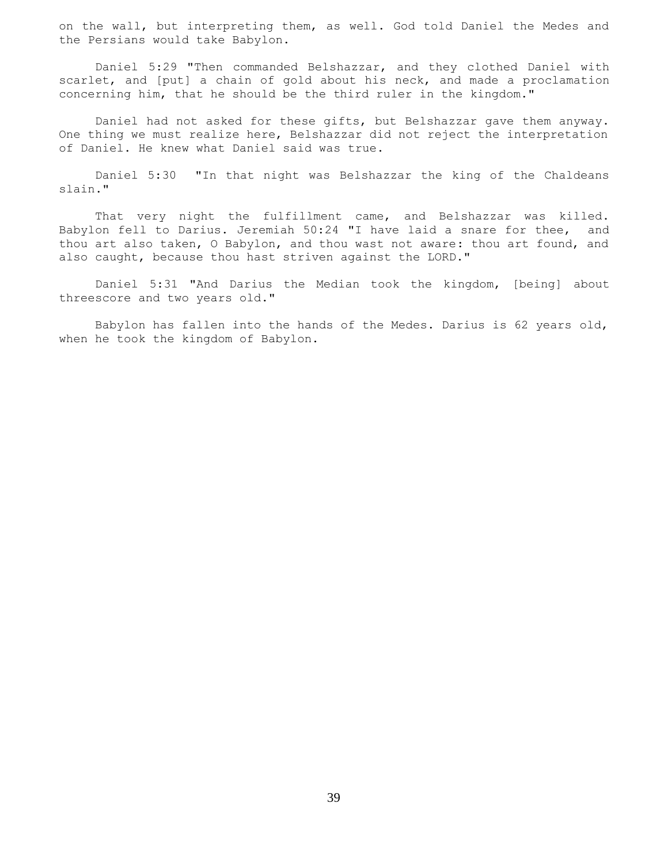on the wall, but interpreting them, as well. God told Daniel the Medes and the Persians would take Babylon.

 Daniel 5:29 "Then commanded Belshazzar, and they clothed Daniel with scarlet, and [put] a chain of gold about his neck, and made a proclamation concerning him, that he should be the third ruler in the kingdom."

 Daniel had not asked for these gifts, but Belshazzar gave them anyway. One thing we must realize here, Belshazzar did not reject the interpretation of Daniel. He knew what Daniel said was true.

 Daniel 5:30 "In that night was Belshazzar the king of the Chaldeans slain."

 That very night the fulfillment came, and Belshazzar was killed. Babylon fell to Darius. Jeremiah 50:24 "I have laid a snare for thee, and thou art also taken, O Babylon, and thou wast not aware: thou art found, and also caught, because thou hast striven against the LORD."

 Daniel 5:31 "And Darius the Median took the kingdom, [being] about threescore and two years old."

 Babylon has fallen into the hands of the Medes. Darius is 62 years old, when he took the kingdom of Babylon.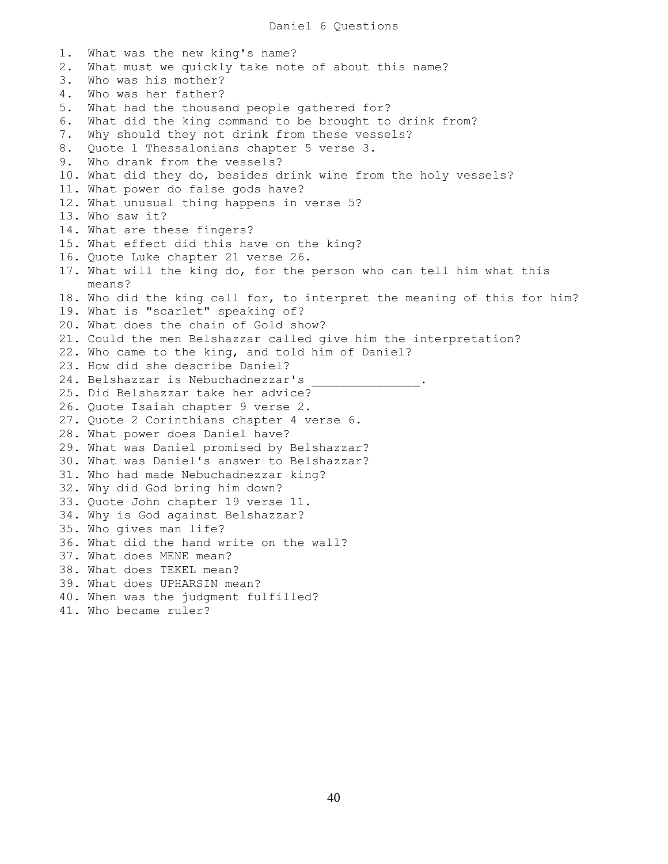1. What was the new king's name? 2. What must we quickly take note of about this name? 3. Who was his mother? 4. Who was her father? 5. What had the thousand people gathered for? 6. What did the king command to be brought to drink from? 7. Why should they not drink from these vessels? 8. Quote 1 Thessalonians chapter 5 verse 3. 9. Who drank from the vessels? 10. What did they do, besides drink wine from the holy vessels? 11. What power do false gods have? 12. What unusual thing happens in verse 5? 13. Who saw it? 14. What are these fingers? 15. What effect did this have on the king? 16. Quote Luke chapter 21 verse 26. 17. What will the king do, for the person who can tell him what this means? 18. Who did the king call for, to interpret the meaning of this for him? 19. What is "scarlet" speaking of? 20. What does the chain of Gold show? 21. Could the men Belshazzar called give him the interpretation? 22. Who came to the king, and told him of Daniel? 23. How did she describe Daniel? 24. Belshazzar is Nebuchadnezzar's 25. Did Belshazzar take her advice? 26. Quote Isaiah chapter 9 verse 2. 27. Quote 2 Corinthians chapter 4 verse 6. 28. What power does Daniel have? 29. What was Daniel promised by Belshazzar? 30. What was Daniel's answer to Belshazzar? 31. Who had made Nebuchadnezzar king? 32. Why did God bring him down? 33. Quote John chapter 19 verse 11. 34. Why is God against Belshazzar? 35. Who gives man life? 36. What did the hand write on the wall? 37. What does MENE mean? 38. What does TEKEL mean? 39. What does UPHARSIN mean? 40. When was the judgment fulfilled? 41. Who became ruler?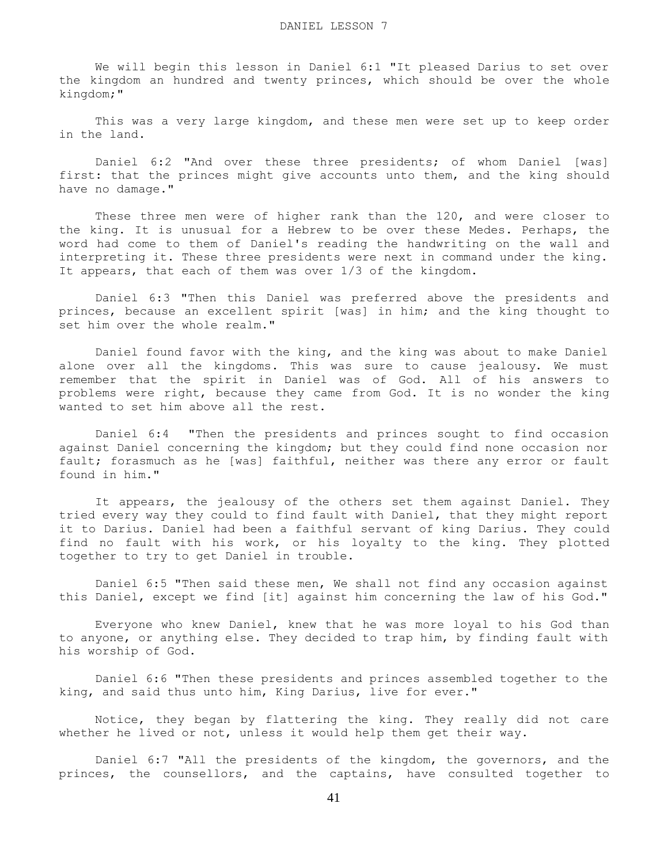We will begin this lesson in Daniel 6:1 "It pleased Darius to set over the kingdom an hundred and twenty princes, which should be over the whole kingdom;"

This was a very large kingdom, and these men were set up to keep order in the land.

 Daniel 6:2 "And over these three presidents; of whom Daniel [was] first: that the princes might give accounts unto them, and the king should have no damage."

 These three men were of higher rank than the 120, and were closer to the king. It is unusual for a Hebrew to be over these Medes. Perhaps, the word had come to them of Daniel's reading the handwriting on the wall and interpreting it. These three presidents were next in command under the king. It appears, that each of them was over 1/3 of the kingdom.

 Daniel 6:3 "Then this Daniel was preferred above the presidents and princes, because an excellent spirit [was] in him; and the king thought to set him over the whole realm."

 Daniel found favor with the king, and the king was about to make Daniel alone over all the kingdoms. This was sure to cause jealousy. We must remember that the spirit in Daniel was of God. All of his answers to problems were right, because they came from God. It is no wonder the king wanted to set him above all the rest.

 Daniel 6:4 "Then the presidents and princes sought to find occasion against Daniel concerning the kingdom; but they could find none occasion nor fault; forasmuch as he [was] faithful, neither was there any error or fault found in him."

 It appears, the jealousy of the others set them against Daniel. They tried every way they could to find fault with Daniel, that they might report it to Darius. Daniel had been a faithful servant of king Darius. They could find no fault with his work, or his loyalty to the king. They plotted together to try to get Daniel in trouble.

 Daniel 6:5 "Then said these men, We shall not find any occasion against this Daniel, except we find [it] against him concerning the law of his God."

 Everyone who knew Daniel, knew that he was more loyal to his God than to anyone, or anything else. They decided to trap him, by finding fault with his worship of God.

 Daniel 6:6 "Then these presidents and princes assembled together to the king, and said thus unto him, King Darius, live for ever."

 Notice, they began by flattering the king. They really did not care whether he lived or not, unless it would help them get their way.

 Daniel 6:7 "All the presidents of the kingdom, the governors, and the princes, the counsellors, and the captains, have consulted together to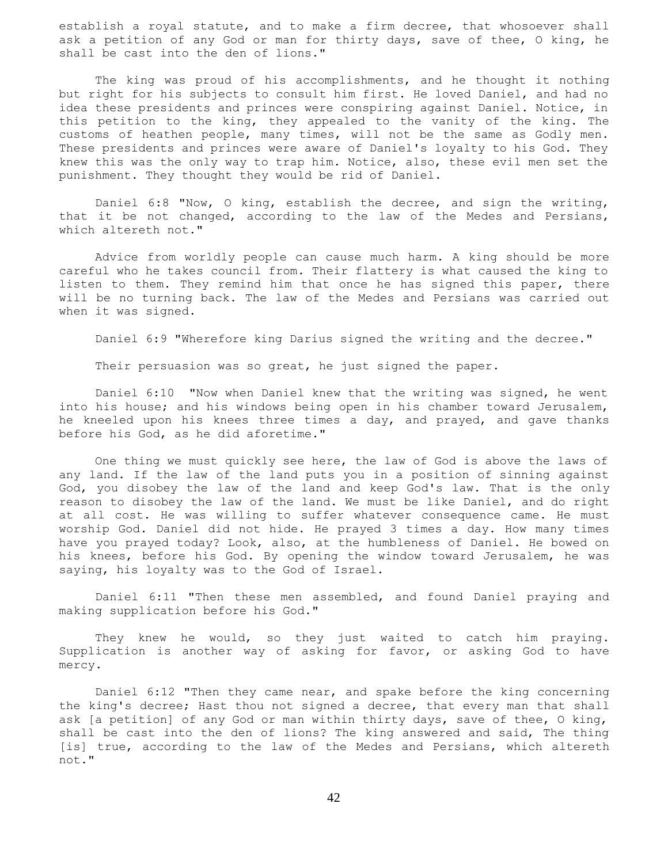establish a royal statute, and to make a firm decree, that whosoever shall ask a petition of any God or man for thirty days, save of thee, O king, he shall be cast into the den of lions."

 The king was proud of his accomplishments, and he thought it nothing but right for his subjects to consult him first. He loved Daniel, and had no idea these presidents and princes were conspiring against Daniel. Notice, in this petition to the king, they appealed to the vanity of the king. The customs of heathen people, many times, will not be the same as Godly men. These presidents and princes were aware of Daniel's loyalty to his God. They knew this was the only way to trap him. Notice, also, these evil men set the punishment. They thought they would be rid of Daniel.

 Daniel 6:8 "Now, O king, establish the decree, and sign the writing, that it be not changed, according to the law of the Medes and Persians, which altereth not."

 Advice from worldly people can cause much harm. A king should be more careful who he takes council from. Their flattery is what caused the king to listen to them. They remind him that once he has signed this paper, there will be no turning back. The law of the Medes and Persians was carried out when it was signed.

Daniel 6:9 "Wherefore king Darius signed the writing and the decree."

Their persuasion was so great, he just signed the paper.

 Daniel 6:10 "Now when Daniel knew that the writing was signed, he went into his house; and his windows being open in his chamber toward Jerusalem, he kneeled upon his knees three times a day, and prayed, and gave thanks before his God, as he did aforetime."

 One thing we must quickly see here, the law of God is above the laws of any land. If the law of the land puts you in a position of sinning against God, you disobey the law of the land and keep God's law. That is the only reason to disobey the law of the land. We must be like Daniel, and do right at all cost. He was willing to suffer whatever consequence came. He must worship God. Daniel did not hide. He prayed 3 times a day. How many times have you prayed today? Look, also, at the humbleness of Daniel. He bowed on his knees, before his God. By opening the window toward Jerusalem, he was saying, his loyalty was to the God of Israel.

 Daniel 6:11 "Then these men assembled, and found Daniel praying and making supplication before his God."

 They knew he would, so they just waited to catch him praying. Supplication is another way of asking for favor, or asking God to have mercy.

 Daniel 6:12 "Then they came near, and spake before the king concerning the king's decree; Hast thou not signed a decree, that every man that shall ask [a petition] of any God or man within thirty days, save of thee, O king, shall be cast into the den of lions? The king answered and said, The thing [is] true, according to the law of the Medes and Persians, which altereth not."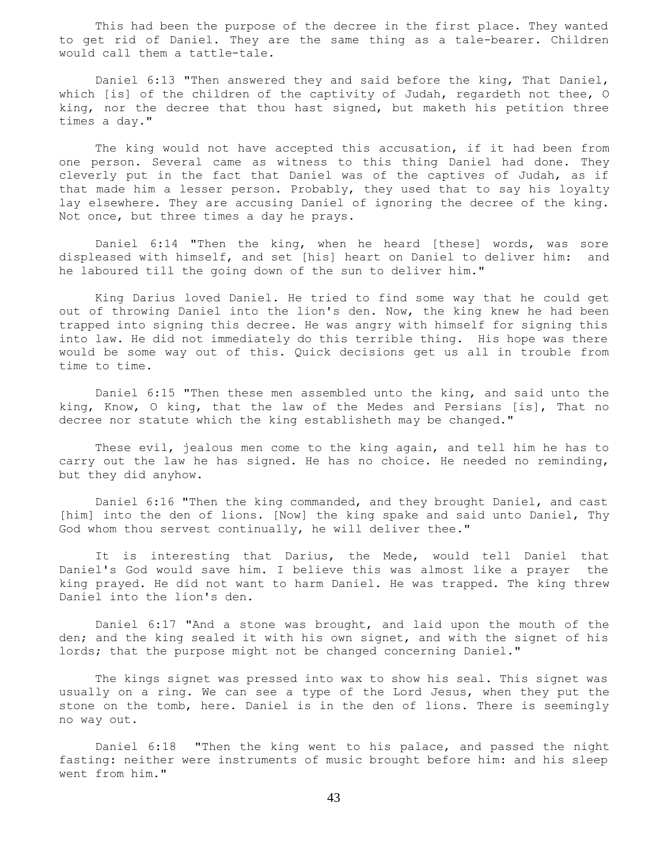This had been the purpose of the decree in the first place. They wanted to get rid of Daniel. They are the same thing as a tale-bearer. Children would call them a tattle-tale.

 Daniel 6:13 "Then answered they and said before the king, That Daniel, which [is] of the children of the captivity of Judah, regardeth not thee, O king, nor the decree that thou hast signed, but maketh his petition three times a day."

 The king would not have accepted this accusation, if it had been from one person. Several came as witness to this thing Daniel had done. They cleverly put in the fact that Daniel was of the captives of Judah, as if that made him a lesser person. Probably, they used that to say his loyalty lay elsewhere. They are accusing Daniel of ignoring the decree of the king. Not once, but three times a day he prays.

 Daniel 6:14 "Then the king, when he heard [these] words, was sore displeased with himself, and set [his] heart on Daniel to deliver him: and he laboured till the going down of the sun to deliver him."

 King Darius loved Daniel. He tried to find some way that he could get out of throwing Daniel into the lion's den. Now, the king knew he had been trapped into signing this decree. He was angry with himself for signing this into law. He did not immediately do this terrible thing. His hope was there would be some way out of this. Quick decisions get us all in trouble from time to time.

 Daniel 6:15 "Then these men assembled unto the king, and said unto the king, Know, O king, that the law of the Medes and Persians [is], That no decree nor statute which the king establisheth may be changed."

 These evil, jealous men come to the king again, and tell him he has to carry out the law he has signed. He has no choice. He needed no reminding, but they did anyhow.

 Daniel 6:16 "Then the king commanded, and they brought Daniel, and cast [him] into the den of lions. [Now] the king spake and said unto Daniel, Thy God whom thou servest continually, he will deliver thee."

 It is interesting that Darius, the Mede, would tell Daniel that Daniel's God would save him. I believe this was almost like a prayer the king prayed. He did not want to harm Daniel. He was trapped. The king threw Daniel into the lion's den.

 Daniel 6:17 "And a stone was brought, and laid upon the mouth of the den; and the king sealed it with his own signet, and with the signet of his lords; that the purpose might not be changed concerning Daniel."

 The kings signet was pressed into wax to show his seal. This signet was usually on a ring. We can see a type of the Lord Jesus, when they put the stone on the tomb, here. Daniel is in the den of lions. There is seemingly no way out.

 Daniel 6:18 "Then the king went to his palace, and passed the night fasting: neither were instruments of music brought before him: and his sleep went from him."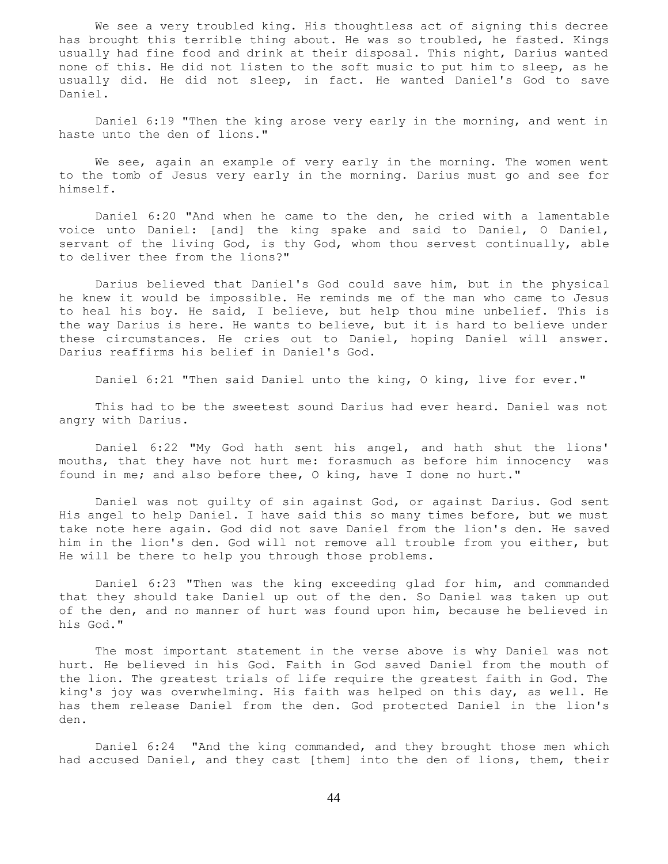We see a very troubled king. His thoughtless act of signing this decree has brought this terrible thing about. He was so troubled, he fasted. Kings usually had fine food and drink at their disposal. This night, Darius wanted none of this. He did not listen to the soft music to put him to sleep, as he usually did. He did not sleep, in fact. He wanted Daniel's God to save Daniel.

 Daniel 6:19 "Then the king arose very early in the morning, and went in haste unto the den of lions."

 We see, again an example of very early in the morning. The women went to the tomb of Jesus very early in the morning. Darius must go and see for himself.

 Daniel 6:20 "And when he came to the den, he cried with a lamentable voice unto Daniel: [and] the king spake and said to Daniel, O Daniel, servant of the living God, is thy God, whom thou servest continually, able to deliver thee from the lions?"

 Darius believed that Daniel's God could save him, but in the physical he knew it would be impossible. He reminds me of the man who came to Jesus to heal his boy. He said, I believe, but help thou mine unbelief. This is the way Darius is here. He wants to believe, but it is hard to believe under these circumstances. He cries out to Daniel, hoping Daniel will answer. Darius reaffirms his belief in Daniel's God.

Daniel 6:21 "Then said Daniel unto the king, O king, live for ever."

 This had to be the sweetest sound Darius had ever heard. Daniel was not angry with Darius.

 Daniel 6:22 "My God hath sent his angel, and hath shut the lions' mouths, that they have not hurt me: forasmuch as before him innocency was found in me; and also before thee, O king, have I done no hurt."

 Daniel was not guilty of sin against God, or against Darius. God sent His angel to help Daniel. I have said this so many times before, but we must take note here again. God did not save Daniel from the lion's den. He saved him in the lion's den. God will not remove all trouble from you either, but He will be there to help you through those problems.

 Daniel 6:23 "Then was the king exceeding glad for him, and commanded that they should take Daniel up out of the den. So Daniel was taken up out of the den, and no manner of hurt was found upon him, because he believed in his God."

 The most important statement in the verse above is why Daniel was not hurt. He believed in his God. Faith in God saved Daniel from the mouth of the lion. The greatest trials of life require the greatest faith in God. The king's joy was overwhelming. His faith was helped on this day, as well. He has them release Daniel from the den. God protected Daniel in the lion's den.

 Daniel 6:24 "And the king commanded, and they brought those men which had accused Daniel, and they cast [them] into the den of lions, them, their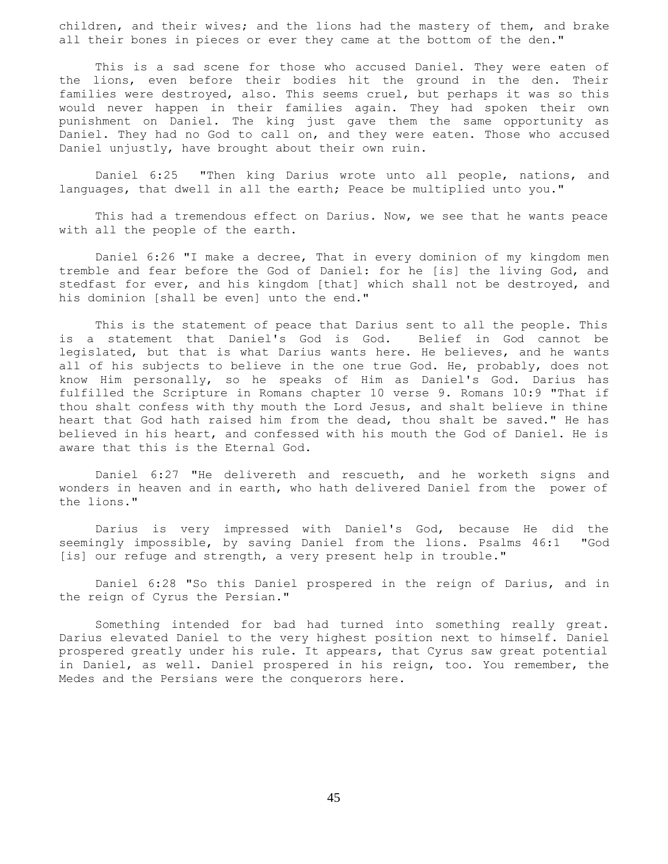children, and their wives; and the lions had the mastery of them, and brake all their bones in pieces or ever they came at the bottom of the den."

 This is a sad scene for those who accused Daniel. They were eaten of the lions, even before their bodies hit the ground in the den. Their families were destroyed, also. This seems cruel, but perhaps it was so this would never happen in their families again. They had spoken their own punishment on Daniel. The king just gave them the same opportunity as Daniel. They had no God to call on, and they were eaten. Those who accused Daniel unjustly, have brought about their own ruin.

 Daniel 6:25 "Then king Darius wrote unto all people, nations, and languages, that dwell in all the earth; Peace be multiplied unto you."

 This had a tremendous effect on Darius. Now, we see that he wants peace with all the people of the earth.

 Daniel 6:26 "I make a decree, That in every dominion of my kingdom men tremble and fear before the God of Daniel: for he [is] the living God, and stedfast for ever, and his kingdom [that] which shall not be destroyed, and his dominion [shall be even] unto the end."

 This is the statement of peace that Darius sent to all the people. This is a statement that Daniel's God is God. Belief in God cannot be legislated, but that is what Darius wants here. He believes, and he wants all of his subjects to believe in the one true God. He, probably, does not know Him personally, so he speaks of Him as Daniel's God. Darius has fulfilled the Scripture in Romans chapter 10 verse 9. Romans 10:9 "That if thou shalt confess with thy mouth the Lord Jesus, and shalt believe in thine heart that God hath raised him from the dead, thou shalt be saved." He has believed in his heart, and confessed with his mouth the God of Daniel. He is aware that this is the Eternal God.

 Daniel 6:27 "He delivereth and rescueth, and he worketh signs and wonders in heaven and in earth, who hath delivered Daniel from the power of the lions."

 Darius is very impressed with Daniel's God, because He did the seemingly impossible, by saving Daniel from the lions. Psalms 46:1 "God [is] our refuge and strength, a very present help in trouble."

 Daniel 6:28 "So this Daniel prospered in the reign of Darius, and in the reign of Cyrus the Persian."

 Something intended for bad had turned into something really great. Darius elevated Daniel to the very highest position next to himself. Daniel prospered greatly under his rule. It appears, that Cyrus saw great potential in Daniel, as well. Daniel prospered in his reign, too. You remember, the Medes and the Persians were the conquerors here.

45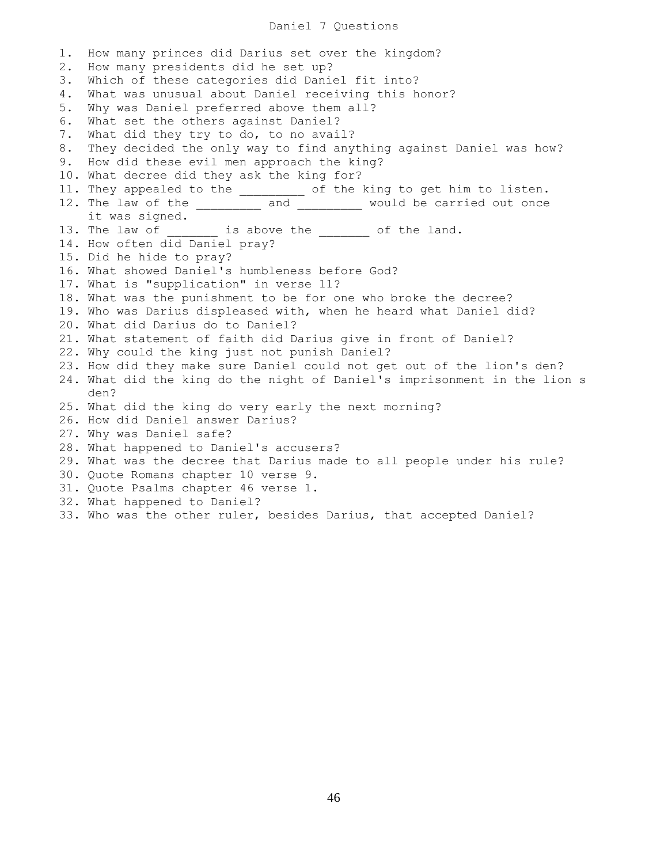## Daniel 7 Questions

1. How many princes did Darius set over the kingdom? 2. How many presidents did he set up? 3. Which of these categories did Daniel fit into? 4. What was unusual about Daniel receiving this honor? 5. Why was Daniel preferred above them all? 6. What set the others against Daniel? 7. What did they try to do, to no avail? 8. They decided the only way to find anything against Daniel was how? 9. How did these evil men approach the king? 10. What decree did they ask the king for? 11. They appealed to the entitled of the king to get him to listen. 12. The law of the \_\_\_\_\_\_\_\_\_ and \_\_\_\_\_\_\_\_\_ would be carried out once it was signed. 13. The law of \_\_\_\_\_\_\_\_ is above the \_\_\_\_\_\_\_ of the land. 14. How often did Daniel pray? 15. Did he hide to pray? 16. What showed Daniel's humbleness before God? 17. What is "supplication" in verse 11? 18. What was the punishment to be for one who broke the decree? 19. Who was Darius displeased with, when he heard what Daniel did? 20. What did Darius do to Daniel? 21. What statement of faith did Darius give in front of Daniel? 22. Why could the king just not punish Daniel? 23. How did they make sure Daniel could not get out of the lion's den? 24. What did the king do the night of Daniel's imprisonment in the lion's den? 25. What did the king do very early the next morning? 26. How did Daniel answer Darius? 27. Why was Daniel safe? 28. What happened to Daniel's accusers? 29. What was the decree that Darius made to all people under his rule? 30. Quote Romans chapter 10 verse 9. 31. Quote Psalms chapter 46 verse 1. 32. What happened to Daniel? 33. Who was the other ruler, besides Darius, that accepted Daniel?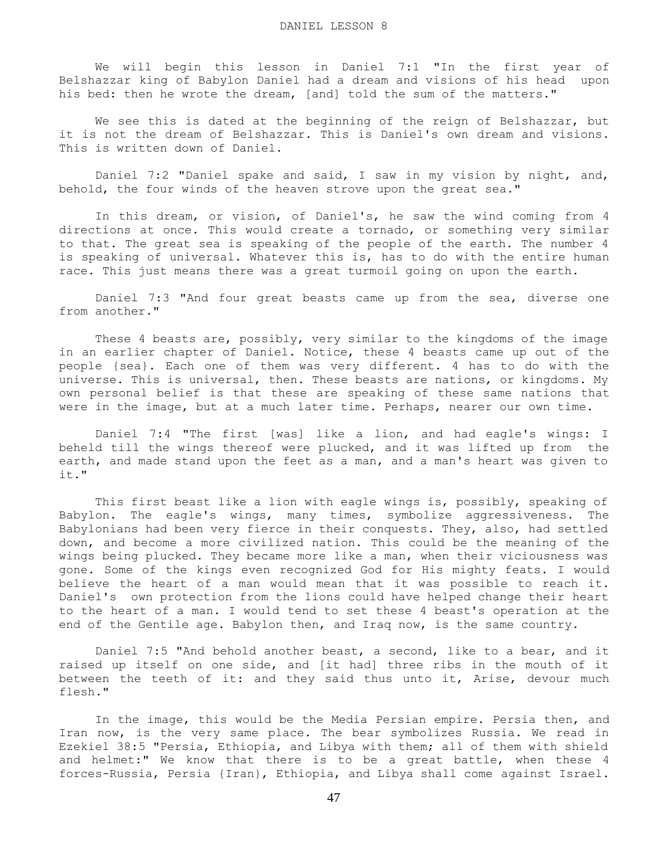We will begin this lesson in Daniel 7:1 "In the first year of Belshazzar king of Babylon Daniel had a dream and visions of his head upon his bed: then he wrote the dream, [and] told the sum of the matters."

 We see this is dated at the beginning of the reign of Belshazzar, but it is not the dream of Belshazzar. This is Daniel's own dream and visions. This is written down of Daniel.

 Daniel 7:2 "Daniel spake and said, I saw in my vision by night, and, behold, the four winds of the heaven strove upon the great sea."

 In this dream, or vision, of Daniel's, he saw the wind coming from 4 directions at once. This would create a tornado, or something very similar to that. The great sea is speaking of the people of the earth. The number 4 is speaking of universal. Whatever this is, has to do with the entire human race. This just means there was a great turmoil going on upon the earth.

 Daniel 7:3 "And four great beasts came up from the sea, diverse one from another."

 These 4 beasts are, possibly, very similar to the kingdoms of the image in an earlier chapter of Daniel. Notice, these 4 beasts came up out of the people {sea}. Each one of them was very different. 4 has to do with the universe. This is universal, then. These beasts are nations, or kingdoms. My own personal belief is that these are speaking of these same nations that were in the image, but at a much later time. Perhaps, nearer our own time.

 Daniel 7:4 "The first [was] like a lion, and had eagle's wings: I beheld till the wings thereof were plucked, and it was lifted up from the earth, and made stand upon the feet as a man, and a man's heart was given to it."

 This first beast like a lion with eagle wings is, possibly, speaking of Babylon. The eagle's wings, many times, symbolize aggressiveness. The Babylonians had been very fierce in their conquests. They, also, had settled down, and become a more civilized nation. This could be the meaning of the wings being plucked. They became more like a man, when their viciousness was gone. Some of the kings even recognized God for His mighty feats. I would believe the heart of a man would mean that it was possible to reach it. Daniel's own protection from the lions could have helped change their heart to the heart of a man. I would tend to set these 4 beast's operation at the end of the Gentile age. Babylon then, and Iraq now, is the same country.

 Daniel 7:5 "And behold another beast, a second, like to a bear, and it raised up itself on one side, and [it had] three ribs in the mouth of it between the teeth of it: and they said thus unto it, Arise, devour much flesh."

 In the image, this would be the Media Persian empire. Persia then, and Iran now, is the very same place. The bear symbolizes Russia. We read in Ezekiel 38:5 "Persia, Ethiopia, and Libya with them; all of them with shield and helmet:" We know that there is to be a great battle, when these 4 forces-Russia, Persia {Iran}, Ethiopia, and Libya shall come against Israel.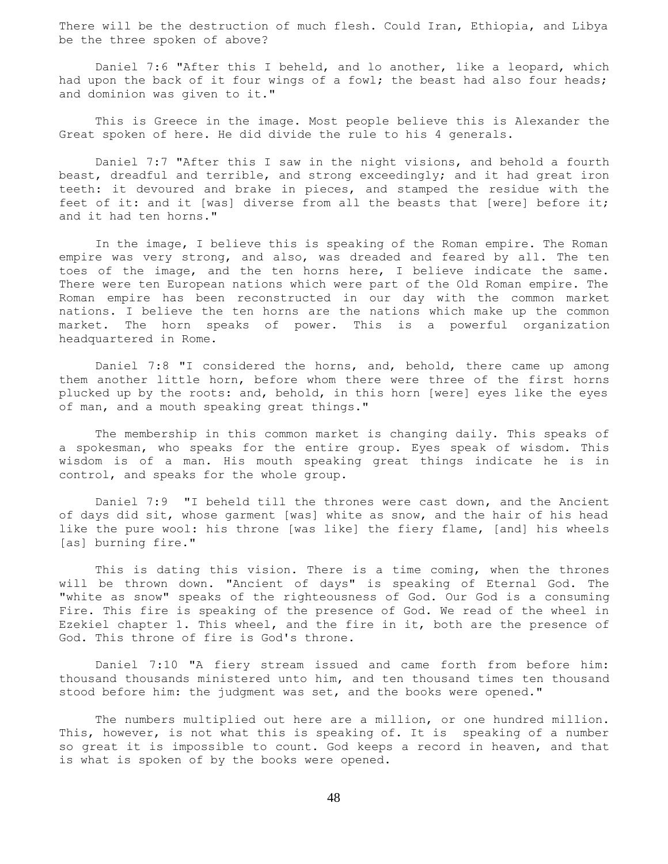There will be the destruction of much flesh. Could Iran, Ethiopia, and Libya be the three spoken of above?

 Daniel 7:6 "After this I beheld, and lo another, like a leopard, which had upon the back of it four wings of a fowl; the beast had also four heads; and dominion was given to it."

 This is Greece in the image. Most people believe this is Alexander the Great spoken of here. He did divide the rule to his 4 generals.

 Daniel 7:7 "After this I saw in the night visions, and behold a fourth beast, dreadful and terrible, and strong exceedingly; and it had great iron teeth: it devoured and brake in pieces, and stamped the residue with the feet of it: and it [was] diverse from all the beasts that [were] before it; and it had ten horns."

 In the image, I believe this is speaking of the Roman empire. The Roman empire was very strong, and also, was dreaded and feared by all. The ten toes of the image, and the ten horns here, I believe indicate the same. There were ten European nations which were part of the Old Roman empire. The Roman empire has been reconstructed in our day with the common market nations. I believe the ten horns are the nations which make up the common market. The horn speaks of power. This is a powerful organization headquartered in Rome.

 Daniel 7:8 "I considered the horns, and, behold, there came up among them another little horn, before whom there were three of the first horns plucked up by the roots: and, behold, in this horn [were] eyes like the eyes of man, and a mouth speaking great things."

 The membership in this common market is changing daily. This speaks of a spokesman, who speaks for the entire group. Eyes speak of wisdom. This wisdom is of a man. His mouth speaking great things indicate he is in control, and speaks for the whole group.

 Daniel 7:9 "I beheld till the thrones were cast down, and the Ancient of days did sit, whose garment [was] white as snow, and the hair of his head like the pure wool: his throne [was like] the fiery flame, [and] his wheels [as] burning fire."

This is dating this vision. There is a time coming, when the thrones will be thrown down. "Ancient of days" is speaking of Eternal God. The "white as snow" speaks of the righteousness of God. Our God is a consuming Fire. This fire is speaking of the presence of God. We read of the wheel in Ezekiel chapter 1. This wheel, and the fire in it, both are the presence of God. This throne of fire is God's throne.

 Daniel 7:10 "A fiery stream issued and came forth from before him: thousand thousands ministered unto him, and ten thousand times ten thousand stood before him: the judgment was set, and the books were opened."

The numbers multiplied out here are a million, or one hundred million. This, however, is not what this is speaking of. It is speaking of a number so great it is impossible to count. God keeps a record in heaven, and that is what is spoken of by the books were opened.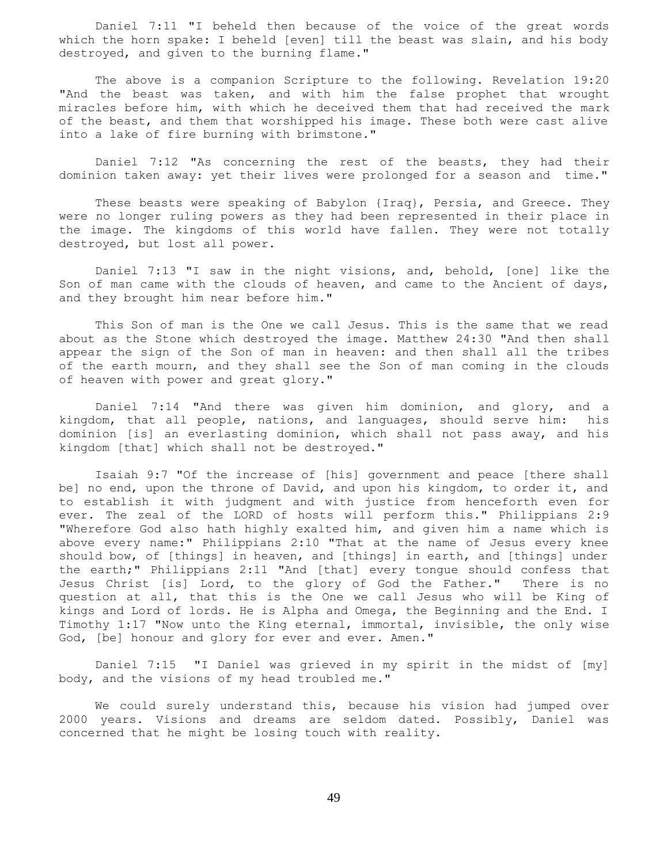Daniel 7:11 "I beheld then because of the voice of the great words which the horn spake: I beheld [even] till the beast was slain, and his body destroyed, and given to the burning flame."

 The above is a companion Scripture to the following. Revelation 19:20 "And the beast was taken, and with him the false prophet that wrought miracles before him, with which he deceived them that had received the mark of the beast, and them that worshipped his image. These both were cast alive into a lake of fire burning with brimstone."

 Daniel 7:12 "As concerning the rest of the beasts, they had their dominion taken away: yet their lives were prolonged for a season and time."

 These beasts were speaking of Babylon {Iraq}, Persia, and Greece. They were no longer ruling powers as they had been represented in their place in the image. The kingdoms of this world have fallen. They were not totally destroyed, but lost all power.

 Daniel 7:13 "I saw in the night visions, and, behold, [one] like the Son of man came with the clouds of heaven, and came to the Ancient of days, and they brought him near before him."

 This Son of man is the One we call Jesus. This is the same that we read about as the Stone which destroyed the image. Matthew 24:30 "And then shall appear the sign of the Son of man in heaven: and then shall all the tribes of the earth mourn, and they shall see the Son of man coming in the clouds of heaven with power and great glory."

 Daniel 7:14 "And there was given him dominion, and glory, and a kingdom, that all people, nations, and languages, should serve him: his dominion [is] an everlasting dominion, which shall not pass away, and his kingdom [that] which shall not be destroyed."

 Isaiah 9:7 "Of the increase of [his] government and peace [there shall be] no end, upon the throne of David, and upon his kingdom, to order it, and to establish it with judgment and with justice from henceforth even for ever. The zeal of the LORD of hosts will perform this." Philippians 2:9 "Wherefore God also hath highly exalted him, and given him a name which is above every name:" Philippians 2:10 "That at the name of Jesus every knee should bow, of [things] in heaven, and [things] in earth, and [things] under the earth;" Philippians 2:11 "And [that] every tongue should confess that Jesus Christ [is] Lord, to the glory of God the Father." There is no question at all, that this is the One we call Jesus who will be King of kings and Lord of lords. He is Alpha and Omega, the Beginning and the End. I Timothy 1:17 "Now unto the King eternal, immortal, invisible, the only wise God, [be] honour and glory for ever and ever. Amen."

 Daniel 7:15 "I Daniel was grieved in my spirit in the midst of [my] body, and the visions of my head troubled me."

 We could surely understand this, because his vision had jumped over 2000 years. Visions and dreams are seldom dated. Possibly, Daniel was concerned that he might be losing touch with reality.

49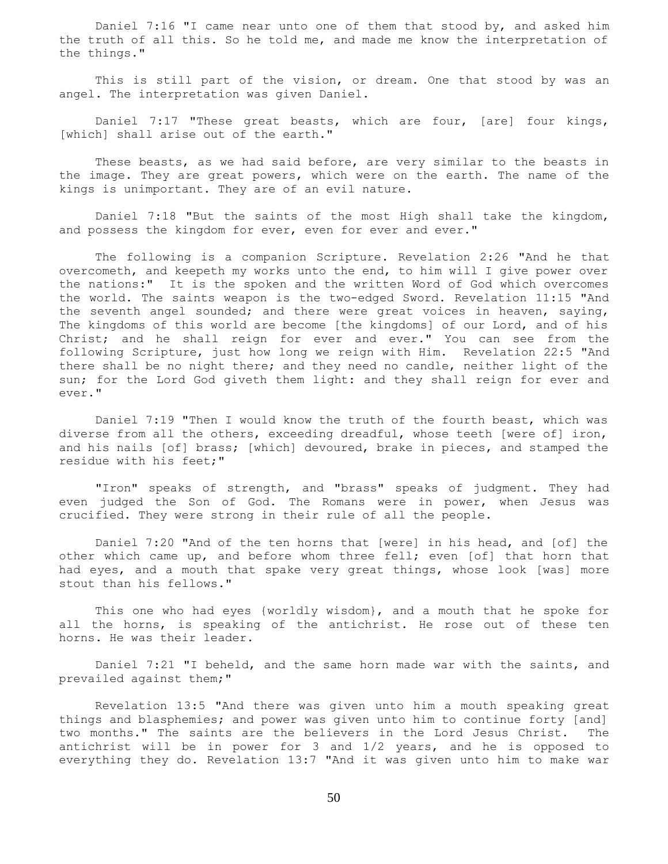Daniel 7:16 "I came near unto one of them that stood by, and asked him the truth of all this. So he told me, and made me know the interpretation of the things."

 This is still part of the vision, or dream. One that stood by was an angel. The interpretation was given Daniel.

 Daniel 7:17 "These great beasts, which are four, [are] four kings, [which] shall arise out of the earth."

 These beasts, as we had said before, are very similar to the beasts in the image. They are great powers, which were on the earth. The name of the kings is unimportant. They are of an evil nature.

 Daniel 7:18 "But the saints of the most High shall take the kingdom, and possess the kingdom for ever, even for ever and ever."

 The following is a companion Scripture. Revelation 2:26 "And he that overcometh, and keepeth my works unto the end, to him will I give power over the nations:" It is the spoken and the written Word of God which overcomes the world. The saints weapon is the two-edged Sword. Revelation 11:15 "And the seventh angel sounded; and there were great voices in heaven, saying, The kingdoms of this world are become [the kingdoms] of our Lord, and of his Christ; and he shall reign for ever and ever." You can see from the following Scripture, just how long we reign with Him. Revelation 22:5 "And there shall be no night there; and they need no candle, neither light of the sun; for the Lord God giveth them light: and they shall reign for ever and ever."

 Daniel 7:19 "Then I would know the truth of the fourth beast, which was diverse from all the others, exceeding dreadful, whose teeth [were of] iron, and his nails [of] brass; [which] devoured, brake in pieces, and stamped the residue with his feet;"

 "Iron" speaks of strength, and "brass" speaks of judgment. They had even judged the Son of God. The Romans were in power, when Jesus was crucified. They were strong in their rule of all the people.

 Daniel 7:20 "And of the ten horns that [were] in his head, and [of] the other which came up, and before whom three fell; even [of] that horn that had eyes, and a mouth that spake very great things, whose look [was] more stout than his fellows."

 This one who had eyes {worldly wisdom}, and a mouth that he spoke for all the horns, is speaking of the antichrist. He rose out of these ten horns. He was their leader.

 Daniel 7:21 "I beheld, and the same horn made war with the saints, and prevailed against them;"

 Revelation 13:5 "And there was given unto him a mouth speaking great things and blasphemies; and power was given unto him to continue forty [and] two months." The saints are the believers in the Lord Jesus Christ. The antichrist will be in power for 3 and 1/2 years, and he is opposed to everything they do. Revelation 13:7 "And it was given unto him to make war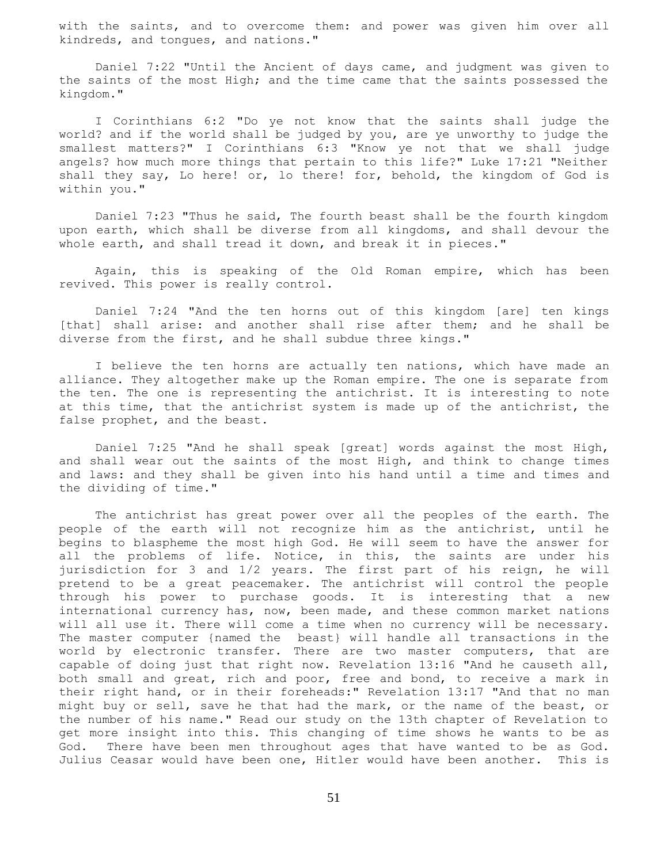with the saints, and to overcome them: and power was given him over all kindreds, and tongues, and nations."

 Daniel 7:22 "Until the Ancient of days came, and judgment was given to the saints of the most High; and the time came that the saints possessed the kingdom."

 I Corinthians 6:2 "Do ye not know that the saints shall judge the world? and if the world shall be judged by you, are ye unworthy to judge the smallest matters?" I Corinthians 6:3 "Know ye not that we shall judge angels? how much more things that pertain to this life?" Luke 17:21 "Neither shall they say, Lo here! or, lo there! for, behold, the kingdom of God is within you."

 Daniel 7:23 "Thus he said, The fourth beast shall be the fourth kingdom upon earth, which shall be diverse from all kingdoms, and shall devour the whole earth, and shall tread it down, and break it in pieces."

 Again, this is speaking of the Old Roman empire, which has been revived. This power is really control.

 Daniel 7:24 "And the ten horns out of this kingdom [are] ten kings [that] shall arise: and another shall rise after them; and he shall be diverse from the first, and he shall subdue three kings."

I believe the ten horns are actually ten nations, which have made an alliance. They altogether make up the Roman empire. The one is separate from the ten. The one is representing the antichrist. It is interesting to note at this time, that the antichrist system is made up of the antichrist, the false prophet, and the beast.

 Daniel 7:25 "And he shall speak [great] words against the most High, and shall wear out the saints of the most High, and think to change times and laws: and they shall be given into his hand until a time and times and the dividing of time."

 The antichrist has great power over all the peoples of the earth. The people of the earth will not recognize him as the antichrist, until he begins to blaspheme the most high God. He will seem to have the answer for all the problems of life. Notice, in this, the saints are under his jurisdiction for 3 and 1/2 years. The first part of his reign, he will pretend to be a great peacemaker. The antichrist will control the people through his power to purchase goods. It is interesting that a new international currency has, now, been made, and these common market nations will all use it. There will come a time when no currency will be necessary. The master computer {named the beast} will handle all transactions in the world by electronic transfer. There are two master computers, that are capable of doing just that right now. Revelation 13:16 "And he causeth all, both small and great, rich and poor, free and bond, to receive a mark in their right hand, or in their foreheads:" Revelation 13:17 "And that no man might buy or sell, save he that had the mark, or the name of the beast, or the number of his name." Read our study on the 13th chapter of Revelation to get more insight into this. This changing of time shows he wants to be as God. There have been men throughout ages that have wanted to be as God. Julius Ceasar would have been one, Hitler would have been another. This is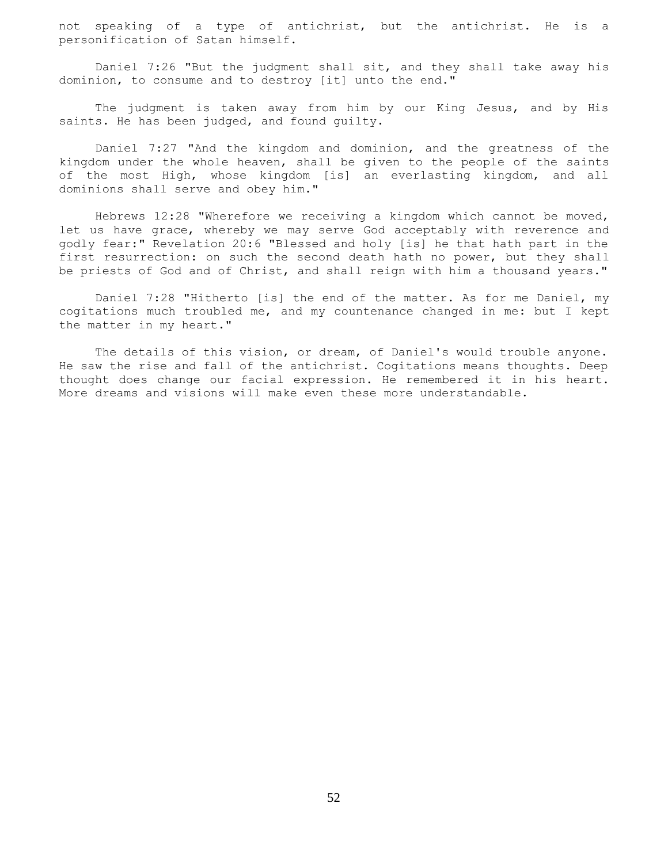not speaking of a type of antichrist, but the antichrist. He is a personification of Satan himself.

 Daniel 7:26 "But the judgment shall sit, and they shall take away his dominion, to consume and to destroy [it] unto the end."

 The judgment is taken away from him by our King Jesus, and by His saints. He has been judged, and found guilty.

 Daniel 7:27 "And the kingdom and dominion, and the greatness of the kingdom under the whole heaven, shall be given to the people of the saints of the most High, whose kingdom [is] an everlasting kingdom, and all dominions shall serve and obey him."

 Hebrews 12:28 "Wherefore we receiving a kingdom which cannot be moved, let us have grace, whereby we may serve God acceptably with reverence and godly fear:" Revelation 20:6 "Blessed and holy [is] he that hath part in the first resurrection: on such the second death hath no power, but they shall be priests of God and of Christ, and shall reign with him a thousand years."

 Daniel 7:28 "Hitherto [is] the end of the matter. As for me Daniel, my cogitations much troubled me, and my countenance changed in me: but I kept the matter in my heart."

 The details of this vision, or dream, of Daniel's would trouble anyone. He saw the rise and fall of the antichrist. Cogitations means thoughts. Deep thought does change our facial expression. He remembered it in his heart. More dreams and visions will make even these more understandable.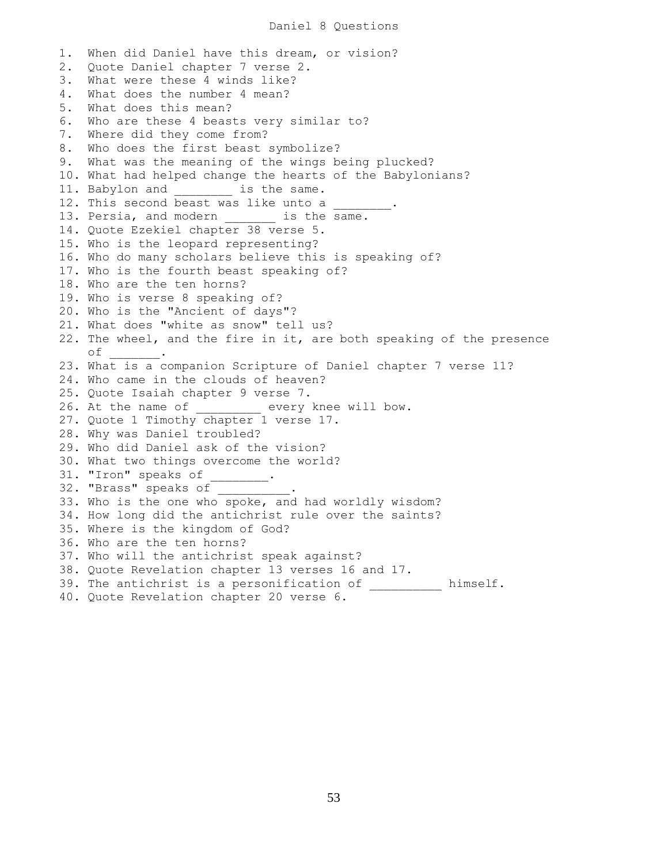1. When did Daniel have this dream, or vision? 2. Quote Daniel chapter 7 verse 2. 3. What were these 4 winds like? 4. What does the number 4 mean? 5. What does this mean? 6. Who are these 4 beasts very similar to? 7. Where did they come from? 8. Who does the first beast symbolize? 9. What was the meaning of the wings being plucked? 10. What had helped change the hearts of the Babylonians? 11. Babylon and \_\_\_\_\_\_\_\_ is the same. 12. This second beast was like unto a 13. Persia, and modern is the same. 14. Quote Ezekiel chapter 38 verse 5. 15. Who is the leopard representing? 16. Who do many scholars believe this is speaking of? 17. Who is the fourth beast speaking of? 18. Who are the ten horns? 19. Who is verse 8 speaking of? 20. Who is the "Ancient of days"? 21. What does "white as snow" tell us? 22. The wheel, and the fire in it, are both speaking of the presence of \_\_\_\_\_\_\_. 23. What is a companion Scripture of Daniel chapter 7 verse 11? 24. Who came in the clouds of heaven? 25. Quote Isaiah chapter 9 verse 7. 26. At the name of \_\_\_\_\_\_\_\_\_ every knee will bow. 27. Quote 1 Timothy chapter 1 verse 17. 28. Why was Daniel troubled? 29. Who did Daniel ask of the vision? 30. What two things overcome the world? 31. "Iron" speaks of \_\_\_\_\_\_\_\_. 32. "Brass" speaks of 33. Who is the one who spoke, and had worldly wisdom? 34. How long did the antichrist rule over the saints? 35. Where is the kingdom of God? 36. Who are the ten horns? 37. Who will the antichrist speak against? 38. Quote Revelation chapter 13 verses 16 and 17. 39. The antichrist is a personification of \_\_\_\_\_\_\_\_\_\_ himself. 40. Quote Revelation chapter 20 verse 6.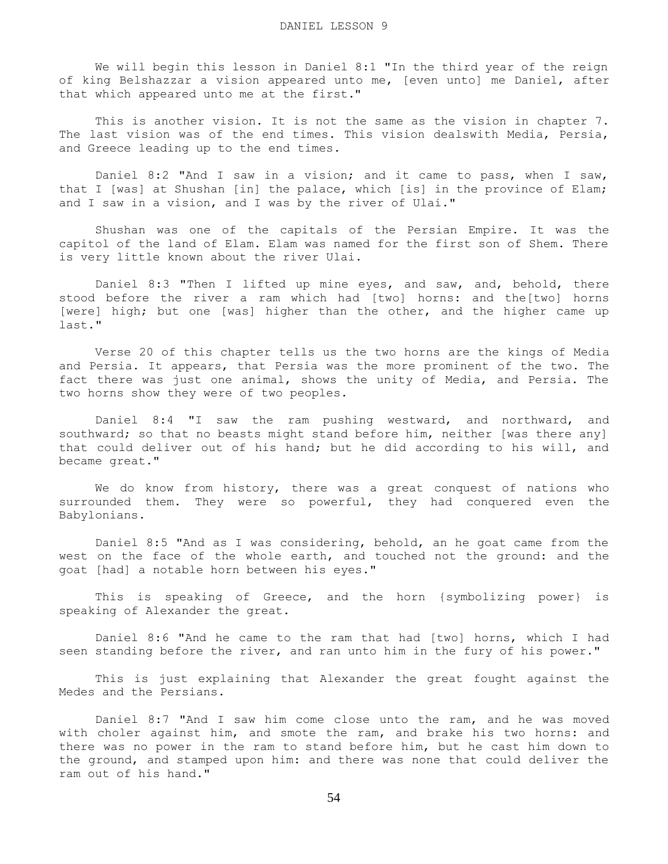We will begin this lesson in Daniel 8:1 "In the third year of the reign of king Belshazzar a vision appeared unto me, [even unto] me Daniel, after that which appeared unto me at the first."

 This is another vision. It is not the same as the vision in chapter 7. The last vision was of the end times. This vision dealswith Media, Persia, and Greece leading up to the end times.

 Daniel 8:2 "And I saw in a vision; and it came to pass, when I saw, that I [was] at Shushan [in] the palace, which [is] in the province of Elam; and I saw in a vision, and I was by the river of Ulai."

 Shushan was one of the capitals of the Persian Empire. It was the capitol of the land of Elam. Elam was named for the first son of Shem. There is very little known about the river Ulai.

 Daniel 8:3 "Then I lifted up mine eyes, and saw, and, behold, there stood before the river a ram which had [two] horns: and the[two] horns [were] high; but one [was] higher than the other, and the higher came up last."

 Verse 20 of this chapter tells us the two horns are the kings of Media and Persia. It appears, that Persia was the more prominent of the two. The fact there was just one animal, shows the unity of Media, and Persia. The two horns show they were of two peoples.

 Daniel 8:4 "I saw the ram pushing westward, and northward, and southward; so that no beasts might stand before him, neither [was there any] that could deliver out of his hand; but he did according to his will, and became great."

 We do know from history, there was a great conquest of nations who surrounded them. They were so powerful, they had conquered even the Babylonians.

 Daniel 8:5 "And as I was considering, behold, an he goat came from the west on the face of the whole earth, and touched not the ground: and the goat [had] a notable horn between his eyes."

 This is speaking of Greece, and the horn {symbolizing power} is speaking of Alexander the great.

 Daniel 8:6 "And he came to the ram that had [two] horns, which I had seen standing before the river, and ran unto him in the fury of his power."

 This is just explaining that Alexander the great fought against the Medes and the Persians.

 Daniel 8:7 "And I saw him come close unto the ram, and he was moved with choler against him, and smote the ram, and brake his two horns: and there was no power in the ram to stand before him, but he cast him down to the ground, and stamped upon him: and there was none that could deliver the ram out of his hand."

54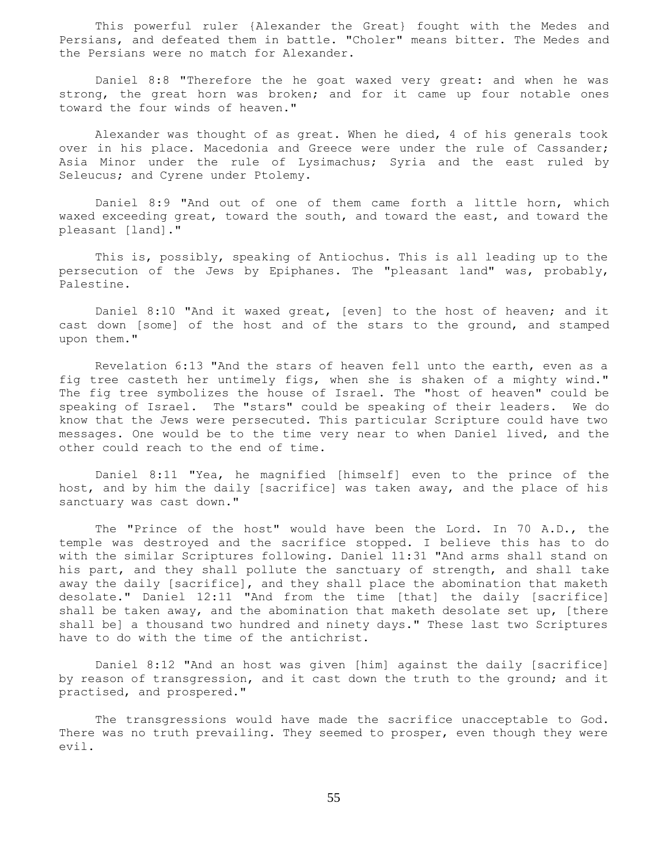This powerful ruler {Alexander the Great} fought with the Medes and Persians, and defeated them in battle. "Choler" means bitter. The Medes and the Persians were no match for Alexander.

 Daniel 8:8 "Therefore the he goat waxed very great: and when he was strong, the great horn was broken; and for it came up four notable ones toward the four winds of heaven."

 Alexander was thought of as great. When he died, 4 of his generals took over in his place. Macedonia and Greece were under the rule of Cassander; Asia Minor under the rule of Lysimachus; Syria and the east ruled by Seleucus; and Cyrene under Ptolemy.

 Daniel 8:9 "And out of one of them came forth a little horn, which waxed exceeding great, toward the south, and toward the east, and toward the pleasant [land]."

 This is, possibly, speaking of Antiochus. This is all leading up to the persecution of the Jews by Epiphanes. The "pleasant land" was, probably, Palestine.

 Daniel 8:10 "And it waxed great, [even] to the host of heaven; and it cast down [some] of the host and of the stars to the ground, and stamped upon them."

 Revelation 6:13 "And the stars of heaven fell unto the earth, even as a fig tree casteth her untimely figs, when she is shaken of a mighty wind." The fig tree symbolizes the house of Israel. The "host of heaven" could be speaking of Israel. The "stars" could be speaking of their leaders. We do know that the Jews were persecuted. This particular Scripture could have two messages. One would be to the time very near to when Daniel lived, and the other could reach to the end of time.

 Daniel 8:11 "Yea, he magnified [himself] even to the prince of the host, and by him the daily [sacrifice] was taken away, and the place of his sanctuary was cast down."

 The "Prince of the host" would have been the Lord. In 70 A.D., the temple was destroyed and the sacrifice stopped. I believe this has to do with the similar Scriptures following. Daniel 11:31 "And arms shall stand on his part, and they shall pollute the sanctuary of strength, and shall take away the daily [sacrifice], and they shall place the abomination that maketh desolate." Daniel 12:11 "And from the time [that] the daily [sacrifice] shall be taken away, and the abomination that maketh desolate set up, [there shall be] a thousand two hundred and ninety days." These last two Scriptures have to do with the time of the antichrist.

 Daniel 8:12 "And an host was given [him] against the daily [sacrifice] by reason of transgression, and it cast down the truth to the ground; and it practised, and prospered."

 The transgressions would have made the sacrifice unacceptable to God. There was no truth prevailing. They seemed to prosper, even though they were evil.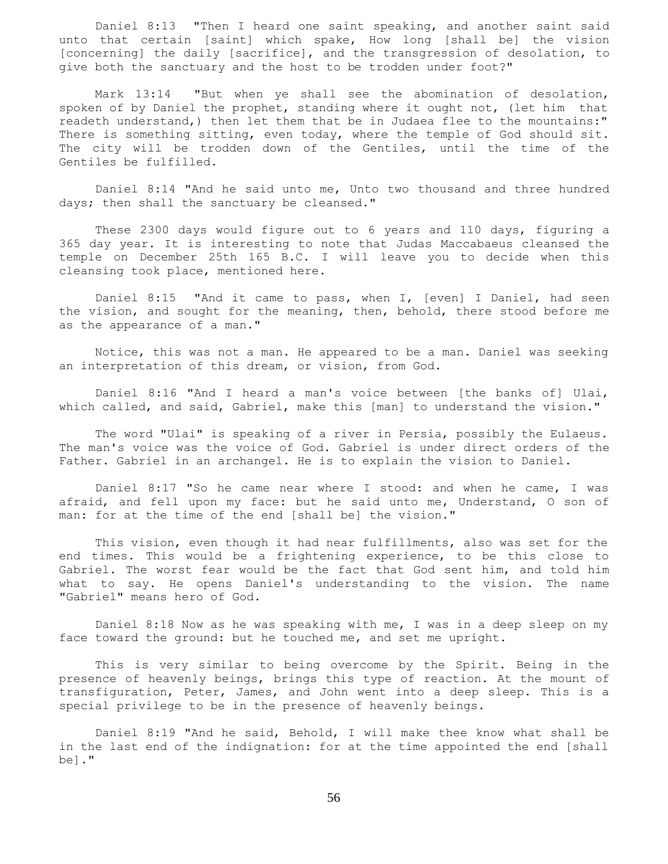Daniel 8:13 "Then I heard one saint speaking, and another saint said unto that certain [saint] which spake, How long [shall be] the vision [concerning] the daily [sacrifice], and the transgression of desolation, to give both the sanctuary and the host to be trodden under foot?"

 Mark 13:14 "But when ye shall see the abomination of desolation, spoken of by Daniel the prophet, standing where it ought not, (let him that readeth understand,) then let them that be in Judaea flee to the mountains:" There is something sitting, even today, where the temple of God should sit. The city will be trodden down of the Gentiles, until the time of the Gentiles be fulfilled.

 Daniel 8:14 "And he said unto me, Unto two thousand and three hundred days; then shall the sanctuary be cleansed."

 These 2300 days would figure out to 6 years and 110 days, figuring a 365 day year. It is interesting to note that Judas Maccabaeus cleansed the temple on December 25th 165 B.C. I will leave you to decide when this cleansing took place, mentioned here.

 Daniel 8:15 "And it came to pass, when I, [even] I Daniel, had seen the vision, and sought for the meaning, then, behold, there stood before me as the appearance of a man."

 Notice, this was not a man. He appeared to be a man. Daniel was seeking an interpretation of this dream, or vision, from God.

 Daniel 8:16 "And I heard a man's voice between [the banks of] Ulai, which called, and said, Gabriel, make this [man] to understand the vision."

 The word "Ulai" is speaking of a river in Persia, possibly the Eulaeus. The man's voice was the voice of God. Gabriel is under direct orders of the Father. Gabriel in an archangel. He is to explain the vision to Daniel.

 Daniel 8:17 "So he came near where I stood: and when he came, I was afraid, and fell upon my face: but he said unto me, Understand, O son of man: for at the time of the end [shall be] the vision."

 This vision, even though it had near fulfillments, also was set for the end times. This would be a frightening experience, to be this close to Gabriel. The worst fear would be the fact that God sent him, and told him what to say. He opens Daniel's understanding to the vision. The name "Gabriel" means hero of God.

 Daniel 8:18 Now as he was speaking with me, I was in a deep sleep on my face toward the ground: but he touched me, and set me upright.

 This is very similar to being overcome by the Spirit. Being in the presence of heavenly beings, brings this type of reaction. At the mount of transfiguration, Peter, James, and John went into a deep sleep. This is a special privilege to be in the presence of heavenly beings.

 Daniel 8:19 "And he said, Behold, I will make thee know what shall be in the last end of the indignation: for at the time appointed the end [shall be]."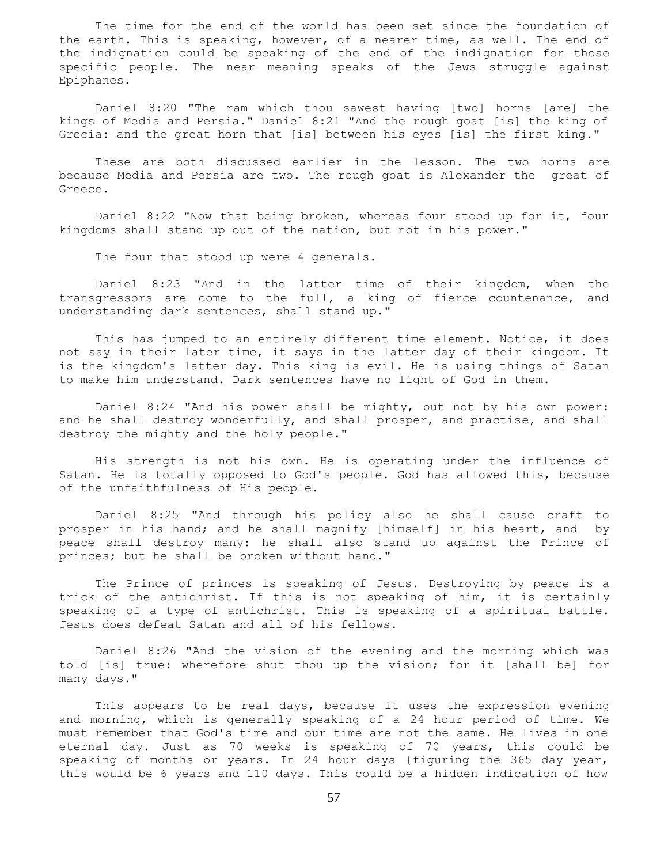The time for the end of the world has been set since the foundation of the earth. This is speaking, however, of a nearer time, as well. The end of the indignation could be speaking of the end of the indignation for those specific people. The near meaning speaks of the Jews struggle against Epiphanes.

 Daniel 8:20 "The ram which thou sawest having [two] horns [are] the kings of Media and Persia." Daniel 8:21 "And the rough goat [is] the king of Grecia: and the great horn that [is] between his eyes [is] the first king."

 These are both discussed earlier in the lesson. The two horns are because Media and Persia are two. The rough goat is Alexander the great of Greece.

 Daniel 8:22 "Now that being broken, whereas four stood up for it, four kingdoms shall stand up out of the nation, but not in his power."

The four that stood up were 4 generals.

 Daniel 8:23 "And in the latter time of their kingdom, when the transgressors are come to the full, a king of fierce countenance, and understanding dark sentences, shall stand up."

 This has jumped to an entirely different time element. Notice, it does not say in their later time, it says in the latter day of their kingdom. It is the kingdom's latter day. This king is evil. He is using things of Satan to make him understand. Dark sentences have no light of God in them.

 Daniel 8:24 "And his power shall be mighty, but not by his own power: and he shall destroy wonderfully, and shall prosper, and practise, and shall destroy the mighty and the holy people."

 His strength is not his own. He is operating under the influence of Satan. He is totally opposed to God's people. God has allowed this, because of the unfaithfulness of His people.

 Daniel 8:25 "And through his policy also he shall cause craft to prosper in his hand; and he shall magnify [himself] in his heart, and by peace shall destroy many: he shall also stand up against the Prince of princes; but he shall be broken without hand."

 The Prince of princes is speaking of Jesus. Destroying by peace is a trick of the antichrist. If this is not speaking of him, it is certainly speaking of a type of antichrist. This is speaking of a spiritual battle. Jesus does defeat Satan and all of his fellows.

 Daniel 8:26 "And the vision of the evening and the morning which was told [is] true: wherefore shut thou up the vision; for it [shall be] for many days."

 This appears to be real days, because it uses the expression evening and morning, which is generally speaking of a 24 hour period of time. We must remember that God's time and our time are not the same. He lives in one eternal day. Just as 70 weeks is speaking of 70 years, this could be speaking of months or years. In 24 hour days {figuring the 365 day year, this would be 6 years and 110 days. This could be a hidden indication of how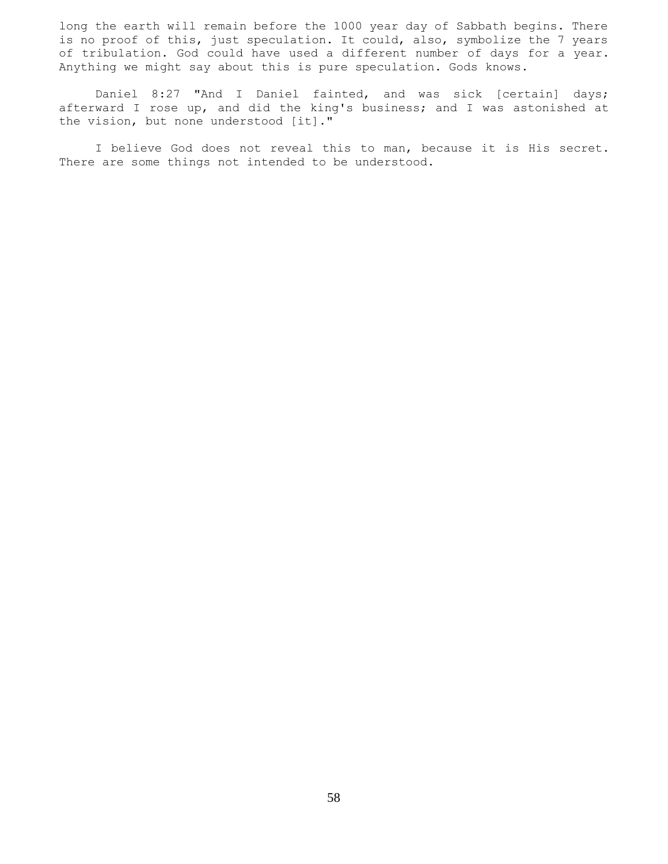long the earth will remain before the 1000 year day of Sabbath begins. There is no proof of this, just speculation. It could, also, symbolize the 7 years of tribulation. God could have used a different number of days for a year. Anything we might say about this is pure speculation. Gods knows.

 Daniel 8:27 "And I Daniel fainted, and was sick [certain] days; afterward I rose up, and did the king's business; and I was astonished at the vision, but none understood [it]."

 I believe God does not reveal this to man, because it is His secret. There are some things not intended to be understood.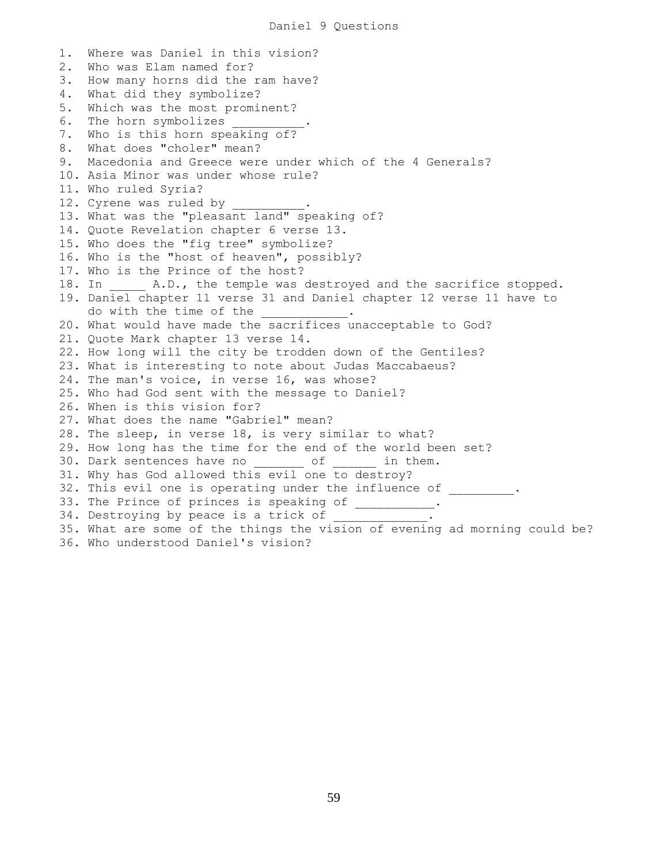1. Where was Daniel in this vision? 2. Who was Elam named for? 3. How many horns did the ram have? 4. What did they symbolize? 5. Which was the most prominent? 6. The horn symbolizes \_\_\_\_\_ 7. Who is this horn speaking of? 8. What does "choler" mean? 9. Macedonia and Greece were under which of the 4 Generals? 10. Asia Minor was under whose rule? 11. Who ruled Syria? 12. Cyrene was ruled by 13. What was the "pleasant land" speaking of? 14. Quote Revelation chapter 6 verse 13. 15. Who does the "fig tree" symbolize? 16. Who is the "host of heaven", possibly? 17. Who is the Prince of the host? 18. In  $A.D.,$  the temple was destroyed and the sacrifice stopped. 19. Daniel chapter 11 verse 31 and Daniel chapter 12 verse 11 have to do with the time of the 20. What would have made the sacrifices unacceptable to God? 21. Quote Mark chapter 13 verse 14. 22. How long will the city be trodden down of the Gentiles? 23. What is interesting to note about Judas Maccabaeus? 24. The man's voice, in verse 16, was whose? 25. Who had God sent with the message to Daniel? 26. When is this vision for? 27. What does the name "Gabriel" mean? 28. The sleep, in verse 18, is very similar to what? 29. How long has the time for the end of the world been set? 30. Dark sentences have no \_\_\_\_\_\_\_ of \_\_\_\_\_\_ in them. 31. Why has God allowed this evil one to destroy? 32. This evil one is operating under the influence of \_\_\_\_\_\_\_\_. 33. The Prince of princes is speaking of \_\_\_\_\_\_\_\_\_\_\_. 34. Destroying by peace is a trick of 35. What are some of the things the vision of evening ad morning could be? 36. Who understood Daniel's vision?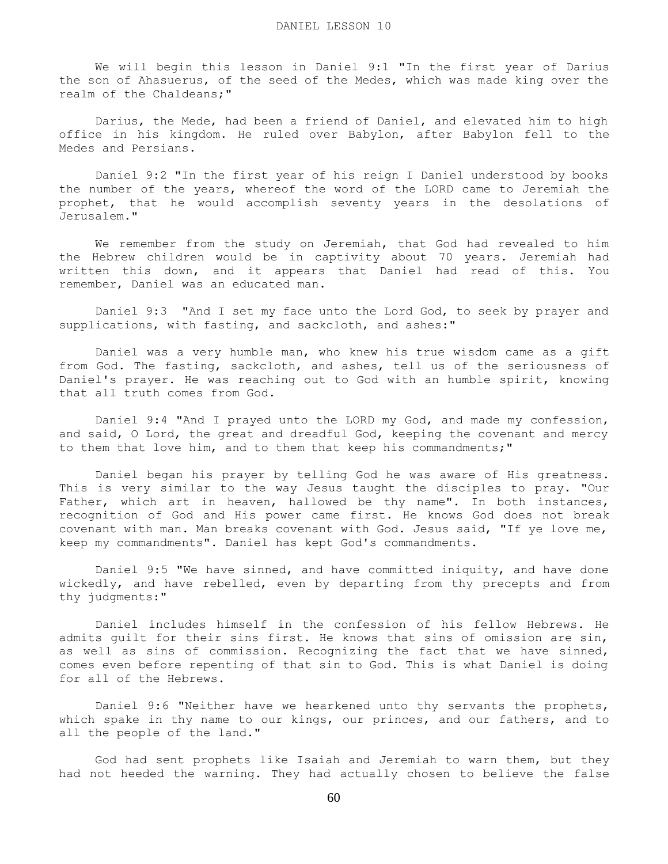We will begin this lesson in Daniel 9:1 "In the first year of Darius the son of Ahasuerus, of the seed of the Medes, which was made king over the realm of the Chaldeans;"

 Darius, the Mede, had been a friend of Daniel, and elevated him to high office in his kingdom. He ruled over Babylon, after Babylon fell to the Medes and Persians.

 Daniel 9:2 "In the first year of his reign I Daniel understood by books the number of the years, whereof the word of the LORD came to Jeremiah the prophet, that he would accomplish seventy years in the desolations of Jerusalem."

 We remember from the study on Jeremiah, that God had revealed to him the Hebrew children would be in captivity about 70 years. Jeremiah had written this down, and it appears that Daniel had read of this. You remember, Daniel was an educated man.

 Daniel 9:3 "And I set my face unto the Lord God, to seek by prayer and supplications, with fasting, and sackcloth, and ashes:"

 Daniel was a very humble man, who knew his true wisdom came as a gift from God. The fasting, sackcloth, and ashes, tell us of the seriousness of Daniel's prayer. He was reaching out to God with an humble spirit, knowing that all truth comes from God.

 Daniel 9:4 "And I prayed unto the LORD my God, and made my confession, and said, O Lord, the great and dreadful God, keeping the covenant and mercy to them that love him, and to them that keep his commandments;"

 Daniel began his prayer by telling God he was aware of His greatness. This is very similar to the way Jesus taught the disciples to pray. "Our Father, which art in heaven, hallowed be thy name". In both instances, recognition of God and His power came first. He knows God does not break covenant with man. Man breaks covenant with God. Jesus said, "If ye love me, keep my commandments". Daniel has kept God's commandments.

 Daniel 9:5 "We have sinned, and have committed iniquity, and have done wickedly, and have rebelled, even by departing from thy precepts and from thy judgments:"

 Daniel includes himself in the confession of his fellow Hebrews. He admits guilt for their sins first. He knows that sins of omission are sin, as well as sins of commission. Recognizing the fact that we have sinned, comes even before repenting of that sin to God. This is what Daniel is doing for all of the Hebrews.

 Daniel 9:6 "Neither have we hearkened unto thy servants the prophets, which spake in thy name to our kings, our princes, and our fathers, and to all the people of the land."

 God had sent prophets like Isaiah and Jeremiah to warn them, but they had not heeded the warning. They had actually chosen to believe the false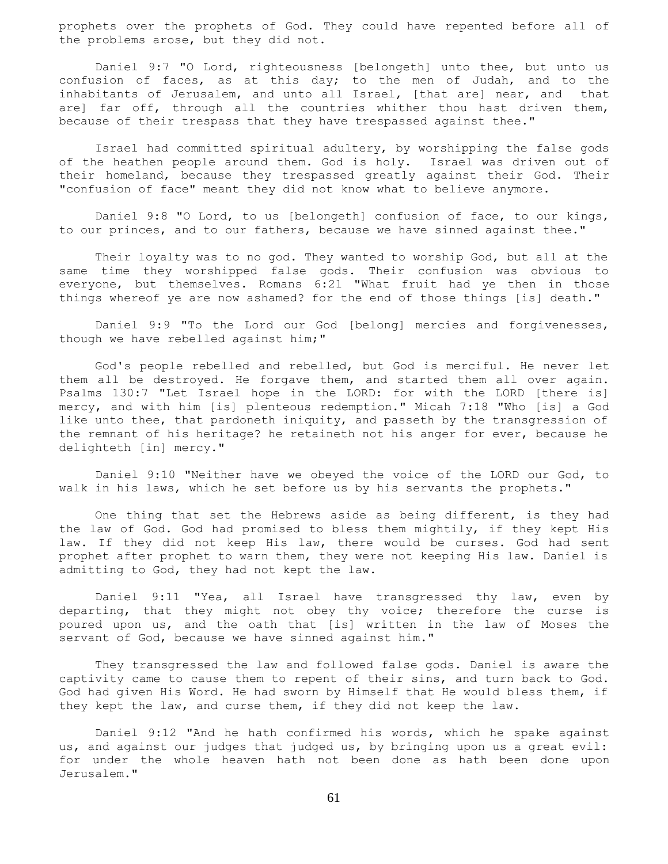prophets over the prophets of God. They could have repented before all of the problems arose, but they did not.

 Daniel 9:7 "O Lord, righteousness [belongeth] unto thee, but unto us confusion of faces, as at this day; to the men of Judah, and to the inhabitants of Jerusalem, and unto all Israel, [that are] near, and that are] far off, through all the countries whither thou hast driven them, because of their trespass that they have trespassed against thee."

 Israel had committed spiritual adultery, by worshipping the false gods of the heathen people around them. God is holy. Israel was driven out of their homeland, because they trespassed greatly against their God. Their "confusion of face" meant they did not know what to believe anymore.

 Daniel 9:8 "O Lord, to us [belongeth] confusion of face, to our kings, to our princes, and to our fathers, because we have sinned against thee."

 Their loyalty was to no god. They wanted to worship God, but all at the same time they worshipped false gods. Their confusion was obvious to everyone, but themselves. Romans 6:21 "What fruit had ye then in those things whereof ye are now ashamed? for the end of those things [is] death."

 Daniel 9:9 "To the Lord our God [belong] mercies and forgivenesses, though we have rebelled against him;"

 God's people rebelled and rebelled, but God is merciful. He never let them all be destroyed. He forgave them, and started them all over again. Psalms 130:7 "Let Israel hope in the LORD: for with the LORD [there is] mercy, and with him [is] plenteous redemption." Micah 7:18 "Who [is] a God like unto thee, that pardoneth iniquity, and passeth by the transgression of the remnant of his heritage? he retaineth not his anger for ever, because he delighteth [in] mercy."

 Daniel 9:10 "Neither have we obeyed the voice of the LORD our God, to walk in his laws, which he set before us by his servants the prophets."

 One thing that set the Hebrews aside as being different, is they had the law of God. God had promised to bless them mightily, if they kept His law. If they did not keep His law, there would be curses. God had sent prophet after prophet to warn them, they were not keeping His law. Daniel is admitting to God, they had not kept the law.

 Daniel 9:11 "Yea, all Israel have transgressed thy law, even by departing, that they might not obey thy voice; therefore the curse is poured upon us, and the oath that [is] written in the law of Moses the servant of God, because we have sinned against him."

 They transgressed the law and followed false gods. Daniel is aware the captivity came to cause them to repent of their sins, and turn back to God. God had given His Word. He had sworn by Himself that He would bless them, if they kept the law, and curse them, if they did not keep the law.

 Daniel 9:12 "And he hath confirmed his words, which he spake against us, and against our judges that judged us, by bringing upon us a great evil: for under the whole heaven hath not been done as hath been done upon Jerusalem."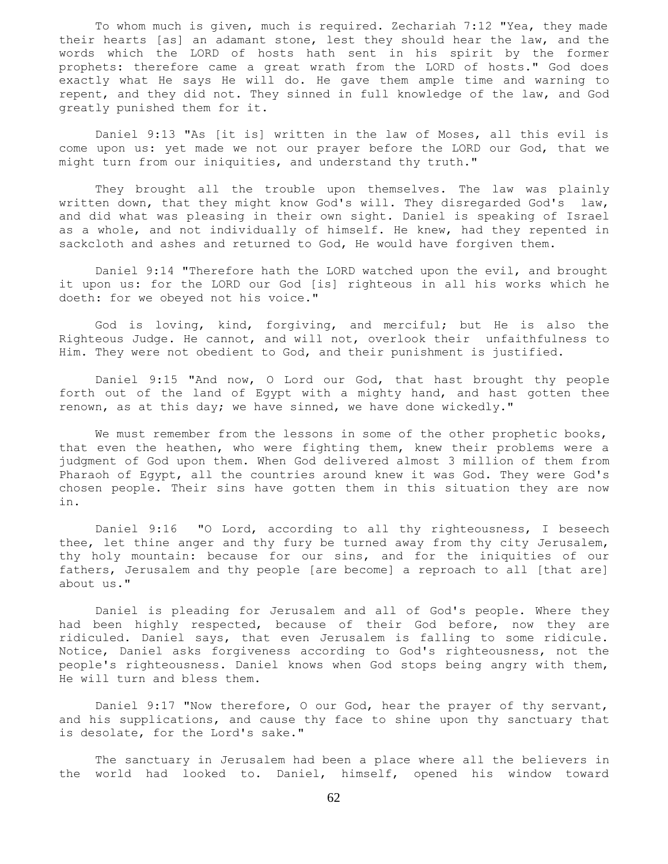To whom much is given, much is required. Zechariah 7:12 "Yea, they made their hearts [as] an adamant stone, lest they should hear the law, and the words which the LORD of hosts hath sent in his spirit by the former prophets: therefore came a great wrath from the LORD of hosts." God does exactly what He says He will do. He gave them ample time and warning to repent, and they did not. They sinned in full knowledge of the law, and God greatly punished them for it.

 Daniel 9:13 "As [it is] written in the law of Moses, all this evil is come upon us: yet made we not our prayer before the LORD our God, that we might turn from our iniquities, and understand thy truth."

 They brought all the trouble upon themselves. The law was plainly written down, that they might know God's will. They disregarded God's law, and did what was pleasing in their own sight. Daniel is speaking of Israel as a whole, and not individually of himself. He knew, had they repented in sackcloth and ashes and returned to God, He would have forgiven them.

 Daniel 9:14 "Therefore hath the LORD watched upon the evil, and brought it upon us: for the LORD our God [is] righteous in all his works which he doeth: for we obeyed not his voice."

 God is loving, kind, forgiving, and merciful; but He is also the Righteous Judge. He cannot, and will not, overlook their unfaithfulness to Him. They were not obedient to God, and their punishment is justified.

 Daniel 9:15 "And now, O Lord our God, that hast brought thy people forth out of the land of Egypt with a mighty hand, and hast gotten thee renown, as at this day; we have sinned, we have done wickedly."

We must remember from the lessons in some of the other prophetic books, that even the heathen, who were fighting them, knew their problems were a judgment of God upon them. When God delivered almost 3 million of them from Pharaoh of Egypt, all the countries around knew it was God. They were God's chosen people. Their sins have gotten them in this situation they are now in.

 Daniel 9:16 "O Lord, according to all thy righteousness, I beseech thee, let thine anger and thy fury be turned away from thy city Jerusalem, thy holy mountain: because for our sins, and for the iniquities of our fathers, Jerusalem and thy people [are become] a reproach to all [that are] about us."

 Daniel is pleading for Jerusalem and all of God's people. Where they had been highly respected, because of their God before, now they are ridiculed. Daniel says, that even Jerusalem is falling to some ridicule. Notice, Daniel asks forgiveness according to God's righteousness, not the people's righteousness. Daniel knows when God stops being angry with them, He will turn and bless them.

 Daniel 9:17 "Now therefore, O our God, hear the prayer of thy servant, and his supplications, and cause thy face to shine upon thy sanctuary that is desolate, for the Lord's sake."

 The sanctuary in Jerusalem had been a place where all the believers in the world had looked to. Daniel, himself, opened his window toward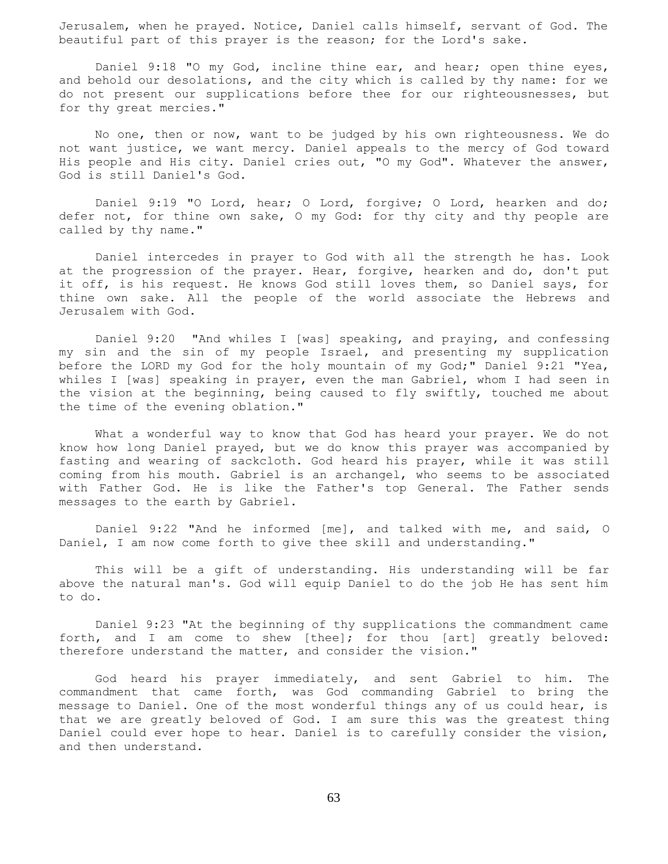Jerusalem, when he prayed. Notice, Daniel calls himself, servant of God. The beautiful part of this prayer is the reason; for the Lord's sake.

 Daniel 9:18 "O my God, incline thine ear, and hear; open thine eyes, and behold our desolations, and the city which is called by thy name: for we do not present our supplications before thee for our righteousnesses, but for thy great mercies."

 No one, then or now, want to be judged by his own righteousness. We do not want justice, we want mercy. Daniel appeals to the mercy of God toward His people and His city. Daniel cries out, "O my God". Whatever the answer, God is still Daniel's God.

 Daniel 9:19 "O Lord, hear; O Lord, forgive; O Lord, hearken and do; defer not, for thine own sake, O my God: for thy city and thy people are called by thy name."

 Daniel intercedes in prayer to God with all the strength he has. Look at the progression of the prayer. Hear, forgive, hearken and do, don't put it off, is his request. He knows God still loves them, so Daniel says, for thine own sake. All the people of the world associate the Hebrews and Jerusalem with God.

 Daniel 9:20 "And whiles I [was] speaking, and praying, and confessing my sin and the sin of my people Israel, and presenting my supplication before the LORD my God for the holy mountain of my God;" Daniel 9:21 "Yea, whiles I [was] speaking in prayer, even the man Gabriel, whom I had seen in the vision at the beginning, being caused to fly swiftly, touched me about the time of the evening oblation."

 What a wonderful way to know that God has heard your prayer. We do not know how long Daniel prayed, but we do know this prayer was accompanied by fasting and wearing of sackcloth. God heard his prayer, while it was still coming from his mouth. Gabriel is an archangel, who seems to be associated with Father God. He is like the Father's top General. The Father sends messages to the earth by Gabriel.

 Daniel 9:22 "And he informed [me], and talked with me, and said, O Daniel, I am now come forth to give thee skill and understanding."

 This will be a gift of understanding. His understanding will be far above the natural man's. God will equip Daniel to do the job He has sent him to do.

 Daniel 9:23 "At the beginning of thy supplications the commandment came forth, and I am come to shew [thee]; for thou [art] greatly beloved: therefore understand the matter, and consider the vision."

 God heard his prayer immediately, and sent Gabriel to him. The commandment that came forth, was God commanding Gabriel to bring the message to Daniel. One of the most wonderful things any of us could hear, is that we are greatly beloved of God. I am sure this was the greatest thing Daniel could ever hope to hear. Daniel is to carefully consider the vision, and then understand.

63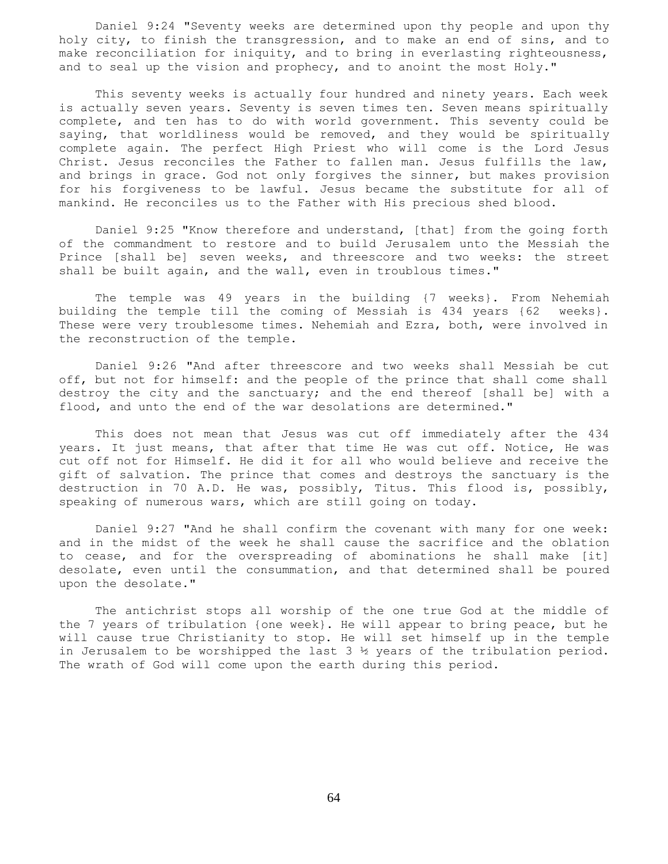Daniel 9:24 "Seventy weeks are determined upon thy people and upon thy holy city, to finish the transgression, and to make an end of sins, and to make reconciliation for iniquity, and to bring in everlasting righteousness, and to seal up the vision and prophecy, and to anoint the most Holy."

 This seventy weeks is actually four hundred and ninety years. Each week is actually seven years. Seventy is seven times ten. Seven means spiritually complete, and ten has to do with world government. This seventy could be saying, that worldliness would be removed, and they would be spiritually complete again. The perfect High Priest who will come is the Lord Jesus Christ. Jesus reconciles the Father to fallen man. Jesus fulfills the law, and brings in grace. God not only forgives the sinner, but makes provision for his forgiveness to be lawful. Jesus became the substitute for all of mankind. He reconciles us to the Father with His precious shed blood.

 Daniel 9:25 "Know therefore and understand, [that] from the going forth of the commandment to restore and to build Jerusalem unto the Messiah the Prince [shall be] seven weeks, and threescore and two weeks: the street shall be built again, and the wall, even in troublous times."

 The temple was 49 years in the building {7 weeks}. From Nehemiah building the temple till the coming of Messiah is 434 years {62 weeks}. These were very troublesome times. Nehemiah and Ezra, both, were involved in the reconstruction of the temple.

 Daniel 9:26 "And after threescore and two weeks shall Messiah be cut off, but not for himself: and the people of the prince that shall come shall destroy the city and the sanctuary; and the end thereof [shall be] with a flood, and unto the end of the war desolations are determined."

 This does not mean that Jesus was cut off immediately after the 434 years. It just means, that after that time He was cut off. Notice, He was cut off not for Himself. He did it for all who would believe and receive the gift of salvation. The prince that comes and destroys the sanctuary is the destruction in 70 A.D. He was, possibly, Titus. This flood is, possibly, speaking of numerous wars, which are still going on today.

 Daniel 9:27 "And he shall confirm the covenant with many for one week: and in the midst of the week he shall cause the sacrifice and the oblation to cease, and for the overspreading of abominations he shall make [it] desolate, even until the consummation, and that determined shall be poured upon the desolate."

 The antichrist stops all worship of the one true God at the middle of the 7 years of tribulation {one week}. He will appear to bring peace, but he will cause true Christianity to stop. He will set himself up in the temple in Jerusalem to be worshipped the last  $3 \frac{1}{2}$  years of the tribulation period. The wrath of God will come upon the earth during this period.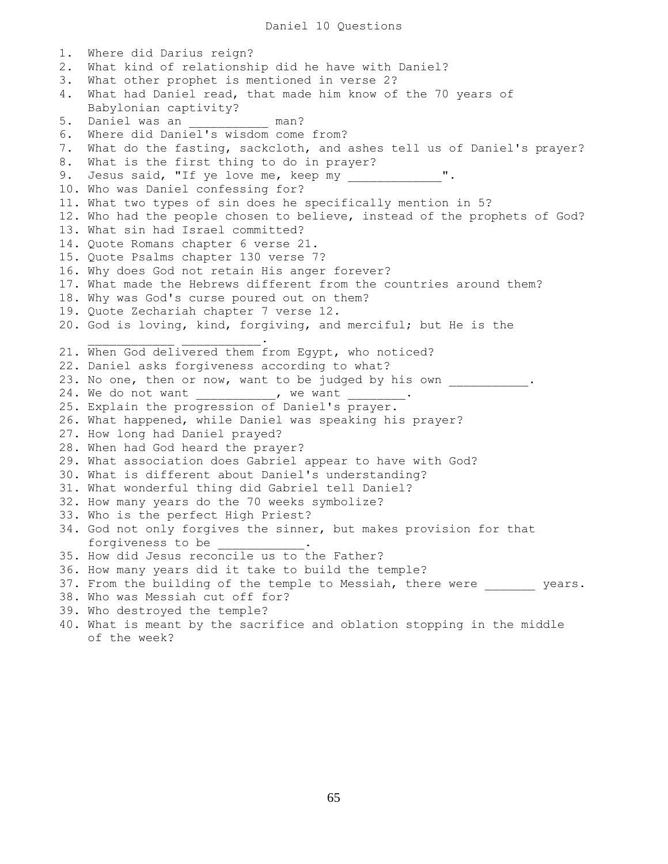Daniel 10 Questions

1. Where did Darius reign? 2. What kind of relationship did he have with Daniel? 3. What other prophet is mentioned in verse 2? 4. What had Daniel read, that made him know of the 70 years of Babylonian captivity?  $5.$  Daniel was an  $\frac{1}{2}$  man? 6. Where did Daniel's wisdom come from? 7. What do the fasting, sackcloth, and ashes tell us of Daniel's prayer? 8. What is the first thing to do in prayer? 9. Jesus said, "If ye love me, keep my 10. Who was Daniel confessing for? 11. What two types of sin does he specifically mention in 5? 12. Who had the people chosen to believe, instead of the prophets of God? 13. What sin had Israel committed? 14. Quote Romans chapter 6 verse 21. 15. Quote Psalms chapter 130 verse 7? 16. Why does God not retain His anger forever? 17. What made the Hebrews different from the countries around them? 18. Why was God's curse poured out on them? 19. Quote Zechariah chapter 7 verse 12. 20. God is loving, kind, forgiving, and merciful; but He is the  $\overline{\phantom{a}}$  ,  $\overline{\phantom{a}}$  ,  $\overline{\phantom{a}}$  ,  $\overline{\phantom{a}}$  ,  $\overline{\phantom{a}}$  ,  $\overline{\phantom{a}}$  ,  $\overline{\phantom{a}}$  ,  $\overline{\phantom{a}}$  ,  $\overline{\phantom{a}}$  ,  $\overline{\phantom{a}}$  ,  $\overline{\phantom{a}}$  ,  $\overline{\phantom{a}}$  ,  $\overline{\phantom{a}}$  ,  $\overline{\phantom{a}}$  ,  $\overline{\phantom{a}}$  ,  $\overline{\phantom{a}}$ 21. When God delivered them from Egypt, who noticed? 22. Daniel asks forgiveness according to what? 23. No one, then or now, want to be judged by his own . 24. We do not want \_\_\_\_\_\_\_\_\_\_\_, we want \_\_\_\_\_\_\_ 25. Explain the progression of Daniel's prayer. 26. What happened, while Daniel was speaking his prayer? 27. How long had Daniel prayed? 28. When had God heard the prayer? 29. What association does Gabriel appear to have with God? 30. What is different about Daniel's understanding? 31. What wonderful thing did Gabriel tell Daniel? 32. How many years do the 70 weeks symbolize? 33. Who is the perfect High Priest? 34. God not only forgives the sinner, but makes provision for that forgiveness to be 35. How did Jesus reconcile us to the Father? 36. How many years did it take to build the temple? 37. From the building of the temple to Messiah, there were years. 38. Who was Messiah cut off for? 39. Who destroyed the temple? 40. What is meant by the sacrifice and oblation stopping in the middle of the week?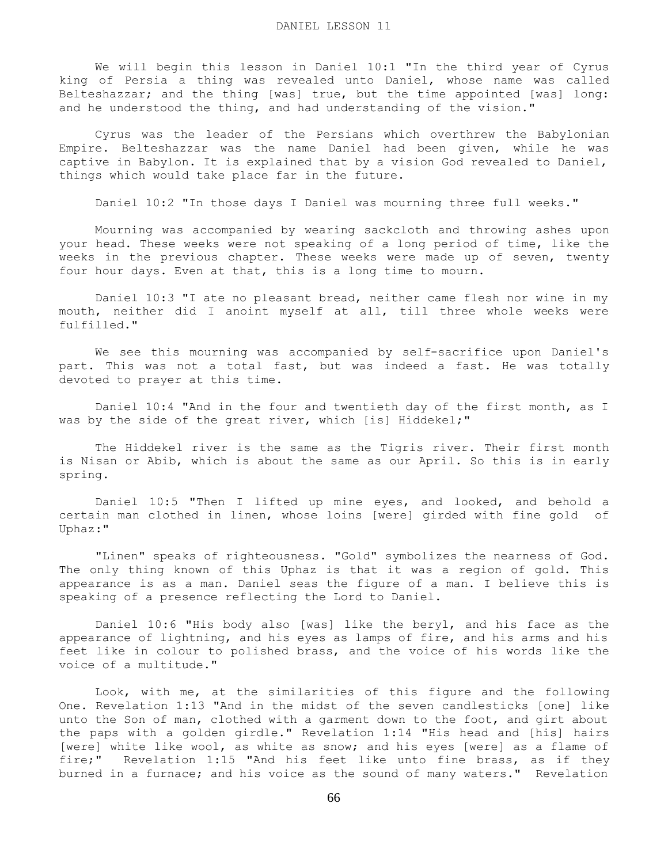We will begin this lesson in Daniel 10:1 "In the third year of Cyrus king of Persia a thing was revealed unto Daniel, whose name was called Belteshazzar; and the thing [was] true, but the time appointed [was] long: and he understood the thing, and had understanding of the vision."

 Cyrus was the leader of the Persians which overthrew the Babylonian Empire. Belteshazzar was the name Daniel had been given, while he was captive in Babylon. It is explained that by a vision God revealed to Daniel, things which would take place far in the future.

Daniel 10:2 "In those days I Daniel was mourning three full weeks."

 Mourning was accompanied by wearing sackcloth and throwing ashes upon your head. These weeks were not speaking of a long period of time, like the weeks in the previous chapter. These weeks were made up of seven, twenty four hour days. Even at that, this is a long time to mourn.

 Daniel 10:3 "I ate no pleasant bread, neither came flesh nor wine in my mouth, neither did I anoint myself at all, till three whole weeks were fulfilled."

 We see this mourning was accompanied by self-sacrifice upon Daniel's part. This was not a total fast, but was indeed a fast. He was totally devoted to prayer at this time.

 Daniel 10:4 "And in the four and twentieth day of the first month, as I was by the side of the great river, which [is] Hiddekel;"

 The Hiddekel river is the same as the Tigris river. Their first month is Nisan or Abib, which is about the same as our April. So this is in early spring.

 Daniel 10:5 "Then I lifted up mine eyes, and looked, and behold a certain man clothed in linen, whose loins [were] girded with fine gold of Uphaz:"

 "Linen" speaks of righteousness. "Gold" symbolizes the nearness of God. The only thing known of this Uphaz is that it was a region of gold. This appearance is as a man. Daniel seas the figure of a man. I believe this is speaking of a presence reflecting the Lord to Daniel.

 Daniel 10:6 "His body also [was] like the beryl, and his face as the appearance of lightning, and his eyes as lamps of fire, and his arms and his feet like in colour to polished brass, and the voice of his words like the voice of a multitude."

 Look, with me, at the similarities of this figure and the following One. Revelation 1:13 "And in the midst of the seven candlesticks [one] like unto the Son of man, clothed with a garment down to the foot, and girt about the paps with a golden girdle." Revelation 1:14 "His head and [his] hairs [were] white like wool, as white as snow; and his eyes [were] as a flame of fire;" Revelation 1:15 "And his feet like unto fine brass, as if they burned in a furnace; and his voice as the sound of many waters." Revelation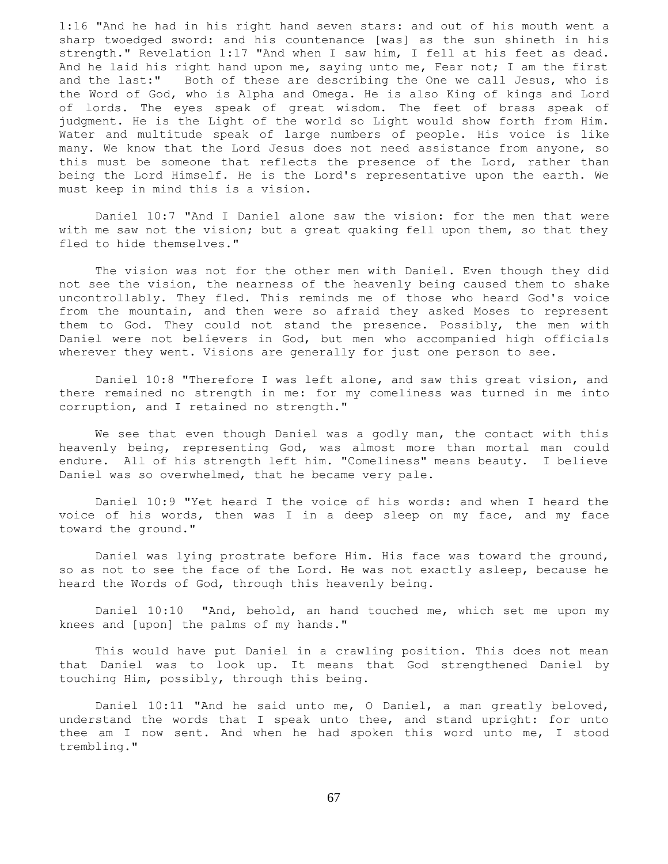1:16 "And he had in his right hand seven stars: and out of his mouth went a sharp twoedged sword: and his countenance [was] as the sun shineth in his strength." Revelation 1:17 "And when I saw him, I fell at his feet as dead. And he laid his right hand upon me, saying unto me, Fear not; I am the first and the last:" Both of these are describing the One we call Jesus, who is the Word of God, who is Alpha and Omega. He is also King of kings and Lord of lords. The eyes speak of great wisdom. The feet of brass speak of judgment. He is the Light of the world so Light would show forth from Him. Water and multitude speak of large numbers of people. His voice is like many. We know that the Lord Jesus does not need assistance from anyone, so this must be someone that reflects the presence of the Lord, rather than being the Lord Himself. He is the Lord's representative upon the earth. We must keep in mind this is a vision.

 Daniel 10:7 "And I Daniel alone saw the vision: for the men that were with me saw not the vision; but a great quaking fell upon them, so that they fled to hide themselves."

 The vision was not for the other men with Daniel. Even though they did not see the vision, the nearness of the heavenly being caused them to shake uncontrollably. They fled. This reminds me of those who heard God's voice from the mountain, and then were so afraid they asked Moses to represent them to God. They could not stand the presence. Possibly, the men with Daniel were not believers in God, but men who accompanied high officials wherever they went. Visions are generally for just one person to see.

 Daniel 10:8 "Therefore I was left alone, and saw this great vision, and there remained no strength in me: for my comeliness was turned in me into corruption, and I retained no strength."

 We see that even though Daniel was a godly man, the contact with this heavenly being, representing God, was almost more than mortal man could endure. All of his strength left him. "Comeliness" means beauty. I believe Daniel was so overwhelmed, that he became very pale.

 Daniel 10:9 "Yet heard I the voice of his words: and when I heard the voice of his words, then was I in a deep sleep on my face, and my face toward the ground."

 Daniel was lying prostrate before Him. His face was toward the ground, so as not to see the face of the Lord. He was not exactly asleep, because he heard the Words of God, through this heavenly being.

 Daniel 10:10 "And, behold, an hand touched me, which set me upon my knees and [upon] the palms of my hands."

 This would have put Daniel in a crawling position. This does not mean that Daniel was to look up. It means that God strengthened Daniel by touching Him, possibly, through this being.

 Daniel 10:11 "And he said unto me, O Daniel, a man greatly beloved, understand the words that I speak unto thee, and stand upright: for unto thee am I now sent. And when he had spoken this word unto me, I stood trembling."

67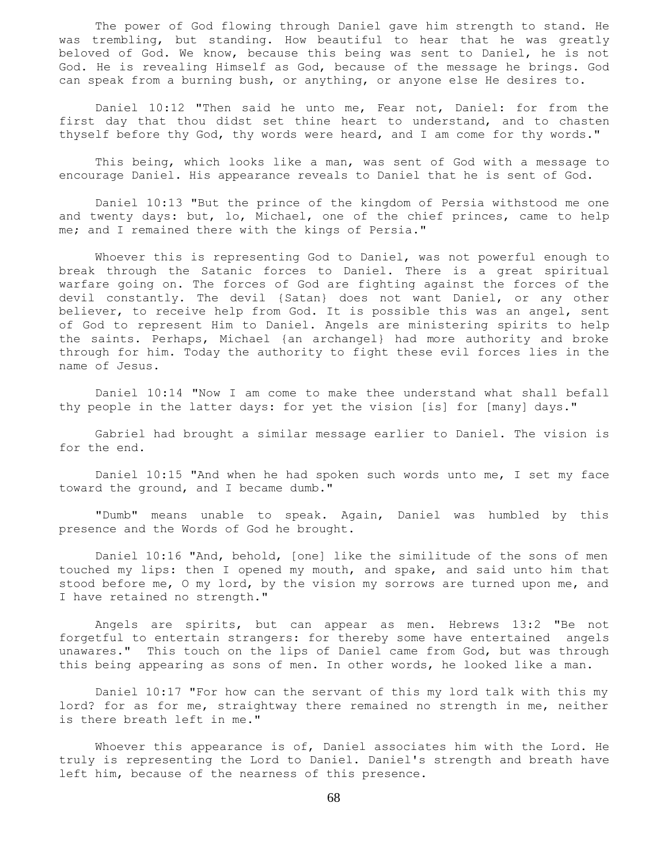The power of God flowing through Daniel gave him strength to stand. He was trembling, but standing. How beautiful to hear that he was greatly beloved of God. We know, because this being was sent to Daniel, he is not God. He is revealing Himself as God, because of the message he brings. God can speak from a burning bush, or anything, or anyone else He desires to.

 Daniel 10:12 "Then said he unto me, Fear not, Daniel: for from the first day that thou didst set thine heart to understand, and to chasten thyself before thy God, thy words were heard, and I am come for thy words."

 This being, which looks like a man, was sent of God with a message to encourage Daniel. His appearance reveals to Daniel that he is sent of God.

 Daniel 10:13 "But the prince of the kingdom of Persia withstood me one and twenty days: but, lo, Michael, one of the chief princes, came to help me; and I remained there with the kings of Persia."

 Whoever this is representing God to Daniel, was not powerful enough to break through the Satanic forces to Daniel. There is a great spiritual warfare going on. The forces of God are fighting against the forces of the devil constantly. The devil {Satan} does not want Daniel, or any other believer, to receive help from God. It is possible this was an angel, sent of God to represent Him to Daniel. Angels are ministering spirits to help the saints. Perhaps, Michael {an archangel} had more authority and broke through for him. Today the authority to fight these evil forces lies in the name of Jesus.

 Daniel 10:14 "Now I am come to make thee understand what shall befall thy people in the latter days: for yet the vision [is] for [many] days."

 Gabriel had brought a similar message earlier to Daniel. The vision is for the end.

 Daniel 10:15 "And when he had spoken such words unto me, I set my face toward the ground, and I became dumb."

 "Dumb" means unable to speak. Again, Daniel was humbled by this presence and the Words of God he brought.

 Daniel 10:16 "And, behold, [one] like the similitude of the sons of men touched my lips: then I opened my mouth, and spake, and said unto him that stood before me, O my lord, by the vision my sorrows are turned upon me, and I have retained no strength."

 Angels are spirits, but can appear as men. Hebrews 13:2 "Be not forgetful to entertain strangers: for thereby some have entertained angels unawares." This touch on the lips of Daniel came from God, but was through this being appearing as sons of men. In other words, he looked like a man.

 Daniel 10:17 "For how can the servant of this my lord talk with this my lord? for as for me, straightway there remained no strength in me, neither is there breath left in me."

 Whoever this appearance is of, Daniel associates him with the Lord. He truly is representing the Lord to Daniel. Daniel's strength and breath have left him, because of the nearness of this presence.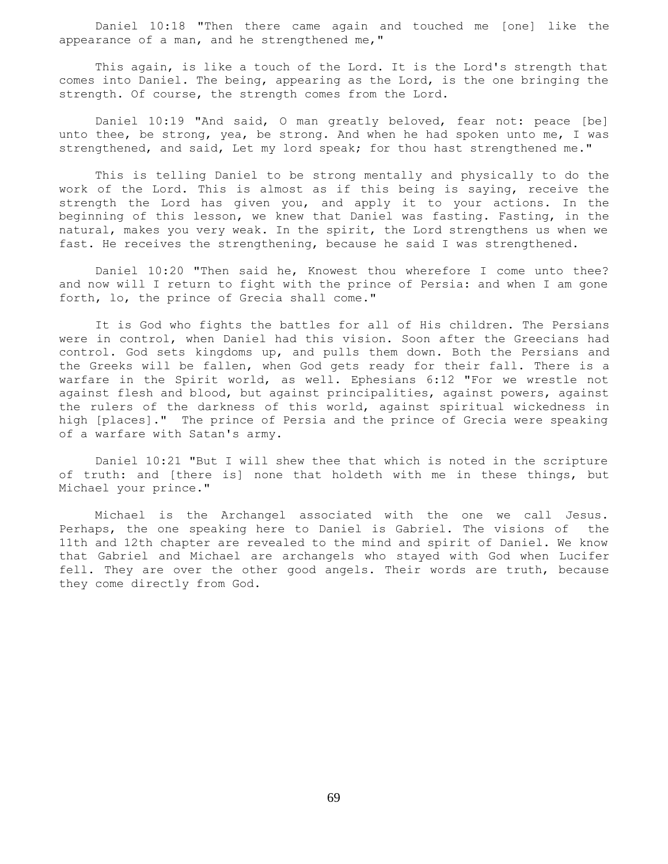Daniel 10:18 "Then there came again and touched me [one] like the appearance of a man, and he strengthened me,"

 This again, is like a touch of the Lord. It is the Lord's strength that comes into Daniel. The being, appearing as the Lord, is the one bringing the strength. Of course, the strength comes from the Lord.

Daniel 10:19 "And said, O man greatly beloved, fear not: peace [be] unto thee, be strong, yea, be strong. And when he had spoken unto me, I was strengthened, and said, Let my lord speak; for thou hast strengthened me."

 This is telling Daniel to be strong mentally and physically to do the work of the Lord. This is almost as if this being is saying, receive the strength the Lord has given you, and apply it to your actions. In the beginning of this lesson, we knew that Daniel was fasting. Fasting, in the natural, makes you very weak. In the spirit, the Lord strengthens us when we fast. He receives the strengthening, because he said I was strengthened.

 Daniel 10:20 "Then said he, Knowest thou wherefore I come unto thee? and now will I return to fight with the prince of Persia: and when I am gone forth, lo, the prince of Grecia shall come."

 It is God who fights the battles for all of His children. The Persians were in control, when Daniel had this vision. Soon after the Greecians had control. God sets kingdoms up, and pulls them down. Both the Persians and the Greeks will be fallen, when God gets ready for their fall. There is a warfare in the Spirit world, as well. Ephesians 6:12 "For we wrestle not against flesh and blood, but against principalities, against powers, against the rulers of the darkness of this world, against spiritual wickedness in high [places]." The prince of Persia and the prince of Grecia were speaking of a warfare with Satan's army.

 Daniel 10:21 "But I will shew thee that which is noted in the scripture of truth: and [there is] none that holdeth with me in these things, but Michael your prince."

 Michael is the Archangel associated with the one we call Jesus. Perhaps, the one speaking here to Daniel is Gabriel. The visions of the 11th and 12th chapter are revealed to the mind and spirit of Daniel. We know that Gabriel and Michael are archangels who stayed with God when Lucifer fell. They are over the other good angels. Their words are truth, because they come directly from God.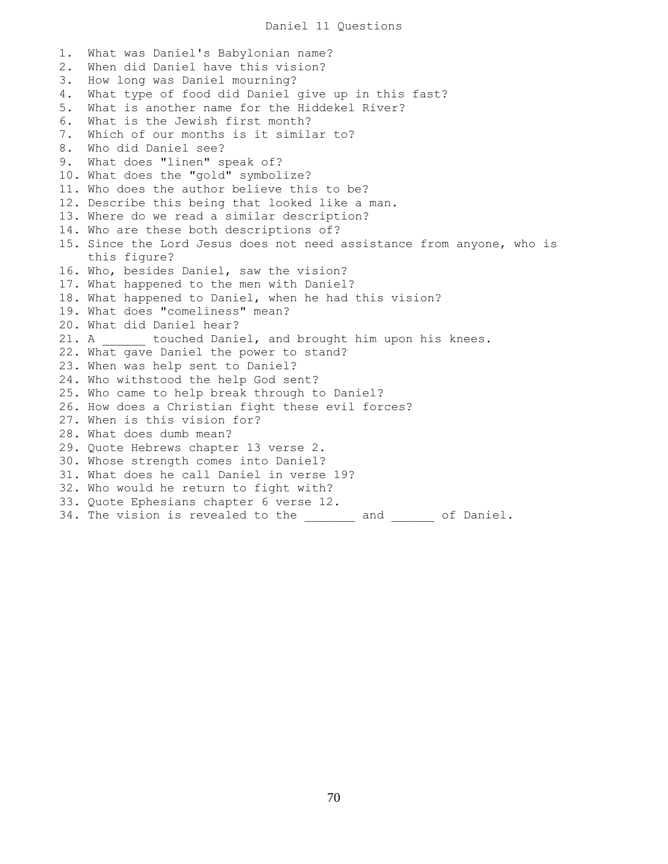1. What was Daniel's Babylonian name? 2. When did Daniel have this vision? 3. How long was Daniel mourning? 4. What type of food did Daniel give up in this fast? 5. What is another name for the Hiddekel River? 6. What is the Jewish first month? 7. Which of our months is it similar to? 8. Who did Daniel see? 9. What does "linen" speak of? 10. What does the "gold" symbolize? 11. Who does the author believe this to be? 12. Describe this being that looked like a man. 13. Where do we read a similar description? 14. Who are these both descriptions of? 15. Since the Lord Jesus does not need assistance from anyone, who is this figure? 16. Who, besides Daniel, saw the vision? 17. What happened to the men with Daniel? 18. What happened to Daniel, when he had this vision? 19. What does "comeliness" mean? 20. What did Daniel hear? 21. A \_\_\_\_\_\_ touched Daniel, and brought him upon his knees. 22. What gave Daniel the power to stand? 23. When was help sent to Daniel? 24. Who withstood the help God sent? 25. Who came to help break through to Daniel? 26. How does a Christian fight these evil forces? 27. When is this vision for? 28. What does dumb mean? 29. Quote Hebrews chapter 13 verse 2. 30. Whose strength comes into Daniel? 31. What does he call Daniel in verse 19? 32. Who would he return to fight with? 33. Quote Ephesians chapter 6 verse 12. 34. The vision is revealed to the \_\_\_\_\_\_\_ and \_\_\_\_\_\_ of Daniel.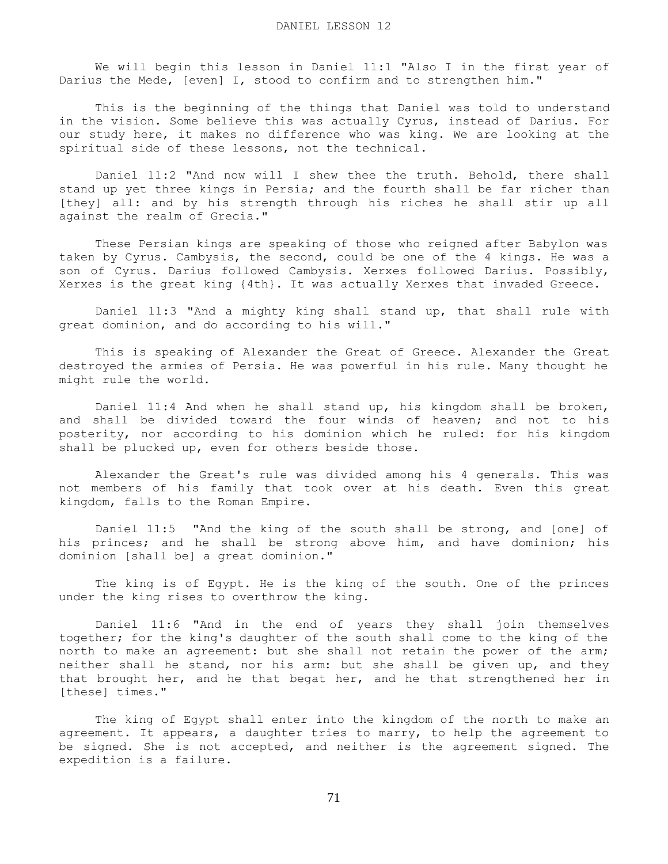We will begin this lesson in Daniel 11:1 "Also I in the first year of Darius the Mede, [even] I, stood to confirm and to strengthen him."

 This is the beginning of the things that Daniel was told to understand in the vision. Some believe this was actually Cyrus, instead of Darius. For our study here, it makes no difference who was king. We are looking at the spiritual side of these lessons, not the technical.

 Daniel 11:2 "And now will I shew thee the truth. Behold, there shall stand up yet three kings in Persia; and the fourth shall be far richer than [they] all: and by his strength through his riches he shall stir up all against the realm of Grecia."

 These Persian kings are speaking of those who reigned after Babylon was taken by Cyrus. Cambysis, the second, could be one of the 4 kings. He was a son of Cyrus. Darius followed Cambysis. Xerxes followed Darius. Possibly, Xerxes is the great king {4th}. It was actually Xerxes that invaded Greece.

 Daniel 11:3 "And a mighty king shall stand up, that shall rule with great dominion, and do according to his will."

 This is speaking of Alexander the Great of Greece. Alexander the Great destroyed the armies of Persia. He was powerful in his rule. Many thought he might rule the world.

 Daniel 11:4 And when he shall stand up, his kingdom shall be broken, and shall be divided toward the four winds of heaven; and not to his posterity, nor according to his dominion which he ruled: for his kingdom shall be plucked up, even for others beside those.

 Alexander the Great's rule was divided among his 4 generals. This was not members of his family that took over at his death. Even this great kingdom, falls to the Roman Empire.

 Daniel 11:5 "And the king of the south shall be strong, and [one] of his princes; and he shall be strong above him, and have dominion; his dominion [shall be] a great dominion."

 The king is of Egypt. He is the king of the south. One of the princes under the king rises to overthrow the king.

 Daniel 11:6 "And in the end of years they shall join themselves together; for the king's daughter of the south shall come to the king of the north to make an agreement: but she shall not retain the power of the arm; neither shall he stand, nor his arm: but she shall be given up, and they that brought her, and he that begat her, and he that strengthened her in [these] times."

 The king of Egypt shall enter into the kingdom of the north to make an agreement. It appears, a daughter tries to marry, to help the agreement to be signed. She is not accepted, and neither is the agreement signed. The expedition is a failure.

71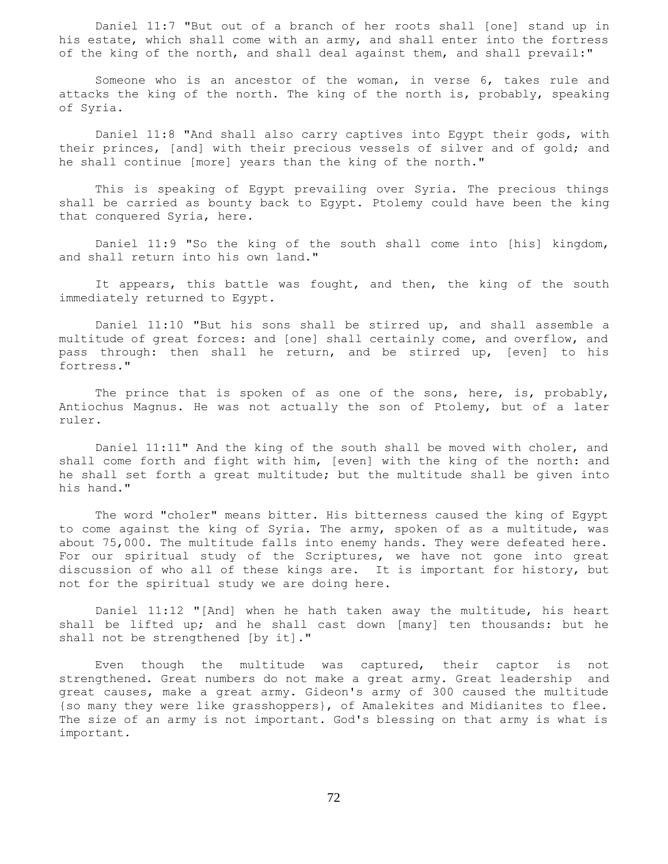Daniel 11:7 "But out of a branch of her roots shall [one] stand up in his estate, which shall come with an army, and shall enter into the fortress of the king of the north, and shall deal against them, and shall prevail:"

 Someone who is an ancestor of the woman, in verse 6, takes rule and attacks the king of the north. The king of the north is, probably, speaking of Syria.

 Daniel 11:8 "And shall also carry captives into Egypt their gods, with their princes, [and] with their precious vessels of silver and of gold; and he shall continue [more] years than the king of the north."

 This is speaking of Egypt prevailing over Syria. The precious things shall be carried as bounty back to Egypt. Ptolemy could have been the king that conquered Syria, here.

 Daniel 11:9 "So the king of the south shall come into [his] kingdom, and shall return into his own land."

 It appears, this battle was fought, and then, the king of the south immediately returned to Egypt.

 Daniel 11:10 "But his sons shall be stirred up, and shall assemble a multitude of great forces: and [one] shall certainly come, and overflow, and pass through: then shall he return, and be stirred up, [even] to his fortress."

The prince that is spoken of as one of the sons, here, is, probably, Antiochus Magnus. He was not actually the son of Ptolemy, but of a later ruler.

 Daniel 11:11" And the king of the south shall be moved with choler, and shall come forth and fight with him, [even] with the king of the north: and he shall set forth a great multitude; but the multitude shall be given into his hand."

 The word "choler" means bitter. His bitterness caused the king of Egypt to come against the king of Syria. The army, spoken of as a multitude, was about 75,000. The multitude falls into enemy hands. They were defeated here. For our spiritual study of the Scriptures, we have not gone into great discussion of who all of these kings are. It is important for history, but not for the spiritual study we are doing here.

 Daniel 11:12 "[And] when he hath taken away the multitude, his heart shall be lifted up; and he shall cast down [many] ten thousands: but he shall not be strengthened [by it]."

 Even though the multitude was captured, their captor is not strengthened. Great numbers do not make a great army. Great leadership and great causes, make a great army. Gideon's army of 300 caused the multitude {so many they were like grasshoppers}, of Amalekites and Midianites to flee. The size of an army is not important. God's blessing on that army is what is important.

72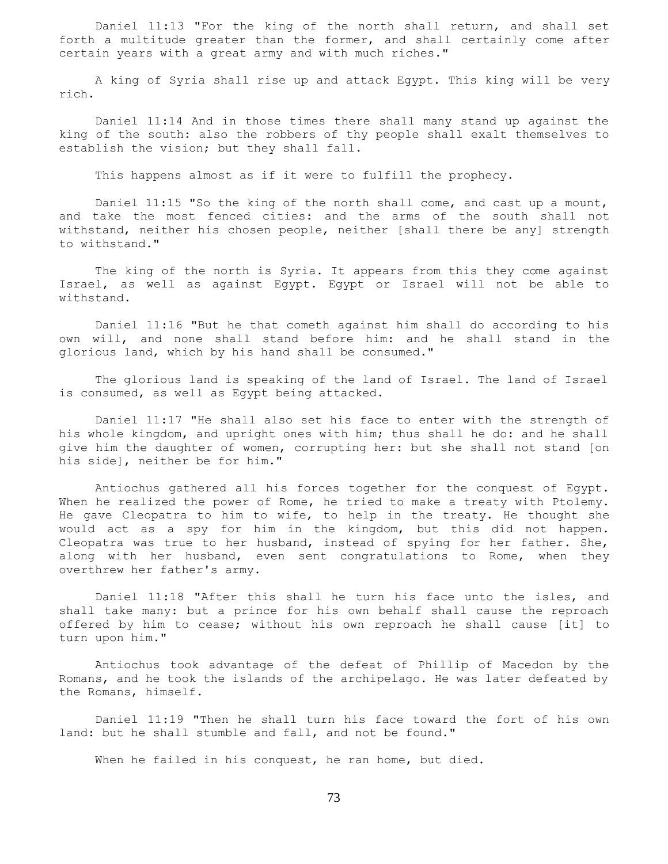Daniel 11:13 "For the king of the north shall return, and shall set forth a multitude greater than the former, and shall certainly come after certain years with a great army and with much riches."

 A king of Syria shall rise up and attack Egypt. This king will be very rich.

 Daniel 11:14 And in those times there shall many stand up against the king of the south: also the robbers of thy people shall exalt themselves to establish the vision; but they shall fall.

This happens almost as if it were to fulfill the prophecy.

 Daniel 11:15 "So the king of the north shall come, and cast up a mount, and take the most fenced cities: and the arms of the south shall not withstand, neither his chosen people, neither [shall there be any] strength to withstand."

 The king of the north is Syria. It appears from this they come against Israel, as well as against Egypt. Egypt or Israel will not be able to withstand.

 Daniel 11:16 "But he that cometh against him shall do according to his own will, and none shall stand before him: and he shall stand in the glorious land, which by his hand shall be consumed."

 The glorious land is speaking of the land of Israel. The land of Israel is consumed, as well as Egypt being attacked.

 Daniel 11:17 "He shall also set his face to enter with the strength of his whole kingdom, and upright ones with him; thus shall he do: and he shall give him the daughter of women, corrupting her: but she shall not stand [on his side], neither be for him."

 Antiochus gathered all his forces together for the conquest of Egypt. When he realized the power of Rome, he tried to make a treaty with Ptolemy. He gave Cleopatra to him to wife, to help in the treaty. He thought she would act as a spy for him in the kingdom, but this did not happen. Cleopatra was true to her husband, instead of spying for her father. She, along with her husband, even sent congratulations to Rome, when they overthrew her father's army.

 Daniel 11:18 "After this shall he turn his face unto the isles, and shall take many: but a prince for his own behalf shall cause the reproach offered by him to cease; without his own reproach he shall cause [it] to turn upon him."

 Antiochus took advantage of the defeat of Phillip of Macedon by the Romans, and he took the islands of the archipelago. He was later defeated by the Romans, himself.

 Daniel 11:19 "Then he shall turn his face toward the fort of his own land: but he shall stumble and fall, and not be found."

When he failed in his conquest, he ran home, but died.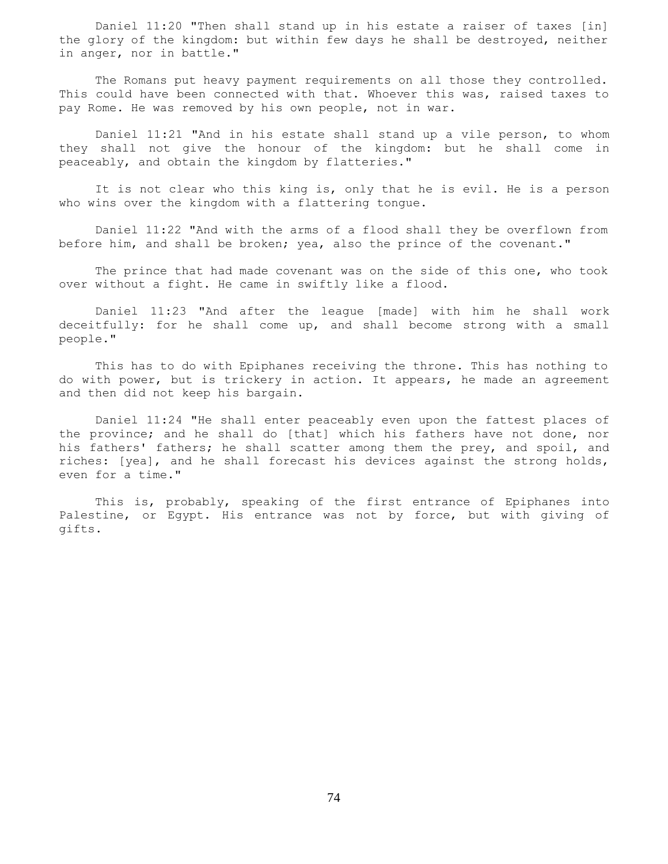Daniel 11:20 "Then shall stand up in his estate a raiser of taxes [in] the glory of the kingdom: but within few days he shall be destroyed, neither in anger, nor in battle."

 The Romans put heavy payment requirements on all those they controlled. This could have been connected with that. Whoever this was, raised taxes to pay Rome. He was removed by his own people, not in war.

 Daniel 11:21 "And in his estate shall stand up a vile person, to whom they shall not give the honour of the kingdom: but he shall come in peaceably, and obtain the kingdom by flatteries."

 It is not clear who this king is, only that he is evil. He is a person who wins over the kingdom with a flattering tongue.

 Daniel 11:22 "And with the arms of a flood shall they be overflown from before him, and shall be broken; yea, also the prince of the covenant."

 The prince that had made covenant was on the side of this one, who took over without a fight. He came in swiftly like a flood.

 Daniel 11:23 "And after the league [made] with him he shall work deceitfully: for he shall come up, and shall become strong with a small people."

 This has to do with Epiphanes receiving the throne. This has nothing to do with power, but is trickery in action. It appears, he made an agreement and then did not keep his bargain.

 Daniel 11:24 "He shall enter peaceably even upon the fattest places of the province; and he shall do [that] which his fathers have not done, nor his fathers' fathers; he shall scatter among them the prey, and spoil, and riches: [yea], and he shall forecast his devices against the strong holds, even for a time."

 This is, probably, speaking of the first entrance of Epiphanes into Palestine, or Egypt. His entrance was not by force, but with giving of gifts.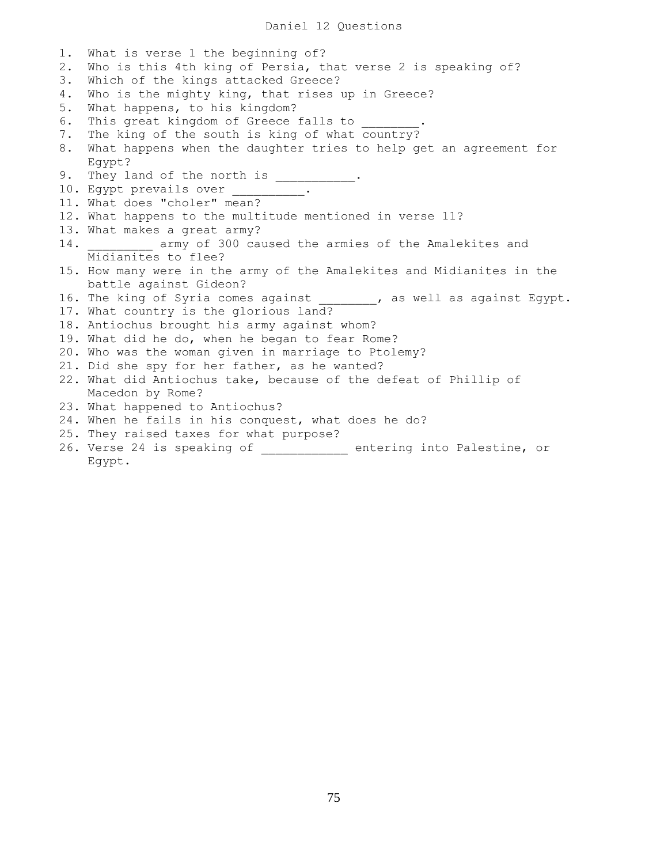# Daniel 12 Questions

1. What is verse 1 the beginning of? 2. Who is this 4th king of Persia, that verse 2 is speaking of? 3. Which of the kings attacked Greece? 4. Who is the mighty king, that rises up in Greece? 5. What happens, to his kingdom? 6. This great kingdom of Greece falls to 7. The king of the south is king of what country? 8. What happens when the daughter tries to help get an agreement for Egypt? 9. They land of the north is  $\frac{1}{\sqrt{1-\frac{1}{n}}}\cdot$ 10. Egypt prevails over \_\_\_\_\_\_\_\_\_\_. 11. What does "choler" mean? 12. What happens to the multitude mentioned in verse 11? 13. What makes a great army? 14. **Exam** army of 300 caused the armies of the Amalekites and Midianites to flee? 15. How many were in the army of the Amalekites and Midianites in the battle against Gideon? 16. The king of Syria comes against ... , as well as against Egypt. 17. What country is the glorious land? 18. Antiochus brought his army against whom? 19. What did he do, when he began to fear Rome? 20. Who was the woman given in marriage to Ptolemy? 21. Did she spy for her father, as he wanted? 22. What did Antiochus take, because of the defeat of Phillip of Macedon by Rome? 23. What happened to Antiochus? 24. When he fails in his conquest, what does he do? 25. They raised taxes for what purpose? 26. Verse 24 is speaking of \_\_\_\_\_\_\_\_\_\_\_\_ entering into Palestine, or Egypt.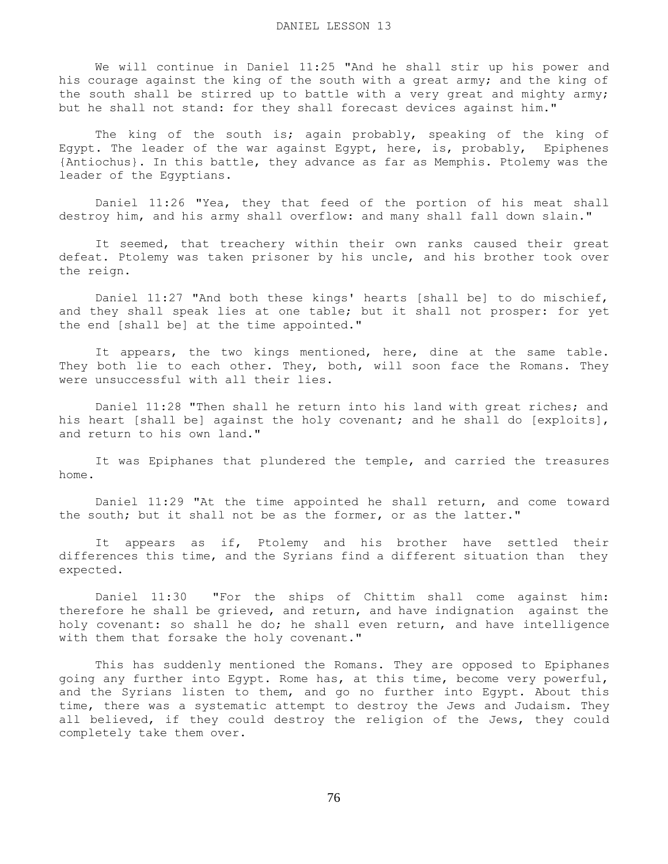We will continue in Daniel 11:25 "And he shall stir up his power and his courage against the king of the south with a great army; and the king of the south shall be stirred up to battle with a very great and mighty army; but he shall not stand: for they shall forecast devices against him."

 The king of the south is; again probably, speaking of the king of Egypt. The leader of the war against Egypt, here, is, probably, Epiphenes {Antiochus}. In this battle, they advance as far as Memphis. Ptolemy was the leader of the Egyptians.

 Daniel 11:26 "Yea, they that feed of the portion of his meat shall destroy him, and his army shall overflow: and many shall fall down slain."

 It seemed, that treachery within their own ranks caused their great defeat. Ptolemy was taken prisoner by his uncle, and his brother took over the reign.

 Daniel 11:27 "And both these kings' hearts [shall be] to do mischief, and they shall speak lies at one table; but it shall not prosper: for yet the end [shall be] at the time appointed."

 It appears, the two kings mentioned, here, dine at the same table. They both lie to each other. They, both, will soon face the Romans. They were unsuccessful with all their lies.

 Daniel 11:28 "Then shall he return into his land with great riches; and his heart [shall be] against the holy covenant; and he shall do [exploits], and return to his own land."

 It was Epiphanes that plundered the temple, and carried the treasures home.

 Daniel 11:29 "At the time appointed he shall return, and come toward the south; but it shall not be as the former, or as the latter."

 It appears as if, Ptolemy and his brother have settled their differences this time, and the Syrians find a different situation than they expected.

 Daniel 11:30 "For the ships of Chittim shall come against him: therefore he shall be grieved, and return, and have indignation against the holy covenant: so shall he do; he shall even return, and have intelligence with them that forsake the holy covenant."

 This has suddenly mentioned the Romans. They are opposed to Epiphanes going any further into Egypt. Rome has, at this time, become very powerful, and the Syrians listen to them, and go no further into Egypt. About this time, there was a systematic attempt to destroy the Jews and Judaism. They all believed, if they could destroy the religion of the Jews, they could completely take them over.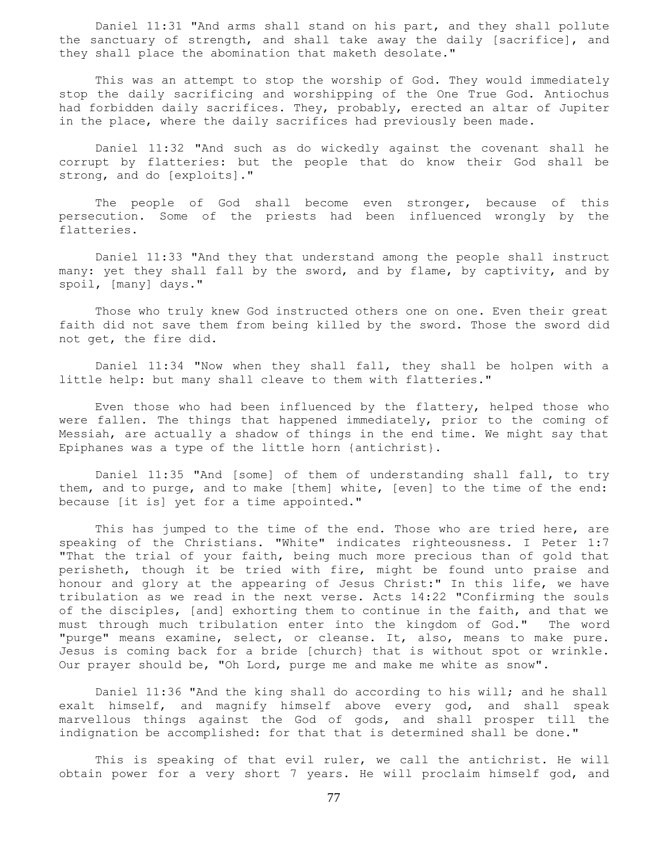Daniel 11:31 "And arms shall stand on his part, and they shall pollute the sanctuary of strength, and shall take away the daily [sacrifice], and they shall place the abomination that maketh desolate."

 This was an attempt to stop the worship of God. They would immediately stop the daily sacrificing and worshipping of the One True God. Antiochus had forbidden daily sacrifices. They, probably, erected an altar of Jupiter in the place, where the daily sacrifices had previously been made.

 Daniel 11:32 "And such as do wickedly against the covenant shall he corrupt by flatteries: but the people that do know their God shall be strong, and do [exploits]."

The people of God shall become even stronger, because of this persecution. Some of the priests had been influenced wrongly by the flatteries.

 Daniel 11:33 "And they that understand among the people shall instruct many: yet they shall fall by the sword, and by flame, by captivity, and by spoil, [many] days."

 Those who truly knew God instructed others one on one. Even their great faith did not save them from being killed by the sword. Those the sword did not get, the fire did.

 Daniel 11:34 "Now when they shall fall, they shall be holpen with a little help: but many shall cleave to them with flatteries."

 Even those who had been influenced by the flattery, helped those who were fallen. The things that happened immediately, prior to the coming of Messiah, are actually a shadow of things in the end time. We might say that Epiphanes was a type of the little horn {antichrist}.

 Daniel 11:35 "And [some] of them of understanding shall fall, to try them, and to purge, and to make [them] white, [even] to the time of the end: because [it is] yet for a time appointed."

 This has jumped to the time of the end. Those who are tried here, are speaking of the Christians. "White" indicates righteousness. I Peter 1:7 "That the trial of your faith, being much more precious than of gold that perisheth, though it be tried with fire, might be found unto praise and honour and glory at the appearing of Jesus Christ:" In this life, we have tribulation as we read in the next verse. Acts 14:22 "Confirming the souls of the disciples, [and] exhorting them to continue in the faith, and that we must through much tribulation enter into the kingdom of God." The word "purge" means examine, select, or cleanse. It, also, means to make pure. Jesus is coming back for a bride [church} that is without spot or wrinkle. Our prayer should be, "Oh Lord, purge me and make me white as snow".

 Daniel 11:36 "And the king shall do according to his will; and he shall exalt himself, and magnify himself above every god, and shall speak marvellous things against the God of gods, and shall prosper till the indignation be accomplished: for that that is determined shall be done."

 This is speaking of that evil ruler, we call the antichrist. He will obtain power for a very short 7 years. He will proclaim himself god, and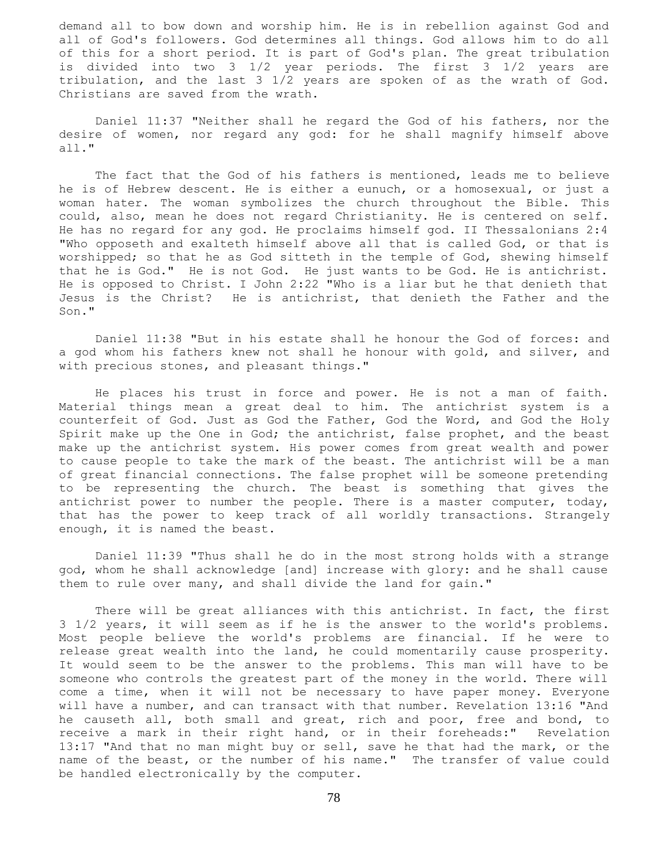demand all to bow down and worship him. He is in rebellion against God and all of God's followers. God determines all things. God allows him to do all of this for a short period. It is part of God's plan. The great tribulation is divided into two 3 1/2 year periods. The first 3 1/2 years are tribulation, and the last 3 1/2 years are spoken of as the wrath of God. Christians are saved from the wrath.

 Daniel 11:37 "Neither shall he regard the God of his fathers, nor the desire of women, nor regard any god: for he shall magnify himself above all."

 The fact that the God of his fathers is mentioned, leads me to believe he is of Hebrew descent. He is either a eunuch, or a homosexual, or just a woman hater. The woman symbolizes the church throughout the Bible. This could, also, mean he does not regard Christianity. He is centered on self. He has no regard for any god. He proclaims himself god. II Thessalonians 2:4 "Who opposeth and exalteth himself above all that is called God, or that is worshipped; so that he as God sitteth in the temple of God, shewing himself that he is God." He is not God. He just wants to be God. He is antichrist. He is opposed to Christ. I John 2:22 "Who is a liar but he that denieth that Jesus is the Christ? He is antichrist, that denieth the Father and the Son."

 Daniel 11:38 "But in his estate shall he honour the God of forces: and a god whom his fathers knew not shall he honour with gold, and silver, and with precious stones, and pleasant things."

 He places his trust in force and power. He is not a man of faith. Material things mean a great deal to him. The antichrist system is a counterfeit of God. Just as God the Father, God the Word, and God the Holy Spirit make up the One in God; the antichrist, false prophet, and the beast make up the antichrist system. His power comes from great wealth and power to cause people to take the mark of the beast. The antichrist will be a man of great financial connections. The false prophet will be someone pretending to be representing the church. The beast is something that gives the antichrist power to number the people. There is a master computer, today, that has the power to keep track of all worldly transactions. Strangely enough, it is named the beast.

 Daniel 11:39 "Thus shall he do in the most strong holds with a strange god, whom he shall acknowledge [and] increase with glory: and he shall cause them to rule over many, and shall divide the land for gain."

 There will be great alliances with this antichrist. In fact, the first 3 1/2 years, it will seem as if he is the answer to the world's problems. Most people believe the world's problems are financial. If he were to release great wealth into the land, he could momentarily cause prosperity. It would seem to be the answer to the problems. This man will have to be someone who controls the greatest part of the money in the world. There will come a time, when it will not be necessary to have paper money. Everyone will have a number, and can transact with that number. Revelation 13:16 "And he causeth all, both small and great, rich and poor, free and bond, to receive a mark in their right hand, or in their foreheads:" Revelation 13:17 "And that no man might buy or sell, save he that had the mark, or the name of the beast, or the number of his name." The transfer of value could be handled electronically by the computer.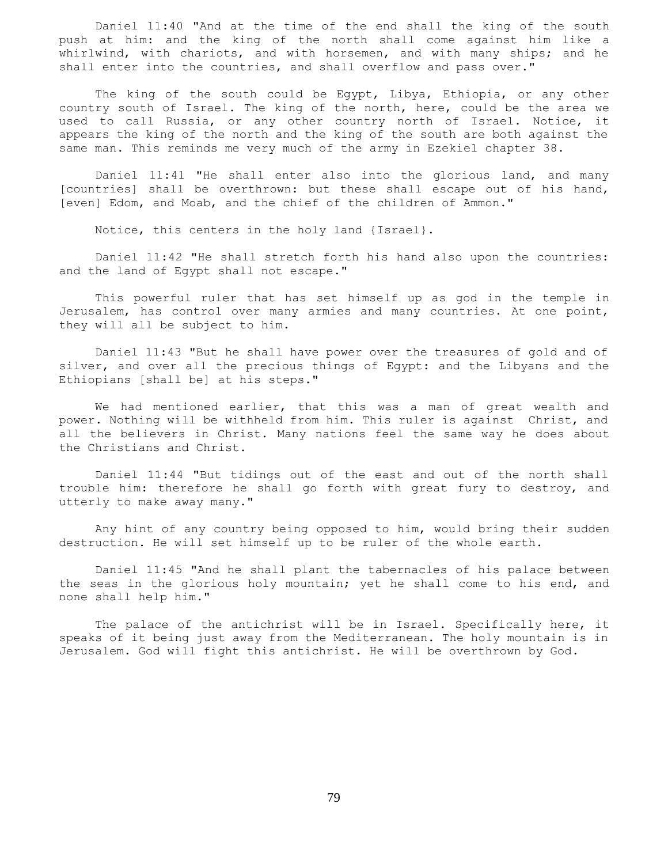Daniel 11:40 "And at the time of the end shall the king of the south push at him: and the king of the north shall come against him like a whirlwind, with chariots, and with horsemen, and with many ships; and he shall enter into the countries, and shall overflow and pass over."

 The king of the south could be Egypt, Libya, Ethiopia, or any other country south of Israel. The king of the north, here, could be the area we used to call Russia, or any other country north of Israel. Notice, it appears the king of the north and the king of the south are both against the same man. This reminds me very much of the army in Ezekiel chapter 38.

 Daniel 11:41 "He shall enter also into the glorious land, and many [countries] shall be overthrown: but these shall escape out of his hand, [even] Edom, and Moab, and the chief of the children of Ammon."

Notice, this centers in the holy land {Israel}.

 Daniel 11:42 "He shall stretch forth his hand also upon the countries: and the land of Egypt shall not escape."

 This powerful ruler that has set himself up as god in the temple in Jerusalem, has control over many armies and many countries. At one point, they will all be subject to him.

 Daniel 11:43 "But he shall have power over the treasures of gold and of silver, and over all the precious things of Egypt: and the Libyans and the Ethiopians [shall be] at his steps."

 We had mentioned earlier, that this was a man of great wealth and power. Nothing will be withheld from him. This ruler is against Christ, and all the believers in Christ. Many nations feel the same way he does about the Christians and Christ.

 Daniel 11:44 "But tidings out of the east and out of the north shall trouble him: therefore he shall go forth with great fury to destroy, and utterly to make away many."

 Any hint of any country being opposed to him, would bring their sudden destruction. He will set himself up to be ruler of the whole earth.

 Daniel 11:45 "And he shall plant the tabernacles of his palace between the seas in the glorious holy mountain; yet he shall come to his end, and none shall help him."

 The palace of the antichrist will be in Israel. Specifically here, it speaks of it being just away from the Mediterranean. The holy mountain is in Jerusalem. God will fight this antichrist. He will be overthrown by God.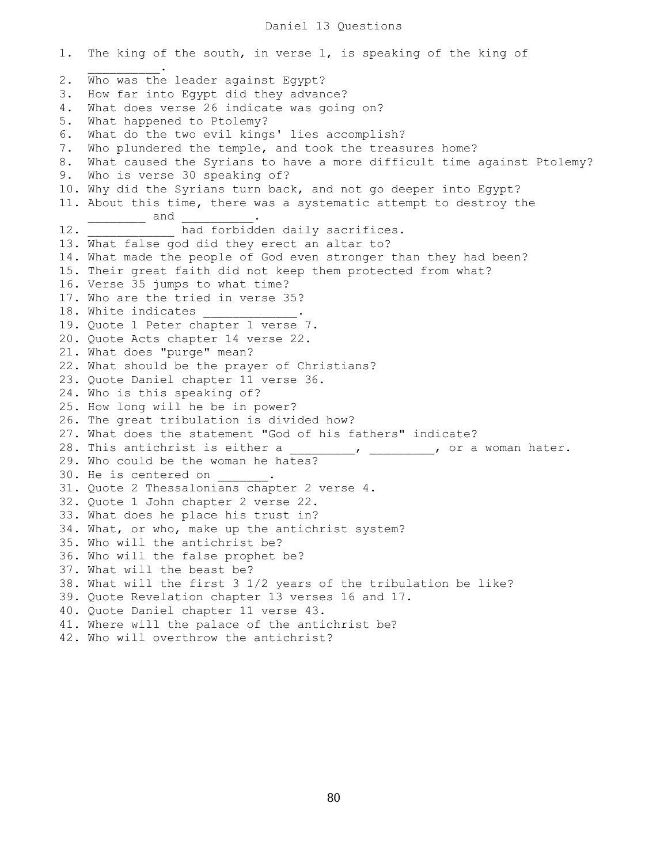# Daniel 13 Questions

1. The king of the south, in verse 1, is speaking of the king of  $\mathcal{L}=\mathcal{L}=\mathcal{L}=\mathcal{L}=\mathcal{L}=\mathcal{L}$ 2. Who was the leader against Egypt? 3. How far into Egypt did they advance? 4. What does verse 26 indicate was going on? 5. What happened to Ptolemy? 6. What do the two evil kings' lies accomplish? 7. Who plundered the temple, and took the treasures home? 8. What caused the Syrians to have a more difficult time against Ptolemy? 9. Who is verse 30 speaking of? 10. Why did the Syrians turn back, and not go deeper into Egypt? 11. About this time, there was a systematic attempt to destroy the  $\rule{1em}{0.15mm}$  and 12. That forbidden daily sacrifices. 13. What false god did they erect an altar to? 14. What made the people of God even stronger than they had been? 15. Their great faith did not keep them protected from what? 16. Verse 35 jumps to what time? 17. Who are the tried in verse 35? 18. White indicates 19. Quote 1 Peter chapter 1 verse 7. 20. Quote Acts chapter 14 verse 22. 21. What does "purge" mean? 22. What should be the prayer of Christians? 23. Quote Daniel chapter 11 verse 36. 24. Who is this speaking of? 25. How long will he be in power? 26. The great tribulation is divided how? 27. What does the statement "God of his fathers" indicate? 28. This antichrist is either a  $\frac{1}{2}$ ,  $\frac{1}{2}$ ,  $\frac{1}{2}$ , or a woman hater. 29. Who could be the woman he hates? 30. He is centered on  $\qquad \qquad$ 31. Quote 2 Thessalonians chapter 2 verse 4. 32. Quote 1 John chapter 2 verse 22. 33. What does he place his trust in? 34. What, or who, make up the antichrist system? 35. Who will the antichrist be? 36. Who will the false prophet be? 37. What will the beast be? 38. What will the first 3 1/2 years of the tribulation be like? 39. Quote Revelation chapter 13 verses 16 and 17. 40. Quote Daniel chapter 11 verse 43. 41. Where will the palace of the antichrist be? 42. Who will overthrow the antichrist?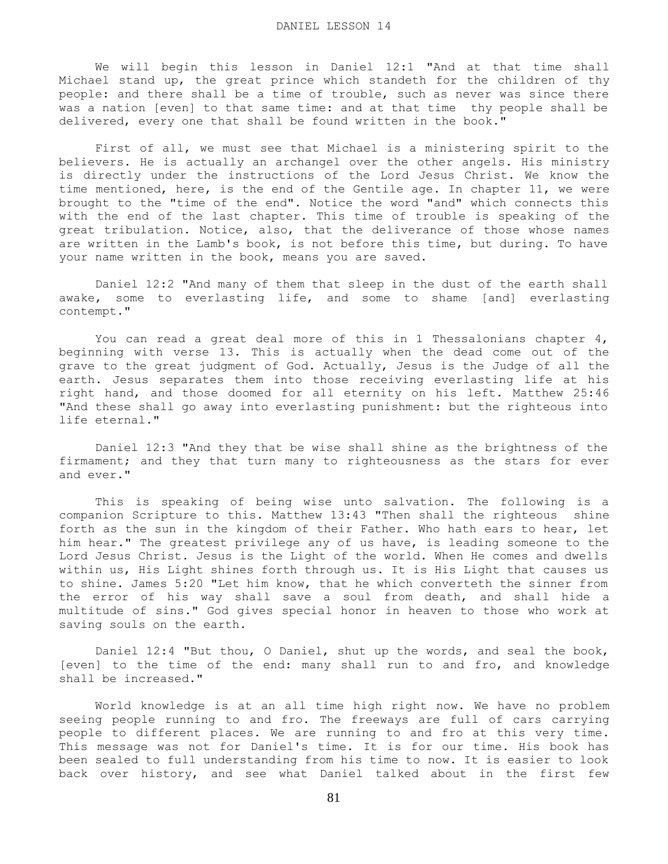We will begin this lesson in Daniel 12:1 "And at that time shall Michael stand up, the great prince which standeth for the children of thy people: and there shall be a time of trouble, such as never was since there was a nation [even] to that same time: and at that time thy people shall be delivered, every one that shall be found written in the book."

 First of all, we must see that Michael is a ministering spirit to the believers. He is actually an archangel over the other angels. His ministry is directly under the instructions of the Lord Jesus Christ. We know the time mentioned, here, is the end of the Gentile age. In chapter 11, we were brought to the "time of the end". Notice the word "and" which connects this with the end of the last chapter. This time of trouble is speaking of the great tribulation. Notice, also, that the deliverance of those whose names are written in the Lamb's book, is not before this time, but during. To have your name written in the book, means you are saved.

 Daniel 12:2 "And many of them that sleep in the dust of the earth shall awake, some to everlasting life, and some to shame [and] everlasting contempt."

You can read a great deal more of this in 1 Thessalonians chapter  $4$ , beginning with verse 13. This is actually when the dead come out of the grave to the great judgment of God. Actually, Jesus is the Judge of all the earth. Jesus separates them into those receiving everlasting life at his right hand, and those doomed for all eternity on his left. Matthew 25:46 "And these shall go away into everlasting punishment: but the righteous into life eternal."

 Daniel 12:3 "And they that be wise shall shine as the brightness of the firmament; and they that turn many to righteousness as the stars for ever and ever."

 This is speaking of being wise unto salvation. The following is a companion Scripture to this. Matthew 13:43 "Then shall the righteous shine forth as the sun in the kingdom of their Father. Who hath ears to hear, let him hear." The greatest privilege any of us have, is leading someone to the Lord Jesus Christ. Jesus is the Light of the world. When He comes and dwells within us, His Light shines forth through us. It is His Light that causes us to shine. James 5:20 "Let him know, that he which converteth the sinner from the error of his way shall save a soul from death, and shall hide a multitude of sins." God gives special honor in heaven to those who work at saving souls on the earth.

 Daniel 12:4 "But thou, O Daniel, shut up the words, and seal the book, [even] to the time of the end: many shall run to and fro, and knowledge shall be increased."

 World knowledge is at an all time high right now. We have no problem seeing people running to and fro. The freeways are full of cars carrying people to different places. We are running to and fro at this very time. This message was not for Daniel's time. It is for our time. His book has been sealed to full understanding from his time to now. It is easier to look back over history, and see what Daniel talked about in the first few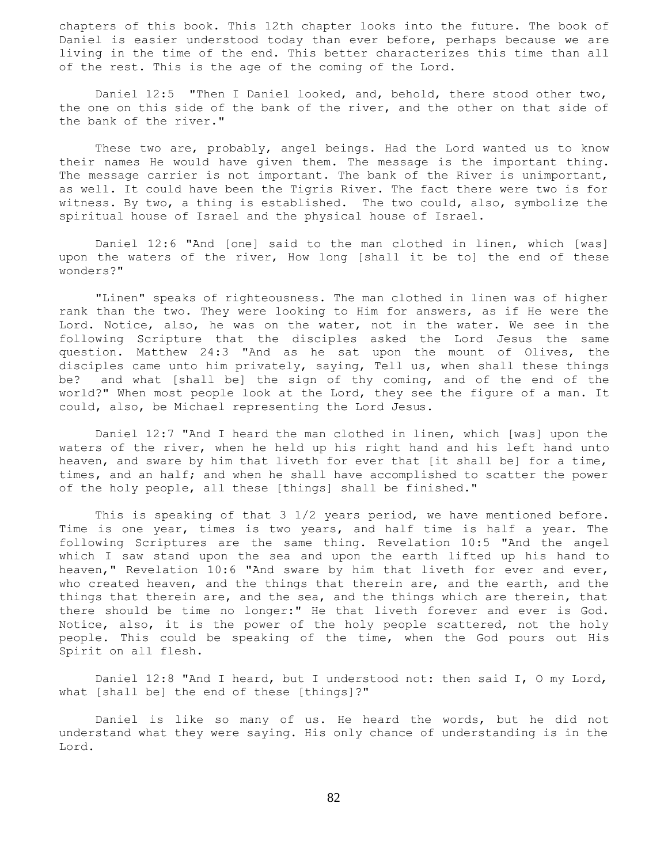chapters of this book. This 12th chapter looks into the future. The book of Daniel is easier understood today than ever before, perhaps because we are living in the time of the end. This better characterizes this time than all of the rest. This is the age of the coming of the Lord.

 Daniel 12:5 "Then I Daniel looked, and, behold, there stood other two, the one on this side of the bank of the river, and the other on that side of the bank of the river."

 These two are, probably, angel beings. Had the Lord wanted us to know their names He would have given them. The message is the important thing. The message carrier is not important. The bank of the River is unimportant, as well. It could have been the Tigris River. The fact there were two is for witness. By two, a thing is established. The two could, also, symbolize the spiritual house of Israel and the physical house of Israel.

 Daniel 12:6 "And [one] said to the man clothed in linen, which [was] upon the waters of the river, How long [shall it be to] the end of these wonders?"

 "Linen" speaks of righteousness. The man clothed in linen was of higher rank than the two. They were looking to Him for answers, as if He were the Lord. Notice, also, he was on the water, not in the water. We see in the following Scripture that the disciples asked the Lord Jesus the same question. Matthew 24:3 "And as he sat upon the mount of Olives, the disciples came unto him privately, saying, Tell us, when shall these things be? and what [shall be] the sign of thy coming, and of the end of the world?" When most people look at the Lord, they see the figure of a man. It could, also, be Michael representing the Lord Jesus.

 Daniel 12:7 "And I heard the man clothed in linen, which [was] upon the waters of the river, when he held up his right hand and his left hand unto heaven, and sware by him that liveth for ever that [it shall be] for a time, times, and an half; and when he shall have accomplished to scatter the power of the holy people, all these [things] shall be finished."

This is speaking of that 3 1/2 years period, we have mentioned before. Time is one year, times is two years, and half time is half a year. The following Scriptures are the same thing. Revelation 10:5 "And the angel which I saw stand upon the sea and upon the earth lifted up his hand to heaven," Revelation 10:6 "And sware by him that liveth for ever and ever, who created heaven, and the things that therein are, and the earth, and the things that therein are, and the sea, and the things which are therein, that there should be time no longer:" He that liveth forever and ever is God. Notice, also, it is the power of the holy people scattered, not the holy people. This could be speaking of the time, when the God pours out His Spirit on all flesh.

 Daniel 12:8 "And I heard, but I understood not: then said I, O my Lord, what [shall be] the end of these [things]?"

 Daniel is like so many of us. He heard the words, but he did not understand what they were saying. His only chance of understanding is in the Lord.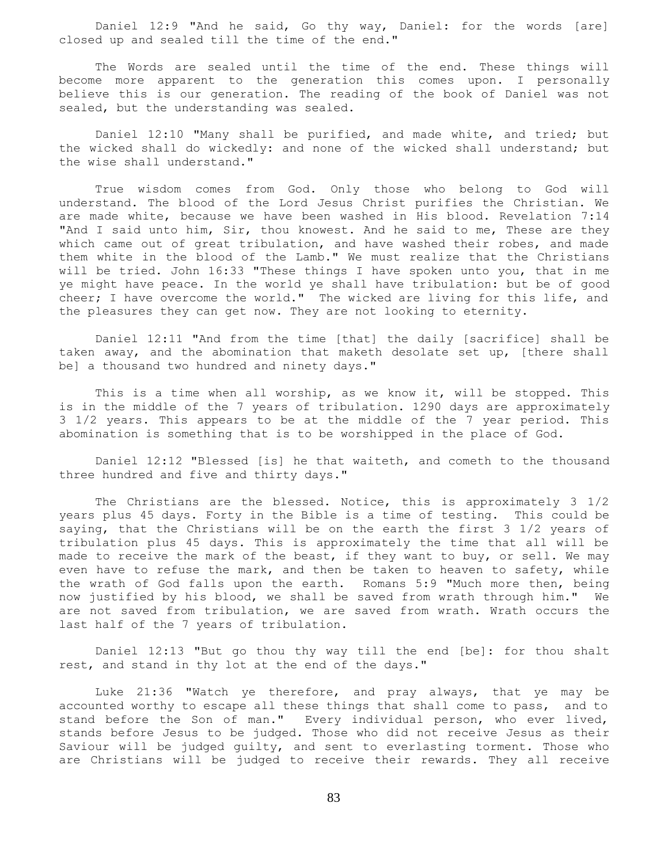Daniel 12:9 "And he said, Go thy way, Daniel: for the words [are] closed up and sealed till the time of the end."

 The Words are sealed until the time of the end. These things will become more apparent to the generation this comes upon. I personally believe this is our generation. The reading of the book of Daniel was not sealed, but the understanding was sealed.

 Daniel 12:10 "Many shall be purified, and made white, and tried; but the wicked shall do wickedly: and none of the wicked shall understand; but the wise shall understand."

 True wisdom comes from God. Only those who belong to God will understand. The blood of the Lord Jesus Christ purifies the Christian. We are made white, because we have been washed in His blood. Revelation 7:14 "And I said unto him, Sir, thou knowest. And he said to me, These are they which came out of great tribulation, and have washed their robes, and made them white in the blood of the Lamb." We must realize that the Christians will be tried. John 16:33 "These things I have spoken unto you, that in me ye might have peace. In the world ye shall have tribulation: but be of good cheer; I have overcome the world." The wicked are living for this life, and the pleasures they can get now. They are not looking to eternity.

 Daniel 12:11 "And from the time [that] the daily [sacrifice] shall be taken away, and the abomination that maketh desolate set up, [there shall be] a thousand two hundred and ninety days."

 This is a time when all worship, as we know it, will be stopped. This is in the middle of the 7 years of tribulation. 1290 days are approximately 3 1/2 years. This appears to be at the middle of the 7 year period. This abomination is something that is to be worshipped in the place of God.

 Daniel 12:12 "Blessed [is] he that waiteth, and cometh to the thousand three hundred and five and thirty days."

 The Christians are the blessed. Notice, this is approximately 3 1/2 years plus 45 days. Forty in the Bible is a time of testing. This could be saying, that the Christians will be on the earth the first 3 1/2 years of tribulation plus 45 days. This is approximately the time that all will be made to receive the mark of the beast, if they want to buy, or sell. We may even have to refuse the mark, and then be taken to heaven to safety, while the wrath of God falls upon the earth. Romans 5:9 "Much more then, being now justified by his blood, we shall be saved from wrath through him." We are not saved from tribulation, we are saved from wrath. Wrath occurs the last half of the 7 years of tribulation.

 Daniel 12:13 "But go thou thy way till the end [be]: for thou shalt rest, and stand in thy lot at the end of the days."

 Luke 21:36 "Watch ye therefore, and pray always, that ye may be accounted worthy to escape all these things that shall come to pass, and to stand before the Son of man." Every individual person, who ever lived, stands before Jesus to be judged. Those who did not receive Jesus as their Saviour will be judged guilty, and sent to everlasting torment. Those who are Christians will be judged to receive their rewards. They all receive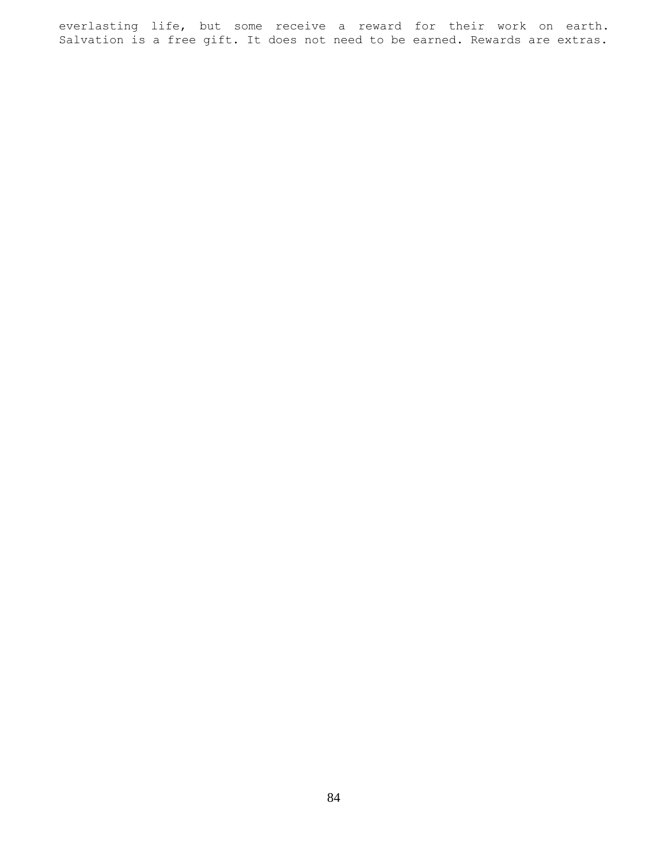everlasting life, but some receive a reward for their work on earth. Salvation is a free gift. It does not need to be earned. Rewards are extras.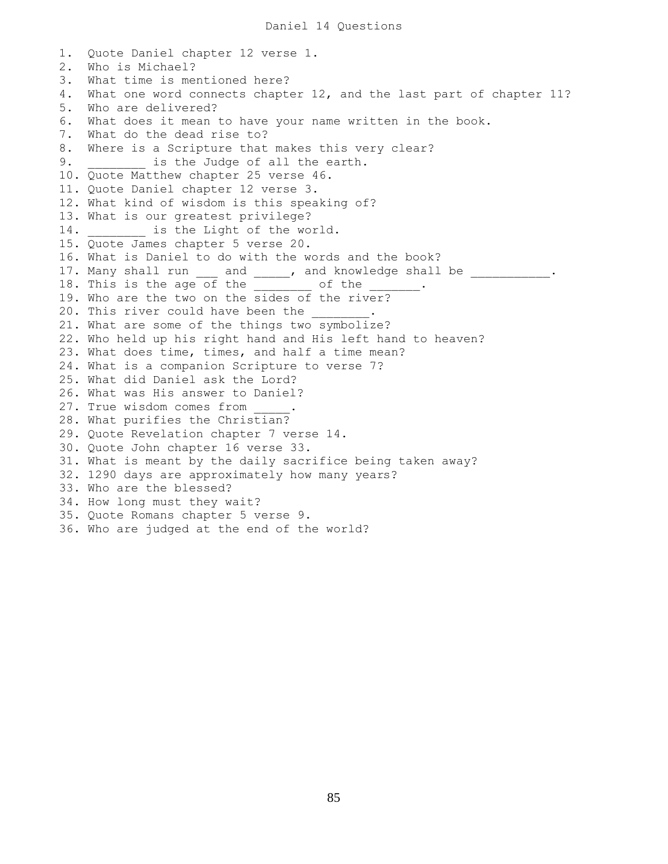1. Quote Daniel chapter 12 verse 1. 2. Who is Michael? 3. What time is mentioned here? 4. What one word connects chapter 12, and the last part of chapter 11? 5. Who are delivered? 6. What does it mean to have your name written in the book. 7. What do the dead rise to? 8. Where is a Scripture that makes this very clear? 9. **Example 3** is the Judge of all the earth. 10. Quote Matthew chapter 25 verse 46. 11. Quote Daniel chapter 12 verse 3. 12. What kind of wisdom is this speaking of? 13. What is our greatest privilege? 14. **is the Light of the world.** 15. Quote James chapter 5 verse 20. 16. What is Daniel to do with the words and the book? 17. Many shall run \_\_\_ and \_\_\_\_\_, and knowledge shall be \_\_\_\_\_\_\_\_\_\_\_\_. 18. This is the age of the \_\_\_\_\_\_\_\_ of the 19. Who are the two on the sides of the river? 20. This river could have been the 21. What are some of the things two symbolize? 22. Who held up his right hand and His left hand to heaven? 23. What does time, times, and half a time mean? 24. What is a companion Scripture to verse 7? 25. What did Daniel ask the Lord? 26. What was His answer to Daniel? 27. True wisdom comes from 28. What purifies the Christian? 29. Quote Revelation chapter 7 verse 14. 30. Quote John chapter 16 verse 33. 31. What is meant by the daily sacrifice being taken away? 32. 1290 days are approximately how many years? 33. Who are the blessed? 34. How long must they wait? 35. Quote Romans chapter 5 verse 9. 36. Who are judged at the end of the world?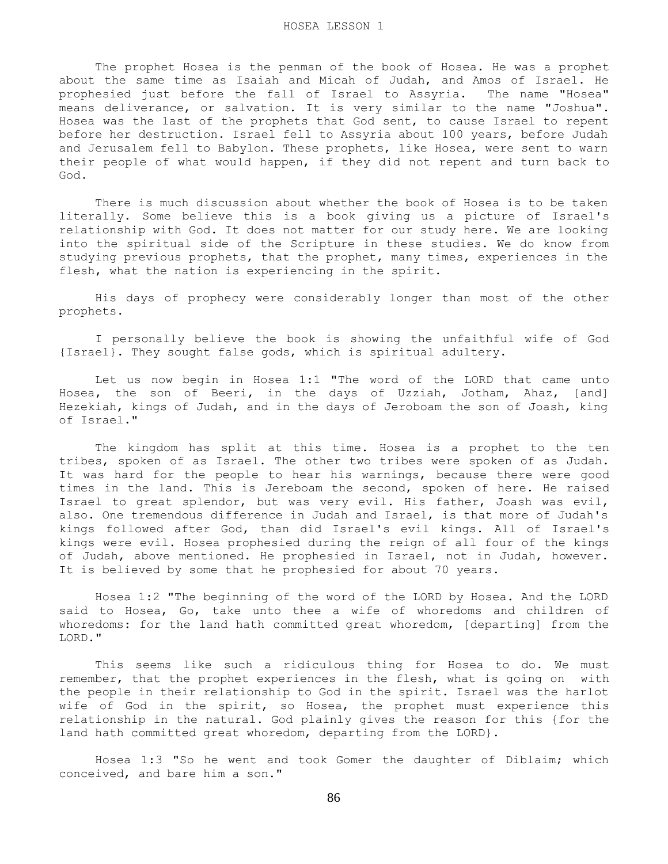The prophet Hosea is the penman of the book of Hosea. He was a prophet about the same time as Isaiah and Micah of Judah, and Amos of Israel. He prophesied just before the fall of Israel to Assyria. The name "Hosea" means deliverance, or salvation. It is very similar to the name "Joshua". Hosea was the last of the prophets that God sent, to cause Israel to repent before her destruction. Israel fell to Assyria about 100 years, before Judah and Jerusalem fell to Babylon. These prophets, like Hosea, were sent to warn their people of what would happen, if they did not repent and turn back to God.

 There is much discussion about whether the book of Hosea is to be taken literally. Some believe this is a book giving us a picture of Israel's relationship with God. It does not matter for our study here. We are looking into the spiritual side of the Scripture in these studies. We do know from studying previous prophets, that the prophet, many times, experiences in the flesh, what the nation is experiencing in the spirit.

 His days of prophecy were considerably longer than most of the other prophets.

 I personally believe the book is showing the unfaithful wife of God {Israel}. They sought false gods, which is spiritual adultery.

 Let us now begin in Hosea 1:1 "The word of the LORD that came unto Hosea, the son of Beeri, in the days of Uzziah, Jotham, Ahaz, [and] Hezekiah, kings of Judah, and in the days of Jeroboam the son of Joash, king of Israel."

 The kingdom has split at this time. Hosea is a prophet to the ten tribes, spoken of as Israel. The other two tribes were spoken of as Judah. It was hard for the people to hear his warnings, because there were good times in the land. This is Jereboam the second, spoken of here. He raised Israel to great splendor, but was very evil. His father, Joash was evil, also. One tremendous difference in Judah and Israel, is that more of Judah's kings followed after God, than did Israel's evil kings. All of Israel's kings were evil. Hosea prophesied during the reign of all four of the kings of Judah, above mentioned. He prophesied in Israel, not in Judah, however. It is believed by some that he prophesied for about 70 years.

 Hosea 1:2 "The beginning of the word of the LORD by Hosea. And the LORD said to Hosea, Go, take unto thee a wife of whoredoms and children of whoredoms: for the land hath committed great whoredom, [departing] from the LORD."

 This seems like such a ridiculous thing for Hosea to do. We must remember, that the prophet experiences in the flesh, what is going on with the people in their relationship to God in the spirit. Israel was the harlot wife of God in the spirit, so Hosea, the prophet must experience this relationship in the natural. God plainly gives the reason for this {for the land hath committed great whoredom, departing from the LORD}.

 Hosea 1:3 "So he went and took Gomer the daughter of Diblaim; which conceived, and bare him a son."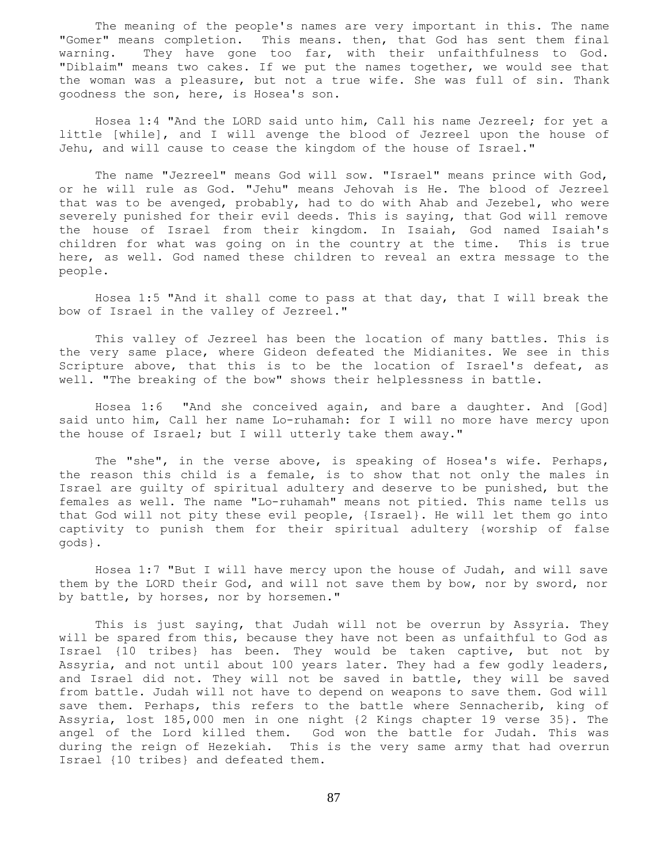The meaning of the people's names are very important in this. The name "Gomer" means completion. This means. then, that God has sent them final warning. They have gone too far, with their unfaithfulness to God. "Diblaim" means two cakes. If we put the names together, we would see that the woman was a pleasure, but not a true wife. She was full of sin. Thank goodness the son, here, is Hosea's son.

 Hosea 1:4 "And the LORD said unto him, Call his name Jezreel; for yet a little [while], and I will avenge the blood of Jezreel upon the house of Jehu, and will cause to cease the kingdom of the house of Israel."

 The name "Jezreel" means God will sow. "Israel" means prince with God, or he will rule as God. "Jehu" means Jehovah is He. The blood of Jezreel that was to be avenged, probably, had to do with Ahab and Jezebel, who were severely punished for their evil deeds. This is saying, that God will remove the house of Israel from their kingdom. In Isaiah, God named Isaiah's children for what was going on in the country at the time. This is true here, as well. God named these children to reveal an extra message to the people.

 Hosea 1:5 "And it shall come to pass at that day, that I will break the bow of Israel in the valley of Jezreel."

 This valley of Jezreel has been the location of many battles. This is the very same place, where Gideon defeated the Midianites. We see in this Scripture above, that this is to be the location of Israel's defeat, as well. "The breaking of the bow" shows their helplessness in battle.

 Hosea 1:6 "And she conceived again, and bare a daughter. And [God] said unto him, Call her name Lo-ruhamah: for I will no more have mercy upon the house of Israel; but I will utterly take them away."

 The "she", in the verse above, is speaking of Hosea's wife. Perhaps, the reason this child is a female, is to show that not only the males in Israel are guilty of spiritual adultery and deserve to be punished, but the females as well. The name "Lo-ruhamah" means not pitied. This name tells us that God will not pity these evil people, {Israel}. He will let them go into captivity to punish them for their spiritual adultery {worship of false gods}.

 Hosea 1:7 "But I will have mercy upon the house of Judah, and will save them by the LORD their God, and will not save them by bow, nor by sword, nor by battle, by horses, nor by horsemen."

 This is just saying, that Judah will not be overrun by Assyria. They will be spared from this, because they have not been as unfaithful to God as Israel {10 tribes} has been. They would be taken captive, but not by Assyria, and not until about 100 years later. They had a few godly leaders, and Israel did not. They will not be saved in battle, they will be saved from battle. Judah will not have to depend on weapons to save them. God will save them. Perhaps, this refers to the battle where Sennacherib, king of Assyria, lost 185,000 men in one night {2 Kings chapter 19 verse 35}. The angel of the Lord killed them. God won the battle for Judah. This was during the reign of Hezekiah. This is the very same army that had overrun Israel {10 tribes} and defeated them.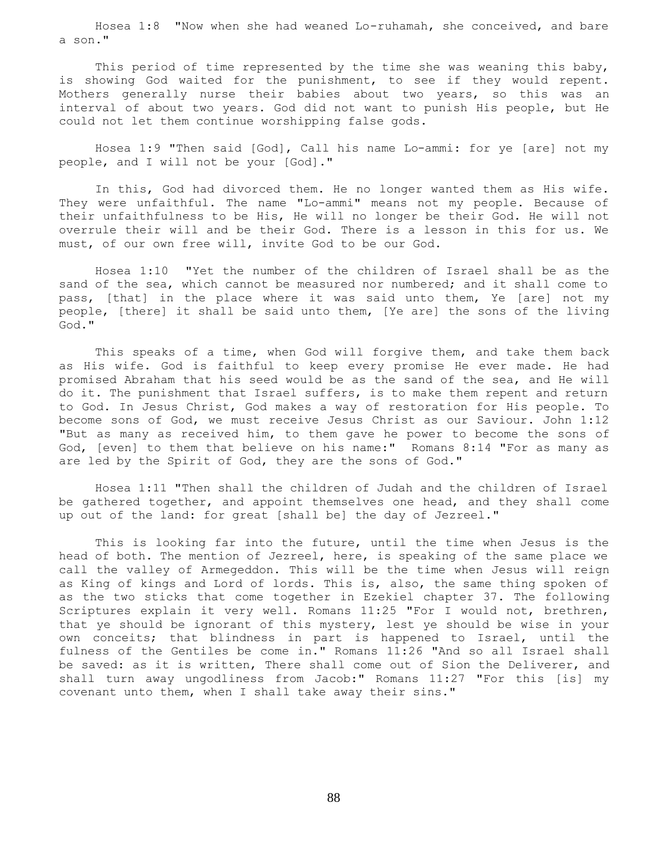Hosea 1:8 "Now when she had weaned Lo-ruhamah, she conceived, and bare a son."

 This period of time represented by the time she was weaning this baby, is showing God waited for the punishment, to see if they would repent. Mothers generally nurse their babies about two years, so this was an interval of about two years. God did not want to punish His people, but He could not let them continue worshipping false gods.

 Hosea 1:9 "Then said [God], Call his name Lo-ammi: for ye [are] not my people, and I will not be your [God]."

 In this, God had divorced them. He no longer wanted them as His wife. They were unfaithful. The name "Lo-ammi" means not my people. Because of their unfaithfulness to be His, He will no longer be their God. He will not overrule their will and be their God. There is a lesson in this for us. We must, of our own free will, invite God to be our God.

 Hosea 1:10 "Yet the number of the children of Israel shall be as the sand of the sea, which cannot be measured nor numbered; and it shall come to pass, [that] in the place where it was said unto them, Ye [are] not my people, [there] it shall be said unto them, [Ye are] the sons of the living God."

 This speaks of a time, when God will forgive them, and take them back as His wife. God is faithful to keep every promise He ever made. He had promised Abraham that his seed would be as the sand of the sea, and He will do it. The punishment that Israel suffers, is to make them repent and return to God. In Jesus Christ, God makes a way of restoration for His people. To become sons of God, we must receive Jesus Christ as our Saviour. John 1:12 "But as many as received him, to them gave he power to become the sons of God, [even] to them that believe on his name:" Romans 8:14 "For as many as are led by the Spirit of God, they are the sons of God."

 Hosea 1:11 "Then shall the children of Judah and the children of Israel be gathered together, and appoint themselves one head, and they shall come up out of the land: for great [shall be] the day of Jezreel."

 This is looking far into the future, until the time when Jesus is the head of both. The mention of Jezreel, here, is speaking of the same place we call the valley of Armegeddon. This will be the time when Jesus will reign as King of kings and Lord of lords. This is, also, the same thing spoken of as the two sticks that come together in Ezekiel chapter 37. The following Scriptures explain it very well. Romans 11:25 "For I would not, brethren, that ye should be ignorant of this mystery, lest ye should be wise in your own conceits; that blindness in part is happened to Israel, until the fulness of the Gentiles be come in." Romans 11:26 "And so all Israel shall be saved: as it is written, There shall come out of Sion the Deliverer, and shall turn away ungodliness from Jacob:" Romans 11:27 "For this [is] my covenant unto them, when I shall take away their sins."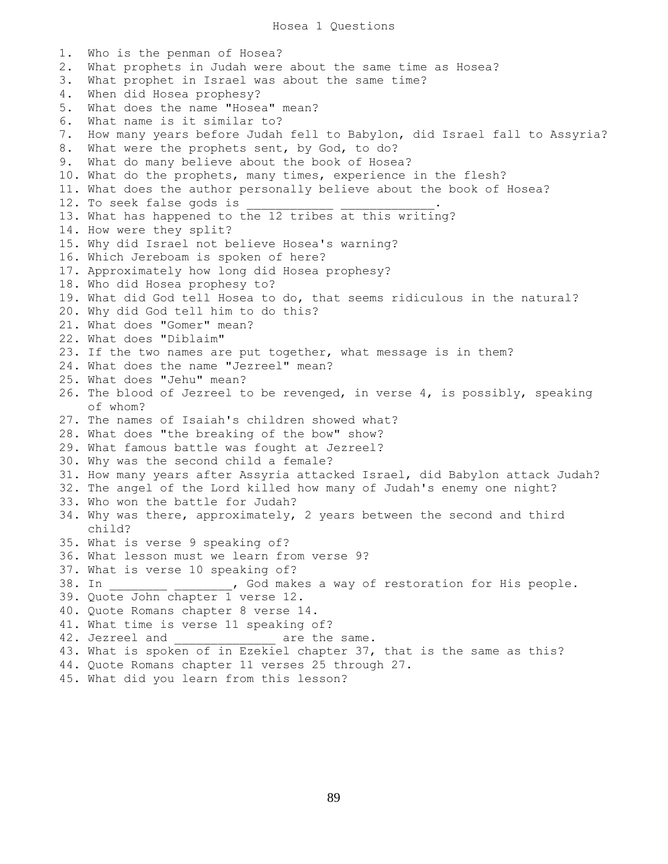1. Who is the penman of Hosea? 2. What prophets in Judah were about the same time as Hosea? 3. What prophet in Israel was about the same time? 4. When did Hosea prophesy? 5. What does the name "Hosea" mean? 6. What name is it similar to? 7. How many years before Judah fell to Babylon, did Israel fall to Assyria? 8. What were the prophets sent, by God, to do? 9. What do many believe about the book of Hosea? 10. What do the prophets, many times, experience in the flesh? 11. What does the author personally believe about the book of Hosea? 12. To seek false gods is 13. What has happened to the 12 tribes at this writing? 14. How were they split? 15. Why did Israel not believe Hosea's warning? 16. Which Jereboam is spoken of here? 17. Approximately how long did Hosea prophesy? 18. Who did Hosea prophesy to? 19. What did God tell Hosea to do, that seems ridiculous in the natural? 20. Why did God tell him to do this? 21. What does "Gomer" mean? 22. What does "Diblaim" 23. If the two names are put together, what message is in them? 24. What does the name "Jezreel" mean? 25. What does "Jehu" mean? 26. The blood of Jezreel to be revenged, in verse 4, is possibly, speaking of whom? 27. The names of Isaiah's children showed what? 28. What does "the breaking of the bow" show? 29. What famous battle was fought at Jezreel? 30. Why was the second child a female? 31. How many years after Assyria attacked Israel, did Babylon attack Judah? 32. The angel of the Lord killed how many of Judah's enemy one night? 33. Who won the battle for Judah? 34. Why was there, approximately, 2 years between the second and third child? 35. What is verse 9 speaking of? 36. What lesson must we learn from verse 9? 37. What is verse 10 speaking of? 38. In \_\_\_\_\_\_\_\_\_ \_\_\_\_\_\_\_, God makes a way of restoration for His people. 39. Quote John chapter 1 verse 12. 40. Quote Romans chapter 8 verse 14. 41. What time is verse 11 speaking of? 42. Jezreel and \_\_\_\_\_\_\_\_\_\_\_\_\_\_\_\_\_ are the same. 43. What is spoken of in Ezekiel chapter 37, that is the same as this? 44. Quote Romans chapter 11 verses 25 through 27. 45. What did you learn from this lesson?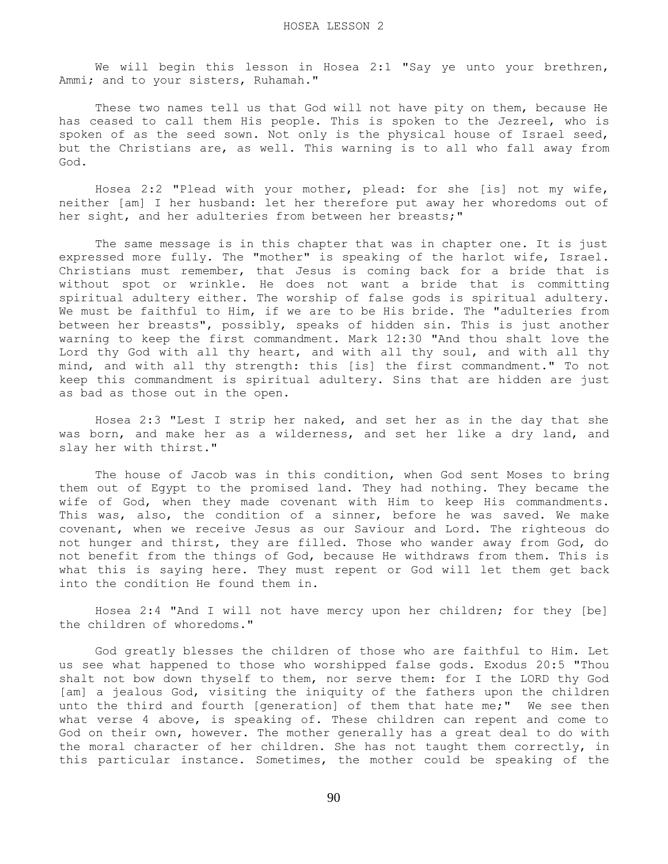We will begin this lesson in Hosea 2:1 "Say ye unto your brethren, Ammi; and to your sisters, Ruhamah."

 These two names tell us that God will not have pity on them, because He has ceased to call them His people. This is spoken to the Jezreel, who is spoken of as the seed sown. Not only is the physical house of Israel seed, but the Christians are, as well. This warning is to all who fall away from God.

 Hosea 2:2 "Plead with your mother, plead: for she [is] not my wife, neither [am] I her husband: let her therefore put away her whoredoms out of her sight, and her adulteries from between her breasts;"

 The same message is in this chapter that was in chapter one. It is just expressed more fully. The "mother" is speaking of the harlot wife, Israel. Christians must remember, that Jesus is coming back for a bride that is without spot or wrinkle. He does not want a bride that is committing spiritual adultery either. The worship of false gods is spiritual adultery. We must be faithful to Him, if we are to be His bride. The "adulteries from between her breasts", possibly, speaks of hidden sin. This is just another warning to keep the first commandment. Mark 12:30 "And thou shalt love the Lord thy God with all thy heart, and with all thy soul, and with all thy mind, and with all thy strength: this [is] the first commandment." To not keep this commandment is spiritual adultery. Sins that are hidden are just as bad as those out in the open.

 Hosea 2:3 "Lest I strip her naked, and set her as in the day that she was born, and make her as a wilderness, and set her like a dry land, and slay her with thirst."

 The house of Jacob was in this condition, when God sent Moses to bring them out of Egypt to the promised land. They had nothing. They became the wife of God, when they made covenant with Him to keep His commandments. This was, also, the condition of a sinner, before he was saved. We make covenant, when we receive Jesus as our Saviour and Lord. The righteous do not hunger and thirst, they are filled. Those who wander away from God, do not benefit from the things of God, because He withdraws from them. This is what this is saying here. They must repent or God will let them get back into the condition He found them in.

 Hosea 2:4 "And I will not have mercy upon her children; for they [be] the children of whoredoms."

 God greatly blesses the children of those who are faithful to Him. Let us see what happened to those who worshipped false gods. Exodus 20:5 "Thou shalt not bow down thyself to them, nor serve them: for I the LORD thy God [am] a jealous God, visiting the iniquity of the fathers upon the children unto the third and fourth [generation] of them that hate me;" We see then what verse 4 above, is speaking of. These children can repent and come to God on their own, however. The mother generally has a great deal to do with the moral character of her children. She has not taught them correctly, in this particular instance. Sometimes, the mother could be speaking of the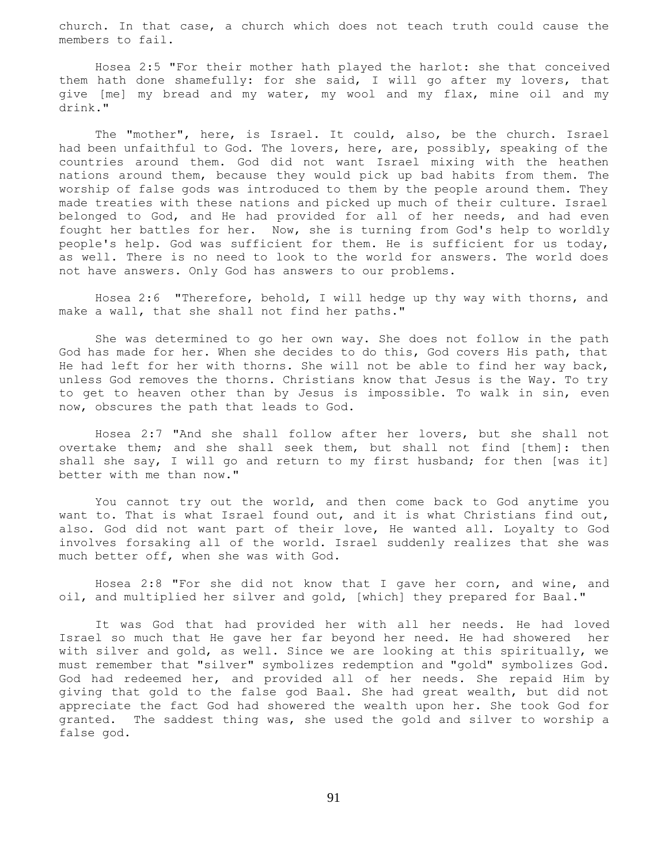church. In that case, a church which does not teach truth could cause the members to fail.

 Hosea 2:5 "For their mother hath played the harlot: she that conceived them hath done shamefully: for she said, I will go after my lovers, that give [me] my bread and my water, my wool and my flax, mine oil and my drink."

 The "mother", here, is Israel. It could, also, be the church. Israel had been unfaithful to God. The lovers, here, are, possibly, speaking of the countries around them. God did not want Israel mixing with the heathen nations around them, because they would pick up bad habits from them. The worship of false gods was introduced to them by the people around them. They made treaties with these nations and picked up much of their culture. Israel belonged to God, and He had provided for all of her needs, and had even fought her battles for her. Now, she is turning from God's help to worldly people's help. God was sufficient for them. He is sufficient for us today, as well. There is no need to look to the world for answers. The world does not have answers. Only God has answers to our problems.

 Hosea 2:6 "Therefore, behold, I will hedge up thy way with thorns, and make a wall, that she shall not find her paths."

 She was determined to go her own way. She does not follow in the path God has made for her. When she decides to do this, God covers His path, that He had left for her with thorns. She will not be able to find her way back, unless God removes the thorns. Christians know that Jesus is the Way. To try to get to heaven other than by Jesus is impossible. To walk in sin, even now, obscures the path that leads to God.

 Hosea 2:7 "And she shall follow after her lovers, but she shall not overtake them; and she shall seek them, but shall not find [them]: then shall she say, I will go and return to my first husband; for then [was it] better with me than now."

 You cannot try out the world, and then come back to God anytime you want to. That is what Israel found out, and it is what Christians find out, also. God did not want part of their love, He wanted all. Loyalty to God involves forsaking all of the world. Israel suddenly realizes that she was much better off, when she was with God.

 Hosea 2:8 "For she did not know that I gave her corn, and wine, and oil, and multiplied her silver and gold, [which] they prepared for Baal."

 It was God that had provided her with all her needs. He had loved Israel so much that He gave her far beyond her need. He had showered her with silver and gold, as well. Since we are looking at this spiritually, we must remember that "silver" symbolizes redemption and "gold" symbolizes God. God had redeemed her, and provided all of her needs. She repaid Him by giving that gold to the false god Baal. She had great wealth, but did not appreciate the fact God had showered the wealth upon her. She took God for granted. The saddest thing was, she used the gold and silver to worship a false god.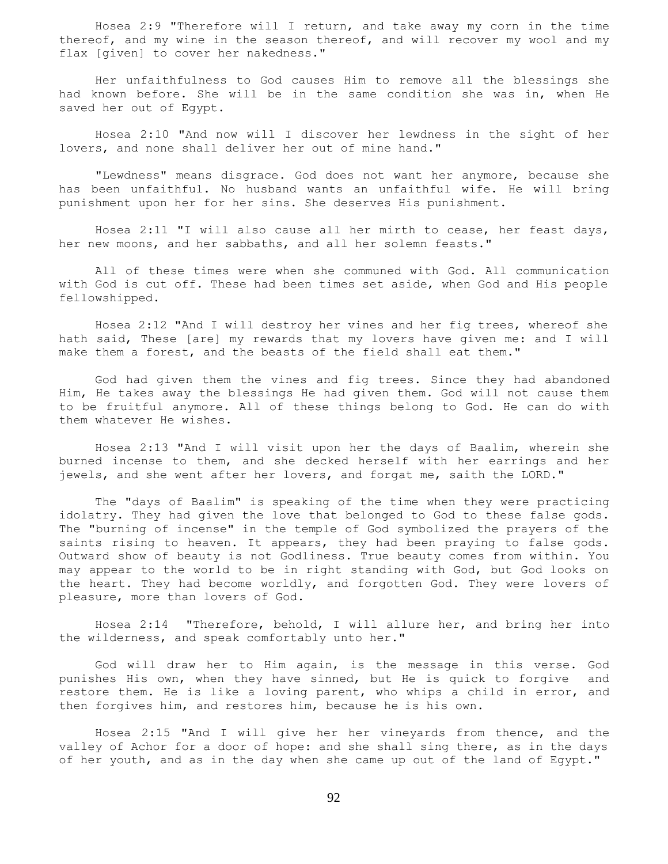Hosea 2:9 "Therefore will I return, and take away my corn in the time thereof, and my wine in the season thereof, and will recover my wool and my flax [given] to cover her nakedness."

 Her unfaithfulness to God causes Him to remove all the blessings she had known before. She will be in the same condition she was in, when He saved her out of Egypt.

 Hosea 2:10 "And now will I discover her lewdness in the sight of her lovers, and none shall deliver her out of mine hand."

 "Lewdness" means disgrace. God does not want her anymore, because she has been unfaithful. No husband wants an unfaithful wife. He will bring punishment upon her for her sins. She deserves His punishment.

 Hosea 2:11 "I will also cause all her mirth to cease, her feast days, her new moons, and her sabbaths, and all her solemn feasts."

 All of these times were when she communed with God. All communication with God is cut off. These had been times set aside, when God and His people fellowshipped.

 Hosea 2:12 "And I will destroy her vines and her fig trees, whereof she hath said, These [are] my rewards that my lovers have given me: and I will make them a forest, and the beasts of the field shall eat them."

 God had given them the vines and fig trees. Since they had abandoned Him, He takes away the blessings He had given them. God will not cause them to be fruitful anymore. All of these things belong to God. He can do with them whatever He wishes.

 Hosea 2:13 "And I will visit upon her the days of Baalim, wherein she burned incense to them, and she decked herself with her earrings and her jewels, and she went after her lovers, and forgat me, saith the LORD."

 The "days of Baalim" is speaking of the time when they were practicing idolatry. They had given the love that belonged to God to these false gods. The "burning of incense" in the temple of God symbolized the prayers of the saints rising to heaven. It appears, they had been praying to false gods. Outward show of beauty is not Godliness. True beauty comes from within. You may appear to the world to be in right standing with God, but God looks on the heart. They had become worldly, and forgotten God. They were lovers of pleasure, more than lovers of God.

 Hosea 2:14 "Therefore, behold, I will allure her, and bring her into the wilderness, and speak comfortably unto her."

 God will draw her to Him again, is the message in this verse. God punishes His own, when they have sinned, but He is quick to forgive and restore them. He is like a loving parent, who whips a child in error, and then forgives him, and restores him, because he is his own.

 Hosea 2:15 "And I will give her her vineyards from thence, and the valley of Achor for a door of hope: and she shall sing there, as in the days of her youth, and as in the day when she came up out of the land of Egypt."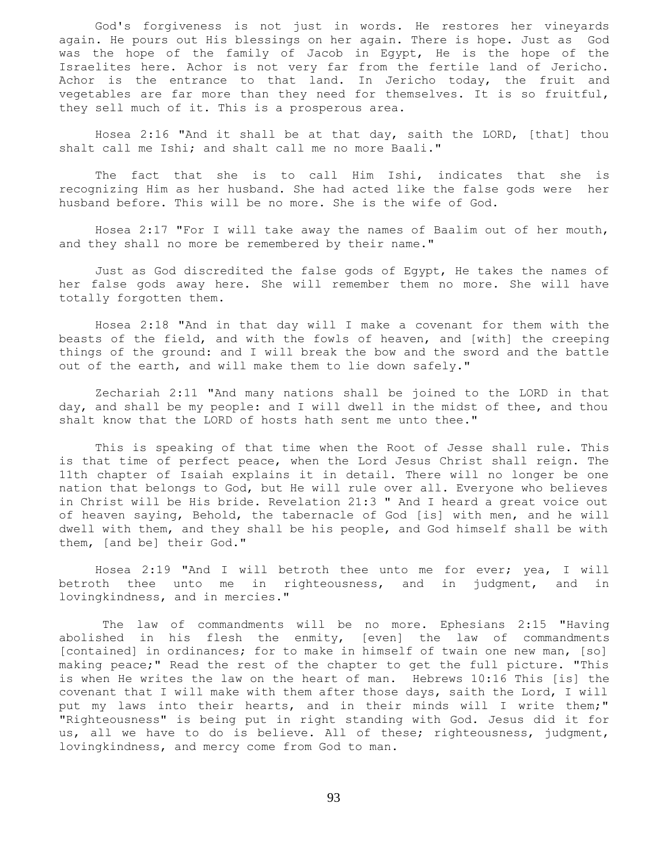God's forgiveness is not just in words. He restores her vineyards again. He pours out His blessings on her again. There is hope. Just as God was the hope of the family of Jacob in Egypt, He is the hope of the Israelites here. Achor is not very far from the fertile land of Jericho. Achor is the entrance to that land. In Jericho today, the fruit and vegetables are far more than they need for themselves. It is so fruitful, they sell much of it. This is a prosperous area.

 Hosea 2:16 "And it shall be at that day, saith the LORD, [that] thou shalt call me Ishi; and shalt call me no more Baali."

 The fact that she is to call Him Ishi, indicates that she is recognizing Him as her husband. She had acted like the false gods were her husband before. This will be no more. She is the wife of God.

 Hosea 2:17 "For I will take away the names of Baalim out of her mouth, and they shall no more be remembered by their name."

 Just as God discredited the false gods of Egypt, He takes the names of her false gods away here. She will remember them no more. She will have totally forgotten them.

 Hosea 2:18 "And in that day will I make a covenant for them with the beasts of the field, and with the fowls of heaven, and [with] the creeping things of the ground: and I will break the bow and the sword and the battle out of the earth, and will make them to lie down safely."

 Zechariah 2:11 "And many nations shall be joined to the LORD in that day, and shall be my people: and I will dwell in the midst of thee, and thou shalt know that the LORD of hosts hath sent me unto thee."

 This is speaking of that time when the Root of Jesse shall rule. This is that time of perfect peace, when the Lord Jesus Christ shall reign. The 11th chapter of Isaiah explains it in detail. There will no longer be one nation that belongs to God, but He will rule over all. Everyone who believes in Christ will be His bride. Revelation 21:3 " And I heard a great voice out of heaven saying, Behold, the tabernacle of God [is] with men, and he will dwell with them, and they shall be his people, and God himself shall be with them, [and be] their God."

 Hosea 2:19 "And I will betroth thee unto me for ever; yea, I will betroth thee unto me in righteousness, and in judgment, and in lovingkindness, and in mercies."

 The law of commandments will be no more. Ephesians 2:15 "Having abolished in his flesh the enmity, [even] the law of commandments [contained] in ordinances; for to make in himself of twain one new man, [so] making peace;" Read the rest of the chapter to get the full picture. "This is when He writes the law on the heart of man. Hebrews 10:16 This [is] the covenant that I will make with them after those days, saith the Lord, I will put my laws into their hearts, and in their minds will I write them;" "Righteousness" is being put in right standing with God. Jesus did it for us, all we have to do is believe. All of these; righteousness, judgment, lovingkindness, and mercy come from God to man.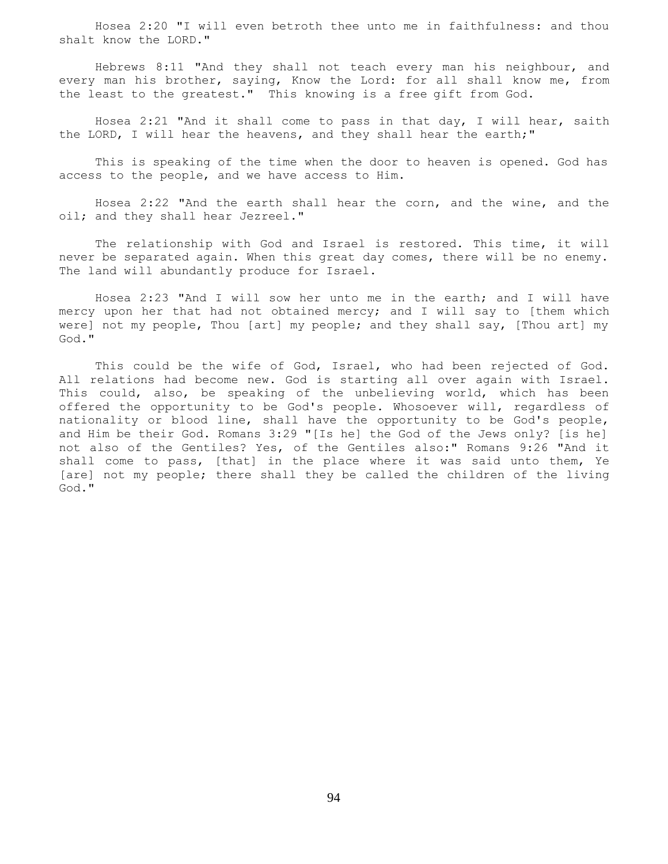Hosea 2:20 "I will even betroth thee unto me in faithfulness: and thou shalt know the LORD."

 Hebrews 8:11 "And they shall not teach every man his neighbour, and every man his brother, saying, Know the Lord: for all shall know me, from the least to the greatest." This knowing is a free gift from God.

 Hosea 2:21 "And it shall come to pass in that day, I will hear, saith the LORD, I will hear the heavens, and they shall hear the earth;"

 This is speaking of the time when the door to heaven is opened. God has access to the people, and we have access to Him.

 Hosea 2:22 "And the earth shall hear the corn, and the wine, and the oil; and they shall hear Jezreel."

 The relationship with God and Israel is restored. This time, it will never be separated again. When this great day comes, there will be no enemy. The land will abundantly produce for Israel.

 Hosea 2:23 "And I will sow her unto me in the earth; and I will have mercy upon her that had not obtained mercy; and I will say to [them which were] not my people, Thou [art] my people; and they shall say, [Thou art] my God."

 This could be the wife of God, Israel, who had been rejected of God. All relations had become new. God is starting all over again with Israel. This could, also, be speaking of the unbelieving world, which has been offered the opportunity to be God's people. Whosoever will, regardless of nationality or blood line, shall have the opportunity to be God's people, and Him be their God. Romans 3:29 "[Is he] the God of the Jews only? [is he] not also of the Gentiles? Yes, of the Gentiles also:" Romans 9:26 "And it shall come to pass, [that] in the place where it was said unto them, Ye [are] not my people; there shall they be called the children of the living God."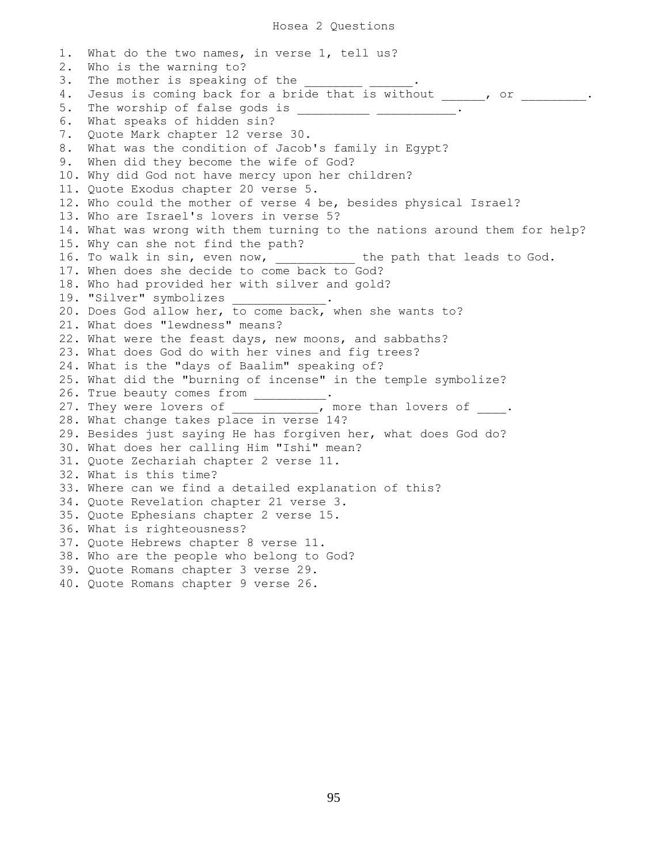#### Hosea 2 Questions

1. What do the two names, in verse 1, tell us? 2. Who is the warning to? 3. The mother is speaking of the 4. Jesus is coming back for a bride that is without , or \_\_\_\_\_\_. 5. The worship of false gods is \_\_\_\_\_\_\_\_\_\_\_ \_\_\_\_\_\_\_\_\_\_\_\_\_\_ 6. What speaks of hidden sin? 7. Quote Mark chapter 12 verse 30. 8. What was the condition of Jacob's family in Egypt? 9. When did they become the wife of God? 10. Why did God not have mercy upon her children? 11. Quote Exodus chapter 20 verse 5. 12. Who could the mother of verse 4 be, besides physical Israel? 13. Who are Israel's lovers in verse 5? 14. What was wrong with them turning to the nations around them for help? 15. Why can she not find the path? 16. To walk in sin, even now, we say the path that leads to God. 17. When does she decide to come back to God? 18. Who had provided her with silver and gold? 19. "Silver" symbolizes 20. Does God allow her, to come back, when she wants to? 21. What does "lewdness" means? 22. What were the feast days, new moons, and sabbaths? 23. What does God do with her vines and fig trees? 24. What is the "days of Baalim" speaking of? 25. What did the "burning of incense" in the temple symbolize? 26. True beauty comes from \_\_\_\_\_\_\_\_\_. 27. They were lovers of \_\_\_\_\_\_\_\_\_\_, more than lovers of \_\_\_\_. 28. What change takes place in verse 14? 29. Besides just saying He has forgiven her, what does God do? 30. What does her calling Him "Ishi" mean? 31. Quote Zechariah chapter 2 verse 11. 32. What is this time? 33. Where can we find a detailed explanation of this? 34. Quote Revelation chapter 21 verse 3. 35. Quote Ephesians chapter 2 verse 15. 36. What is righteousness? 37. Quote Hebrews chapter 8 verse 11. 38. Who are the people who belong to God? 39. Quote Romans chapter 3 verse 29. 40. Quote Romans chapter 9 verse 26.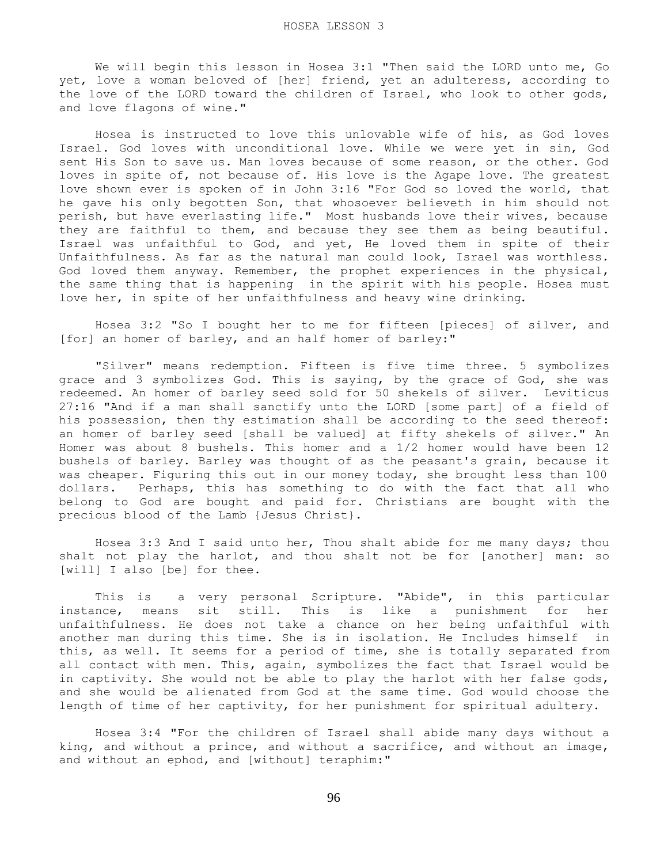We will begin this lesson in Hosea 3:1 "Then said the LORD unto me, Go yet, love a woman beloved of [her] friend, yet an adulteress, according to the love of the LORD toward the children of Israel, who look to other gods, and love flagons of wine."

 Hosea is instructed to love this unlovable wife of his, as God loves Israel. God loves with unconditional love. While we were yet in sin, God sent His Son to save us. Man loves because of some reason, or the other. God loves in spite of, not because of. His love is the Agape love. The greatest love shown ever is spoken of in John 3:16 "For God so loved the world, that he gave his only begotten Son, that whosoever believeth in him should not perish, but have everlasting life." Most husbands love their wives, because they are faithful to them, and because they see them as being beautiful. Israel was unfaithful to God, and yet, He loved them in spite of their Unfaithfulness. As far as the natural man could look, Israel was worthless. God loved them anyway. Remember, the prophet experiences in the physical, the same thing that is happening in the spirit with his people. Hosea must love her, in spite of her unfaithfulness and heavy wine drinking.

 Hosea 3:2 "So I bought her to me for fifteen [pieces] of silver, and [for] an homer of barley, and an half homer of barley:"

 "Silver" means redemption. Fifteen is five time three. 5 symbolizes grace and 3 symbolizes God. This is saying, by the grace of God, she was redeemed. An homer of barley seed sold for 50 shekels of silver. Leviticus 27:16 "And if a man shall sanctify unto the LORD [some part] of a field of his possession, then thy estimation shall be according to the seed thereof: an homer of barley seed [shall be valued] at fifty shekels of silver." An Homer was about 8 bushels. This homer and a 1/2 homer would have been 12 bushels of barley. Barley was thought of as the peasant's grain, because it was cheaper. Figuring this out in our money today, she brought less than 100 dollars. Perhaps, this has something to do with the fact that all who belong to God are bought and paid for. Christians are bought with the precious blood of the Lamb {Jesus Christ}.

 Hosea 3:3 And I said unto her, Thou shalt abide for me many days; thou shalt not play the harlot, and thou shalt not be for [another] man: so [will] I also [be] for thee.

 This is a very personal Scripture. "Abide", in this particular instance, means sit still. This is like a punishment for her unfaithfulness. He does not take a chance on her being unfaithful with another man during this time. She is in isolation. He Includes himself in this, as well. It seems for a period of time, she is totally separated from all contact with men. This, again, symbolizes the fact that Israel would be in captivity. She would not be able to play the harlot with her false gods, and she would be alienated from God at the same time. God would choose the length of time of her captivity, for her punishment for spiritual adultery.

 Hosea 3:4 "For the children of Israel shall abide many days without a king, and without a prince, and without a sacrifice, and without an image, and without an ephod, and [without] teraphim:"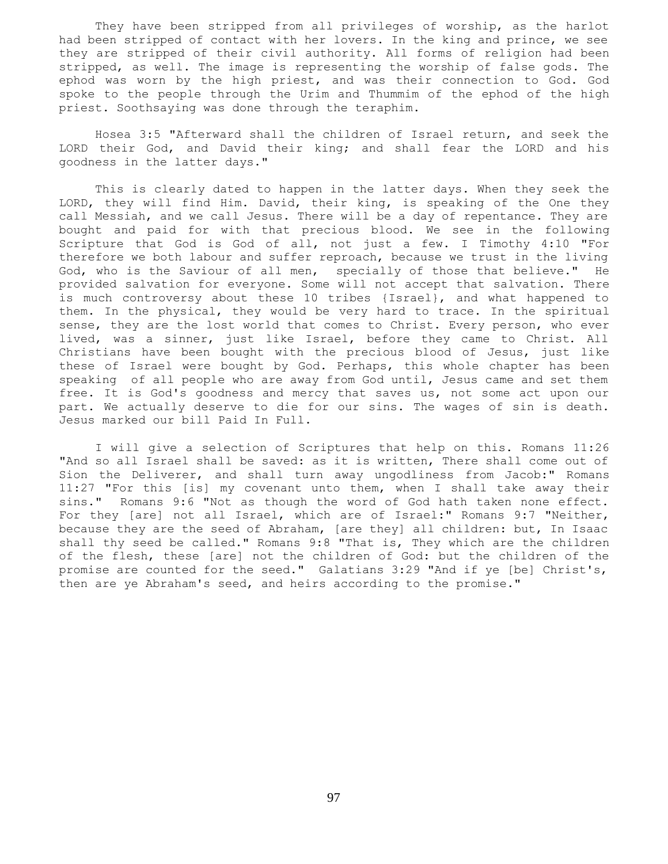They have been stripped from all privileges of worship, as the harlot had been stripped of contact with her lovers. In the king and prince, we see they are stripped of their civil authority. All forms of religion had been stripped, as well. The image is representing the worship of false gods. The ephod was worn by the high priest, and was their connection to God. God spoke to the people through the Urim and Thummim of the ephod of the high priest. Soothsaying was done through the teraphim.

 Hosea 3:5 "Afterward shall the children of Israel return, and seek the LORD their God, and David their king; and shall fear the LORD and his goodness in the latter days."

 This is clearly dated to happen in the latter days. When they seek the LORD, they will find Him. David, their king, is speaking of the One they call Messiah, and we call Jesus. There will be a day of repentance. They are bought and paid for with that precious blood. We see in the following Scripture that God is God of all, not just a few. I Timothy 4:10 "For therefore we both labour and suffer reproach, because we trust in the living God, who is the Saviour of all men, specially of those that believe." He provided salvation for everyone. Some will not accept that salvation. There is much controversy about these 10 tribes {Israel}, and what happened to them. In the physical, they would be very hard to trace. In the spiritual sense, they are the lost world that comes to Christ. Every person, who ever lived, was a sinner, just like Israel, before they came to Christ. All Christians have been bought with the precious blood of Jesus, just like these of Israel were bought by God. Perhaps, this whole chapter has been speaking of all people who are away from God until, Jesus came and set them free. It is God's goodness and mercy that saves us, not some act upon our part. We actually deserve to die for our sins. The wages of sin is death. Jesus marked our bill Paid In Full.

 I will give a selection of Scriptures that help on this. Romans 11:26 "And so all Israel shall be saved: as it is written, There shall come out of Sion the Deliverer, and shall turn away ungodliness from Jacob:" Romans 11:27 "For this [is] my covenant unto them, when I shall take away their sins." Romans 9:6 "Not as though the word of God hath taken none effect. For they [are] not all Israel, which are of Israel:" Romans 9:7 "Neither, because they are the seed of Abraham, [are they] all children: but, In Isaac shall thy seed be called." Romans 9:8 "That is, They which are the children of the flesh, these [are] not the children of God: but the children of the promise are counted for the seed." Galatians 3:29 "And if ye [be] Christ's, then are ye Abraham's seed, and heirs according to the promise."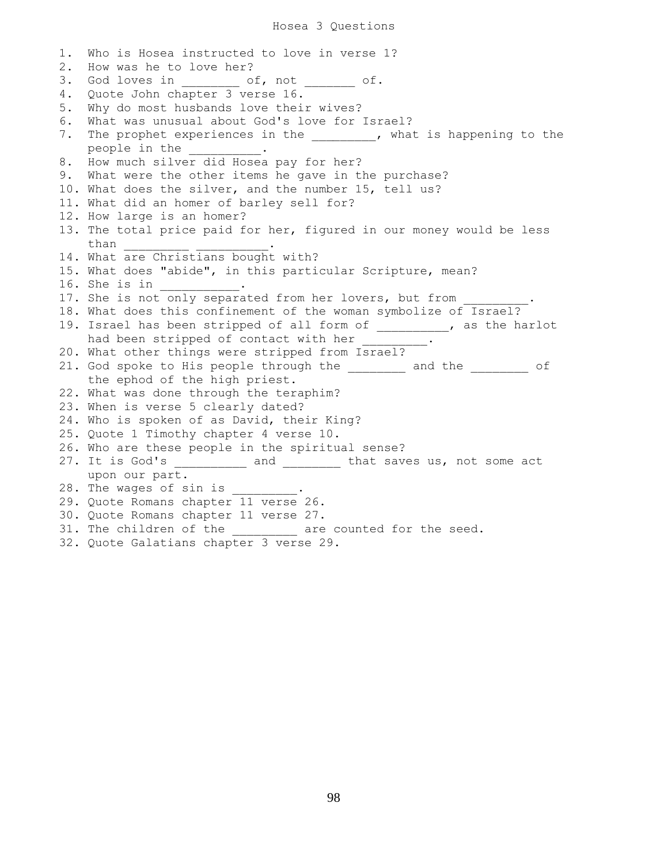## Hosea 3 Questions

1. Who is Hosea instructed to love in verse 1? 2. How was he to love her? 3. God loves in each of, not each of. 4. Quote John chapter 3 verse 16. 5. Why do most husbands love their wives? 6. What was unusual about God's love for Israel? 7. The prophet experiences in the \_\_\_\_\_\_\_\_, what is happening to the people in the 8. How much silver did Hosea pay for her? 9. What were the other items he gave in the purchase? 10. What does the silver, and the number 15, tell us? 11. What did an homer of barley sell for? 12. How large is an homer? 13. The total price paid for her, figured in our money would be less than 14. What are Christians bought with? 15. What does "abide", in this particular Scripture, mean? 16. She is in \_\_\_\_\_\_\_\_\_\_\_. 17. She is not only separated from her lovers, but from 18. What does this confinement of the woman symbolize of Israel? 19. Israel has been stripped of all form of \_\_\_\_\_\_\_\_\_\_, as the harlot had been stripped of contact with her \_\_\_\_\_\_\_\_. 20. What other things were stripped from Israel? 21. God spoke to His people through the and the end of the ephod of the high priest. 22. What was done through the teraphim? 23. When is verse 5 clearly dated? 24. Who is spoken of as David, their King? 25. Quote 1 Timothy chapter 4 verse 10. 26. Who are these people in the spiritual sense? 27. It is God's \_\_\_\_\_\_\_\_\_\_ and \_\_\_\_\_\_\_\_ that saves us, not some act upon our part. 28. The wages of sin is  $\overline{\phantom{a}}$ 29. Quote Romans chapter 11 verse 26. 30. Quote Romans chapter 11 verse 27. 31. The children of the \_\_\_\_\_\_\_\_\_ are counted for the seed. 32. Quote Galatians chapter 3 verse 29.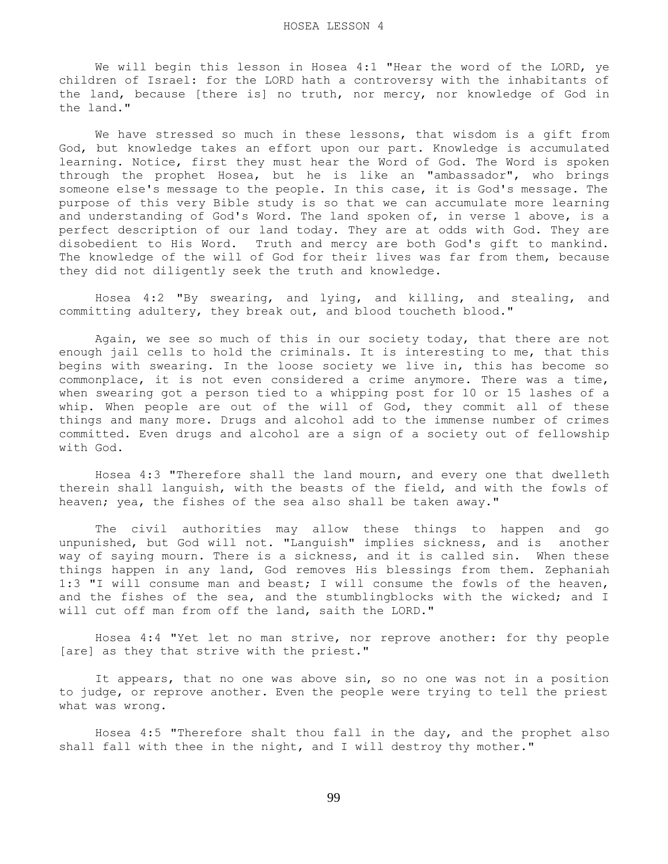We will begin this lesson in Hosea 4:1 "Hear the word of the LORD, ye children of Israel: for the LORD hath a controversy with the inhabitants of the land, because [there is] no truth, nor mercy, nor knowledge of God in the land."

 We have stressed so much in these lessons, that wisdom is a gift from God, but knowledge takes an effort upon our part. Knowledge is accumulated learning. Notice, first they must hear the Word of God. The Word is spoken through the prophet Hosea, but he is like an "ambassador", who brings someone else's message to the people. In this case, it is God's message. The purpose of this very Bible study is so that we can accumulate more learning and understanding of God's Word. The land spoken of, in verse 1 above, is a perfect description of our land today. They are at odds with God. They are disobedient to His Word. Truth and mercy are both God's gift to mankind. The knowledge of the will of God for their lives was far from them, because they did not diligently seek the truth and knowledge.

 Hosea 4:2 "By swearing, and lying, and killing, and stealing, and committing adultery, they break out, and blood toucheth blood."

 Again, we see so much of this in our society today, that there are not enough jail cells to hold the criminals. It is interesting to me, that this begins with swearing. In the loose society we live in, this has become so commonplace, it is not even considered a crime anymore. There was a time, when swearing got a person tied to a whipping post for 10 or 15 lashes of a whip. When people are out of the will of God, they commit all of these things and many more. Drugs and alcohol add to the immense number of crimes committed. Even drugs and alcohol are a sign of a society out of fellowship with God.

 Hosea 4:3 "Therefore shall the land mourn, and every one that dwelleth therein shall languish, with the beasts of the field, and with the fowls of heaven; yea, the fishes of the sea also shall be taken away."

 The civil authorities may allow these things to happen and go unpunished, but God will not. "Languish" implies sickness, and is another way of saying mourn. There is a sickness, and it is called sin. When these things happen in any land, God removes His blessings from them. Zephaniah 1:3 "I will consume man and beast; I will consume the fowls of the heaven, and the fishes of the sea, and the stumblingblocks with the wicked; and I will cut off man from off the land, saith the LORD."

 Hosea 4:4 "Yet let no man strive, nor reprove another: for thy people [are] as they that strive with the priest."

 It appears, that no one was above sin, so no one was not in a position to judge, or reprove another. Even the people were trying to tell the priest what was wrong.

 Hosea 4:5 "Therefore shalt thou fall in the day, and the prophet also shall fall with thee in the night, and I will destroy thy mother."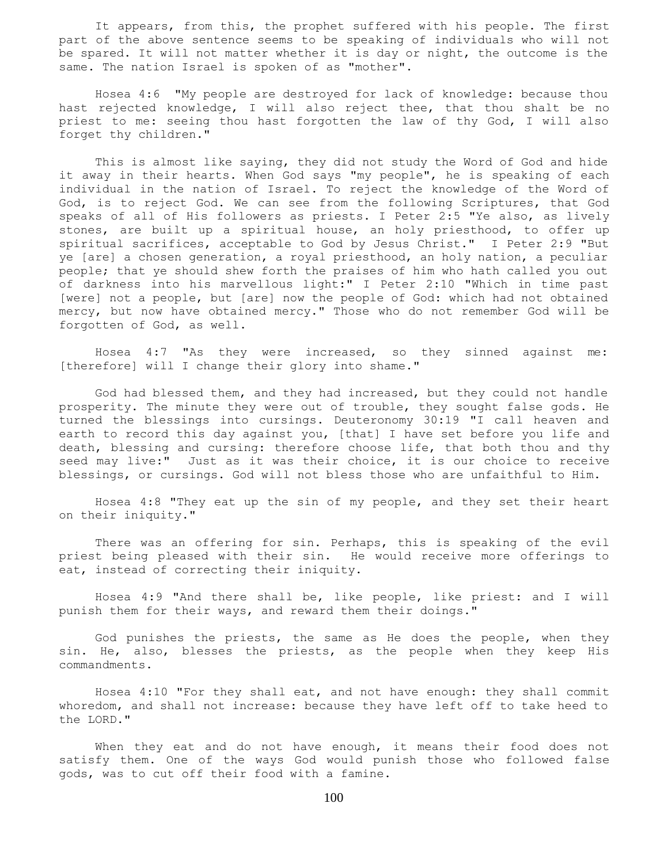It appears, from this, the prophet suffered with his people. The first part of the above sentence seems to be speaking of individuals who will not be spared. It will not matter whether it is day or night, the outcome is the same. The nation Israel is spoken of as "mother".

 Hosea 4:6 "My people are destroyed for lack of knowledge: because thou hast rejected knowledge, I will also reject thee, that thou shalt be no priest to me: seeing thou hast forgotten the law of thy God, I will also forget thy children."

 This is almost like saying, they did not study the Word of God and hide it away in their hearts. When God says "my people", he is speaking of each individual in the nation of Israel. To reject the knowledge of the Word of God, is to reject God. We can see from the following Scriptures, that God speaks of all of His followers as priests. I Peter 2:5 "Ye also, as lively stones, are built up a spiritual house, an holy priesthood, to offer up spiritual sacrifices, acceptable to God by Jesus Christ." I Peter 2:9 "But ye [are] a chosen generation, a royal priesthood, an holy nation, a peculiar people; that ye should shew forth the praises of him who hath called you out of darkness into his marvellous light:" I Peter 2:10 "Which in time past [were] not a people, but [are] now the people of God: which had not obtained mercy, but now have obtained mercy." Those who do not remember God will be forgotten of God, as well.

 Hosea 4:7 "As they were increased, so they sinned against me: [therefore] will I change their glory into shame."

 God had blessed them, and they had increased, but they could not handle prosperity. The minute they were out of trouble, they sought false gods. He turned the blessings into cursings. Deuteronomy 30:19 "I call heaven and earth to record this day against you, [that] I have set before you life and death, blessing and cursing: therefore choose life, that both thou and thy seed may live:" Just as it was their choice, it is our choice to receive blessings, or cursings. God will not bless those who are unfaithful to Him.

 Hosea 4:8 "They eat up the sin of my people, and they set their heart on their iniquity."

 There was an offering for sin. Perhaps, this is speaking of the evil priest being pleased with their sin. He would receive more offerings to eat, instead of correcting their iniquity.

 Hosea 4:9 "And there shall be, like people, like priest: and I will punish them for their ways, and reward them their doings."

 God punishes the priests, the same as He does the people, when they sin. He, also, blesses the priests, as the people when they keep His commandments.

 Hosea 4:10 "For they shall eat, and not have enough: they shall commit whoredom, and shall not increase: because they have left off to take heed to the LORD."

 When they eat and do not have enough, it means their food does not satisfy them. One of the ways God would punish those who followed false gods, was to cut off their food with a famine.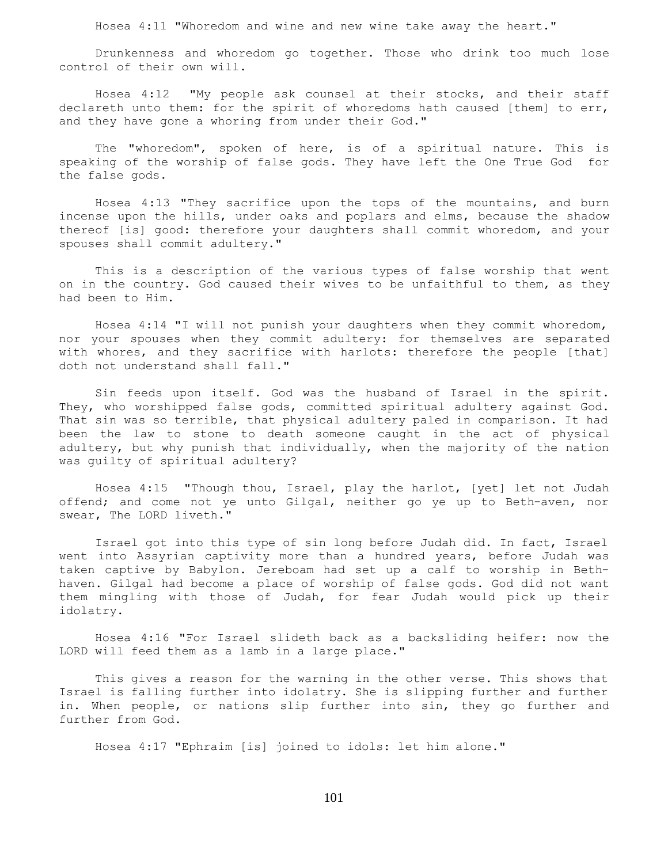Hosea 4:11 "Whoredom and wine and new wine take away the heart."

 Drunkenness and whoredom go together. Those who drink too much lose control of their own will.

 Hosea 4:12 "My people ask counsel at their stocks, and their staff declareth unto them: for the spirit of whoredoms hath caused [them] to err, and they have gone a whoring from under their God."

 The "whoredom", spoken of here, is of a spiritual nature. This is speaking of the worship of false gods. They have left the One True God for the false gods.

 Hosea 4:13 "They sacrifice upon the tops of the mountains, and burn incense upon the hills, under oaks and poplars and elms, because the shadow thereof [is] good: therefore your daughters shall commit whoredom, and your spouses shall commit adultery."

 This is a description of the various types of false worship that went on in the country. God caused their wives to be unfaithful to them, as they had been to Him.

 Hosea 4:14 "I will not punish your daughters when they commit whoredom, nor your spouses when they commit adultery: for themselves are separated with whores, and they sacrifice with harlots: therefore the people [that] doth not understand shall fall."

 Sin feeds upon itself. God was the husband of Israel in the spirit. They, who worshipped false gods, committed spiritual adultery against God. That sin was so terrible, that physical adultery paled in comparison. It had been the law to stone to death someone caught in the act of physical adultery, but why punish that individually, when the majority of the nation was guilty of spiritual adultery?

 Hosea 4:15 "Though thou, Israel, play the harlot, [yet] let not Judah offend; and come not ye unto Gilgal, neither go ye up to Beth-aven, nor swear, The LORD liveth."

 Israel got into this type of sin long before Judah did. In fact, Israel went into Assyrian captivity more than a hundred years, before Judah was taken captive by Babylon. Jereboam had set up a calf to worship in Bethhaven. Gilgal had become a place of worship of false gods. God did not want them mingling with those of Judah, for fear Judah would pick up their idolatry.

 Hosea 4:16 "For Israel slideth back as a backsliding heifer: now the LORD will feed them as a lamb in a large place."

 This gives a reason for the warning in the other verse. This shows that Israel is falling further into idolatry. She is slipping further and further in. When people, or nations slip further into sin, they go further and further from God.

Hosea 4:17 "Ephraim [is] joined to idols: let him alone."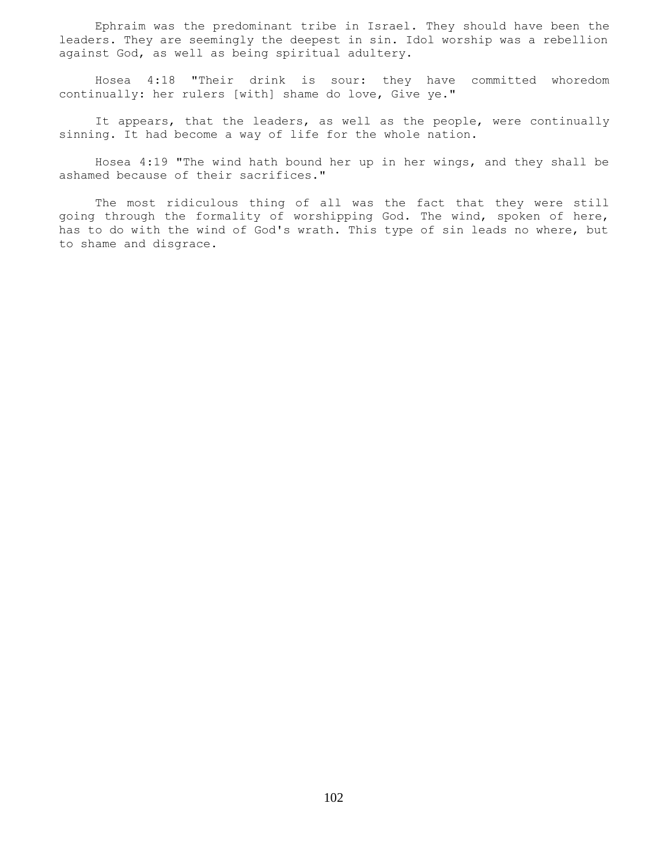Ephraim was the predominant tribe in Israel. They should have been the leaders. They are seemingly the deepest in sin. Idol worship was a rebellion against God, as well as being spiritual adultery.

 Hosea 4:18 "Their drink is sour: they have committed whoredom continually: her rulers [with] shame do love, Give ye."

 It appears, that the leaders, as well as the people, were continually sinning. It had become a way of life for the whole nation.

 Hosea 4:19 "The wind hath bound her up in her wings, and they shall be ashamed because of their sacrifices."

 The most ridiculous thing of all was the fact that they were still going through the formality of worshipping God. The wind, spoken of here, has to do with the wind of God's wrath. This type of sin leads no where, but to shame and disgrace.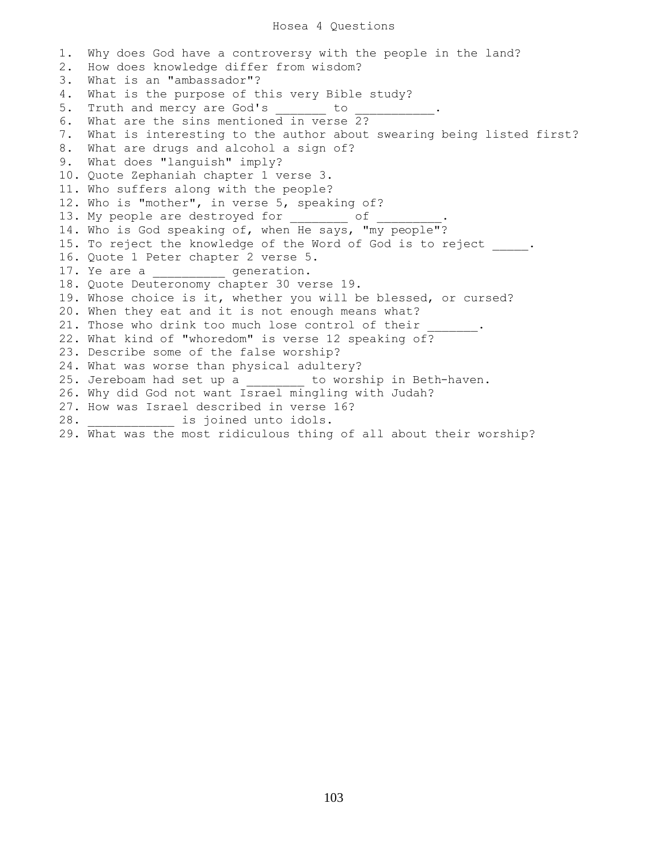1. Why does God have a controversy with the people in the land? 2. How does knowledge differ from wisdom? 3. What is an "ambassador"? 4. What is the purpose of this very Bible study? 5. Truth and mercy are God's to to the method of the set of the set of the set of the set of the set of the set o 6. What are the sins mentioned in verse 2? 7. What is interesting to the author about swearing being listed first? 8. What are drugs and alcohol a sign of? 9. What does "languish" imply? 10. Quote Zephaniah chapter 1 verse 3. 11. Who suffers along with the people? 12. Who is "mother", in verse 5, speaking of? 13. My people are destroyed for of 14. Who is God speaking of, when He says, "my people"? 15. To reject the knowledge of the Word of God is to reject . 16. Quote 1 Peter chapter 2 verse 5. 17. Ye are a \_\_\_\_\_\_\_\_\_\_\_ generation. 18. Quote Deuteronomy chapter 30 verse 19. 19. Whose choice is it, whether you will be blessed, or cursed? 20. When they eat and it is not enough means what? 21. Those who drink too much lose control of their 22. What kind of "whoredom" is verse 12 speaking of? 23. Describe some of the false worship? 24. What was worse than physical adultery? 25. Jereboam had set up a \_\_\_\_\_\_\_\_ to worship in Beth-haven. 26. Why did God not want Israel mingling with Judah? 27. How was Israel described in verse 16? 28. **Exercise is joined unto idols.** 29. What was the most ridiculous thing of all about their worship?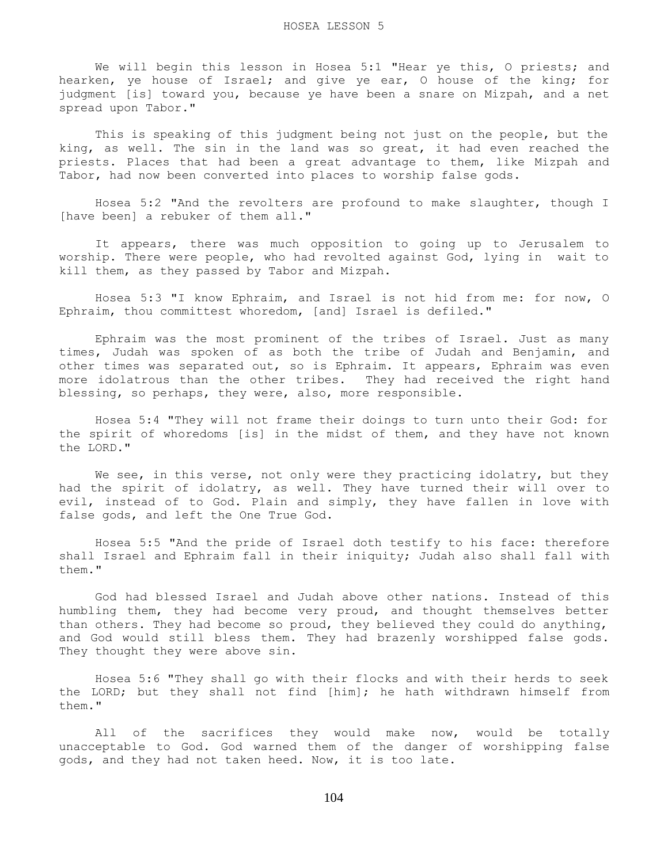We will begin this lesson in Hosea 5:1 "Hear ye this, O priests; and hearken, ye house of Israel; and give ye ear, O house of the king; for judgment [is] toward you, because ye have been a snare on Mizpah, and a net spread upon Tabor."

 This is speaking of this judgment being not just on the people, but the king, as well. The sin in the land was so great, it had even reached the priests. Places that had been a great advantage to them, like Mizpah and Tabor, had now been converted into places to worship false gods.

 Hosea 5:2 "And the revolters are profound to make slaughter, though I [have been] a rebuker of them all."

 It appears, there was much opposition to going up to Jerusalem to worship. There were people, who had revolted against God, lying in wait to kill them, as they passed by Tabor and Mizpah.

 Hosea 5:3 "I know Ephraim, and Israel is not hid from me: for now, O Ephraim, thou committest whoredom, [and] Israel is defiled."

 Ephraim was the most prominent of the tribes of Israel. Just as many times, Judah was spoken of as both the tribe of Judah and Benjamin, and other times was separated out, so is Ephraim. It appears, Ephraim was even more idolatrous than the other tribes. They had received the right hand blessing, so perhaps, they were, also, more responsible.

 Hosea 5:4 "They will not frame their doings to turn unto their God: for the spirit of whoredoms [is] in the midst of them, and they have not known the LORD."

We see, in this verse, not only were they practicing idolatry, but they had the spirit of idolatry, as well. They have turned their will over to evil, instead of to God. Plain and simply, they have fallen in love with false gods, and left the One True God.

 Hosea 5:5 "And the pride of Israel doth testify to his face: therefore shall Israel and Ephraim fall in their iniquity; Judah also shall fall with them."

 God had blessed Israel and Judah above other nations. Instead of this humbling them, they had become very proud, and thought themselves better than others. They had become so proud, they believed they could do anything, and God would still bless them. They had brazenly worshipped false gods. They thought they were above sin.

 Hosea 5:6 "They shall go with their flocks and with their herds to seek the LORD; but they shall not find [him]; he hath withdrawn himself from them."

All of the sacrifices they would make now, would be totally unacceptable to God. God warned them of the danger of worshipping false gods, and they had not taken heed. Now, it is too late.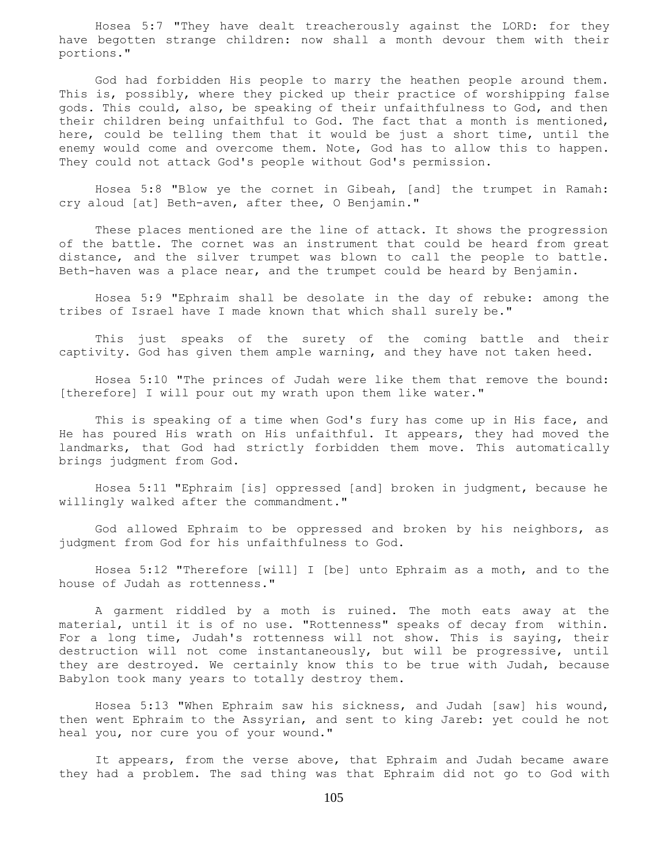Hosea 5:7 "They have dealt treacherously against the LORD: for they have begotten strange children: now shall a month devour them with their portions."

 God had forbidden His people to marry the heathen people around them. This is, possibly, where they picked up their practice of worshipping false gods. This could, also, be speaking of their unfaithfulness to God, and then their children being unfaithful to God. The fact that a month is mentioned, here, could be telling them that it would be just a short time, until the enemy would come and overcome them. Note, God has to allow this to happen. They could not attack God's people without God's permission.

 Hosea 5:8 "Blow ye the cornet in Gibeah, [and] the trumpet in Ramah: cry aloud [at] Beth-aven, after thee, O Benjamin."

 These places mentioned are the line of attack. It shows the progression of the battle. The cornet was an instrument that could be heard from great distance, and the silver trumpet was blown to call the people to battle. Beth-haven was a place near, and the trumpet could be heard by Benjamin.

 Hosea 5:9 "Ephraim shall be desolate in the day of rebuke: among the tribes of Israel have I made known that which shall surely be."

 This just speaks of the surety of the coming battle and their captivity. God has given them ample warning, and they have not taken heed.

 Hosea 5:10 "The princes of Judah were like them that remove the bound: [therefore] I will pour out my wrath upon them like water."

 This is speaking of a time when God's fury has come up in His face, and He has poured His wrath on His unfaithful. It appears, they had moved the landmarks, that God had strictly forbidden them move. This automatically brings judgment from God.

 Hosea 5:11 "Ephraim [is] oppressed [and] broken in judgment, because he willingly walked after the commandment."

 God allowed Ephraim to be oppressed and broken by his neighbors, as judgment from God for his unfaithfulness to God.

 Hosea 5:12 "Therefore [will] I [be] unto Ephraim as a moth, and to the house of Judah as rottenness."

 A garment riddled by a moth is ruined. The moth eats away at the material, until it is of no use. "Rottenness" speaks of decay from within. For a long time, Judah's rottenness will not show. This is saying, their destruction will not come instantaneously, but will be progressive, until they are destroyed. We certainly know this to be true with Judah, because Babylon took many years to totally destroy them.

 Hosea 5:13 "When Ephraim saw his sickness, and Judah [saw] his wound, then went Ephraim to the Assyrian, and sent to king Jareb: yet could he not heal you, nor cure you of your wound."

 It appears, from the verse above, that Ephraim and Judah became aware they had a problem. The sad thing was that Ephraim did not go to God with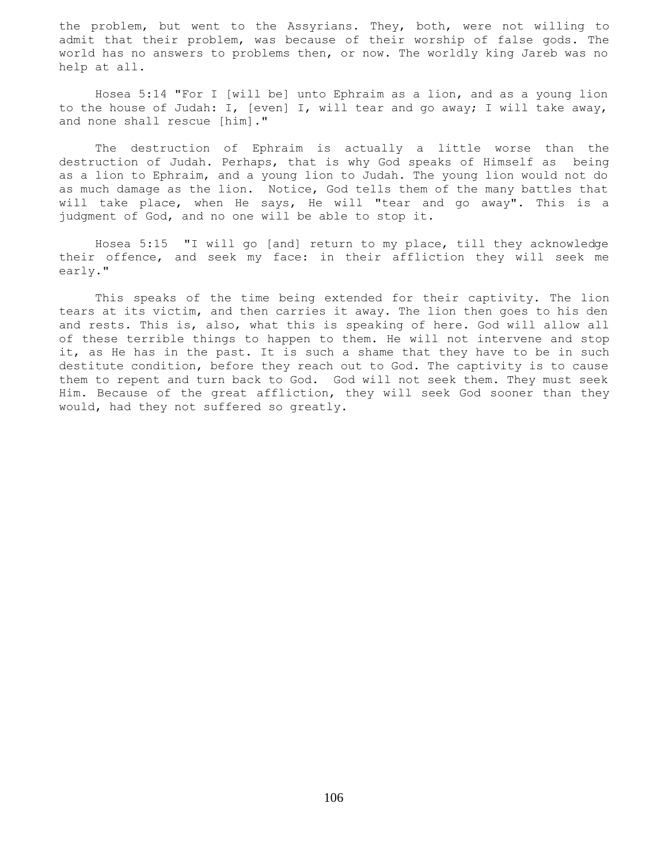the problem, but went to the Assyrians. They, both, were not willing to admit that their problem, was because of their worship of false gods. The world has no answers to problems then, or now. The worldly king Jareb was no help at all.

 Hosea 5:14 "For I [will be] unto Ephraim as a lion, and as a young lion to the house of Judah: I, [even] I, will tear and go away; I will take away, and none shall rescue [him]."

 The destruction of Ephraim is actually a little worse than the destruction of Judah. Perhaps, that is why God speaks of Himself as being as a lion to Ephraim, and a young lion to Judah. The young lion would not do as much damage as the lion. Notice, God tells them of the many battles that will take place, when He says, He will "tear and go away". This is a judgment of God, and no one will be able to stop it.

 Hosea 5:15 "I will go [and] return to my place, till they acknowledge their offence, and seek my face: in their affliction they will seek me early."

 This speaks of the time being extended for their captivity. The lion tears at its victim, and then carries it away. The lion then goes to his den and rests. This is, also, what this is speaking of here. God will allow all of these terrible things to happen to them. He will not intervene and stop it, as He has in the past. It is such a shame that they have to be in such destitute condition, before they reach out to God. The captivity is to cause them to repent and turn back to God. God will not seek them. They must seek Him. Because of the great affliction, they will seek God sooner than they would, had they not suffered so greatly.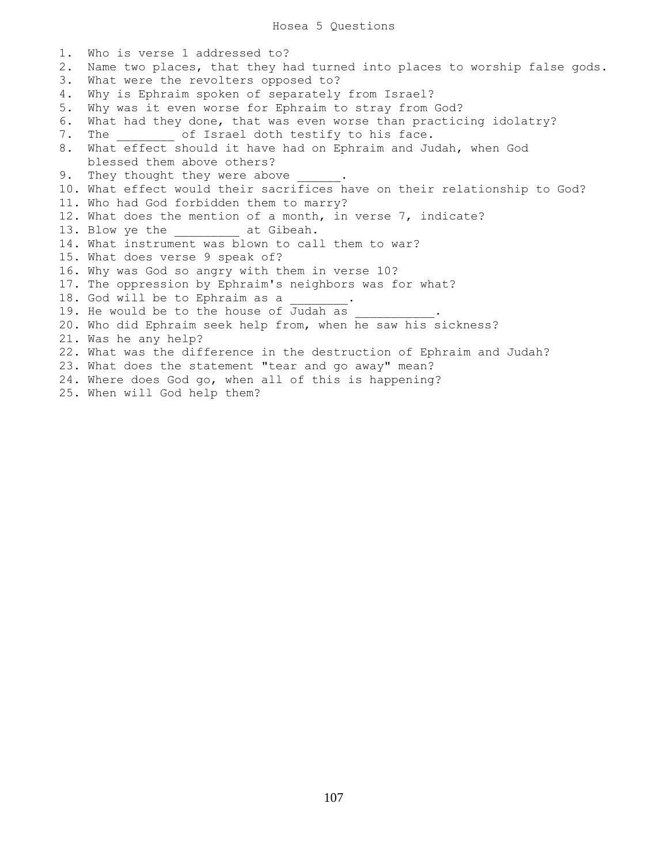## Hosea 5 Questions

1. Who is verse 1 addressed to? 2. Name two places, that they had turned into places to worship false gods. 3. What were the revolters opposed to? 4. Why is Ephraim spoken of separately from Israel? 5. Why was it even worse for Ephraim to stray from God? 6. What had they done, that was even worse than practicing idolatry? 7. The of Israel doth testify to his face. 8. What effect should it have had on Ephraim and Judah, when God blessed them above others? 9. They thought they were above 10. What effect would their sacrifices have on their relationship to God? 11. Who had God forbidden them to marry? 12. What does the mention of a month, in verse 7, indicate? 13. Blow ye the \_\_\_\_\_\_\_\_\_\_ at Gibeah. 14. What instrument was blown to call them to war? 15. What does verse 9 speak of? 16. Why was God so angry with them in verse 10? 17. The oppression by Ephraim's neighbors was for what? 18. God will be to Ephraim as a 19. He would be to the house of Judah as 20. Who did Ephraim seek help from, when he saw his sickness? 21. Was he any help? 22. What was the difference in the destruction of Ephraim and Judah? 23. What does the statement "tear and go away" mean? 24. Where does God go, when all of this is happening?

25. When will God help them?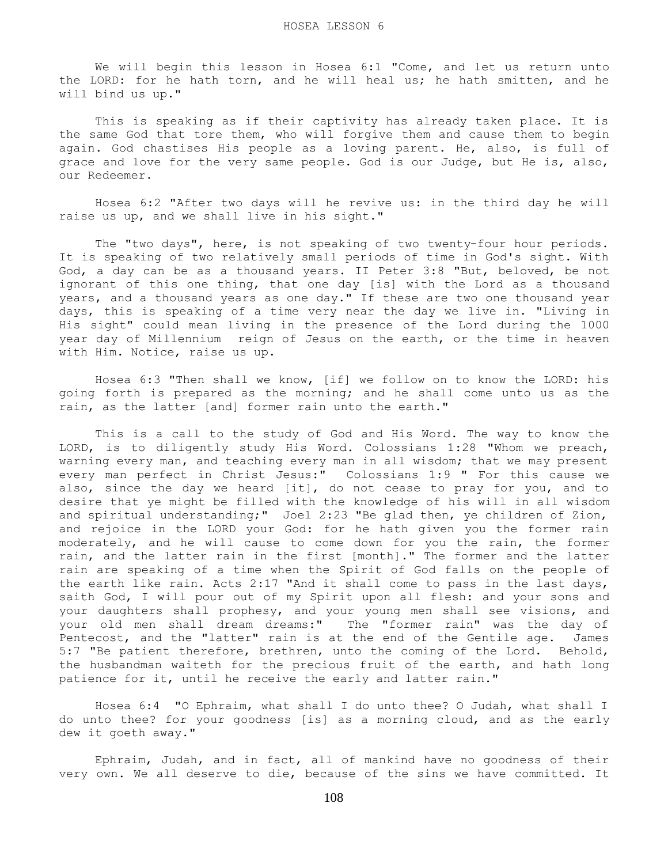We will begin this lesson in Hosea 6:1 "Come, and let us return unto the LORD: for he hath torn, and he will heal us; he hath smitten, and he will bind us up."

 This is speaking as if their captivity has already taken place. It is the same God that tore them, who will forgive them and cause them to begin again. God chastises His people as a loving parent. He, also, is full of grace and love for the very same people. God is our Judge, but He is, also, our Redeemer.

 Hosea 6:2 "After two days will he revive us: in the third day he will raise us up, and we shall live in his sight."

 The "two days", here, is not speaking of two twenty-four hour periods. It is speaking of two relatively small periods of time in God's sight. With God, a day can be as a thousand years. II Peter 3:8 "But, beloved, be not ignorant of this one thing, that one day [is] with the Lord as a thousand years, and a thousand years as one day." If these are two one thousand year days, this is speaking of a time very near the day we live in. "Living in His sight" could mean living in the presence of the Lord during the 1000 year day of Millennium reign of Jesus on the earth, or the time in heaven with Him. Notice, raise us up.

 Hosea 6:3 "Then shall we know, [if] we follow on to know the LORD: his going forth is prepared as the morning; and he shall come unto us as the rain, as the latter [and] former rain unto the earth."

 This is a call to the study of God and His Word. The way to know the LORD, is to diligently study His Word. Colossians 1:28 "Whom we preach, warning every man, and teaching every man in all wisdom; that we may present every man perfect in Christ Jesus:" Colossians 1:9 " For this cause we also, since the day we heard [it], do not cease to pray for you, and to desire that ye might be filled with the knowledge of his will in all wisdom and spiritual understanding;" Joel 2:23 "Be glad then, ye children of Zion, and rejoice in the LORD your God: for he hath given you the former rain moderately, and he will cause to come down for you the rain, the former rain, and the latter rain in the first [month]." The former and the latter rain are speaking of a time when the Spirit of God falls on the people of the earth like rain. Acts 2:17 "And it shall come to pass in the last days, saith God, I will pour out of my Spirit upon all flesh: and your sons and your daughters shall prophesy, and your young men shall see visions, and your old men shall dream dreams:" The "former rain" was the day of Pentecost, and the "latter" rain is at the end of the Gentile age. James 5:7 "Be patient therefore, brethren, unto the coming of the Lord. Behold, the husbandman waiteth for the precious fruit of the earth, and hath long patience for it, until he receive the early and latter rain."

 Hosea 6:4 "O Ephraim, what shall I do unto thee? O Judah, what shall I do unto thee? for your goodness [is] as a morning cloud, and as the early dew it goeth away."

 Ephraim, Judah, and in fact, all of mankind have no goodness of their very own. We all deserve to die, because of the sins we have committed. It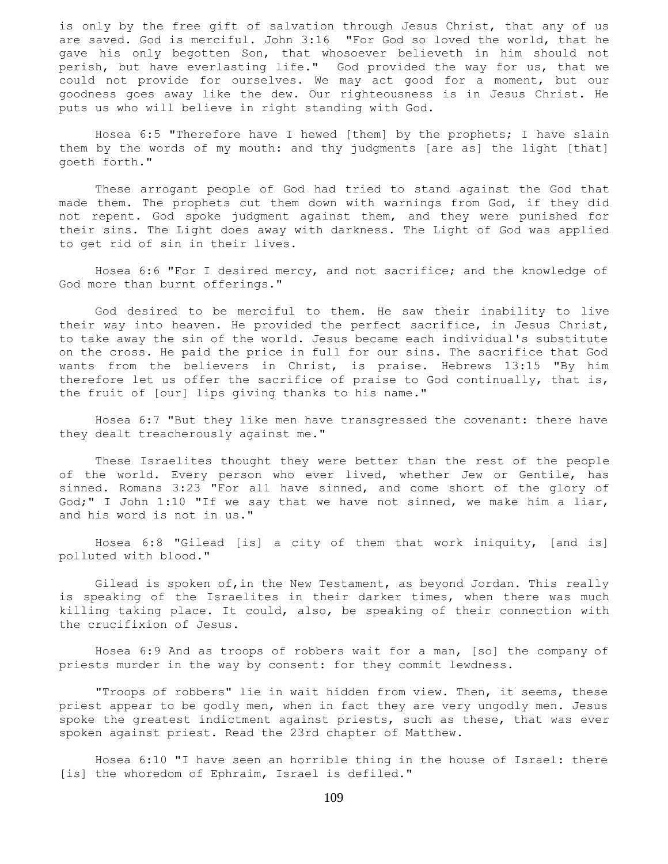is only by the free gift of salvation through Jesus Christ, that any of us are saved. God is merciful. John 3:16 "For God so loved the world, that he gave his only begotten Son, that whosoever believeth in him should not perish, but have everlasting life." God provided the way for us, that we could not provide for ourselves. We may act good for a moment, but our goodness goes away like the dew. Our righteousness is in Jesus Christ. He puts us who will believe in right standing with God.

 Hosea 6:5 "Therefore have I hewed [them] by the prophets; I have slain them by the words of my mouth: and thy judgments [are as] the light [that] goeth forth."

 These arrogant people of God had tried to stand against the God that made them. The prophets cut them down with warnings from God, if they did not repent. God spoke judgment against them, and they were punished for their sins. The Light does away with darkness. The Light of God was applied to get rid of sin in their lives.

 Hosea 6:6 "For I desired mercy, and not sacrifice; and the knowledge of God more than burnt offerings."

 God desired to be merciful to them. He saw their inability to live their way into heaven. He provided the perfect sacrifice, in Jesus Christ, to take away the sin of the world. Jesus became each individual's substitute on the cross. He paid the price in full for our sins. The sacrifice that God wants from the believers in Christ, is praise. Hebrews 13:15 "By him therefore let us offer the sacrifice of praise to God continually, that is, the fruit of [our] lips giving thanks to his name."

 Hosea 6:7 "But they like men have transgressed the covenant: there have they dealt treacherously against me."

 These Israelites thought they were better than the rest of the people of the world. Every person who ever lived, whether Jew or Gentile, has sinned. Romans 3:23 "For all have sinned, and come short of the glory of God;" I John 1:10 "If we say that we have not sinned, we make him a liar, and his word is not in us."

 Hosea 6:8 "Gilead [is] a city of them that work iniquity, [and is] polluted with blood."

 Gilead is spoken of,in the New Testament, as beyond Jordan. This really is speaking of the Israelites in their darker times, when there was much killing taking place. It could, also, be speaking of their connection with the crucifixion of Jesus.

 Hosea 6:9 And as troops of robbers wait for a man, [so] the company of priests murder in the way by consent: for they commit lewdness.

 "Troops of robbers" lie in wait hidden from view. Then, it seems, these priest appear to be godly men, when in fact they are very ungodly men. Jesus spoke the greatest indictment against priests, such as these, that was ever spoken against priest. Read the 23rd chapter of Matthew.

 Hosea 6:10 "I have seen an horrible thing in the house of Israel: there [is] the whoredom of Ephraim, Israel is defiled."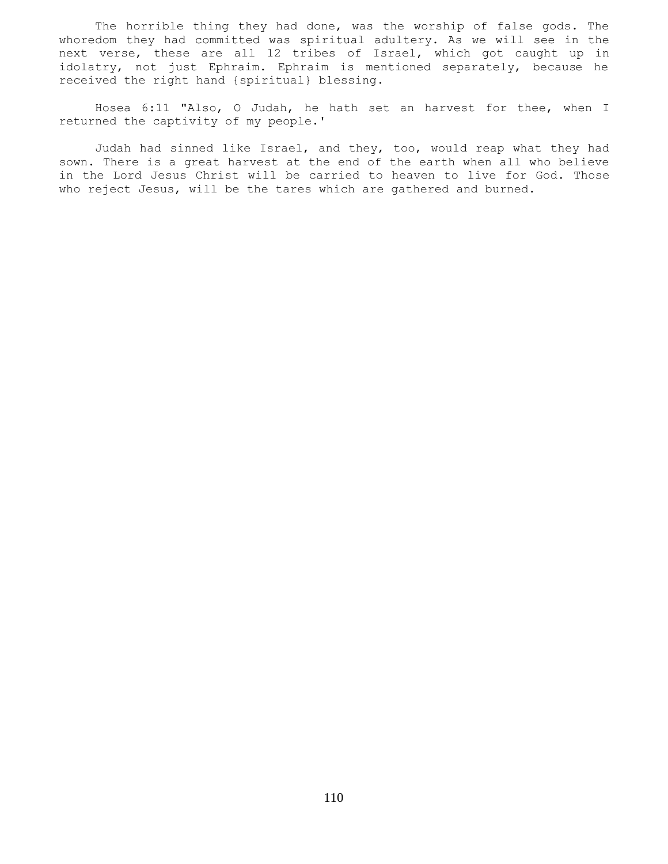The horrible thing they had done, was the worship of false gods. The whoredom they had committed was spiritual adultery. As we will see in the next verse, these are all 12 tribes of Israel, which got caught up in idolatry, not just Ephraim. Ephraim is mentioned separately, because he received the right hand {spiritual} blessing.

 Hosea 6:11 "Also, O Judah, he hath set an harvest for thee, when I returned the captivity of my people.'

 Judah had sinned like Israel, and they, too, would reap what they had sown. There is a great harvest at the end of the earth when all who believe in the Lord Jesus Christ will be carried to heaven to live for God. Those who reject Jesus, will be the tares which are gathered and burned.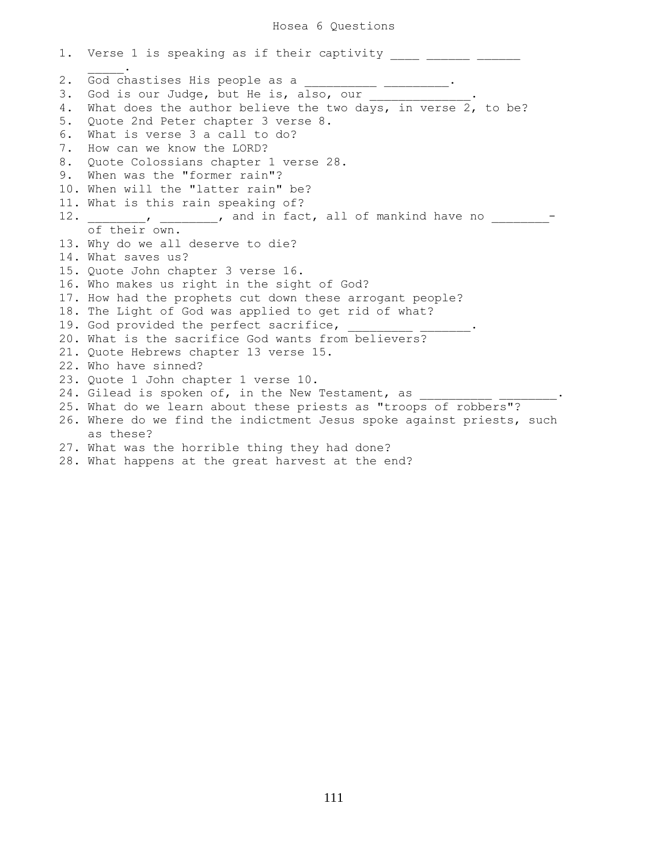1. Verse 1 is speaking as if their captivity \_\_\_\_ \_\_\_\_\_\_ \_\_\_\_  $\mathcal{L}=\mathcal{L}^{\mathcal{L}}$ 2. God chastises His people as a \_\_\_\_\_\_\_\_\_\_ \_\_\_\_\_\_\_\_\_. 3. God is our Judge, but He is, also, our 4. What does the author believe the two days, in verse 2, to be? 5. Quote 2nd Peter chapter 3 verse 8. 6. What is verse 3 a call to do? 7. How can we know the LORD? 8. Quote Colossians chapter 1 verse 28. 9. When was the "former rain"? 10. When will the "latter rain" be? 11. What is this rain speaking of? 12.  $\blacksquare$ , and in fact, all of mankind have no  $\blacksquare$  of their own. 13. Why do we all deserve to die? 14. What saves us? 15. Quote John chapter 3 verse 16. 16. Who makes us right in the sight of God? 17. How had the prophets cut down these arrogant people? 18. The Light of God was applied to get rid of what? 19. God provided the perfect sacrifice, 20. What is the sacrifice God wants from believers? 21. Quote Hebrews chapter 13 verse 15. 22. Who have sinned? 23. Quote 1 John chapter 1 verse 10. 24. Gilead is spoken of, in the New Testament, as 25. What do we learn about these priests as "troops of robbers"? 26. Where do we find the indictment Jesus spoke against priests, such as these? 27. What was the horrible thing they had done? 28. What happens at the great harvest at the end?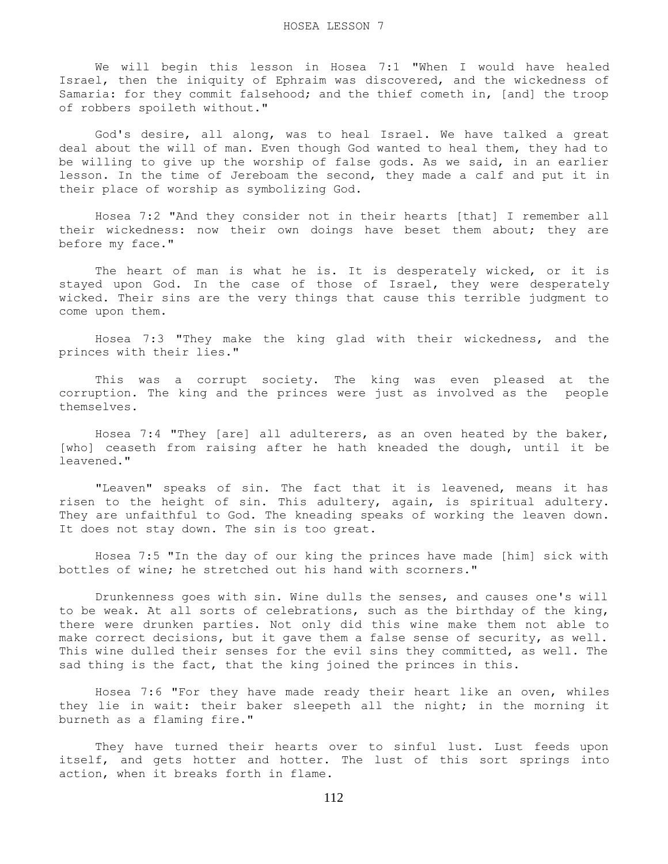We will begin this lesson in Hosea 7:1 "When I would have healed Israel, then the iniquity of Ephraim was discovered, and the wickedness of Samaria: for they commit falsehood; and the thief cometh in, [and] the troop of robbers spoileth without."

 God's desire, all along, was to heal Israel. We have talked a great deal about the will of man. Even though God wanted to heal them, they had to be willing to give up the worship of false gods. As we said, in an earlier lesson. In the time of Jereboam the second, they made a calf and put it in their place of worship as symbolizing God.

 Hosea 7:2 "And they consider not in their hearts [that] I remember all their wickedness: now their own doings have beset them about; they are before my face."

The heart of man is what he is. It is desperately wicked, or it is stayed upon God. In the case of those of Israel, they were desperately wicked. Their sins are the very things that cause this terrible judgment to come upon them.

 Hosea 7:3 "They make the king glad with their wickedness, and the princes with their lies."

 This was a corrupt society. The king was even pleased at the corruption. The king and the princes were just as involved as the people themselves.

 Hosea 7:4 "They [are] all adulterers, as an oven heated by the baker, [who] ceaseth from raising after he hath kneaded the dough, until it be leavened."

 "Leaven" speaks of sin. The fact that it is leavened, means it has risen to the height of sin. This adultery, again, is spiritual adultery. They are unfaithful to God. The kneading speaks of working the leaven down. It does not stay down. The sin is too great.

 Hosea 7:5 "In the day of our king the princes have made [him] sick with bottles of wine; he stretched out his hand with scorners."

 Drunkenness goes with sin. Wine dulls the senses, and causes one's will to be weak. At all sorts of celebrations, such as the birthday of the king, there were drunken parties. Not only did this wine make them not able to make correct decisions, but it gave them a false sense of security, as well. This wine dulled their senses for the evil sins they committed, as well. The sad thing is the fact, that the king joined the princes in this.

 Hosea 7:6 "For they have made ready their heart like an oven, whiles they lie in wait: their baker sleepeth all the night; in the morning it burneth as a flaming fire."

 They have turned their hearts over to sinful lust. Lust feeds upon itself, and gets hotter and hotter. The lust of this sort springs into action, when it breaks forth in flame.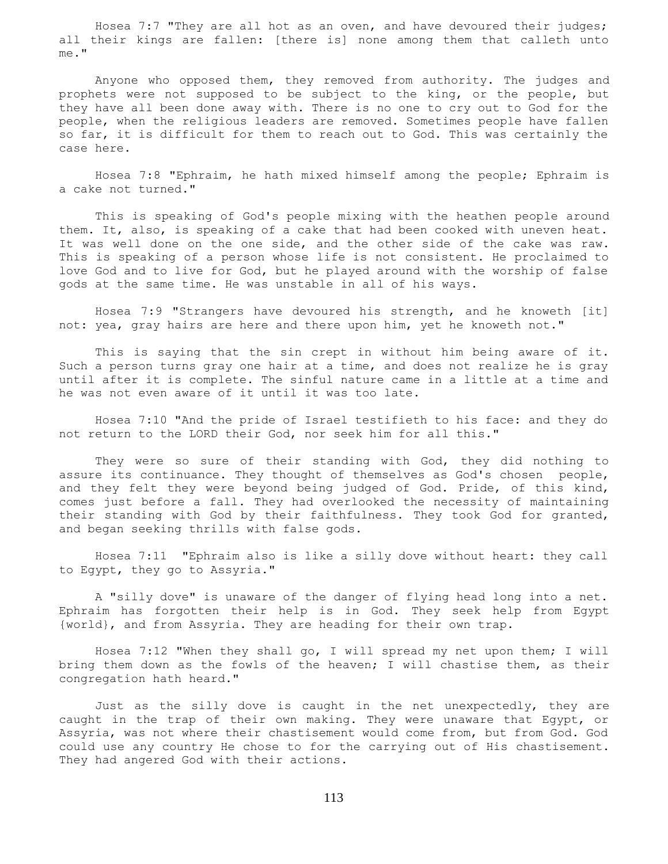Hosea 7:7 "They are all hot as an oven, and have devoured their judges; all their kings are fallen: [there is] none among them that calleth unto me."

 Anyone who opposed them, they removed from authority. The judges and prophets were not supposed to be subject to the king, or the people, but they have all been done away with. There is no one to cry out to God for the people, when the religious leaders are removed. Sometimes people have fallen so far, it is difficult for them to reach out to God. This was certainly the case here.

 Hosea 7:8 "Ephraim, he hath mixed himself among the people; Ephraim is a cake not turned."

 This is speaking of God's people mixing with the heathen people around them. It, also, is speaking of a cake that had been cooked with uneven heat. It was well done on the one side, and the other side of the cake was raw. This is speaking of a person whose life is not consistent. He proclaimed to love God and to live for God, but he played around with the worship of false gods at the same time. He was unstable in all of his ways.

 Hosea 7:9 "Strangers have devoured his strength, and he knoweth [it] not: yea, gray hairs are here and there upon him, yet he knoweth not."

 This is saying that the sin crept in without him being aware of it. Such a person turns gray one hair at a time, and does not realize he is gray until after it is complete. The sinful nature came in a little at a time and he was not even aware of it until it was too late.

 Hosea 7:10 "And the pride of Israel testifieth to his face: and they do not return to the LORD their God, nor seek him for all this."

 They were so sure of their standing with God, they did nothing to assure its continuance. They thought of themselves as God's chosen people, and they felt they were beyond being judged of God. Pride, of this kind, comes just before a fall. They had overlooked the necessity of maintaining their standing with God by their faithfulness. They took God for granted, and began seeking thrills with false gods.

 Hosea 7:11 "Ephraim also is like a silly dove without heart: they call to Egypt, they go to Assyria."

 A "silly dove" is unaware of the danger of flying head long into a net. Ephraim has forgotten their help is in God. They seek help from Egypt {world}, and from Assyria. They are heading for their own trap.

 Hosea 7:12 "When they shall go, I will spread my net upon them; I will bring them down as the fowls of the heaven; I will chastise them, as their congregation hath heard."

 Just as the silly dove is caught in the net unexpectedly, they are caught in the trap of their own making. They were unaware that Egypt, or Assyria, was not where their chastisement would come from, but from God. God could use any country He chose to for the carrying out of His chastisement. They had angered God with their actions.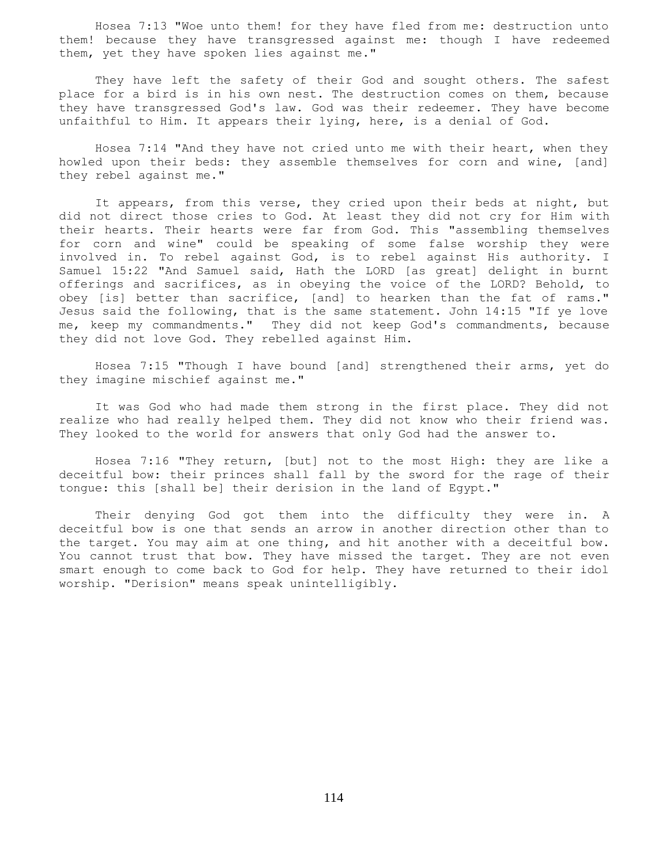Hosea 7:13 "Woe unto them! for they have fled from me: destruction unto them! because they have transgressed against me: though I have redeemed them, yet they have spoken lies against me."

 They have left the safety of their God and sought others. The safest place for a bird is in his own nest. The destruction comes on them, because they have transgressed God's law. God was their redeemer. They have become unfaithful to Him. It appears their lying, here, is a denial of God.

 Hosea 7:14 "And they have not cried unto me with their heart, when they howled upon their beds: they assemble themselves for corn and wine, [and] they rebel against me."

 It appears, from this verse, they cried upon their beds at night, but did not direct those cries to God. At least they did not cry for Him with their hearts. Their hearts were far from God. This "assembling themselves for corn and wine" could be speaking of some false worship they were involved in. To rebel against God, is to rebel against His authority. I Samuel 15:22 "And Samuel said, Hath the LORD [as great] delight in burnt offerings and sacrifices, as in obeying the voice of the LORD? Behold, to obey [is] better than sacrifice, [and] to hearken than the fat of rams." Jesus said the following, that is the same statement. John 14:15 "If ye love me, keep my commandments." They did not keep God's commandments, because they did not love God. They rebelled against Him.

 Hosea 7:15 "Though I have bound [and] strengthened their arms, yet do they imagine mischief against me."

 It was God who had made them strong in the first place. They did not realize who had really helped them. They did not know who their friend was. They looked to the world for answers that only God had the answer to.

 Hosea 7:16 "They return, [but] not to the most High: they are like a deceitful bow: their princes shall fall by the sword for the rage of their tongue: this [shall be] their derision in the land of Egypt."

 Their denying God got them into the difficulty they were in. A deceitful bow is one that sends an arrow in another direction other than to the target. You may aim at one thing, and hit another with a deceitful bow. You cannot trust that bow. They have missed the target. They are not even smart enough to come back to God for help. They have returned to their idol worship. "Derision" means speak unintelligibly.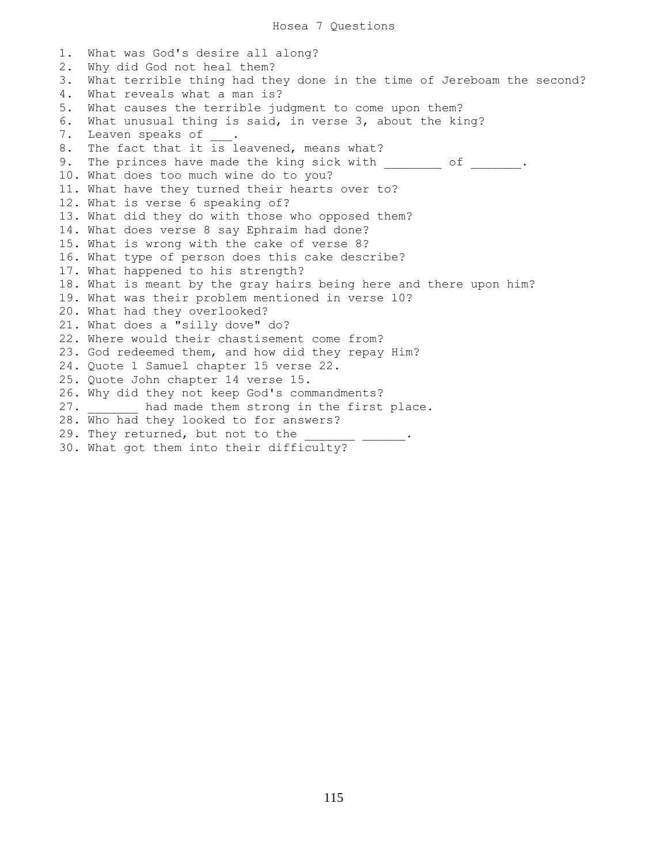1. What was God's desire all along? 2. Why did God not heal them? 3. What terrible thing had they done in the time of Jereboam the second? 4. What reveals what a man is? 5. What causes the terrible judgment to come upon them? 6. What unusual thing is said, in verse 3, about the king? 7. Leaven speaks of . 8. The fact that it is leavened, means what? 9. The princes have made the king sick with  $\qquad \qquad$  of  $\qquad \qquad$ 10. What does too much wine do to you? 11. What have they turned their hearts over to? 12. What is verse 6 speaking of? 13. What did they do with those who opposed them? 14. What does verse 8 say Ephraim had done? 15. What is wrong with the cake of verse 8? 16. What type of person does this cake describe? 17. What happened to his strength? 18. What is meant by the gray hairs being here and there upon him? 19. What was their problem mentioned in verse 10? 20. What had they overlooked? 21. What does a "silly dove" do? 22. Where would their chastisement come from? 23. God redeemed them, and how did they repay Him? 24. Quote 1 Samuel chapter 15 verse 22. 25. Quote John chapter 14 verse 15. 26. Why did they not keep God's commandments? 27. had made them strong in the first place. 28. Who had they looked to for answers? 29. They returned, but not to the \_\_\_\_\_\_\_ \_\_\_\_\_\_. 30. What got them into their difficulty?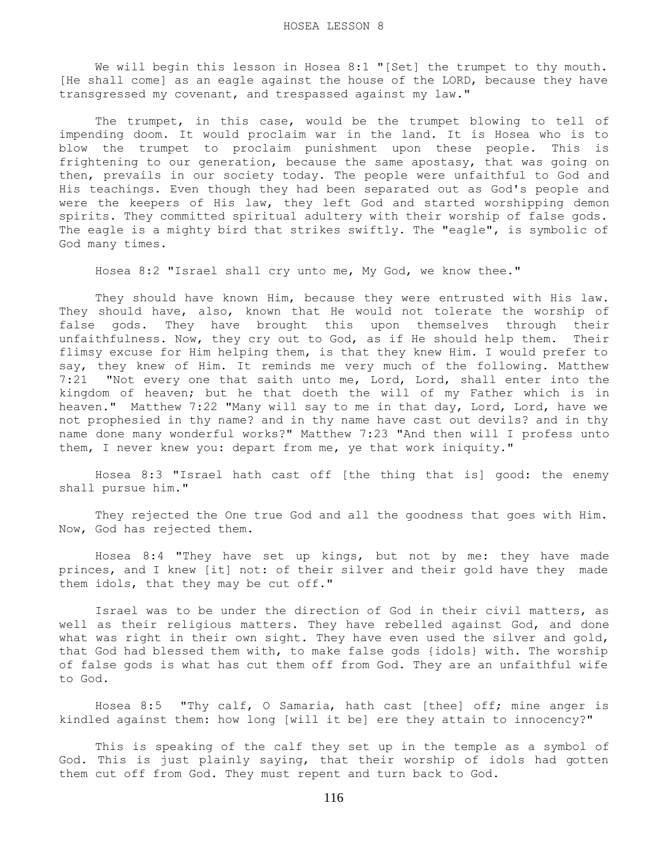We will begin this lesson in Hosea 8:1 "[Set] the trumpet to thy mouth. [He shall come] as an eagle against the house of the LORD, because they have transgressed my covenant, and trespassed against my law."

The trumpet, in this case, would be the trumpet blowing to tell of impending doom. It would proclaim war in the land. It is Hosea who is to blow the trumpet to proclaim punishment upon these people. This is frightening to our generation, because the same apostasy, that was going on then, prevails in our society today. The people were unfaithful to God and His teachings. Even though they had been separated out as God's people and were the keepers of His law, they left God and started worshipping demon spirits. They committed spiritual adultery with their worship of false gods. The eagle is a mighty bird that strikes swiftly. The "eagle", is symbolic of God many times.

Hosea 8:2 "Israel shall cry unto me, My God, we know thee."

 They should have known Him, because they were entrusted with His law. They should have, also, known that He would not tolerate the worship of false gods. They have brought this upon themselves through their unfaithfulness. Now, they cry out to God, as if He should help them. Their flimsy excuse for Him helping them, is that they knew Him. I would prefer to say, they knew of Him. It reminds me very much of the following. Matthew 7:21 "Not every one that saith unto me, Lord, Lord, shall enter into the kingdom of heaven; but he that doeth the will of my Father which is in heaven." Matthew 7:22 "Many will say to me in that day, Lord, Lord, have we not prophesied in thy name? and in thy name have cast out devils? and in thy name done many wonderful works?" Matthew 7:23 "And then will I profess unto them, I never knew you: depart from me, ye that work iniquity."

 Hosea 8:3 "Israel hath cast off [the thing that is] good: the enemy shall pursue him."

 They rejected the One true God and all the goodness that goes with Him. Now, God has rejected them.

 Hosea 8:4 "They have set up kings, but not by me: they have made princes, and I knew [it] not: of their silver and their gold have they made them idols, that they may be cut off."

 Israel was to be under the direction of God in their civil matters, as well as their religious matters. They have rebelled against God, and done what was right in their own sight. They have even used the silver and gold, that God had blessed them with, to make false gods {idols} with. The worship of false gods is what has cut them off from God. They are an unfaithful wife to God.

 Hosea 8:5 "Thy calf, O Samaria, hath cast [thee] off; mine anger is kindled against them: how long [will it be] ere they attain to innocency?"

 This is speaking of the calf they set up in the temple as a symbol of God. This is just plainly saying, that their worship of idols had gotten them cut off from God. They must repent and turn back to God.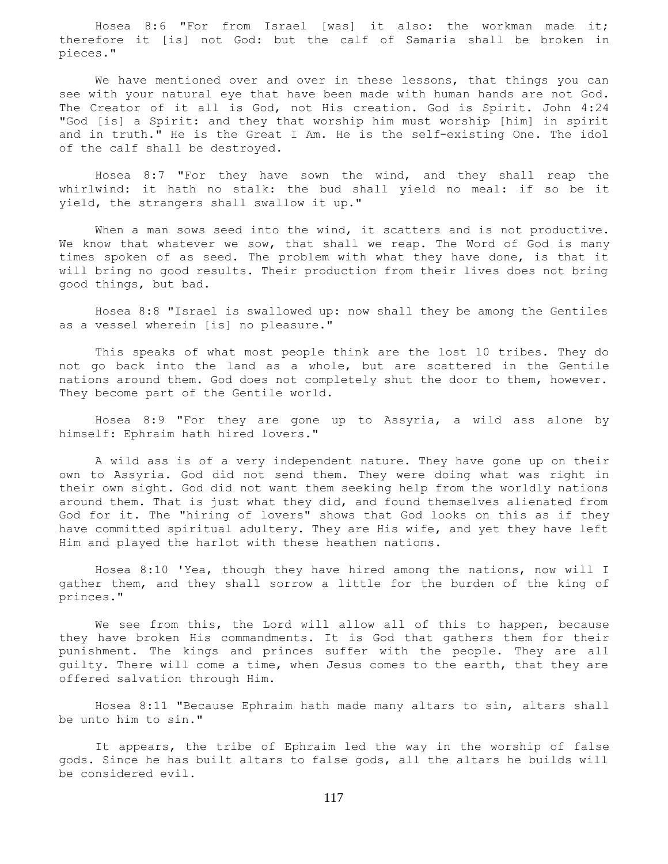Hosea 8:6 "For from Israel [was] it also: the workman made it; therefore it [is] not God: but the calf of Samaria shall be broken in pieces."

 We have mentioned over and over in these lessons, that things you can see with your natural eye that have been made with human hands are not God. The Creator of it all is God, not His creation. God is Spirit. John 4:24 "God [is] a Spirit: and they that worship him must worship [him] in spirit and in truth." He is the Great I Am. He is the self-existing One. The idol of the calf shall be destroyed.

 Hosea 8:7 "For they have sown the wind, and they shall reap the whirlwind: it hath no stalk: the bud shall yield no meal: if so be it yield, the strangers shall swallow it up."

When a man sows seed into the wind, it scatters and is not productive. We know that whatever we sow, that shall we reap. The Word of God is many times spoken of as seed. The problem with what they have done, is that it will bring no good results. Their production from their lives does not bring good things, but bad.

 Hosea 8:8 "Israel is swallowed up: now shall they be among the Gentiles as a vessel wherein [is] no pleasure."

 This speaks of what most people think are the lost 10 tribes. They do not go back into the land as a whole, but are scattered in the Gentile nations around them. God does not completely shut the door to them, however. They become part of the Gentile world.

 Hosea 8:9 "For they are gone up to Assyria, a wild ass alone by himself: Ephraim hath hired lovers."

 A wild ass is of a very independent nature. They have gone up on their own to Assyria. God did not send them. They were doing what was right in their own sight. God did not want them seeking help from the worldly nations around them. That is just what they did, and found themselves alienated from God for it. The "hiring of lovers" shows that God looks on this as if they have committed spiritual adultery. They are His wife, and yet they have left Him and played the harlot with these heathen nations.

 Hosea 8:10 'Yea, though they have hired among the nations, now will I gather them, and they shall sorrow a little for the burden of the king of princes."

We see from this, the Lord will allow all of this to happen, because they have broken His commandments. It is God that gathers them for their punishment. The kings and princes suffer with the people. They are all guilty. There will come a time, when Jesus comes to the earth, that they are offered salvation through Him.

 Hosea 8:11 "Because Ephraim hath made many altars to sin, altars shall be unto him to sin."

 It appears, the tribe of Ephraim led the way in the worship of false gods. Since he has built altars to false gods, all the altars he builds will be considered evil.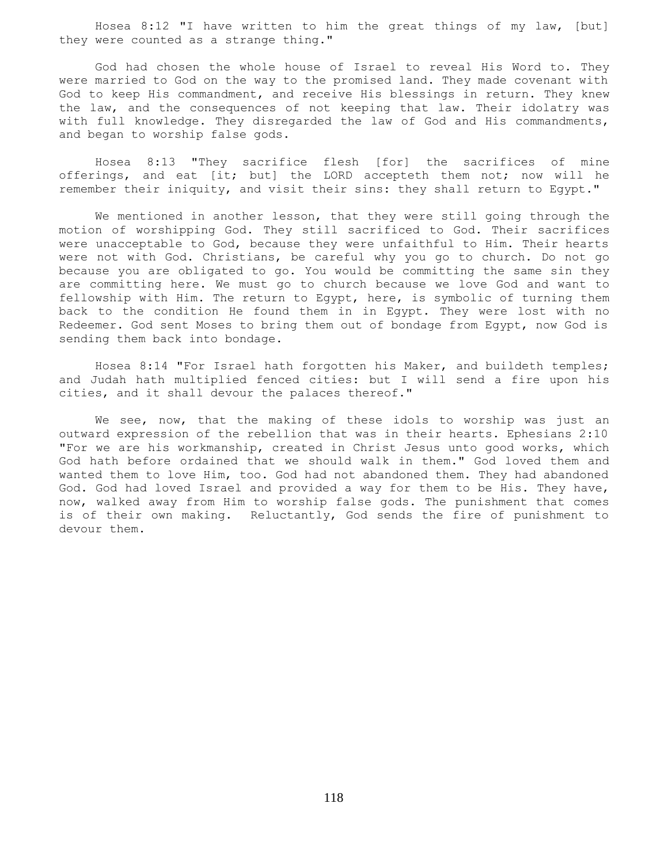Hosea 8:12 "I have written to him the great things of my law, [but] they were counted as a strange thing."

 God had chosen the whole house of Israel to reveal His Word to. They were married to God on the way to the promised land. They made covenant with God to keep His commandment, and receive His blessings in return. They knew the law, and the consequences of not keeping that law. Their idolatry was with full knowledge. They disregarded the law of God and His commandments, and began to worship false gods.

 Hosea 8:13 "They sacrifice flesh [for] the sacrifices of mine offerings, and eat [it; but] the LORD accepteth them not; now will he remember their iniquity, and visit their sins: they shall return to Egypt."

 We mentioned in another lesson, that they were still going through the motion of worshipping God. They still sacrificed to God. Their sacrifices were unacceptable to God, because they were unfaithful to Him. Their hearts were not with God. Christians, be careful why you go to church. Do not go because you are obligated to go. You would be committing the same sin they are committing here. We must go to church because we love God and want to fellowship with Him. The return to Egypt, here, is symbolic of turning them back to the condition He found them in in Egypt. They were lost with no Redeemer. God sent Moses to bring them out of bondage from Egypt, now God is sending them back into bondage.

 Hosea 8:14 "For Israel hath forgotten his Maker, and buildeth temples; and Judah hath multiplied fenced cities: but I will send a fire upon his cities, and it shall devour the palaces thereof."

We see, now, that the making of these idols to worship was just an outward expression of the rebellion that was in their hearts. Ephesians 2:10 "For we are his workmanship, created in Christ Jesus unto good works, which God hath before ordained that we should walk in them." God loved them and wanted them to love Him, too. God had not abandoned them. They had abandoned God. God had loved Israel and provided a way for them to be His. They have, now, walked away from Him to worship false gods. The punishment that comes is of their own making. Reluctantly, God sends the fire of punishment to devour them.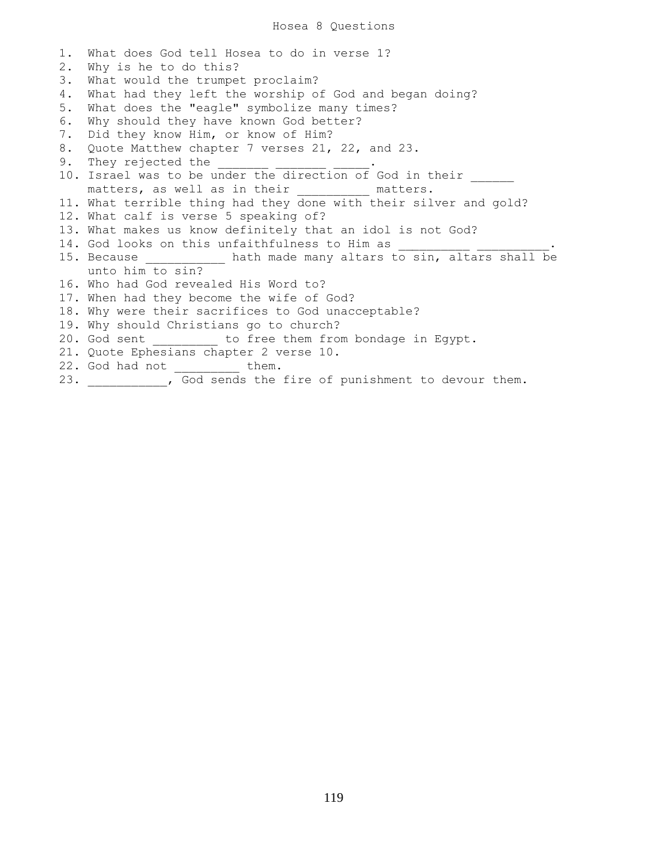## Hosea 8 Questions

1. What does God tell Hosea to do in verse 1? 2. Why is he to do this? 3. What would the trumpet proclaim? 4. What had they left the worship of God and began doing? 5. What does the "eagle" symbolize many times? 6. Why should they have known God better? 7. Did they know Him, or know of Him? 8. Quote Matthew chapter 7 verses 21, 22, and 23. 9. They rejected the 10. Israel was to be under the direction of God in their matters, as well as in their \_\_\_\_\_\_\_\_\_ matters. 11. What terrible thing had they done with their silver and gold? 12. What calf is verse 5 speaking of? 13. What makes us know definitely that an idol is not God? 14. God looks on this unfaithfulness to Him as 15. Because \_\_\_\_\_\_\_\_\_\_\_ hath made many altars to sin, altars shall be unto him to sin? 16. Who had God revealed His Word to? 17. When had they become the wife of God? 18. Why were their sacrifices to God unacceptable? 19. Why should Christians go to church? 20. God sent \_\_\_\_\_\_\_\_\_ to free them from bondage in Egypt. 21. Quote Ephesians chapter 2 verse 10. 22. God had not \_\_\_\_\_\_\_\_\_ them. 23. The God sends the fire of punishment to devour them.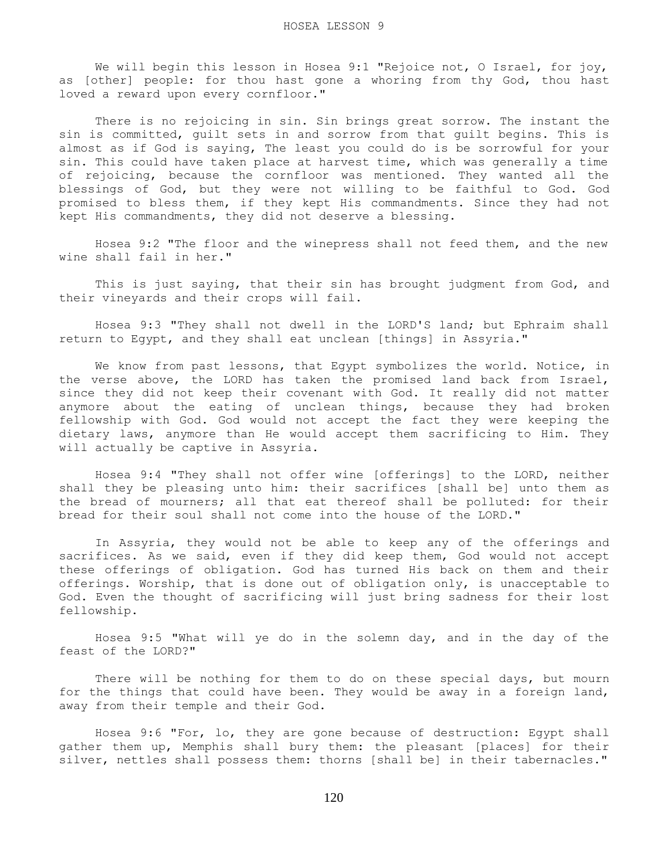We will begin this lesson in Hosea 9:1 "Rejoice not, O Israel, for joy, as [other] people: for thou hast gone a whoring from thy God, thou hast loved a reward upon every cornfloor."

 There is no rejoicing in sin. Sin brings great sorrow. The instant the sin is committed, guilt sets in and sorrow from that guilt begins. This is almost as if God is saying, The least you could do is be sorrowful for your sin. This could have taken place at harvest time, which was generally a time of rejoicing, because the cornfloor was mentioned. They wanted all the blessings of God, but they were not willing to be faithful to God. God promised to bless them, if they kept His commandments. Since they had not kept His commandments, they did not deserve a blessing.

 Hosea 9:2 "The floor and the winepress shall not feed them, and the new wine shall fail in her."

 This is just saying, that their sin has brought judgment from God, and their vineyards and their crops will fail.

 Hosea 9:3 "They shall not dwell in the LORD'S land; but Ephraim shall return to Egypt, and they shall eat unclean [things] in Assyria."

 We know from past lessons, that Egypt symbolizes the world. Notice, in the verse above, the LORD has taken the promised land back from Israel, since they did not keep their covenant with God. It really did not matter anymore about the eating of unclean things, because they had broken fellowship with God. God would not accept the fact they were keeping the dietary laws, anymore than He would accept them sacrificing to Him. They will actually be captive in Assyria.

 Hosea 9:4 "They shall not offer wine [offerings] to the LORD, neither shall they be pleasing unto him: their sacrifices [shall be] unto them as the bread of mourners; all that eat thereof shall be polluted: for their bread for their soul shall not come into the house of the LORD."

 In Assyria, they would not be able to keep any of the offerings and sacrifices. As we said, even if they did keep them, God would not accept these offerings of obligation. God has turned His back on them and their offerings. Worship, that is done out of obligation only, is unacceptable to God. Even the thought of sacrificing will just bring sadness for their lost fellowship.

 Hosea 9:5 "What will ye do in the solemn day, and in the day of the feast of the LORD?"

 There will be nothing for them to do on these special days, but mourn for the things that could have been. They would be away in a foreign land, away from their temple and their God.

 Hosea 9:6 "For, lo, they are gone because of destruction: Egypt shall gather them up, Memphis shall bury them: the pleasant [places] for their silver, nettles shall possess them: thorns [shall be] in their tabernacles."

120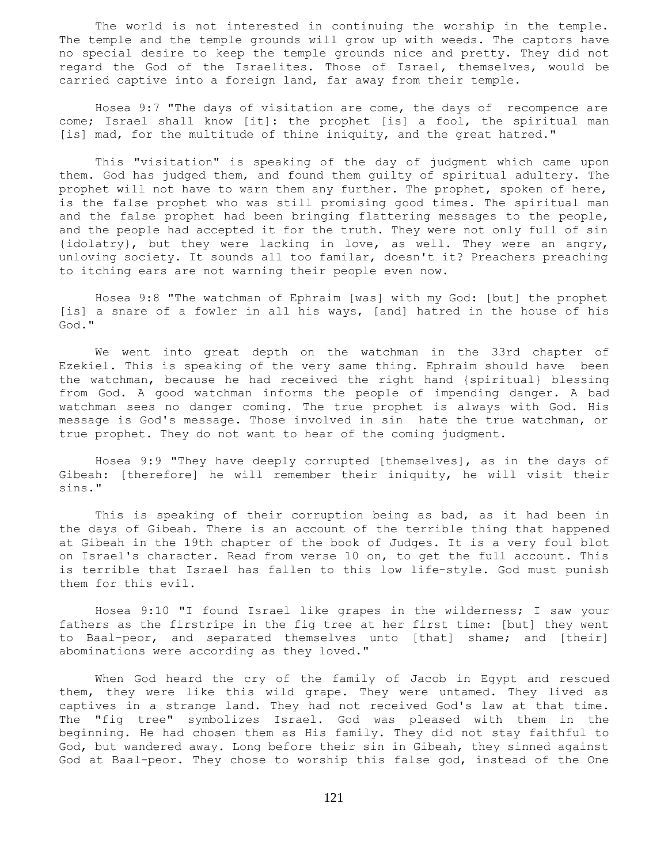The world is not interested in continuing the worship in the temple. The temple and the temple grounds will grow up with weeds. The captors have no special desire to keep the temple grounds nice and pretty. They did not regard the God of the Israelites. Those of Israel, themselves, would be carried captive into a foreign land, far away from their temple.

 Hosea 9:7 "The days of visitation are come, the days of recompence are come; Israel shall know [it]: the prophet [is] a fool, the spiritual man [is] mad, for the multitude of thine iniquity, and the great hatred."

 This "visitation" is speaking of the day of judgment which came upon them. God has judged them, and found them guilty of spiritual adultery. The prophet will not have to warn them any further. The prophet, spoken of here, is the false prophet who was still promising good times. The spiritual man and the false prophet had been bringing flattering messages to the people, and the people had accepted it for the truth. They were not only full of sin {idolatry}, but they were lacking in love, as well. They were an angry, unloving society. It sounds all too familar, doesn't it? Preachers preaching to itching ears are not warning their people even now.

 Hosea 9:8 "The watchman of Ephraim [was] with my God: [but] the prophet [is] a snare of a fowler in all his ways, [and] hatred in the house of his God."

 We went into great depth on the watchman in the 33rd chapter of Ezekiel. This is speaking of the very same thing. Ephraim should have been the watchman, because he had received the right hand {spiritual} blessing from God. A good watchman informs the people of impending danger. A bad watchman sees no danger coming. The true prophet is always with God. His message is God's message. Those involved in sin hate the true watchman, or true prophet. They do not want to hear of the coming judgment.

 Hosea 9:9 "They have deeply corrupted [themselves], as in the days of Gibeah: [therefore] he will remember their iniquity, he will visit their sins."

 This is speaking of their corruption being as bad, as it had been in the days of Gibeah. There is an account of the terrible thing that happened at Gibeah in the 19th chapter of the book of Judges. It is a very foul blot on Israel's character. Read from verse 10 on, to get the full account. This is terrible that Israel has fallen to this low life-style. God must punish them for this evil.

 Hosea 9:10 "I found Israel like grapes in the wilderness; I saw your fathers as the firstripe in the fig tree at her first time: [but] they went to Baal-peor, and separated themselves unto [that] shame; and [their] abominations were according as they loved."

 When God heard the cry of the family of Jacob in Egypt and rescued them, they were like this wild grape. They were untamed. They lived as captives in a strange land. They had not received God's law at that time. The "fig tree" symbolizes Israel. God was pleased with them in the beginning. He had chosen them as His family. They did not stay faithful to God, but wandered away. Long before their sin in Gibeah, they sinned against God at Baal-peor. They chose to worship this false god, instead of the One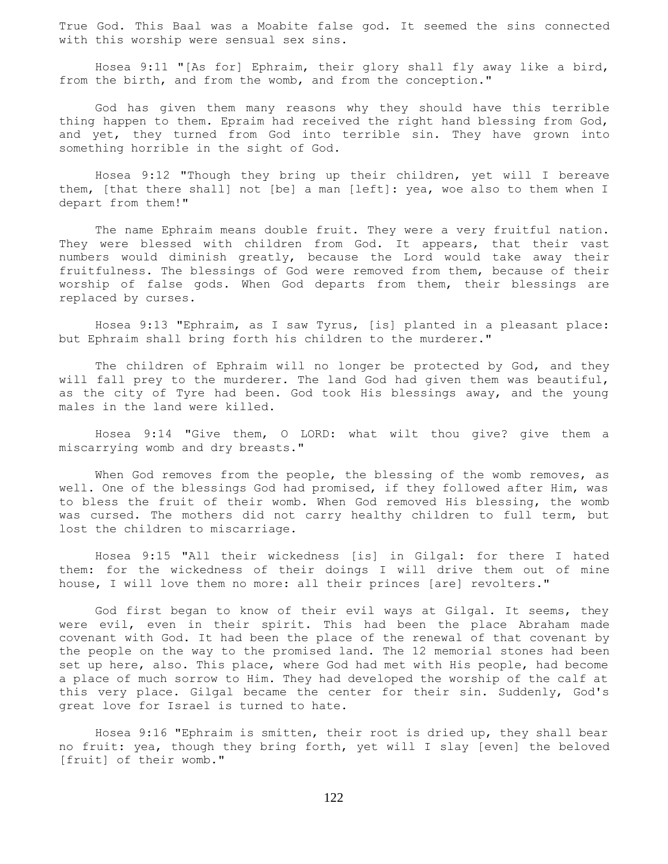True God. This Baal was a Moabite false god. It seemed the sins connected with this worship were sensual sex sins.

 Hosea 9:11 "[As for] Ephraim, their glory shall fly away like a bird, from the birth, and from the womb, and from the conception."

 God has given them many reasons why they should have this terrible thing happen to them. Epraim had received the right hand blessing from God, and yet, they turned from God into terrible sin. They have grown into something horrible in the sight of God.

 Hosea 9:12 "Though they bring up their children, yet will I bereave them, [that there shall] not [be] a man [left]: yea, woe also to them when I depart from them!"

 The name Ephraim means double fruit. They were a very fruitful nation. They were blessed with children from God. It appears, that their vast numbers would diminish greatly, because the Lord would take away their fruitfulness. The blessings of God were removed from them, because of their worship of false gods. When God departs from them, their blessings are replaced by curses.

 Hosea 9:13 "Ephraim, as I saw Tyrus, [is] planted in a pleasant place: but Ephraim shall bring forth his children to the murderer."

 The children of Ephraim will no longer be protected by God, and they will fall prey to the murderer. The land God had given them was beautiful, as the city of Tyre had been. God took His blessings away, and the young males in the land were killed.

 Hosea 9:14 "Give them, O LORD: what wilt thou give? give them a miscarrying womb and dry breasts."

When God removes from the people, the blessing of the womb removes, as well. One of the blessings God had promised, if they followed after Him, was to bless the fruit of their womb. When God removed His blessing, the womb was cursed. The mothers did not carry healthy children to full term, but lost the children to miscarriage.

 Hosea 9:15 "All their wickedness [is] in Gilgal: for there I hated them: for the wickedness of their doings I will drive them out of mine house, I will love them no more: all their princes [are] revolters."

 God first began to know of their evil ways at Gilgal. It seems, they were evil, even in their spirit. This had been the place Abraham made covenant with God. It had been the place of the renewal of that covenant by the people on the way to the promised land. The 12 memorial stones had been set up here, also. This place, where God had met with His people, had become a place of much sorrow to Him. They had developed the worship of the calf at this very place. Gilgal became the center for their sin. Suddenly, God's great love for Israel is turned to hate.

 Hosea 9:16 "Ephraim is smitten, their root is dried up, they shall bear no fruit: yea, though they bring forth, yet will I slay [even] the beloved [fruit] of their womb."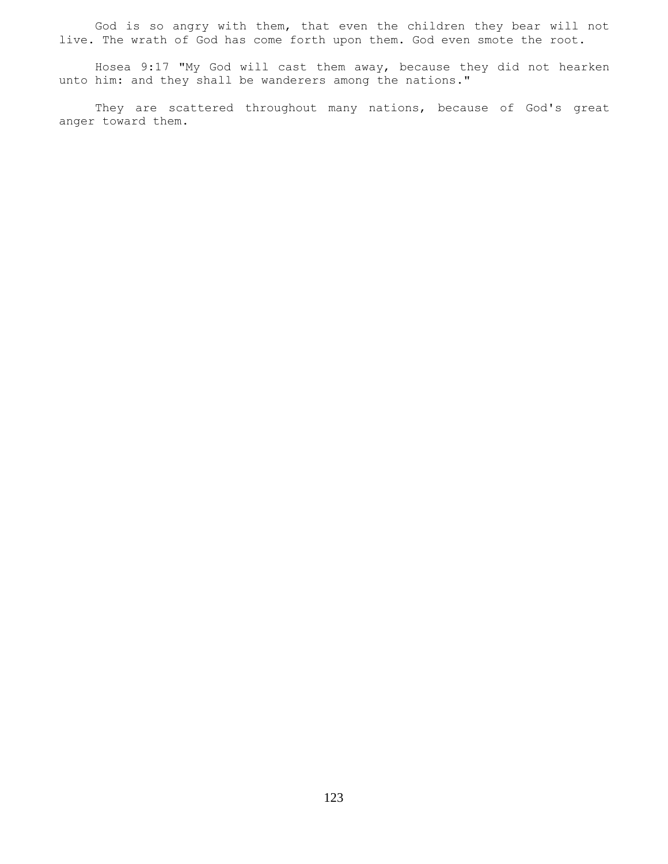God is so angry with them, that even the children they bear will not live. The wrath of God has come forth upon them. God even smote the root.

 Hosea 9:17 "My God will cast them away, because they did not hearken unto him: and they shall be wanderers among the nations."

 They are scattered throughout many nations, because of God's great anger toward them.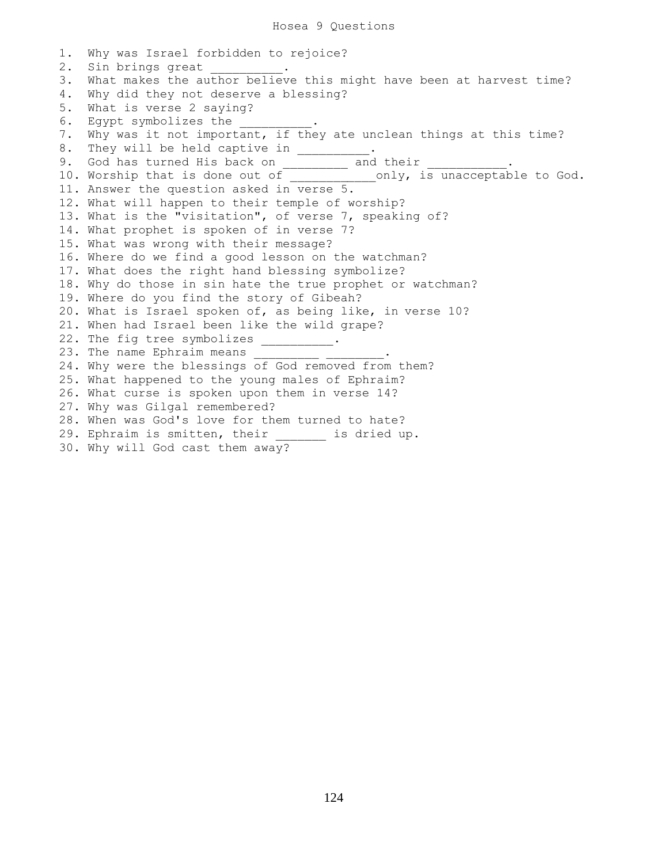1. Why was Israel forbidden to rejoice? 2. Sin brings great 3. What makes the author believe this might have been at harvest time? 4. Why did they not deserve a blessing? 5. What is verse 2 saying? 6. Egypt symbolizes the  $\qquad \qquad$ 7. Why was it not important, if they ate unclean things at this time? 8. They will be held captive in \_\_\_\_\_\_\_\_ 9. God has turned His back on \_\_\_\_\_\_\_\_\_ and their \_\_\_\_\_\_\_\_\_\_\_. 10. Worship that is done out of electron only, is unacceptable to God. 11. Answer the question asked in verse 5. 12. What will happen to their temple of worship? 13. What is the "visitation", of verse 7, speaking of? 14. What prophet is spoken of in verse 7? 15. What was wrong with their message? 16. Where do we find a good lesson on the watchman? 17. What does the right hand blessing symbolize? 18. Why do those in sin hate the true prophet or watchman? 19. Where do you find the story of Gibeah? 20. What is Israel spoken of, as being like, in verse 10? 21. When had Israel been like the wild grape? 22. The fig tree symbolizes \_\_\_\_\_\_\_\_\_. 23. The name Ephraim means 24. Why were the blessings of God removed from them? 25. What happened to the young males of Ephraim? 26. What curse is spoken upon them in verse 14? 27. Why was Gilgal remembered? 28. When was God's love for them turned to hate? 29. Ephraim is smitten, their \_\_\_\_\_\_\_ is dried up. 30. Why will God cast them away?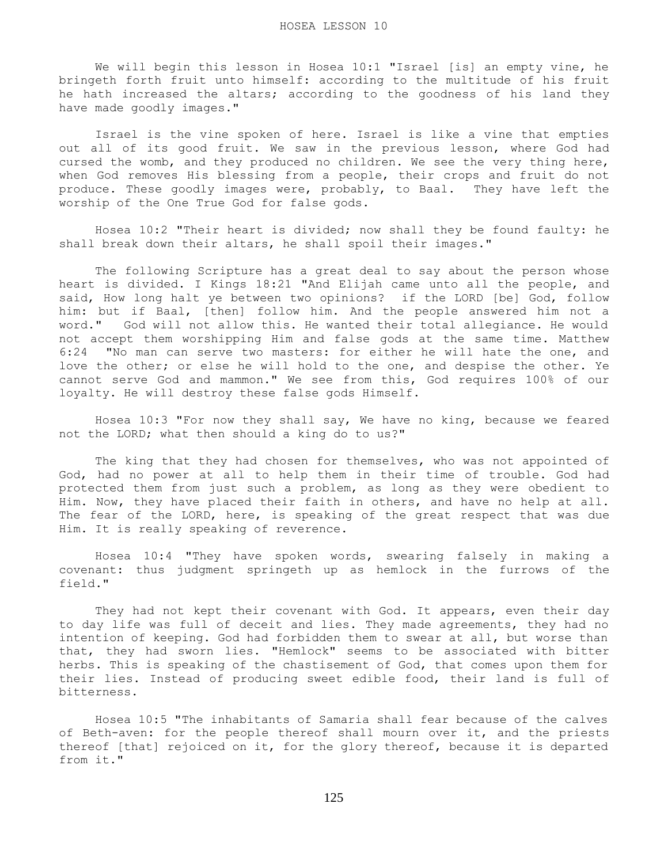We will begin this lesson in Hosea 10:1 "Israel [is] an empty vine, he bringeth forth fruit unto himself: according to the multitude of his fruit he hath increased the altars; according to the goodness of his land they have made goodly images."

 Israel is the vine spoken of here. Israel is like a vine that empties out all of its good fruit. We saw in the previous lesson, where God had cursed the womb, and they produced no children. We see the very thing here, when God removes His blessing from a people, their crops and fruit do not produce. These goodly images were, probably, to Baal. They have left the worship of the One True God for false gods.

 Hosea 10:2 "Their heart is divided; now shall they be found faulty: he shall break down their altars, he shall spoil their images."

 The following Scripture has a great deal to say about the person whose heart is divided. I Kings 18:21 "And Elijah came unto all the people, and said, How long halt ye between two opinions? if the LORD [be] God, follow him: but if Baal, [then] follow him. And the people answered him not a word." God will not allow this. He wanted their total allegiance. He would not accept them worshipping Him and false gods at the same time. Matthew 6:24 "No man can serve two masters: for either he will hate the one, and love the other; or else he will hold to the one, and despise the other. Ye cannot serve God and mammon." We see from this, God requires 100% of our loyalty. He will destroy these false gods Himself.

 Hosea 10:3 "For now they shall say, We have no king, because we feared not the LORD; what then should a king do to us?"

 The king that they had chosen for themselves, who was not appointed of God, had no power at all to help them in their time of trouble. God had protected them from just such a problem, as long as they were obedient to Him. Now, they have placed their faith in others, and have no help at all. The fear of the LORD, here, is speaking of the great respect that was due Him. It is really speaking of reverence.

 Hosea 10:4 "They have spoken words, swearing falsely in making a covenant: thus judgment springeth up as hemlock in the furrows of the field."

They had not kept their covenant with God. It appears, even their day to day life was full of deceit and lies. They made agreements, they had no intention of keeping. God had forbidden them to swear at all, but worse than that, they had sworn lies. "Hemlock" seems to be associated with bitter herbs. This is speaking of the chastisement of God, that comes upon them for their lies. Instead of producing sweet edible food, their land is full of bitterness.

 Hosea 10:5 "The inhabitants of Samaria shall fear because of the calves of Beth-aven: for the people thereof shall mourn over it, and the priests thereof [that] rejoiced on it, for the glory thereof, because it is departed from it."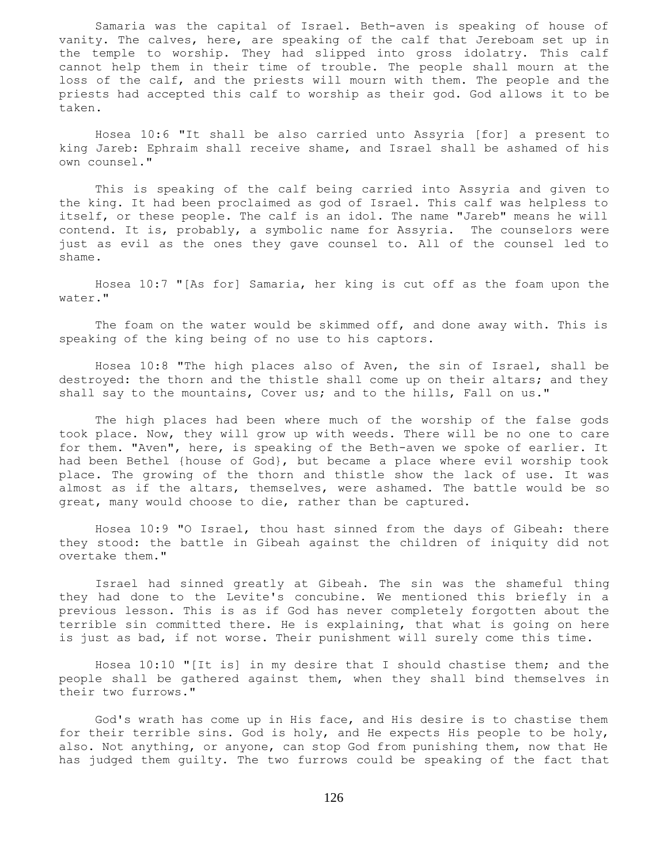Samaria was the capital of Israel. Beth-aven is speaking of house of vanity. The calves, here, are speaking of the calf that Jereboam set up in the temple to worship. They had slipped into gross idolatry. This calf cannot help them in their time of trouble. The people shall mourn at the loss of the calf, and the priests will mourn with them. The people and the priests had accepted this calf to worship as their god. God allows it to be taken.

 Hosea 10:6 "It shall be also carried unto Assyria [for] a present to king Jareb: Ephraim shall receive shame, and Israel shall be ashamed of his own counsel."

 This is speaking of the calf being carried into Assyria and given to the king. It had been proclaimed as god of Israel. This calf was helpless to itself, or these people. The calf is an idol. The name "Jareb" means he will contend. It is, probably, a symbolic name for Assyria. The counselors were just as evil as the ones they gave counsel to. All of the counsel led to shame.

 Hosea 10:7 "[As for] Samaria, her king is cut off as the foam upon the water."

 The foam on the water would be skimmed off, and done away with. This is speaking of the king being of no use to his captors.

 Hosea 10:8 "The high places also of Aven, the sin of Israel, shall be destroyed: the thorn and the thistle shall come up on their altars; and they shall say to the mountains, Cover us; and to the hills, Fall on us."

 The high places had been where much of the worship of the false gods took place. Now, they will grow up with weeds. There will be no one to care for them. "Aven", here, is speaking of the Beth-aven we spoke of earlier. It had been Bethel {house of God}, but became a place where evil worship took place. The growing of the thorn and thistle show the lack of use. It was almost as if the altars, themselves, were ashamed. The battle would be so great, many would choose to die, rather than be captured.

 Hosea 10:9 "O Israel, thou hast sinned from the days of Gibeah: there they stood: the battle in Gibeah against the children of iniquity did not overtake them."

 Israel had sinned greatly at Gibeah. The sin was the shameful thing they had done to the Levite's concubine. We mentioned this briefly in a previous lesson. This is as if God has never completely forgotten about the terrible sin committed there. He is explaining, that what is going on here is just as bad, if not worse. Their punishment will surely come this time.

 Hosea 10:10 "[It is] in my desire that I should chastise them; and the people shall be gathered against them, when they shall bind themselves in their two furrows."

 God's wrath has come up in His face, and His desire is to chastise them for their terrible sins. God is holy, and He expects His people to be holy, also. Not anything, or anyone, can stop God from punishing them, now that He has judged them guilty. The two furrows could be speaking of the fact that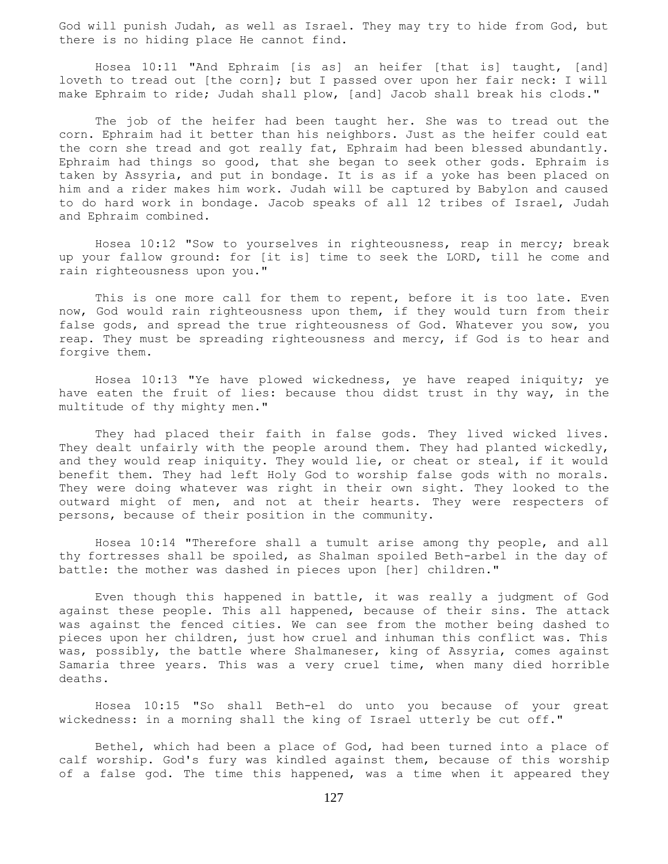God will punish Judah, as well as Israel. They may try to hide from God, but there is no hiding place He cannot find.

 Hosea 10:11 "And Ephraim [is as] an heifer [that is] taught, [and] loveth to tread out [the corn]; but I passed over upon her fair neck: I will make Ephraim to ride; Judah shall plow, [and] Jacob shall break his clods."

 The job of the heifer had been taught her. She was to tread out the corn. Ephraim had it better than his neighbors. Just as the heifer could eat the corn she tread and got really fat, Ephraim had been blessed abundantly. Ephraim had things so good, that she began to seek other gods. Ephraim is taken by Assyria, and put in bondage. It is as if a yoke has been placed on him and a rider makes him work. Judah will be captured by Babylon and caused to do hard work in bondage. Jacob speaks of all 12 tribes of Israel, Judah and Ephraim combined.

 Hosea 10:12 "Sow to yourselves in righteousness, reap in mercy; break up your fallow ground: for [it is] time to seek the LORD, till he come and rain righteousness upon you."

 This is one more call for them to repent, before it is too late. Even now, God would rain righteousness upon them, if they would turn from their false gods, and spread the true righteousness of God. Whatever you sow, you reap. They must be spreading righteousness and mercy, if God is to hear and forgive them.

 Hosea 10:13 "Ye have plowed wickedness, ye have reaped iniquity; ye have eaten the fruit of lies: because thou didst trust in thy way, in the multitude of thy mighty men."

 They had placed their faith in false gods. They lived wicked lives. They dealt unfairly with the people around them. They had planted wickedly, and they would reap iniquity. They would lie, or cheat or steal, if it would benefit them. They had left Holy God to worship false gods with no morals. They were doing whatever was right in their own sight. They looked to the outward might of men, and not at their hearts. They were respecters of persons, because of their position in the community.

 Hosea 10:14 "Therefore shall a tumult arise among thy people, and all thy fortresses shall be spoiled, as Shalman spoiled Beth-arbel in the day of battle: the mother was dashed in pieces upon [her] children."

 Even though this happened in battle, it was really a judgment of God against these people. This all happened, because of their sins. The attack was against the fenced cities. We can see from the mother being dashed to pieces upon her children, just how cruel and inhuman this conflict was. This was, possibly, the battle where Shalmaneser, king of Assyria, comes against Samaria three years. This was a very cruel time, when many died horrible deaths.

 Hosea 10:15 "So shall Beth-el do unto you because of your great wickedness: in a morning shall the king of Israel utterly be cut off."

 Bethel, which had been a place of God, had been turned into a place of calf worship. God's fury was kindled against them, because of this worship of a false god. The time this happened, was a time when it appeared they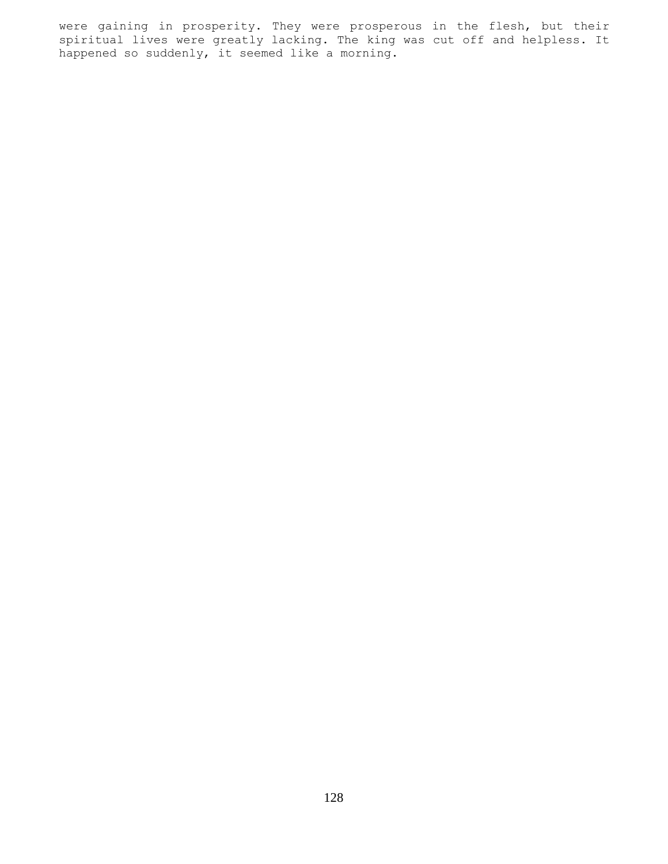were gaining in prosperity. They were prosperous in the flesh, but their spiritual lives were greatly lacking. The king was cut off and helpless. It happened so suddenly, it seemed like a morning.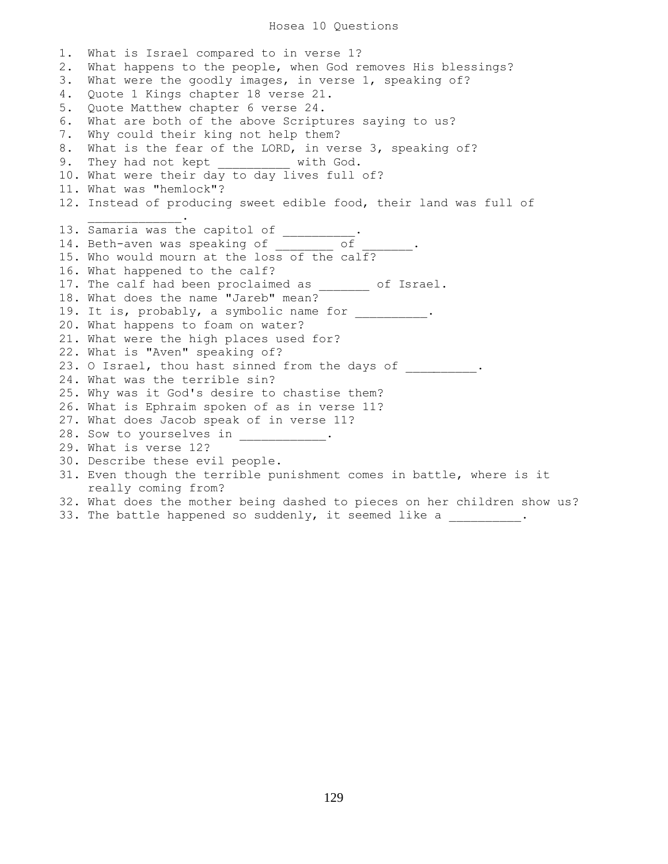## Hosea 10 Questions

1. What is Israel compared to in verse 1? 2. What happens to the people, when God removes His blessings? 3. What were the goodly images, in verse 1, speaking of? 4. Quote 1 Kings chapter 18 verse 21. 5. Quote Matthew chapter 6 verse 24. 6. What are both of the above Scriptures saying to us? 7. Why could their king not help them? 8. What is the fear of the LORD, in verse 3, speaking of? 9. They had not kept with God. 10. What were their day to day lives full of? 11. What was "hemlock"? 12. Instead of producing sweet edible food, their land was full of  $\mathcal{L}=\mathcal{L}=\mathcal{L}=\mathcal{L}=\mathcal{L}=\mathcal{L}=\mathcal{L}$ 13. Samaria was the capitol of \_\_\_\_\_\_\_\_\_\_. 14. Beth-aven was speaking of \_\_\_\_\_\_\_\_\_ of \_\_\_\_\_\_\_. 15. Who would mourn at the loss of the calf? 16. What happened to the calf? 17. The calf had been proclaimed as \_\_\_\_\_\_\_ of Israel. 18. What does the name "Jareb" mean? 19. It is, probably, a symbolic name for \_\_\_\_\_\_\_\_\_\_. 20. What happens to foam on water? 21. What were the high places used for? 22. What is "Aven" speaking of? 23. O Israel, thou hast sinned from the days of \_\_\_\_\_\_\_\_. 24. What was the terrible sin? 25. Why was it God's desire to chastise them? 26. What is Ephraim spoken of as in verse 11? 27. What does Jacob speak of in verse 11? 28. Sow to yourselves in \_\_\_\_\_\_\_\_\_\_\_\_. 29. What is verse 12? 30. Describe these evil people. 31. Even though the terrible punishment comes in battle, where is it really coming from? 32. What does the mother being dashed to pieces on her children show us?

33. The battle happened so suddenly, it seemed like a  $\qquad \qquad$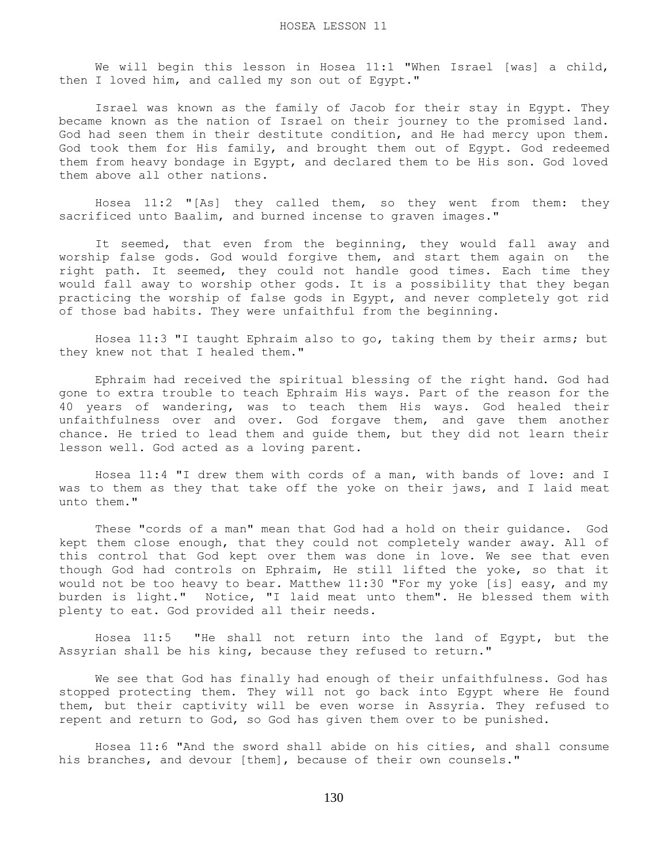We will begin this lesson in Hosea 11:1 "When Israel [was] a child, then I loved him, and called my son out of Egypt."

 Israel was known as the family of Jacob for their stay in Egypt. They became known as the nation of Israel on their journey to the promised land. God had seen them in their destitute condition, and He had mercy upon them. God took them for His family, and brought them out of Egypt. God redeemed them from heavy bondage in Egypt, and declared them to be His son. God loved them above all other nations.

 Hosea 11:2 "[As] they called them, so they went from them: they sacrificed unto Baalim, and burned incense to graven images."

 It seemed, that even from the beginning, they would fall away and worship false gods. God would forgive them, and start them again on the right path. It seemed, they could not handle good times. Each time they would fall away to worship other gods. It is a possibility that they began practicing the worship of false gods in Egypt, and never completely got rid of those bad habits. They were unfaithful from the beginning.

 Hosea 11:3 "I taught Ephraim also to go, taking them by their arms; but they knew not that I healed them."

 Ephraim had received the spiritual blessing of the right hand. God had gone to extra trouble to teach Ephraim His ways. Part of the reason for the 40 years of wandering, was to teach them His ways. God healed their unfaithfulness over and over. God forgave them, and gave them another chance. He tried to lead them and guide them, but they did not learn their lesson well. God acted as a loving parent.

 Hosea 11:4 "I drew them with cords of a man, with bands of love: and I was to them as they that take off the yoke on their jaws, and I laid meat unto them."

 These "cords of a man" mean that God had a hold on their guidance. God kept them close enough, that they could not completely wander away. All of this control that God kept over them was done in love. We see that even though God had controls on Ephraim, He still lifted the yoke, so that it would not be too heavy to bear. Matthew 11:30 "For my yoke [is] easy, and my burden is light." Notice, "I laid meat unto them". He blessed them with plenty to eat. God provided all their needs.

 Hosea 11:5 "He shall not return into the land of Egypt, but the Assyrian shall be his king, because they refused to return."

 We see that God has finally had enough of their unfaithfulness. God has stopped protecting them. They will not go back into Egypt where He found them, but their captivity will be even worse in Assyria. They refused to repent and return to God, so God has given them over to be punished.

 Hosea 11:6 "And the sword shall abide on his cities, and shall consume his branches, and devour [them], because of their own counsels."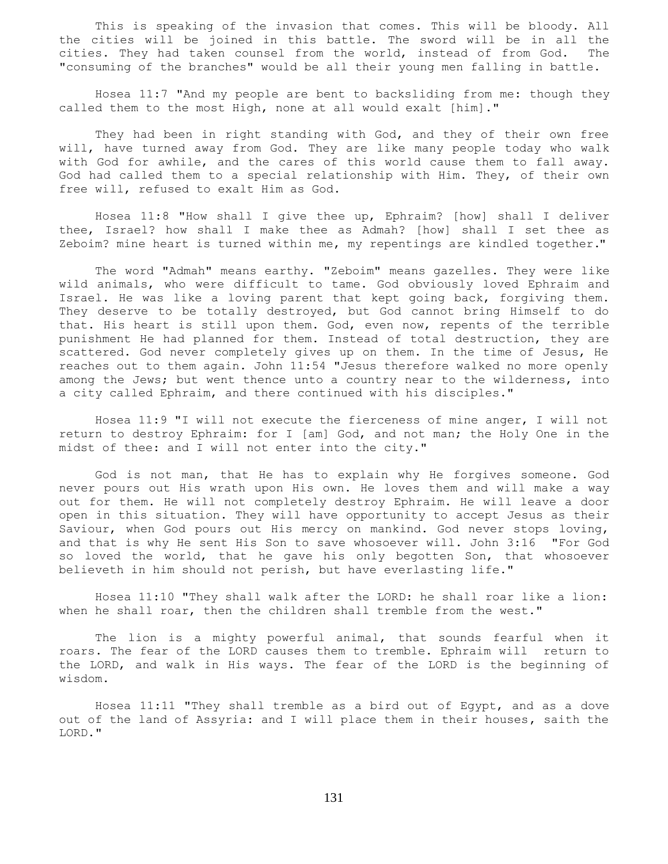This is speaking of the invasion that comes. This will be bloody. All the cities will be joined in this battle. The sword will be in all the cities. They had taken counsel from the world, instead of from God. The "consuming of the branches" would be all their young men falling in battle.

 Hosea 11:7 "And my people are bent to backsliding from me: though they called them to the most High, none at all would exalt [him]."

 They had been in right standing with God, and they of their own free will, have turned away from God. They are like many people today who walk with God for awhile, and the cares of this world cause them to fall away. God had called them to a special relationship with Him. They, of their own free will, refused to exalt Him as God.

 Hosea 11:8 "How shall I give thee up, Ephraim? [how] shall I deliver thee, Israel? how shall I make thee as Admah? [how] shall I set thee as Zeboim? mine heart is turned within me, my repentings are kindled together."

 The word "Admah" means earthy. "Zeboim" means gazelles. They were like wild animals, who were difficult to tame. God obviously loved Ephraim and Israel. He was like a loving parent that kept going back, forgiving them. They deserve to be totally destroyed, but God cannot bring Himself to do that. His heart is still upon them. God, even now, repents of the terrible punishment He had planned for them. Instead of total destruction, they are scattered. God never completely gives up on them. In the time of Jesus, He reaches out to them again. John 11:54 "Jesus therefore walked no more openly among the Jews; but went thence unto a country near to the wilderness, into a city called Ephraim, and there continued with his disciples."

 Hosea 11:9 "I will not execute the fierceness of mine anger, I will not return to destroy Ephraim: for I [am] God, and not man; the Holy One in the midst of thee: and I will not enter into the city."

 God is not man, that He has to explain why He forgives someone. God never pours out His wrath upon His own. He loves them and will make a way out for them. He will not completely destroy Ephraim. He will leave a door open in this situation. They will have opportunity to accept Jesus as their Saviour, when God pours out His mercy on mankind. God never stops loving, and that is why He sent His Son to save whosoever will. John 3:16 "For God so loved the world, that he gave his only begotten Son, that whosoever believeth in him should not perish, but have everlasting life."

 Hosea 11:10 "They shall walk after the LORD: he shall roar like a lion: when he shall roar, then the children shall tremble from the west."

 The lion is a mighty powerful animal, that sounds fearful when it roars. The fear of the LORD causes them to tremble. Ephraim will return to the LORD, and walk in His ways. The fear of the LORD is the beginning of wisdom.

 Hosea 11:11 "They shall tremble as a bird out of Egypt, and as a dove out of the land of Assyria: and I will place them in their houses, saith the LORD."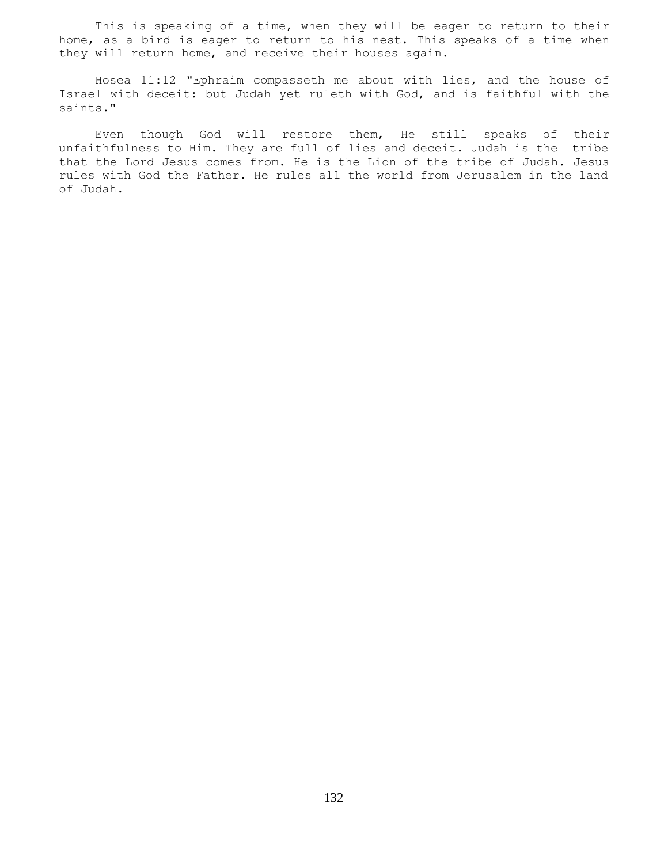This is speaking of a time, when they will be eager to return to their home, as a bird is eager to return to his nest. This speaks of a time when they will return home, and receive their houses again.

 Hosea 11:12 "Ephraim compasseth me about with lies, and the house of Israel with deceit: but Judah yet ruleth with God, and is faithful with the saints."

 Even though God will restore them, He still speaks of their unfaithfulness to Him. They are full of lies and deceit. Judah is the tribe that the Lord Jesus comes from. He is the Lion of the tribe of Judah. Jesus rules with God the Father. He rules all the world from Jerusalem in the land of Judah.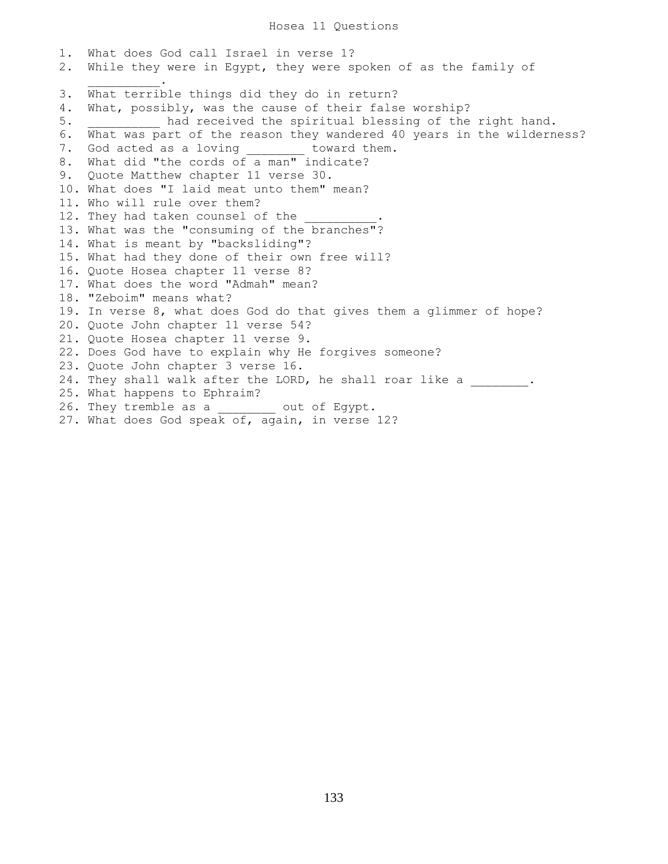Hosea 11 Questions

1. What does God call Israel in verse 1? 2. While they were in Egypt, they were spoken of as the family of  $\overline{\phantom{a}}$  ,  $\overline{\phantom{a}}$  ,  $\overline{\phantom{a}}$  ,  $\overline{\phantom{a}}$  ,  $\overline{\phantom{a}}$ 3. What terrible things did they do in return? 4. What, possibly, was the cause of their false worship? 5. **had received the spiritual blessing of the right hand.** 6. What was part of the reason they wandered 40 years in the wilderness? 7. God acted as a loving toward them. 8. What did "the cords of a man" indicate? 9. Quote Matthew chapter 11 verse 30. 10. What does "I laid meat unto them" mean? 11. Who will rule over them? 12. They had taken counsel of the 13. What was the "consuming of the branches"? 14. What is meant by "backsliding"? 15. What had they done of their own free will? 16. Quote Hosea chapter 11 verse 8? 17. What does the word "Admah" mean? 18. "Zeboim" means what? 19. In verse 8, what does God do that gives them a glimmer of hope? 20. Quote John chapter 11 verse 54? 21. Quote Hosea chapter 11 verse 9. 22. Does God have to explain why He forgives someone? 23. Quote John chapter 3 verse 16. 24. They shall walk after the LORD, he shall roar like a  $\qquad \qquad$ 25. What happens to Ephraim? 26. They tremble as a \_\_\_\_\_\_\_\_ out of Egypt. 27. What does God speak of, again, in verse 12?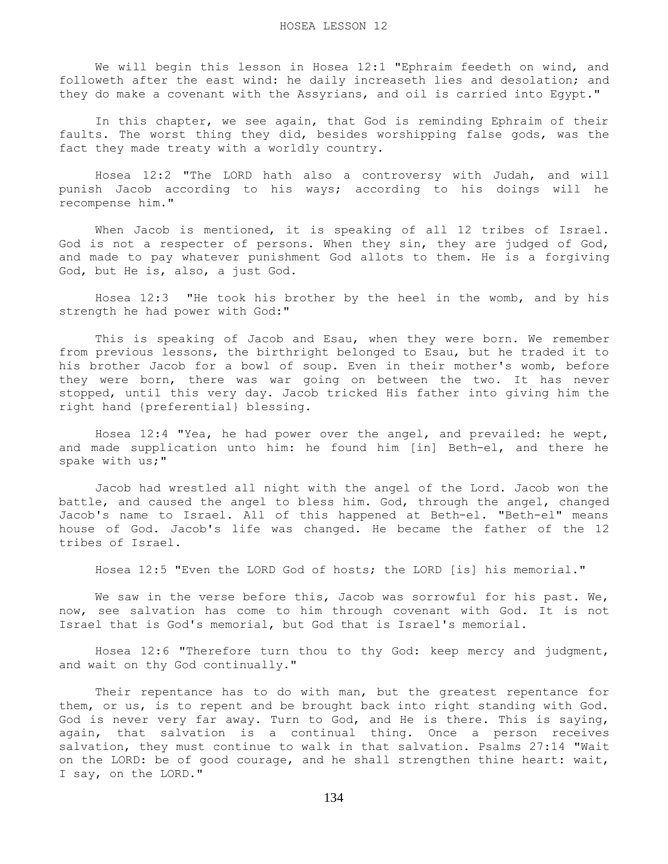We will begin this lesson in Hosea 12:1 "Ephraim feedeth on wind, and followeth after the east wind: he daily increaseth lies and desolation; and they do make a covenant with the Assyrians, and oil is carried into Egypt."

 In this chapter, we see again, that God is reminding Ephraim of their faults. The worst thing they did, besides worshipping false gods, was the fact they made treaty with a worldly country.

 Hosea 12:2 "The LORD hath also a controversy with Judah, and will punish Jacob according to his ways; according to his doings will he recompense him."

When Jacob is mentioned, it is speaking of all 12 tribes of Israel. God is not a respecter of persons. When they sin, they are judged of God, and made to pay whatever punishment God allots to them. He is a forgiving God, but He is, also, a just God.

 Hosea 12:3 "He took his brother by the heel in the womb, and by his strength he had power with God:"

 This is speaking of Jacob and Esau, when they were born. We remember from previous lessons, the birthright belonged to Esau, but he traded it to his brother Jacob for a bowl of soup. Even in their mother's womb, before they were born, there was war going on between the two. It has never stopped, until this very day. Jacob tricked His father into giving him the right hand {preferential} blessing.

 Hosea 12:4 "Yea, he had power over the angel, and prevailed: he wept, and made supplication unto him: he found him [in] Beth-el, and there he spake with us;"

 Jacob had wrestled all night with the angel of the Lord. Jacob won the battle, and caused the angel to bless him. God, through the angel, changed Jacob's name to Israel. All of this happened at Beth-el. "Beth-el" means house of God. Jacob's life was changed. He became the father of the 12 tribes of Israel.

Hosea 12:5 "Even the LORD God of hosts; the LORD [is] his memorial."

We saw in the verse before this, Jacob was sorrowful for his past. We, now, see salvation has come to him through covenant with God. It is not Israel that is God's memorial, but God that is Israel's memorial.

 Hosea 12:6 "Therefore turn thou to thy God: keep mercy and judgment, and wait on thy God continually."

 Their repentance has to do with man, but the greatest repentance for them, or us, is to repent and be brought back into right standing with God. God is never very far away. Turn to God, and He is there. This is saying, again, that salvation is a continual thing. Once a person receives salvation, they must continue to walk in that salvation. Psalms 27:14 "Wait on the LORD: be of good courage, and he shall strengthen thine heart: wait, I say, on the LORD."

134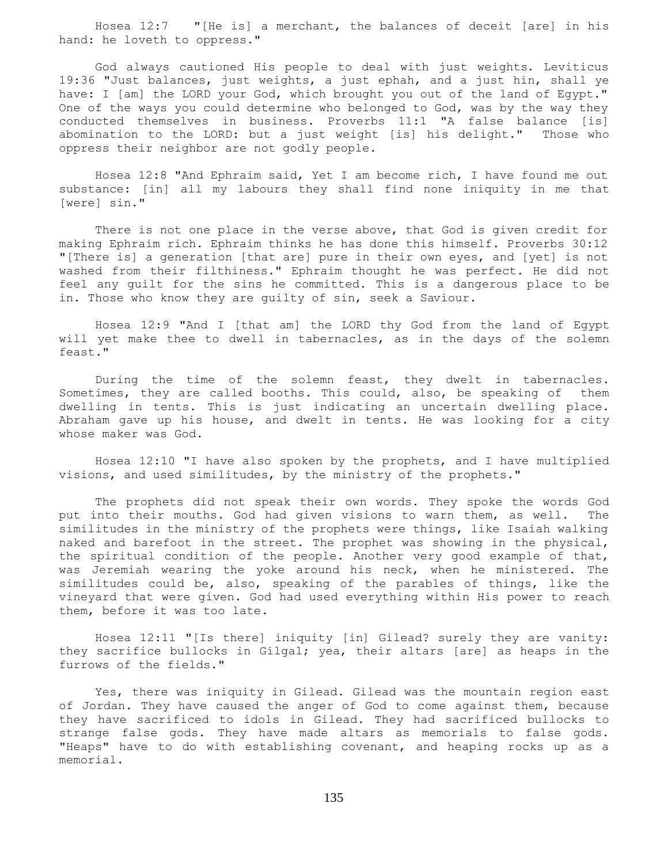Hosea 12:7 "[He is] a merchant, the balances of deceit [are] in his hand: he loveth to oppress."

 God always cautioned His people to deal with just weights. Leviticus 19:36 "Just balances, just weights, a just ephah, and a just hin, shall ye have: I [am] the LORD your God, which brought you out of the land of Egypt." One of the ways you could determine who belonged to God, was by the way they conducted themselves in business. Proverbs 11:1 "A false balance [is] abomination to the LORD: but a just weight [is] his delight." Those who oppress their neighbor are not godly people.

 Hosea 12:8 "And Ephraim said, Yet I am become rich, I have found me out substance: [in] all my labours they shall find none iniquity in me that [were] sin."

 There is not one place in the verse above, that God is given credit for making Ephraim rich. Ephraim thinks he has done this himself. Proverbs 30:12 "[There is] a generation [that are] pure in their own eyes, and [yet] is not washed from their filthiness." Ephraim thought he was perfect. He did not feel any guilt for the sins he committed. This is a dangerous place to be in. Those who know they are guilty of sin, seek a Saviour.

 Hosea 12:9 "And I [that am] the LORD thy God from the land of Egypt will yet make thee to dwell in tabernacles, as in the days of the solemn feast."

 During the time of the solemn feast, they dwelt in tabernacles. Sometimes, they are called booths. This could, also, be speaking of them dwelling in tents. This is just indicating an uncertain dwelling place. Abraham gave up his house, and dwelt in tents. He was looking for a city whose maker was God.

 Hosea 12:10 "I have also spoken by the prophets, and I have multiplied visions, and used similitudes, by the ministry of the prophets."

 The prophets did not speak their own words. They spoke the words God put into their mouths. God had given visions to warn them, as well. The similitudes in the ministry of the prophets were things, like Isaiah walking naked and barefoot in the street. The prophet was showing in the physical, the spiritual condition of the people. Another very good example of that, was Jeremiah wearing the yoke around his neck, when he ministered. The similitudes could be, also, speaking of the parables of things, like the vineyard that were given. God had used everything within His power to reach them, before it was too late.

 Hosea 12:11 "[Is there] iniquity [in] Gilead? surely they are vanity: they sacrifice bullocks in Gilgal; yea, their altars [are] as heaps in the furrows of the fields."

 Yes, there was iniquity in Gilead. Gilead was the mountain region east of Jordan. They have caused the anger of God to come against them, because they have sacrificed to idols in Gilead. They had sacrificed bullocks to strange false gods. They have made altars as memorials to false gods. "Heaps" have to do with establishing covenant, and heaping rocks up as a memorial.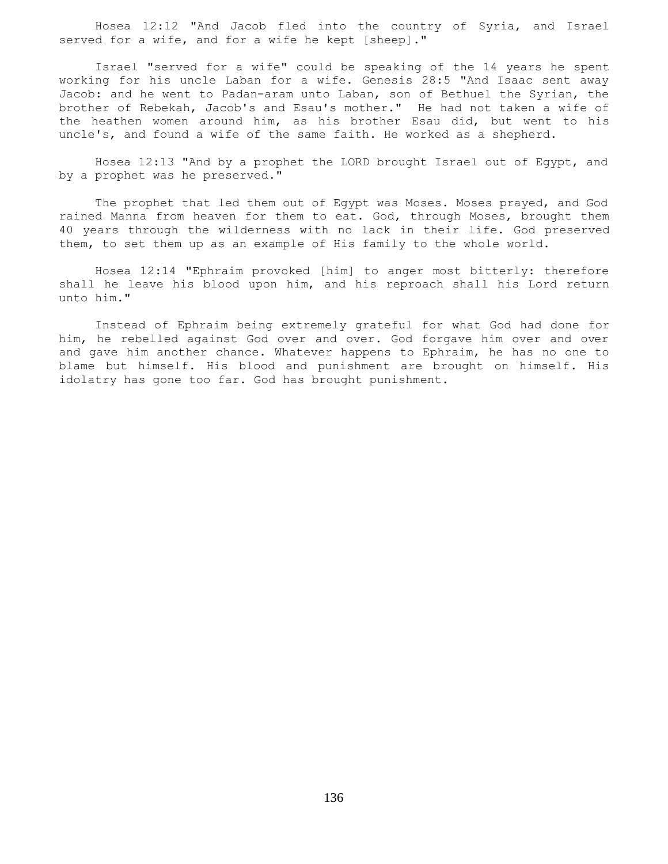Hosea 12:12 "And Jacob fled into the country of Syria, and Israel served for a wife, and for a wife he kept [sheep]."

 Israel "served for a wife" could be speaking of the 14 years he spent working for his uncle Laban for a wife. Genesis 28:5 "And Isaac sent away Jacob: and he went to Padan-aram unto Laban, son of Bethuel the Syrian, the brother of Rebekah, Jacob's and Esau's mother." He had not taken a wife of the heathen women around him, as his brother Esau did, but went to his uncle's, and found a wife of the same faith. He worked as a shepherd.

 Hosea 12:13 "And by a prophet the LORD brought Israel out of Egypt, and by a prophet was he preserved."

 The prophet that led them out of Egypt was Moses. Moses prayed, and God rained Manna from heaven for them to eat. God, through Moses, brought them 40 years through the wilderness with no lack in their life. God preserved them, to set them up as an example of His family to the whole world.

 Hosea 12:14 "Ephraim provoked [him] to anger most bitterly: therefore shall he leave his blood upon him, and his reproach shall his Lord return unto him."

 Instead of Ephraim being extremely grateful for what God had done for him, he rebelled against God over and over. God forgave him over and over and gave him another chance. Whatever happens to Ephraim, he has no one to blame but himself. His blood and punishment are brought on himself. His idolatry has gone too far. God has brought punishment.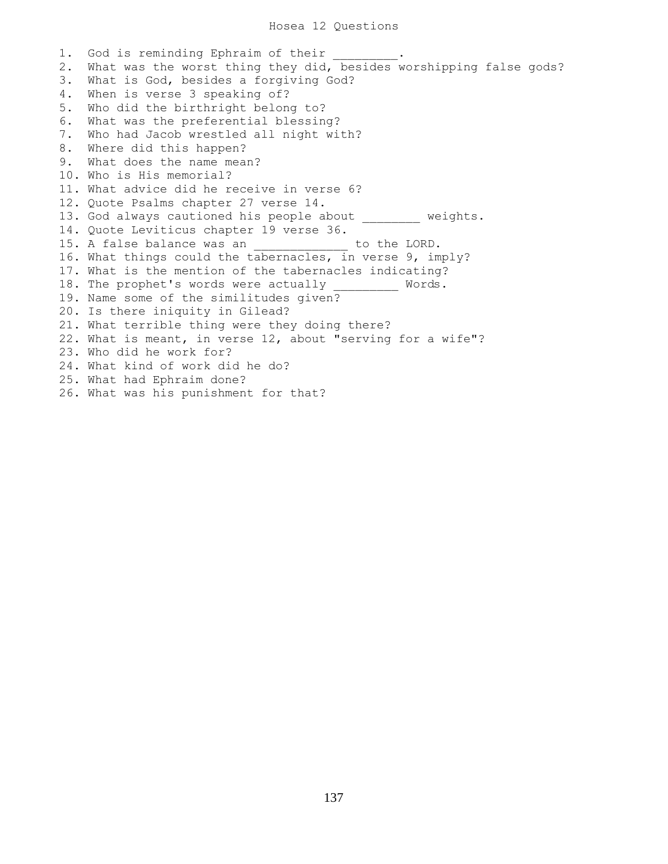1. God is reminding Ephraim of their 2. What was the worst thing they did, besides worshipping false gods? 3. What is God, besides a forgiving God? 4. When is verse 3 speaking of? 5. Who did the birthright belong to? 6. What was the preferential blessing? 7. Who had Jacob wrestled all night with? 8. Where did this happen? 9. What does the name mean? 10. Who is His memorial? 11. What advice did he receive in verse 6? 12. Quote Psalms chapter 27 verse 14. 13. God always cautioned his people about weights. 14. Quote Leviticus chapter 19 verse 36. 15. A false balance was an  $\qquad \qquad$  to the LORD. 16. What things could the tabernacles, in verse 9, imply? 17. What is the mention of the tabernacles indicating? 18. The prophet's words were actually \_\_\_\_\_\_\_\_ Words. 19. Name some of the similitudes given? 20. Is there iniquity in Gilead? 21. What terrible thing were they doing there? 22. What is meant, in verse 12, about "serving for a wife"? 23. Who did he work for? 24. What kind of work did he do? 25. What had Ephraim done? 26. What was his punishment for that?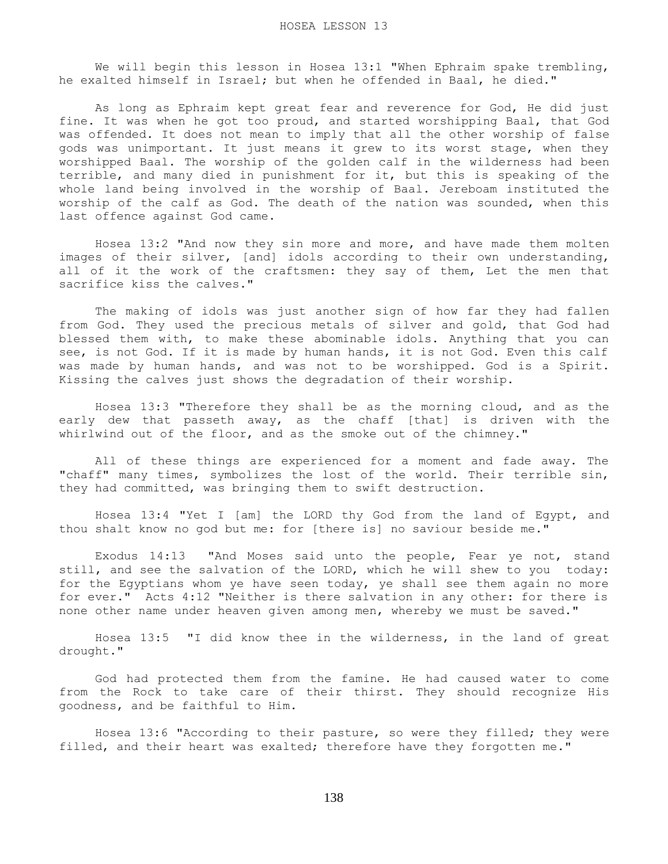We will begin this lesson in Hosea 13:1 "When Ephraim spake trembling, he exalted himself in Israel; but when he offended in Baal, he died."

 As long as Ephraim kept great fear and reverence for God, He did just fine. It was when he got too proud, and started worshipping Baal, that God was offended. It does not mean to imply that all the other worship of false gods was unimportant. It just means it grew to its worst stage, when they worshipped Baal. The worship of the golden calf in the wilderness had been terrible, and many died in punishment for it, but this is speaking of the whole land being involved in the worship of Baal. Jereboam instituted the worship of the calf as God. The death of the nation was sounded, when this last offence against God came.

 Hosea 13:2 "And now they sin more and more, and have made them molten images of their silver, [and] idols according to their own understanding, all of it the work of the craftsmen: they say of them, Let the men that sacrifice kiss the calves."

 The making of idols was just another sign of how far they had fallen from God. They used the precious metals of silver and gold, that God had blessed them with, to make these abominable idols. Anything that you can see, is not God. If it is made by human hands, it is not God. Even this calf was made by human hands, and was not to be worshipped. God is a Spirit. Kissing the calves just shows the degradation of their worship.

 Hosea 13:3 "Therefore they shall be as the morning cloud, and as the early dew that passeth away, as the chaff [that] is driven with the whirlwind out of the floor, and as the smoke out of the chimney."

 All of these things are experienced for a moment and fade away. The "chaff" many times, symbolizes the lost of the world. Their terrible sin, they had committed, was bringing them to swift destruction.

 Hosea 13:4 "Yet I [am] the LORD thy God from the land of Egypt, and thou shalt know no god but me: for [there is] no saviour beside me."

 Exodus 14:13 "And Moses said unto the people, Fear ye not, stand still, and see the salvation of the LORD, which he will shew to you today: for the Egyptians whom ye have seen today, ye shall see them again no more for ever." Acts 4:12 "Neither is there salvation in any other: for there is none other name under heaven given among men, whereby we must be saved."

 Hosea 13:5 "I did know thee in the wilderness, in the land of great drought."

 God had protected them from the famine. He had caused water to come from the Rock to take care of their thirst. They should recognize His goodness, and be faithful to Him.

 Hosea 13:6 "According to their pasture, so were they filled; they were filled, and their heart was exalted; therefore have they forgotten me."

138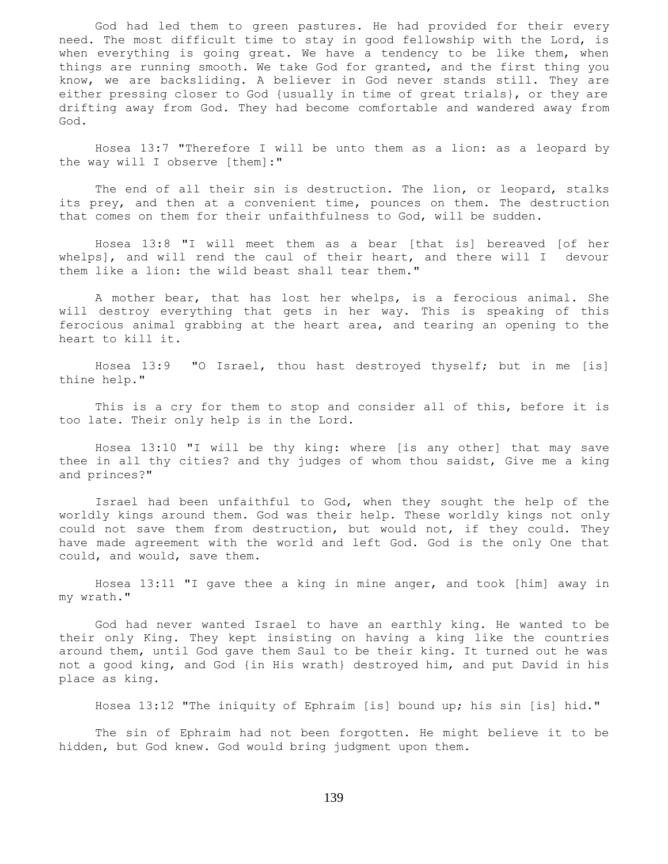God had led them to green pastures. He had provided for their every need. The most difficult time to stay in good fellowship with the Lord, is when everything is going great. We have a tendency to be like them, when things are running smooth. We take God for granted, and the first thing you know, we are backsliding. A believer in God never stands still. They are either pressing closer to God {usually in time of great trials}, or they are drifting away from God. They had become comfortable and wandered away from God.

 Hosea 13:7 "Therefore I will be unto them as a lion: as a leopard by the way will I observe [them]:"

The end of all their sin is destruction. The lion, or leopard, stalks its prey, and then at a convenient time, pounces on them. The destruction that comes on them for their unfaithfulness to God, will be sudden.

 Hosea 13:8 "I will meet them as a bear [that is] bereaved [of her whelps], and will rend the caul of their heart, and there will I devour them like a lion: the wild beast shall tear them."

 A mother bear, that has lost her whelps, is a ferocious animal. She will destroy everything that gets in her way. This is speaking of this ferocious animal grabbing at the heart area, and tearing an opening to the heart to kill it.

 Hosea 13:9 "O Israel, thou hast destroyed thyself; but in me [is] thine help."

 This is a cry for them to stop and consider all of this, before it is too late. Their only help is in the Lord.

 Hosea 13:10 "I will be thy king: where [is any other] that may save thee in all thy cities? and thy judges of whom thou saidst, Give me a king and princes?"

 Israel had been unfaithful to God, when they sought the help of the worldly kings around them. God was their help. These worldly kings not only could not save them from destruction, but would not, if they could. They have made agreement with the world and left God. God is the only One that could, and would, save them.

 Hosea 13:11 "I gave thee a king in mine anger, and took [him] away in my wrath."

 God had never wanted Israel to have an earthly king. He wanted to be their only King. They kept insisting on having a king like the countries around them, until God gave them Saul to be their king. It turned out he was not a good king, and God {in His wrath} destroyed him, and put David in his place as king.

Hosea 13:12 "The iniquity of Ephraim [is] bound up; his sin [is] hid."

 The sin of Ephraim had not been forgotten. He might believe it to be hidden, but God knew. God would bring judgment upon them.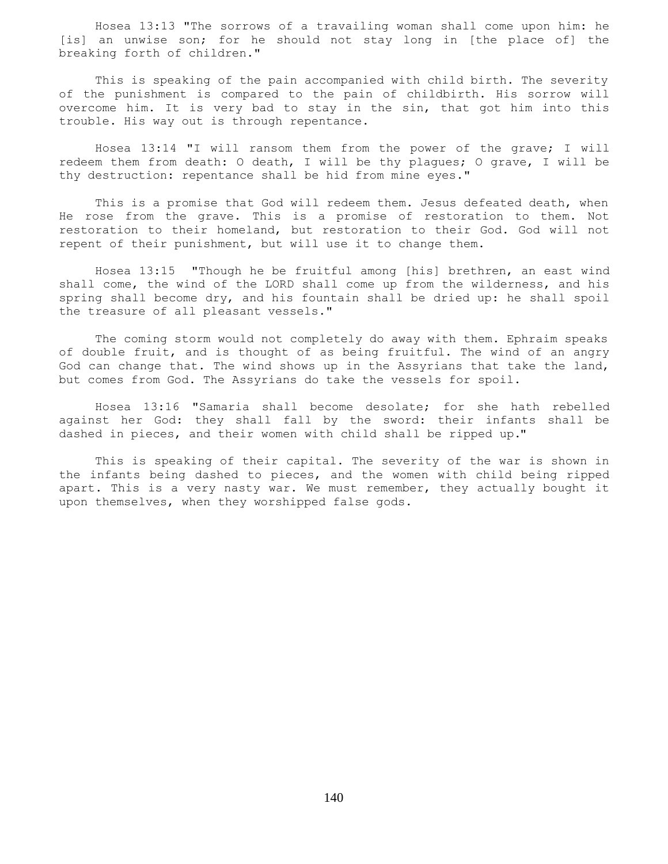Hosea 13:13 "The sorrows of a travailing woman shall come upon him: he [is] an unwise son; for he should not stay long in [the place of] the breaking forth of children."

 This is speaking of the pain accompanied with child birth. The severity of the punishment is compared to the pain of childbirth. His sorrow will overcome him. It is very bad to stay in the sin, that got him into this trouble. His way out is through repentance.

 Hosea 13:14 "I will ransom them from the power of the grave; I will redeem them from death: O death, I will be thy plagues; O grave, I will be thy destruction: repentance shall be hid from mine eyes."

 This is a promise that God will redeem them. Jesus defeated death, when He rose from the grave. This is a promise of restoration to them. Not restoration to their homeland, but restoration to their God. God will not repent of their punishment, but will use it to change them.

 Hosea 13:15 "Though he be fruitful among [his] brethren, an east wind shall come, the wind of the LORD shall come up from the wilderness, and his spring shall become dry, and his fountain shall be dried up: he shall spoil the treasure of all pleasant vessels."

 The coming storm would not completely do away with them. Ephraim speaks of double fruit, and is thought of as being fruitful. The wind of an angry God can change that. The wind shows up in the Assyrians that take the land, but comes from God. The Assyrians do take the vessels for spoil.

 Hosea 13:16 "Samaria shall become desolate; for she hath rebelled against her God: they shall fall by the sword: their infants shall be dashed in pieces, and their women with child shall be ripped up."

 This is speaking of their capital. The severity of the war is shown in the infants being dashed to pieces, and the women with child being ripped apart. This is a very nasty war. We must remember, they actually bought it upon themselves, when they worshipped false gods.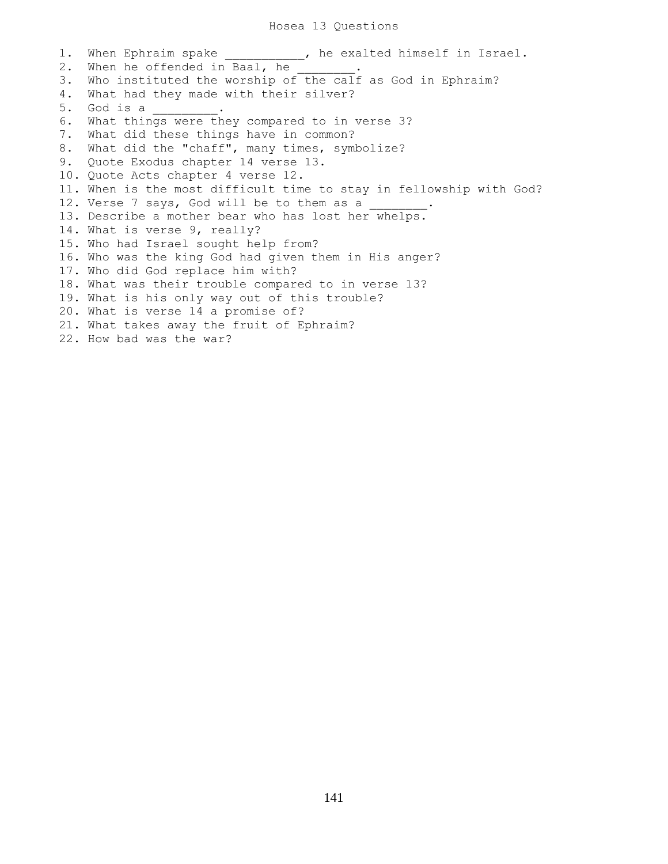## Hosea 13 Questions

1. When Ephraim spake \_\_\_\_\_\_\_\_\_\_, he exalted himself in Israel. 2. When he offended in Baal, he 3. Who instituted the worship of the calf as God in Ephraim? 4. What had they made with their silver? 5. God is a \_\_\_\_\_\_\_\_\_. 6. What things were they compared to in verse 3? 7. What did these things have in common? 8. What did the "chaff", many times, symbolize? 9. Quote Exodus chapter 14 verse 13. 10. Quote Acts chapter 4 verse 12. 11. When is the most difficult time to stay in fellowship with God? 12. Verse 7 says, God will be to them as a 13. Describe a mother bear who has lost her whelps. 14. What is verse 9, really? 15. Who had Israel sought help from? 16. Who was the king God had given them in His anger? 17. Who did God replace him with? 18. What was their trouble compared to in verse 13? 19. What is his only way out of this trouble? 20. What is verse 14 a promise of? 21. What takes away the fruit of Ephraim? 22. How bad was the war?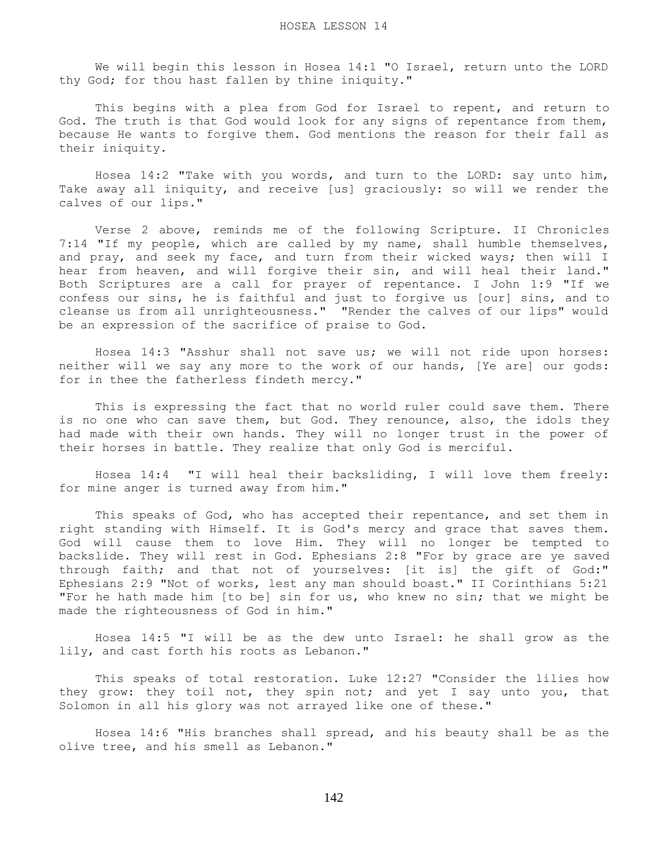We will begin this lesson in Hosea 14:1 "O Israel, return unto the LORD thy God; for thou hast fallen by thine iniquity."

 This begins with a plea from God for Israel to repent, and return to God. The truth is that God would look for any signs of repentance from them, because He wants to forgive them. God mentions the reason for their fall as their iniquity.

 Hosea 14:2 "Take with you words, and turn to the LORD: say unto him, Take away all iniquity, and receive [us] graciously: so will we render the calves of our lips."

 Verse 2 above, reminds me of the following Scripture. II Chronicles 7:14 "If my people, which are called by my name, shall humble themselves, and pray, and seek my face, and turn from their wicked ways; then will I hear from heaven, and will forgive their sin, and will heal their land." Both Scriptures are a call for prayer of repentance. I John 1:9 "If we confess our sins, he is faithful and just to forgive us [our] sins, and to cleanse us from all unrighteousness." "Render the calves of our lips" would be an expression of the sacrifice of praise to God.

 Hosea 14:3 "Asshur shall not save us; we will not ride upon horses: neither will we say any more to the work of our hands, [Ye are] our gods: for in thee the fatherless findeth mercy."

 This is expressing the fact that no world ruler could save them. There is no one who can save them, but God. They renounce, also, the idols they had made with their own hands. They will no longer trust in the power of their horses in battle. They realize that only God is merciful.

 Hosea 14:4 "I will heal their backsliding, I will love them freely: for mine anger is turned away from him."

 This speaks of God, who has accepted their repentance, and set them in right standing with Himself. It is God's mercy and grace that saves them. God will cause them to love Him. They will no longer be tempted to backslide. They will rest in God. Ephesians 2:8 "For by grace are ye saved through faith; and that not of yourselves: [it is] the gift of God:" Ephesians 2:9 "Not of works, lest any man should boast." II Corinthians 5:21 "For he hath made him [to be] sin for us, who knew no sin; that we might be made the righteousness of God in him."

 Hosea 14:5 "I will be as the dew unto Israel: he shall grow as the lily, and cast forth his roots as Lebanon."

 This speaks of total restoration. Luke 12:27 "Consider the lilies how they grow: they toil not, they spin not; and yet I say unto you, that Solomon in all his glory was not arrayed like one of these."

 Hosea 14:6 "His branches shall spread, and his beauty shall be as the olive tree, and his smell as Lebanon."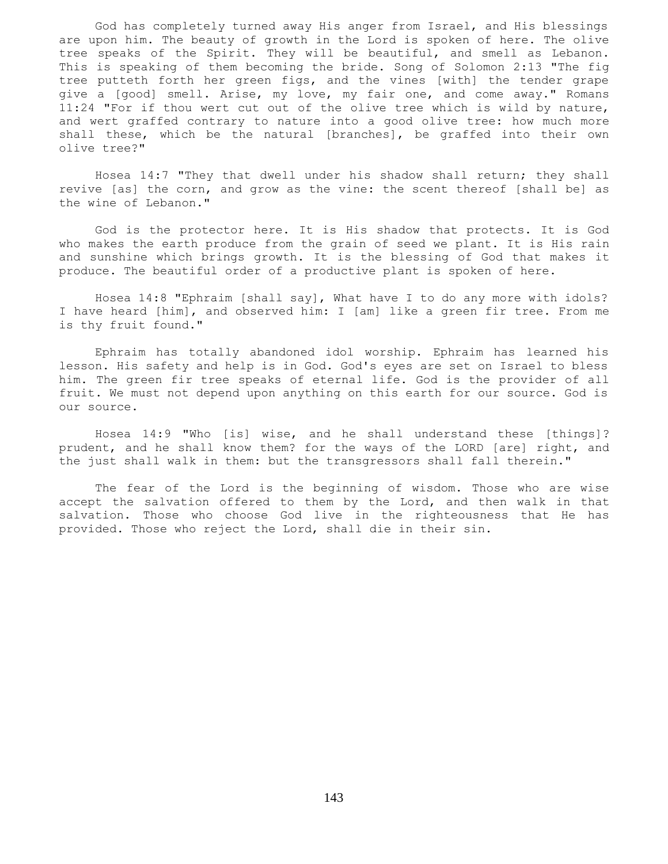God has completely turned away His anger from Israel, and His blessings are upon him. The beauty of growth in the Lord is spoken of here. The olive tree speaks of the Spirit. They will be beautiful, and smell as Lebanon. This is speaking of them becoming the bride. Song of Solomon 2:13 "The fig tree putteth forth her green figs, and the vines [with] the tender grape give a [good] smell. Arise, my love, my fair one, and come away." Romans 11:24 "For if thou wert cut out of the olive tree which is wild by nature, and wert graffed contrary to nature into a good olive tree: how much more shall these, which be the natural [branches], be graffed into their own olive tree?"

 Hosea 14:7 "They that dwell under his shadow shall return; they shall revive [as] the corn, and grow as the vine: the scent thereof [shall be] as the wine of Lebanon."

 God is the protector here. It is His shadow that protects. It is God who makes the earth produce from the grain of seed we plant. It is His rain and sunshine which brings growth. It is the blessing of God that makes it produce. The beautiful order of a productive plant is spoken of here.

 Hosea 14:8 "Ephraim [shall say], What have I to do any more with idols? I have heard [him], and observed him: I [am] like a green fir tree. From me is thy fruit found."

 Ephraim has totally abandoned idol worship. Ephraim has learned his lesson. His safety and help is in God. God's eyes are set on Israel to bless him. The green fir tree speaks of eternal life. God is the provider of all fruit. We must not depend upon anything on this earth for our source. God is our source.

 Hosea 14:9 "Who [is] wise, and he shall understand these [things]? prudent, and he shall know them? for the ways of the LORD [are] right, and the just shall walk in them: but the transgressors shall fall therein."

 The fear of the Lord is the beginning of wisdom. Those who are wise accept the salvation offered to them by the Lord, and then walk in that salvation. Those who choose God live in the righteousness that He has provided. Those who reject the Lord, shall die in their sin.

143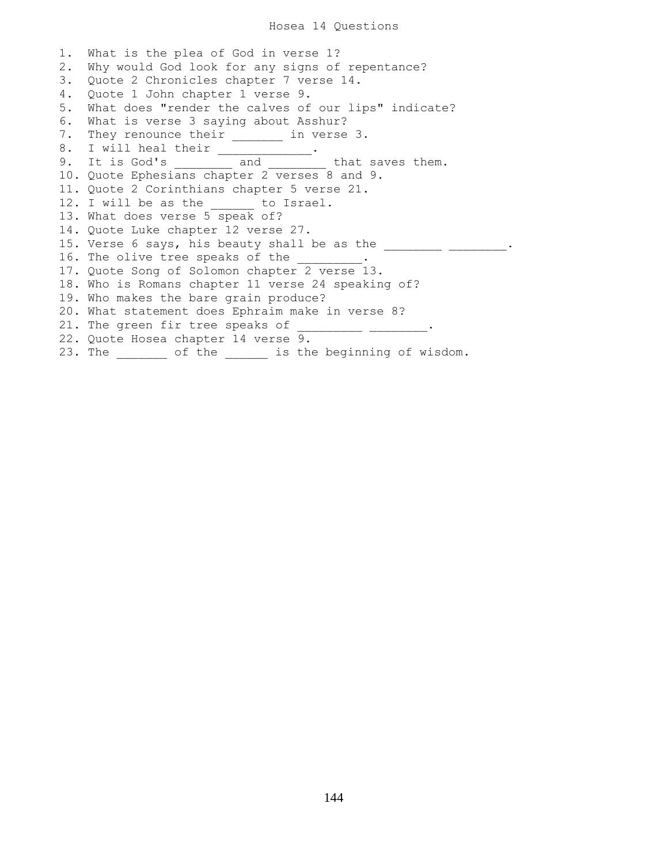## Hosea 14 Questions

1. What is the plea of God in verse 1? 2. Why would God look for any signs of repentance? 3. Quote 2 Chronicles chapter 7 verse 14. 4. Quote 1 John chapter 1 verse 9. 5. What does "render the calves of our lips" indicate? 6. What is verse 3 saying about Asshur? 7. They renounce their \_\_\_\_\_\_\_\_ in verse 3.<br>8. I will heal their \_\_\_\_\_\_\_\_\_\_\_\_\_. 8. I will heal their \_\_\_\_\_\_\_\_\_\_\_\_\_. 9. It is God's \_\_\_\_\_\_\_\_ and \_\_\_\_\_\_\_ that saves them. 10. Quote Ephesians chapter 2 verses 8 and 9. 11. Quote 2 Corinthians chapter 5 verse 21. 12. I will be as the \_\_\_\_\_\_ to Israel. 13. What does verse 5 speak of? 14. Quote Luke chapter 12 verse 27. 15. Verse 6 says, his beauty shall be as the  $\frac{1}{\sqrt{1-\frac{1}{n}}}\frac{1}{\sqrt{1-\frac{1}{n}}}\cdots$ 16. The olive tree speaks of the \_\_\_\_\_\_\_\_\_ 17. Quote Song of Solomon chapter 2 verse 13. 18. Who is Romans chapter 11 verse 24 speaking of? 19. Who makes the bare grain produce? 20. What statement does Ephraim make in verse 8? 21. The green fir tree speaks of  $\frac{1}{2}$  \_\_\_\_\_\_\_\_\_\_\_\_\_\_\_\_\_\_\_. 22. Quote Hosea chapter 14 verse 9. 23. The \_\_\_\_\_\_\_ of the \_\_\_\_\_\_ is the beginning of wisdom.